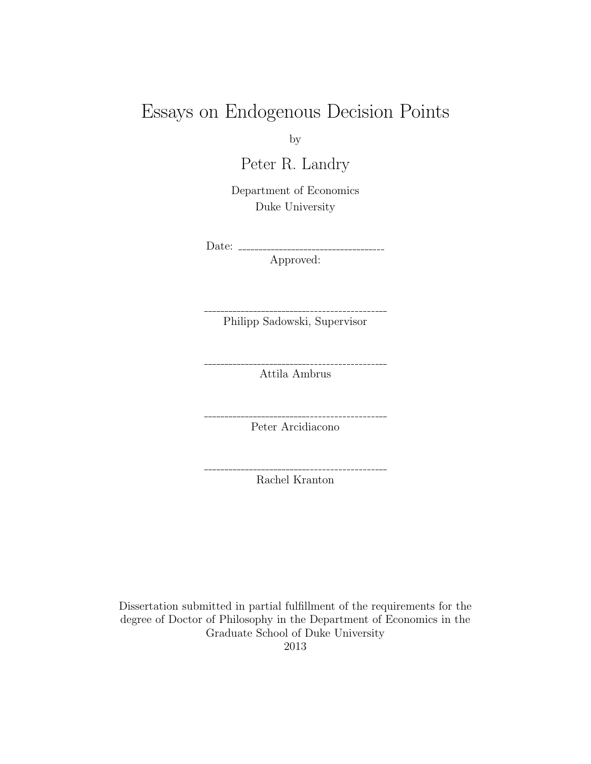# Essays on Endogenous Decision Points

by

Peter R. Landry

Department of Economics Duke University

Date:

Approved:

Philipp Sadowski, Supervisor

\_\_\_\_\_\_\_\_\_\_\_\_\_\_\_\_\_\_\_\_\_\_\_\_\_\_\_

. . . . . . . . . . . . . . . .

Attila Ambrus

Peter Arcidiacono

Rachel Kranton

Dissertation submitted in partial fulfillment of the requirements for the degree of Doctor of Philosophy in the Department of Economics in the Graduate School of Duke University 2013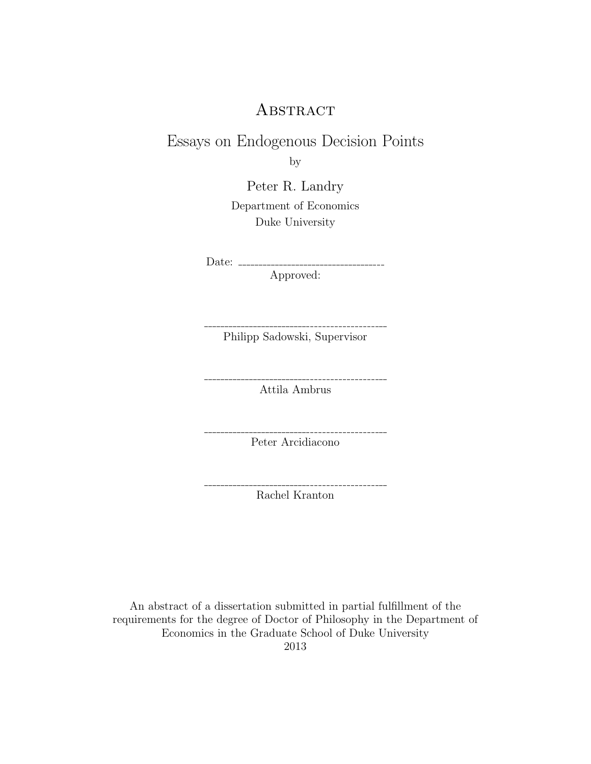# **ABSTRACT**

# Essays on Endogenous Decision Points

by

Peter R. Landry

Department of Economics Duke University

Date:

Approved:

Philipp Sadowski, Supervisor

\_\_\_\_\_\_\_\_\_\_\_\_\_\_\_\_\_\_\_\_\_\_\_\_\_\_\_\_\_\_\_\_\_\_\_\_\_\_

 $---------$ 

\_\_\_\_\_\_\_\_\_\_\_\_\_\_\_\_\_\_\_\_\_

Attila Ambrus

Peter Arcidiacono

Rachel Kranton

An abstract of a dissertation submitted in partial fulfillment of the requirements for the degree of Doctor of Philosophy in the Department of Economics in the Graduate School of Duke University 2013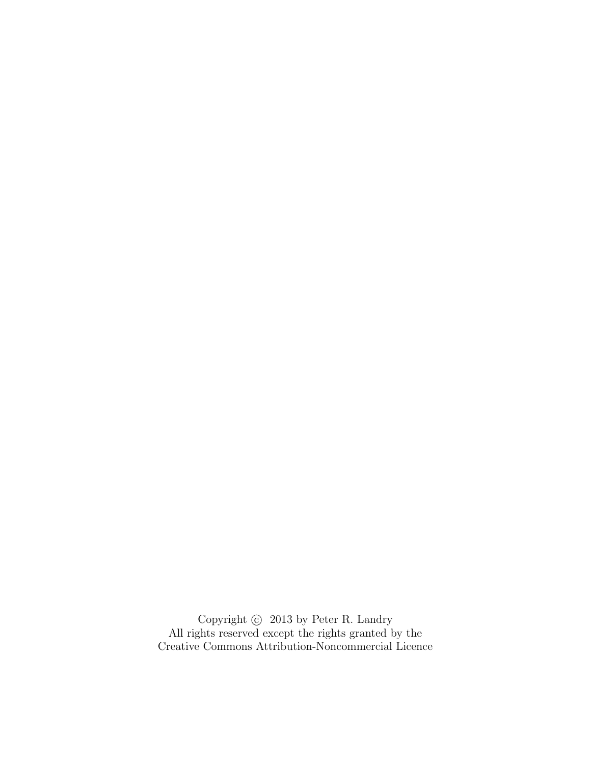Copyright  $\odot~$  2013 by Peter R. Landry All rights reserved except the rights granted by the Creative Commons Attribution-Noncommercial Licence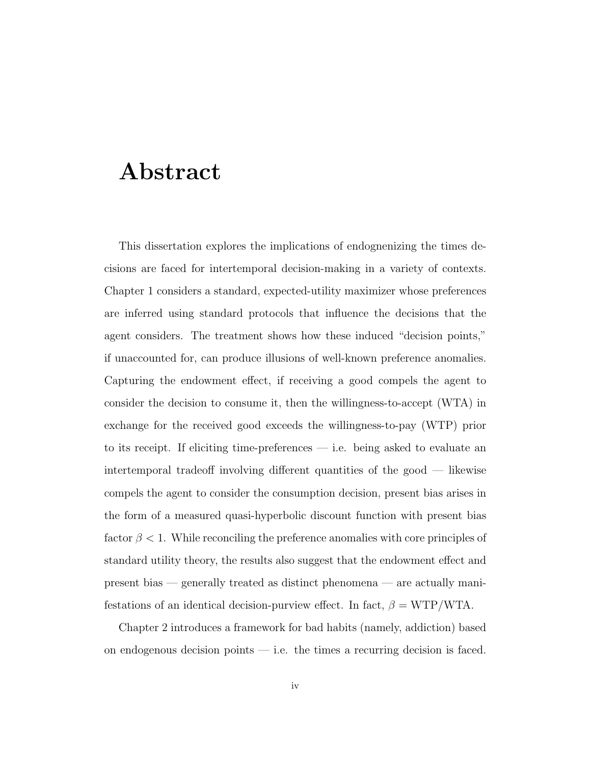# Abstract

This dissertation explores the implications of endognenizing the times decisions are faced for intertemporal decision-making in a variety of contexts. Chapter 1 considers a standard, expected-utility maximizer whose preferences are inferred using standard protocols that influence the decisions that the agent considers. The treatment shows how these induced "decision points," if unaccounted for, can produce illusions of well-known preference anomalies. Capturing the endowment effect, if receiving a good compels the agent to consider the decision to consume it, then the willingness-to-accept (WTA) in exchange for the received good exceeds the willingness-to-pay (WTP) prior to its receipt. If eliciting time-preferences — i.e. being asked to evaluate an intertemporal tradeoff involving different quantities of the good — likewise compels the agent to consider the consumption decision, present bias arises in the form of a measured quasi-hyperbolic discount function with present bias factor  $\beta$  < 1. While reconciling the preference anomalies with core principles of standard utility theory, the results also suggest that the endowment effect and present bias — generally treated as distinct phenomena — are actually manifestations of an identical decision-purview effect. In fact,  $\beta = \text{WTP}/\text{WTA}$ .

Chapter 2 introduces a framework for bad habits (namely, addiction) based on endogenous decision points  $-$  i.e. the times a recurring decision is faced.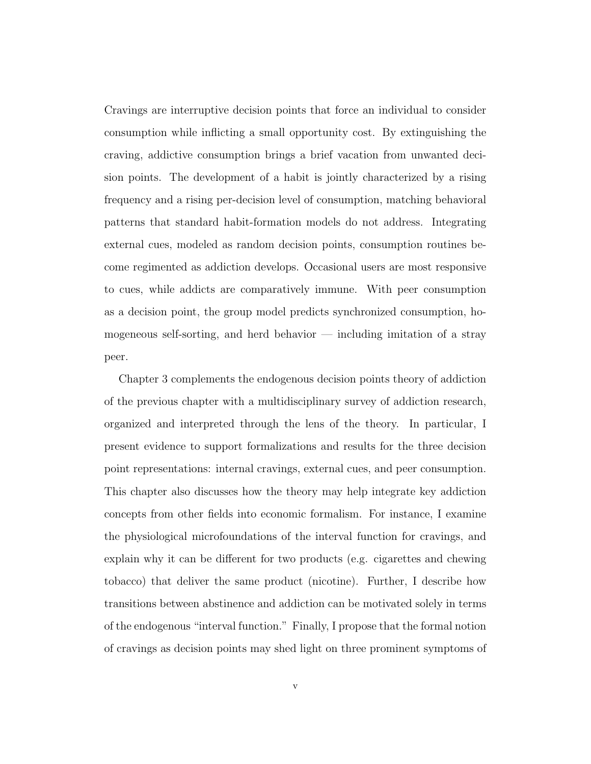Cravings are interruptive decision points that force an individual to consider consumption while inflicting a small opportunity cost. By extinguishing the craving, addictive consumption brings a brief vacation from unwanted decision points. The development of a habit is jointly characterized by a rising frequency and a rising per-decision level of consumption, matching behavioral patterns that standard habit-formation models do not address. Integrating external cues, modeled as random decision points, consumption routines become regimented as addiction develops. Occasional users are most responsive to cues, while addicts are comparatively immune. With peer consumption as a decision point, the group model predicts synchronized consumption, homogeneous self-sorting, and herd behavior — including imitation of a stray peer.

Chapter 3 complements the endogenous decision points theory of addiction of the previous chapter with a multidisciplinary survey of addiction research, organized and interpreted through the lens of the theory. In particular, I present evidence to support formalizations and results for the three decision point representations: internal cravings, external cues, and peer consumption. This chapter also discusses how the theory may help integrate key addiction concepts from other fields into economic formalism. For instance, I examine the physiological microfoundations of the interval function for cravings, and explain why it can be different for two products (e.g. cigarettes and chewing tobacco) that deliver the same product (nicotine). Further, I describe how transitions between abstinence and addiction can be motivated solely in terms of the endogenous "interval function." Finally, I propose that the formal notion of cravings as decision points may shed light on three prominent symptoms of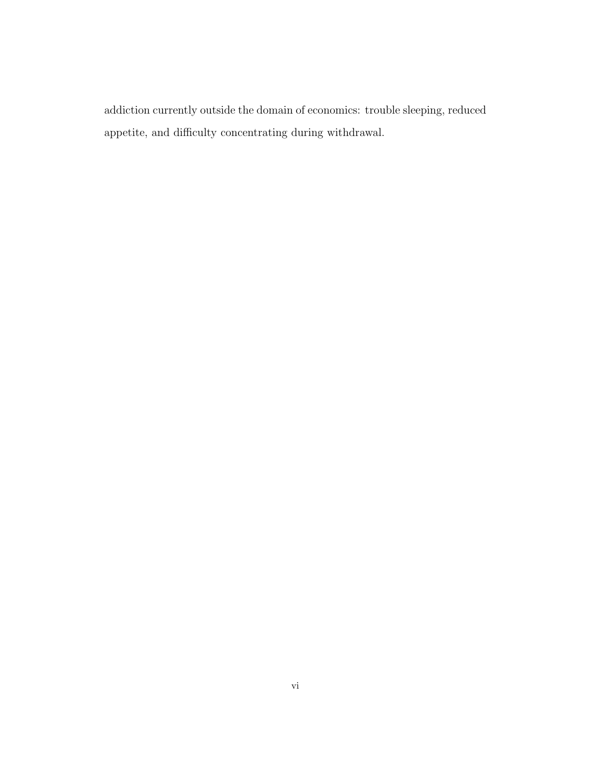addiction currently outside the domain of economics: trouble sleeping, reduced appetite, and difficulty concentrating during withdrawal.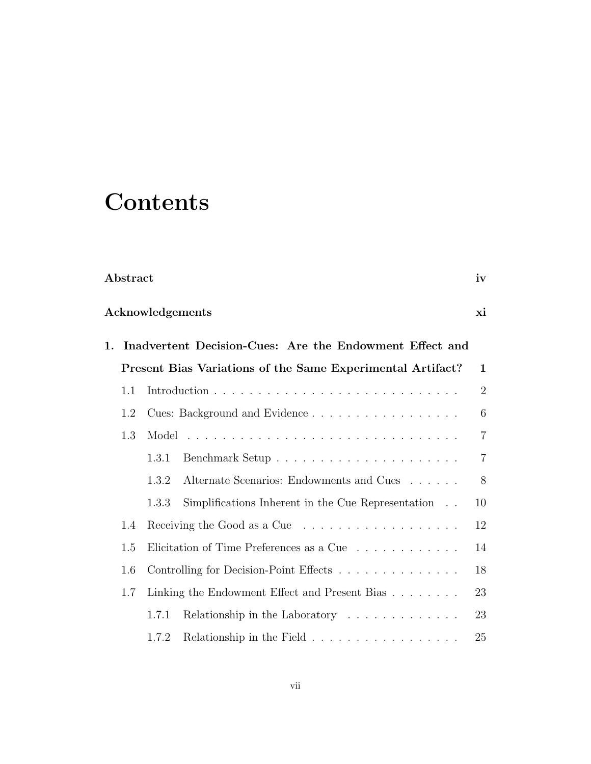# **Contents**

| Abstract |  |
|----------|--|
|          |  |

## Acknowledgements xi

|     |       | 1. Inadvertent Decision-Cues: Are the Endowment Effect and      |                  |
|-----|-------|-----------------------------------------------------------------|------------------|
|     |       | Present Bias Variations of the Same Experimental Artifact?      | $\mathbf{1}$     |
| 1.1 |       |                                                                 | $\overline{2}$   |
| 1.2 |       | Cues: Background and Evidence                                   | $\boldsymbol{6}$ |
| 1.3 |       |                                                                 | $\overline{7}$   |
|     | 1.3.1 |                                                                 | $\overline{7}$   |
|     | 1.3.2 | Alternate Scenarios: Endowments and Cues                        | 8                |
|     | 1.3.3 | Simplifications Inherent in the Cue Representation              | 10               |
| 1.4 |       |                                                                 | 12               |
| 1.5 |       | Elicitation of Time Preferences as a Cue                        | 14               |
| 1.6 |       | Controlling for Decision-Point Effects                          | 18               |
| 1.7 |       | Linking the Endowment Effect and Present Bias                   | 23               |
|     | 1.7.1 | Relationship in the Laboratory                                  | 23               |
|     | 1.7.2 | Relationship in the Field $\dots \dots \dots \dots \dots \dots$ | 25               |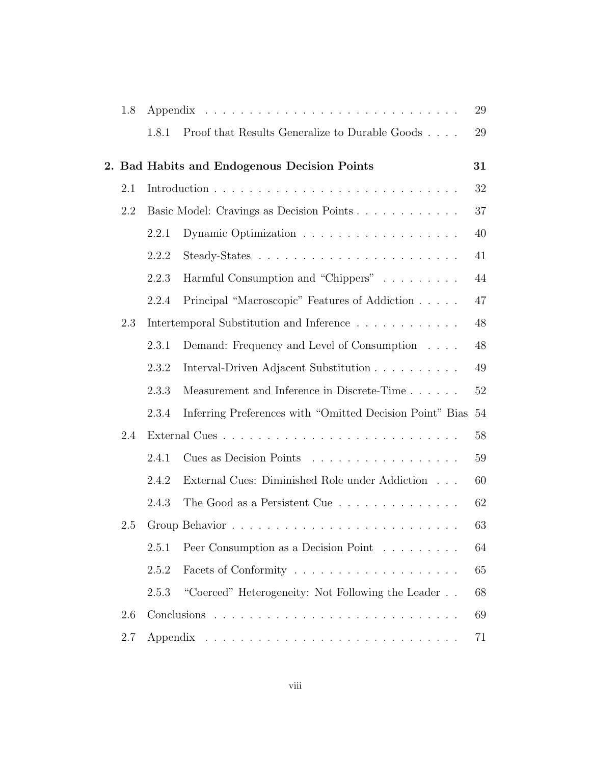| 1.8     |       |                                                          | 29 |
|---------|-------|----------------------------------------------------------|----|
|         | 1.8.1 | Proof that Results Generalize to Durable Goods           | 29 |
|         |       | 2. Bad Habits and Endogenous Decision Points             | 31 |
| 2.1     |       |                                                          | 32 |
| 2.2     |       | Basic Model: Cravings as Decision Points                 | 37 |
|         | 2.2.1 |                                                          | 40 |
|         | 2.2.2 |                                                          | 41 |
|         | 2.2.3 | Harmful Consumption and "Chippers"                       | 44 |
|         | 2.2.4 | Principal "Macroscopic" Features of Addiction            | 47 |
| 2.3     |       | Intertemporal Substitution and Inference                 | 48 |
|         | 2.3.1 | Demand: Frequency and Level of Consumption               | 48 |
|         | 2.3.2 | Interval-Driven Adjacent Substitution                    | 49 |
|         | 2.3.3 | Measurement and Inference in Discrete-Time               | 52 |
|         | 2.3.4 | Inferring Preferences with "Omitted Decision Point" Bias | 54 |
| 2.4     |       |                                                          | 58 |
|         | 2.4.1 | Cues as Decision Points                                  | 59 |
|         | 2.4.2 | External Cues: Diminished Role under Addiction           | 60 |
|         | 2.4.3 | The Good as a Persistent Cue                             | 62 |
| 2.5     |       |                                                          | 63 |
|         | 2.5.1 | Peer Consumption as a Decision Point                     | 64 |
|         | 2.5.2 |                                                          | 65 |
|         | 2.5.3 | "Coerced" Heterogeneity: Not Following the Leader        | 68 |
| 2.6     |       |                                                          | 69 |
| $2.7\,$ |       |                                                          | 71 |
|         |       |                                                          |    |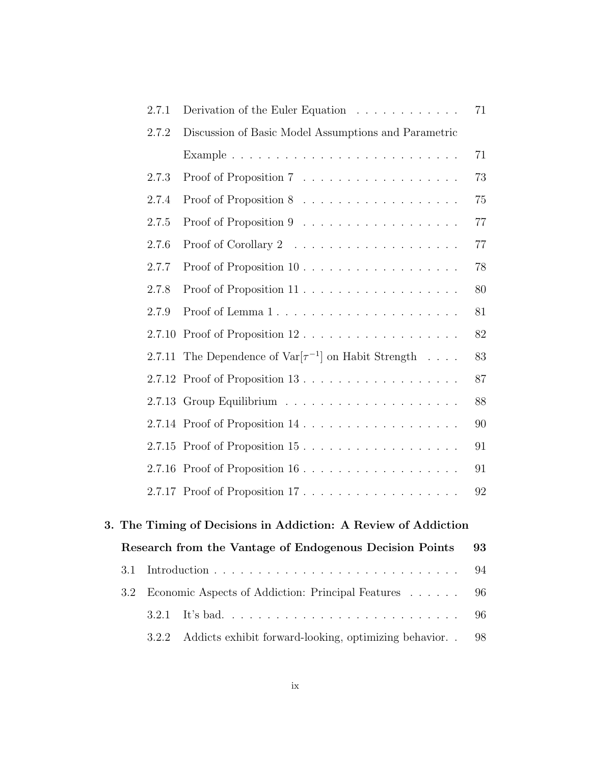|     | 2.7.1  | Derivation of the Euler Equation                               | 71 |
|-----|--------|----------------------------------------------------------------|----|
|     | 2.7.2  | Discussion of Basic Model Assumptions and Parametric           |    |
|     |        |                                                                | 71 |
|     | 2.7.3  |                                                                | 73 |
|     | 2.7.4  |                                                                | 75 |
|     | 2.7.5  |                                                                | 77 |
|     | 2.7.6  |                                                                | 77 |
|     | 2.7.7  |                                                                | 78 |
|     | 2.7.8  |                                                                | 80 |
|     | 2.7.9  | Proof of Lemma 1                                               | 81 |
|     | 2.7.10 | Proof of Proposition 12                                        | 82 |
|     | 2.7.11 | The Dependence of $Var[\tau^{-1}]$ on Habit Strength           | 83 |
|     |        | 2.7.12 Proof of Proposition 13                                 | 87 |
|     |        |                                                                | 88 |
|     |        |                                                                | 90 |
|     |        | 2.7.15 Proof of Proposition 15                                 | 91 |
|     |        |                                                                | 91 |
|     |        | 2.7.17 Proof of Proposition 17                                 | 92 |
|     |        |                                                                |    |
|     |        | 3. The Timing of Decisions in Addiction: A Review of Addiction |    |
|     |        | Research from the Vantage of Endogenous Decision Points        | 93 |
| 3.1 |        |                                                                | 94 |
| 3.2 |        | Economic Aspects of Addiction: Principal Features              | 96 |
|     | 3.2.1  |                                                                | 96 |
|     | 3.2.2  | Addicts exhibit forward-looking, optimizing behavior           | 98 |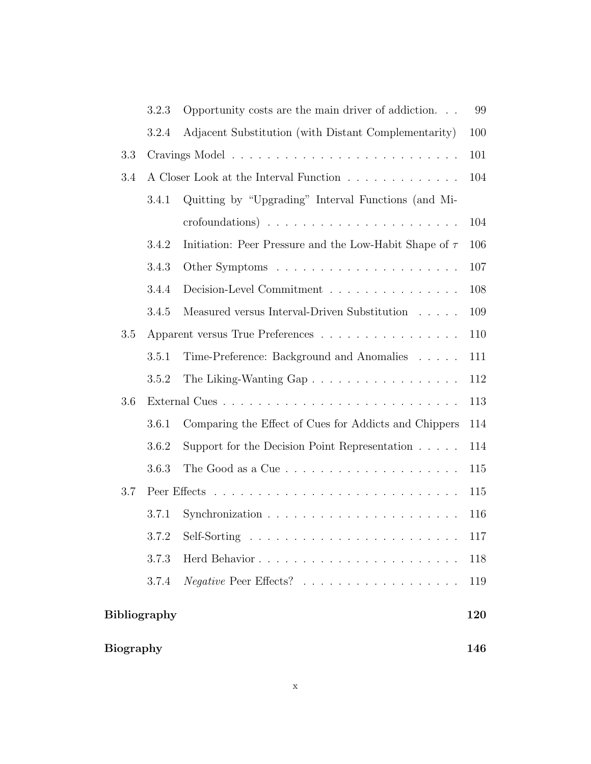|                     | 3.2.3 | Opportunity costs are the main driver of addiction                   | 99  |
|---------------------|-------|----------------------------------------------------------------------|-----|
|                     | 3.2.4 | Adjacent Substitution (with Distant Complementarity)                 | 100 |
| 3.3                 |       |                                                                      | 101 |
| 3.4                 |       | A Closer Look at the Interval Function                               | 104 |
|                     | 3.4.1 | Quitting by "Upgrading" Interval Functions (and Mi-                  |     |
|                     |       |                                                                      | 104 |
|                     | 3.4.2 | Initiation: Peer Pressure and the Low-Habit Shape of $\tau$          | 106 |
|                     | 3.4.3 |                                                                      | 107 |
|                     | 3.4.4 | Decision-Level Commitment                                            | 108 |
|                     | 3.4.5 | Measured versus Interval-Driven Substitution $\ldots$ .              | 109 |
| 3.5                 |       | Apparent versus True Preferences                                     | 110 |
|                     | 3.5.1 | Time-Preference: Background and Anomalies                            | 111 |
|                     | 3.5.2 | The Liking-Wanting Gap                                               | 112 |
| 3.6                 |       |                                                                      | 113 |
|                     | 3.6.1 | Comparing the Effect of Cues for Addicts and Chippers                | 114 |
|                     | 3.6.2 | Support for the Decision Point Representation                        | 114 |
|                     | 3.6.3 | The Good as a Cue $\ldots \ldots \ldots \ldots \ldots \ldots \ldots$ | 115 |
| 3.7                 |       |                                                                      | 115 |
|                     | 3.7.1 | Synchronization $\ldots \ldots \ldots \ldots \ldots \ldots \ldots$   | 116 |
|                     | 3.7.2 |                                                                      | 117 |
|                     | 3.7.3 |                                                                      | 118 |
|                     | 3.7.4 |                                                                      | 119 |
| <b>Bibliography</b> |       | 120                                                                  |     |
| <b>Biography</b>    |       | 146                                                                  |     |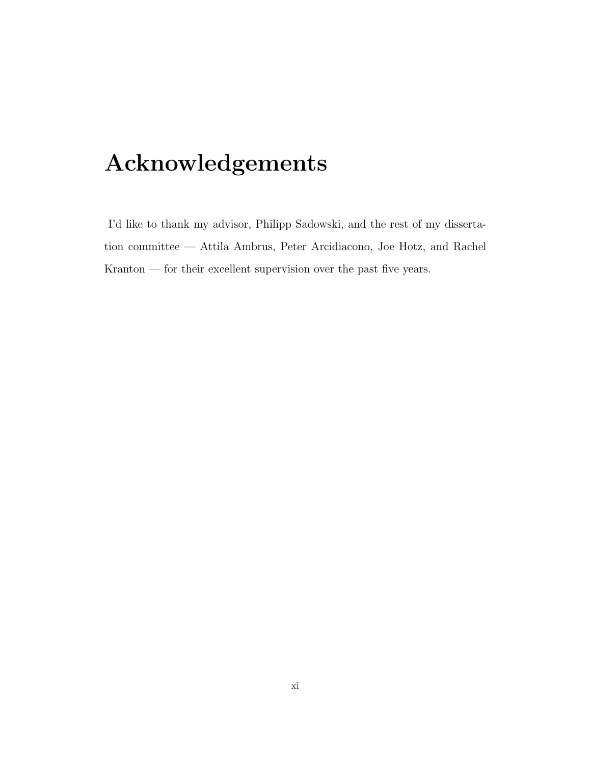# Acknowledgements

I'd like to thank my advisor, Philipp Sadowski, and the rest of my dissertation committee — Attila Ambrus, Peter Arcidiacono, Joe Hotz, and Rachel Kranton — for their excellent supervision over the past five years.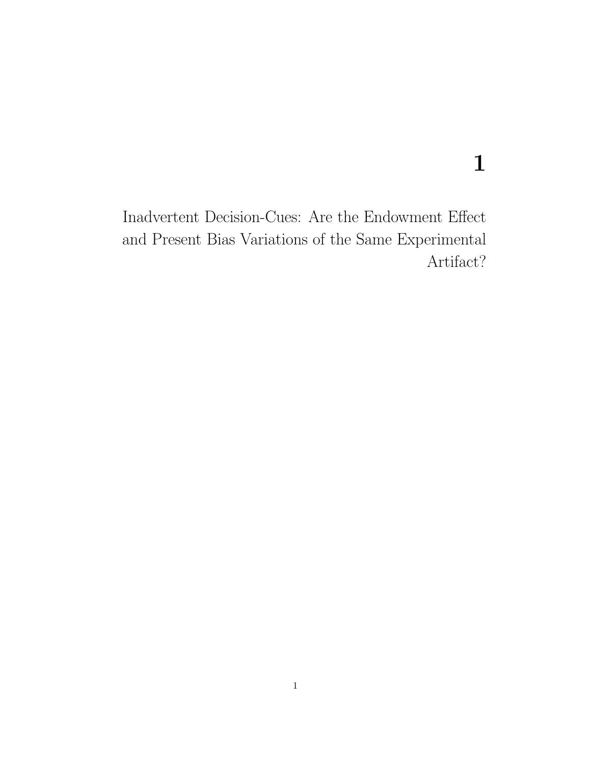# 1

Inadvertent Decision-Cues: Are the Endowment Effect and Present Bias Variations of the Same Experimental Artifact?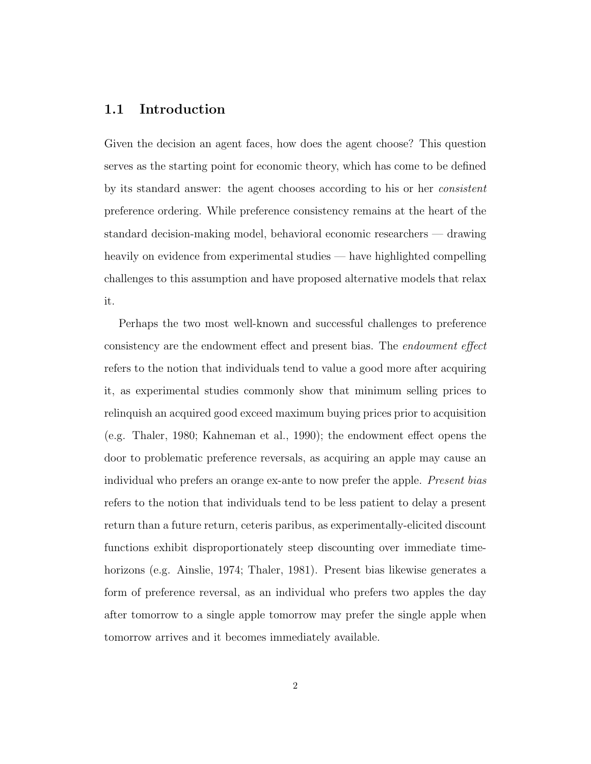### 1.1 Introduction

Given the decision an agent faces, how does the agent choose? This question serves as the starting point for economic theory, which has come to be defined by its standard answer: the agent chooses according to his or her consistent preference ordering. While preference consistency remains at the heart of the standard decision-making model, behavioral economic researchers — drawing heavily on evidence from experimental studies — have highlighted compelling challenges to this assumption and have proposed alternative models that relax it.

Perhaps the two most well-known and successful challenges to preference consistency are the endowment effect and present bias. The endowment effect refers to the notion that individuals tend to value a good more after acquiring it, as experimental studies commonly show that minimum selling prices to relinquish an acquired good exceed maximum buying prices prior to acquisition (e.g. Thaler, 1980; Kahneman et al., 1990); the endowment effect opens the door to problematic preference reversals, as acquiring an apple may cause an individual who prefers an orange ex-ante to now prefer the apple. *Present bias* refers to the notion that individuals tend to be less patient to delay a present return than a future return, ceteris paribus, as experimentally-elicited discount functions exhibit disproportionately steep discounting over immediate timehorizons (e.g. Ainslie, 1974; Thaler, 1981). Present bias likewise generates a form of preference reversal, as an individual who prefers two apples the day after tomorrow to a single apple tomorrow may prefer the single apple when tomorrow arrives and it becomes immediately available.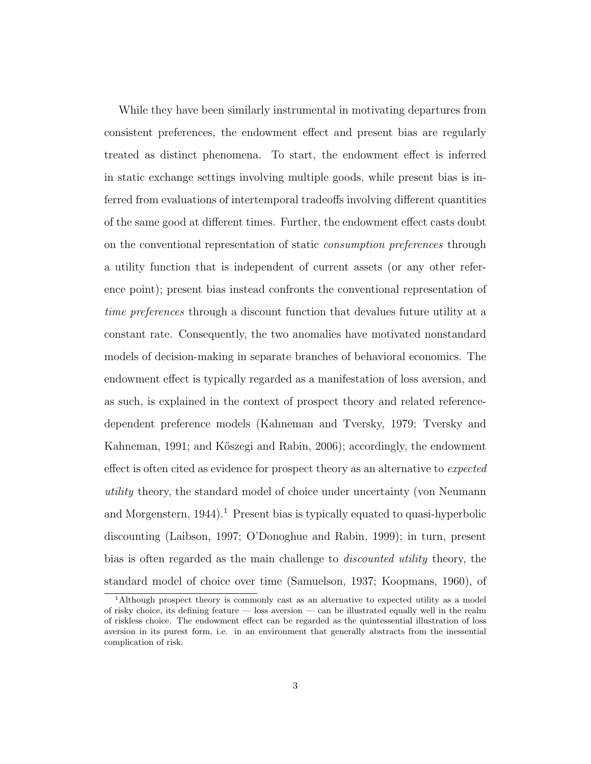While they have been similarly instrumental in motivating departures from consistent preferences, the endowment effect and present bias are regularly treated as distinct phenomena. To start, the endowment effect is inferred in static exchange settings involving multiple goods, while present bias is inferred from evaluations of intertemporal tradeoffs involving different quantities of the same good at different times. Further, the endowment effect casts doubt on the conventional representation of static consumption preferences through a utility function that is independent of current assets (or any other reference point); present bias instead confronts the conventional representation of time preferences through a discount function that devalues future utility at a constant rate. Consequently, the two anomalies have motivated nonstandard models of decision-making in separate branches of behavioral economics. The endowment effect is typically regarded as a manifestation of loss aversion, and as such, is explained in the context of prospect theory and related referencedependent preference models (Kahneman and Tversky, 1979; Tversky and Kahneman, 1991; and Kőszegi and Rabin, 2006); accordingly, the endowment effect is often cited as evidence for prospect theory as an alternative to *expected* utility theory, the standard model of choice under uncertainty (von Neumann and Morgenstern,  $1944$ ).<sup>1</sup> Present bias is typically equated to quasi-hyperbolic discounting (Laibson, 1997; O'Donoghue and Rabin, 1999); in turn, present bias is often regarded as the main challenge to discounted utility theory, the standard model of choice over time (Samuelson, 1937; Koopmans, 1960), of

<sup>1</sup>Although prospect theory is commonly cast as an alternative to expected utility as a model of risky choice, its defining feature — loss aversion — can be illustrated equally well in the realm of riskless choice. The endowment effect can be regarded as the quintessential illustration of loss aversion in its purest form, i.e. in an environment that generally abstracts from the inessential complication of risk.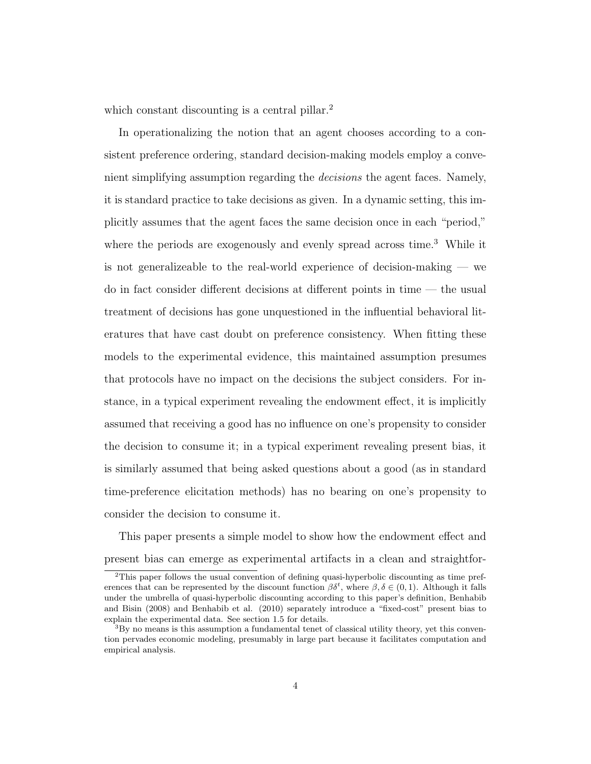which constant discounting is a central pillar.<sup>2</sup>

In operationalizing the notion that an agent chooses according to a consistent preference ordering, standard decision-making models employ a convenient simplifying assumption regarding the decisions the agent faces. Namely, it is standard practice to take decisions as given. In a dynamic setting, this implicitly assumes that the agent faces the same decision once in each "period," where the periods are exogenously and evenly spread across time.<sup>3</sup> While it is not generalizeable to the real-world experience of decision-making — we do in fact consider different decisions at different points in time — the usual treatment of decisions has gone unquestioned in the influential behavioral literatures that have cast doubt on preference consistency. When fitting these models to the experimental evidence, this maintained assumption presumes that protocols have no impact on the decisions the subject considers. For instance, in a typical experiment revealing the endowment effect, it is implicitly assumed that receiving a good has no influence on one's propensity to consider the decision to consume it; in a typical experiment revealing present bias, it is similarly assumed that being asked questions about a good (as in standard time-preference elicitation methods) has no bearing on one's propensity to consider the decision to consume it.

This paper presents a simple model to show how the endowment effect and present bias can emerge as experimental artifacts in a clean and straightfor-

<sup>2</sup>This paper follows the usual convention of defining quasi-hyperbolic discounting as time preferences that can be represented by the discount function  $\beta \delta^t$ , where  $\beta, \delta \in (0,1)$ . Although it falls under the umbrella of quasi-hyperbolic discounting according to this paper's definition, Benhabib and Bisin (2008) and Benhabib et al. (2010) separately introduce a "fixed-cost" present bias to explain the experimental data. See section 1.5 for details.

<sup>3</sup>By no means is this assumption a fundamental tenet of classical utility theory, yet this convention pervades economic modeling, presumably in large part because it facilitates computation and empirical analysis.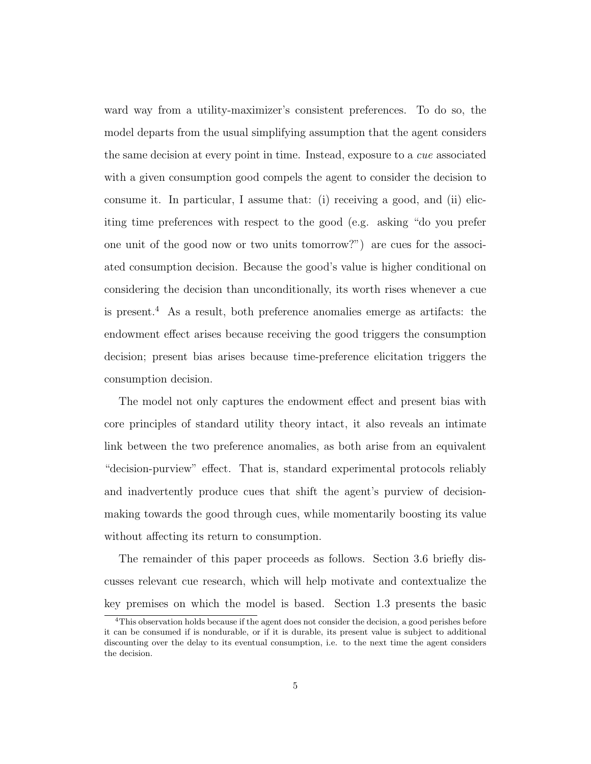ward way from a utility-maximizer's consistent preferences. To do so, the model departs from the usual simplifying assumption that the agent considers the same decision at every point in time. Instead, exposure to a cue associated with a given consumption good compels the agent to consider the decision to consume it. In particular, I assume that: (i) receiving a good, and (ii) eliciting time preferences with respect to the good (e.g. asking "do you prefer one unit of the good now or two units tomorrow?") are cues for the associated consumption decision. Because the good's value is higher conditional on considering the decision than unconditionally, its worth rises whenever a cue is present.<sup>4</sup> As a result, both preference anomalies emerge as artifacts: the endowment effect arises because receiving the good triggers the consumption decision; present bias arises because time-preference elicitation triggers the consumption decision.

The model not only captures the endowment effect and present bias with core principles of standard utility theory intact, it also reveals an intimate link between the two preference anomalies, as both arise from an equivalent "decision-purview" effect. That is, standard experimental protocols reliably and inadvertently produce cues that shift the agent's purview of decisionmaking towards the good through cues, while momentarily boosting its value without affecting its return to consumption.

The remainder of this paper proceeds as follows. Section 3.6 briefly discusses relevant cue research, which will help motivate and contextualize the key premises on which the model is based. Section 1.3 presents the basic

<sup>4</sup>This observation holds because if the agent does not consider the decision, a good perishes before it can be consumed if is nondurable, or if it is durable, its present value is subject to additional discounting over the delay to its eventual consumption, i.e. to the next time the agent considers the decision.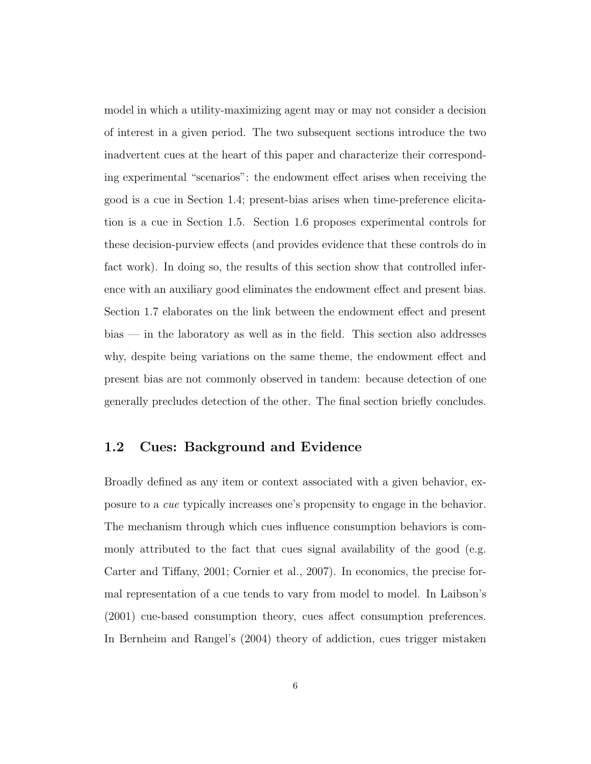model in which a utility-maximizing agent may or may not consider a decision of interest in a given period. The two subsequent sections introduce the two inadvertent cues at the heart of this paper and characterize their corresponding experimental "scenarios": the endowment effect arises when receiving the good is a cue in Section 1.4; present-bias arises when time-preference elicitation is a cue in Section 1.5. Section 1.6 proposes experimental controls for these decision-purview effects (and provides evidence that these controls do in fact work). In doing so, the results of this section show that controlled inference with an auxiliary good eliminates the endowment effect and present bias. Section 1.7 elaborates on the link between the endowment effect and present bias — in the laboratory as well as in the field. This section also addresses why, despite being variations on the same theme, the endowment effect and present bias are not commonly observed in tandem: because detection of one generally precludes detection of the other. The final section briefly concludes.

### 1.2 Cues: Background and Evidence

Broadly defined as any item or context associated with a given behavior, exposure to a cue typically increases one's propensity to engage in the behavior. The mechanism through which cues influence consumption behaviors is commonly attributed to the fact that cues signal availability of the good (e.g. Carter and Tiffany, 2001; Cornier et al., 2007). In economics, the precise formal representation of a cue tends to vary from model to model. In Laibson's (2001) cue-based consumption theory, cues affect consumption preferences. In Bernheim and Rangel's (2004) theory of addiction, cues trigger mistaken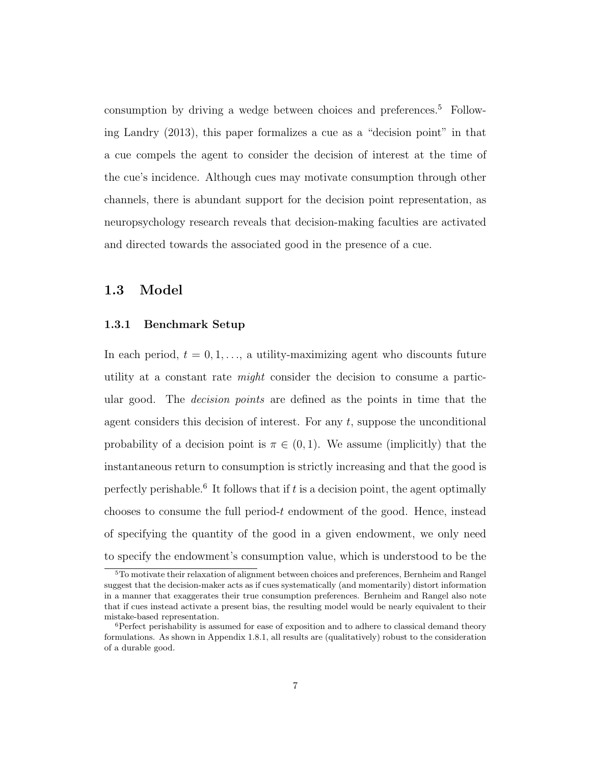consumption by driving a wedge between choices and preferences.<sup>5</sup> Following Landry (2013), this paper formalizes a cue as a "decision point" in that a cue compels the agent to consider the decision of interest at the time of the cue's incidence. Although cues may motivate consumption through other channels, there is abundant support for the decision point representation, as neuropsychology research reveals that decision-making faculties are activated and directed towards the associated good in the presence of a cue.

### 1.3 Model

#### 1.3.1 Benchmark Setup

In each period,  $t = 0, 1, \ldots$ , a utility-maximizing agent who discounts future utility at a constant rate might consider the decision to consume a particular good. The *decision points* are defined as the points in time that the agent considers this decision of interest. For any  $t$ , suppose the unconditional probability of a decision point is  $\pi \in (0,1)$ . We assume (implicitly) that the instantaneous return to consumption is strictly increasing and that the good is perfectly perishable.<sup>6</sup> It follows that if  $t$  is a decision point, the agent optimally chooses to consume the full period- $t$  endowment of the good. Hence, instead of specifying the quantity of the good in a given endowment, we only need to specify the endowment's consumption value, which is understood to be the

<sup>5</sup>To motivate their relaxation of alignment between choices and preferences, Bernheim and Rangel suggest that the decision-maker acts as if cues systematically (and momentarily) distort information in a manner that exaggerates their true consumption preferences. Bernheim and Rangel also note that if cues instead activate a present bias, the resulting model would be nearly equivalent to their mistake-based representation.

 ${}^{6}$ Perfect perishability is assumed for ease of exposition and to adhere to classical demand theory formulations. As shown in Appendix 1.8.1, all results are (qualitatively) robust to the consideration of a durable good.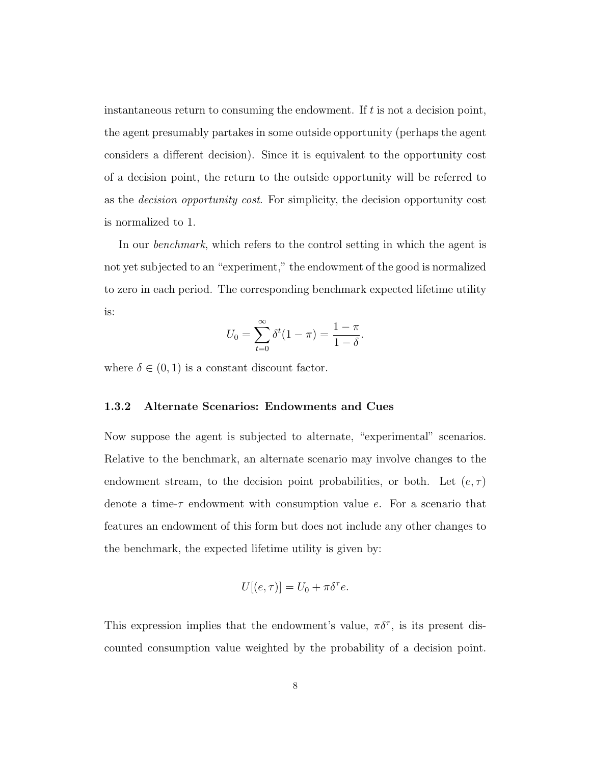instantaneous return to consuming the endowment. If  $t$  is not a decision point, the agent presumably partakes in some outside opportunity (perhaps the agent considers a different decision). Since it is equivalent to the opportunity cost of a decision point, the return to the outside opportunity will be referred to as the decision opportunity cost. For simplicity, the decision opportunity cost is normalized to 1.

In our *benchmark*, which refers to the control setting in which the agent is not yet subjected to an "experiment," the endowment of the good is normalized to zero in each period. The corresponding benchmark expected lifetime utility is:

$$
U_0 = \sum_{t=0}^{\infty} \delta^t (1 - \pi) = \frac{1 - \pi}{1 - \delta}.
$$

where  $\delta \in (0,1)$  is a constant discount factor.

#### 1.3.2 Alternate Scenarios: Endowments and Cues

Now suppose the agent is subjected to alternate, "experimental" scenarios. Relative to the benchmark, an alternate scenario may involve changes to the endowment stream, to the decision point probabilities, or both. Let  $(e, \tau)$ denote a time-τ endowment with consumption value e. For a scenario that features an endowment of this form but does not include any other changes to the benchmark, the expected lifetime utility is given by:

$$
U[(e,\tau)] = U_0 + \pi \delta^{\tau} e.
$$

This expression implies that the endowment's value,  $\pi \delta^{\tau}$ , is its present discounted consumption value weighted by the probability of a decision point.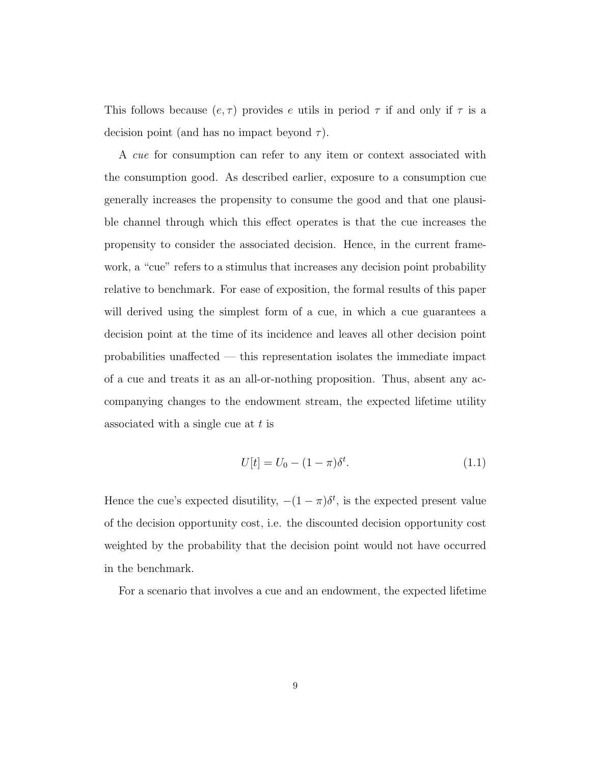This follows because  $(e, \tau)$  provides e utils in period  $\tau$  if and only if  $\tau$  is a decision point (and has no impact beyond  $\tau$ ).

A cue for consumption can refer to any item or context associated with the consumption good. As described earlier, exposure to a consumption cue generally increases the propensity to consume the good and that one plausible channel through which this effect operates is that the cue increases the propensity to consider the associated decision. Hence, in the current framework, a "cue" refers to a stimulus that increases any decision point probability relative to benchmark. For ease of exposition, the formal results of this paper will derived using the simplest form of a cue, in which a cue guarantees a decision point at the time of its incidence and leaves all other decision point probabilities unaffected — this representation isolates the immediate impact of a cue and treats it as an all-or-nothing proposition. Thus, absent any accompanying changes to the endowment stream, the expected lifetime utility associated with a single cue at  $t$  is

$$
U[t] = U_0 - (1 - \pi)\delta^t.
$$
 (1.1)

Hence the cue's expected disutility,  $-(1 - \pi)\delta^t$ , is the expected present value of the decision opportunity cost, i.e. the discounted decision opportunity cost weighted by the probability that the decision point would not have occurred in the benchmark.

For a scenario that involves a cue and an endowment, the expected lifetime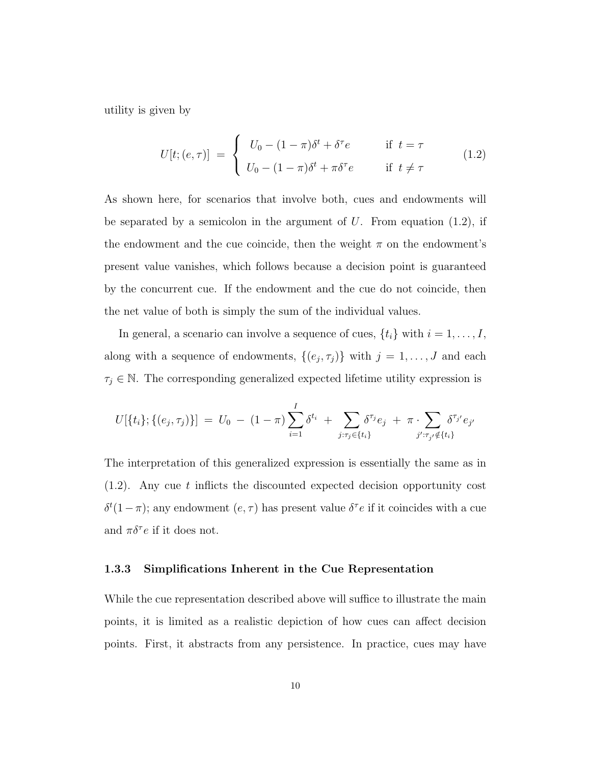utility is given by

$$
U[t; (e, \tau)] = \begin{cases} U_0 - (1 - \pi)\delta^t + \delta^\tau e & \text{if } t = \tau \\ U_0 - (1 - \pi)\delta^t + \pi \delta^\tau e & \text{if } t \neq \tau \end{cases}
$$
(1.2)

As shown here, for scenarios that involve both, cues and endowments will be separated by a semicolon in the argument of  $U$ . From equation (1.2), if the endowment and the cue coincide, then the weight  $\pi$  on the endowment's present value vanishes, which follows because a decision point is guaranteed by the concurrent cue. If the endowment and the cue do not coincide, then the net value of both is simply the sum of the individual values.

In general, a scenario can involve a sequence of cues,  $\{t_i\}$  with  $i = 1, \ldots, I$ , along with a sequence of endowments,  $\{(e_j, \tau_j)\}\$  with  $j = 1, \ldots, J$  and each  $\tau_j \in \mathbb{N}$ . The corresponding generalized expected lifetime utility expression is

$$
U[\{t_i\}; \{(e_j, \tau_j)\}] = U_0 - (1-\pi) \sum_{i=1}^I \delta^{t_i} + \sum_{j: \tau_j \in \{t_i\}} \delta^{\tau_j} e_j + \pi \cdot \sum_{j': \tau_{j'} \notin \{t_i\}} \delta^{\tau_{j'}} e_{j'}
$$

The interpretation of this generalized expression is essentially the same as in  $(1.2)$ . Any cue t inflicts the discounted expected decision opportunity cost  $\delta^t(1-\pi)$ ; any endowment  $(e,\tau)$  has present value  $\delta^{\tau}e$  if it coincides with a cue and  $\pi \delta^{\tau} e$  if it does not.

#### 1.3.3 Simplifications Inherent in the Cue Representation

While the cue representation described above will suffice to illustrate the main points, it is limited as a realistic depiction of how cues can affect decision points. First, it abstracts from any persistence. In practice, cues may have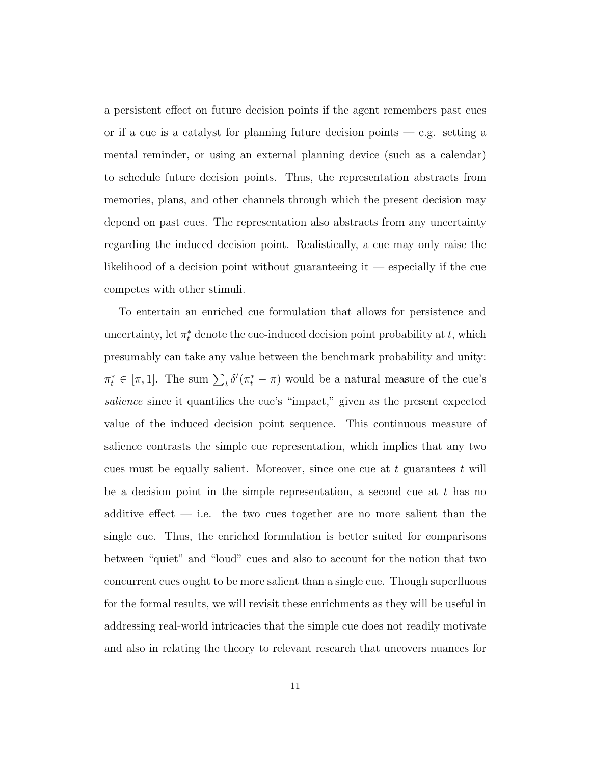a persistent effect on future decision points if the agent remembers past cues or if a cue is a catalyst for planning future decision points — e.g. setting a mental reminder, or using an external planning device (such as a calendar) to schedule future decision points. Thus, the representation abstracts from memories, plans, and other channels through which the present decision may depend on past cues. The representation also abstracts from any uncertainty regarding the induced decision point. Realistically, a cue may only raise the likelihood of a decision point without guaranteeing it — especially if the cue competes with other stimuli.

To entertain an enriched cue formulation that allows for persistence and uncertainty, let  $\pi_t^*$  denote the cue-induced decision point probability at  $t$ , which presumably can take any value between the benchmark probability and unity:  $\pi_t^* \in [\pi, 1]$ . The sum  $\sum_t \delta^t(\pi_t^* - \pi)$  would be a natural measure of the cue's salience since it quantifies the cue's "impact," given as the present expected value of the induced decision point sequence. This continuous measure of salience contrasts the simple cue representation, which implies that any two cues must be equally salient. Moreover, since one cue at  $t$  guarantees  $t$  will be a decision point in the simple representation, a second cue at  $t$  has no additive effect  $-$  i.e. the two cues together are no more salient than the single cue. Thus, the enriched formulation is better suited for comparisons between "quiet" and "loud" cues and also to account for the notion that two concurrent cues ought to be more salient than a single cue. Though superfluous for the formal results, we will revisit these enrichments as they will be useful in addressing real-world intricacies that the simple cue does not readily motivate and also in relating the theory to relevant research that uncovers nuances for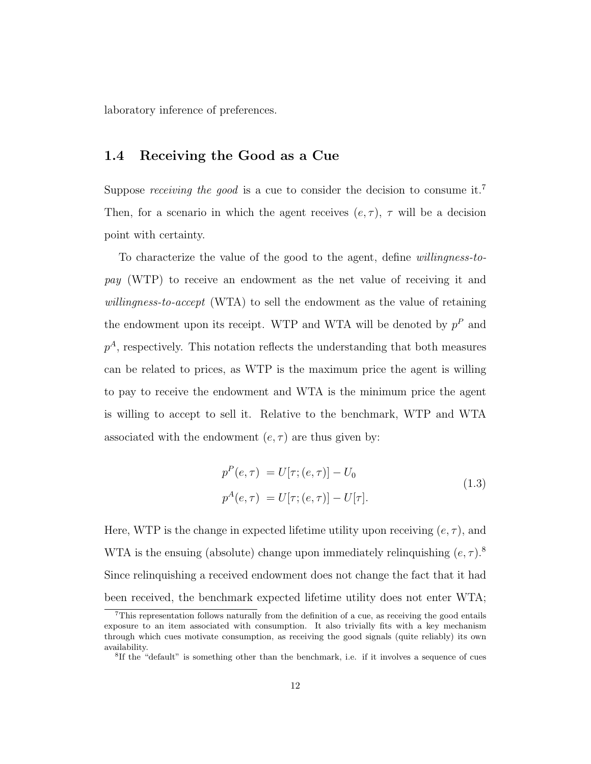laboratory inference of preferences.

### 1.4 Receiving the Good as a Cue

Suppose *receiving the good* is a cue to consider the decision to consume it.<sup>7</sup> Then, for a scenario in which the agent receives  $(e, \tau)$ ,  $\tau$  will be a decision point with certainty.

To characterize the value of the good to the agent, define willingness-topay (WTP) to receive an endowment as the net value of receiving it and willingness-to-accept (WTA) to sell the endowment as the value of retaining the endowment upon its receipt. WTP and WTA will be denoted by  $p^P$  and  $p<sup>A</sup>$ , respectively. This notation reflects the understanding that both measures can be related to prices, as WTP is the maximum price the agent is willing to pay to receive the endowment and WTA is the minimum price the agent is willing to accept to sell it. Relative to the benchmark, WTP and WTA associated with the endowment  $(e, \tau)$  are thus given by:

$$
p^{P}(e,\tau) = U[\tau; (e,\tau)] - U_0
$$
  
\n
$$
p^{A}(e,\tau) = U[\tau; (e,\tau)] - U[\tau].
$$
\n(1.3)

Here, WTP is the change in expected lifetime utility upon receiving  $(e, \tau)$ , and WTA is the ensuing (absolute) change upon immediately relinquishing  $(e, \tau)$ .<sup>8</sup> Since relinquishing a received endowment does not change the fact that it had been received, the benchmark expected lifetime utility does not enter WTA;

<sup>7</sup>This representation follows naturally from the definition of a cue, as receiving the good entails exposure to an item associated with consumption. It also trivially fits with a key mechanism through which cues motivate consumption, as receiving the good signals (quite reliably) its own availability.

<sup>8</sup> If the "default" is something other than the benchmark, i.e. if it involves a sequence of cues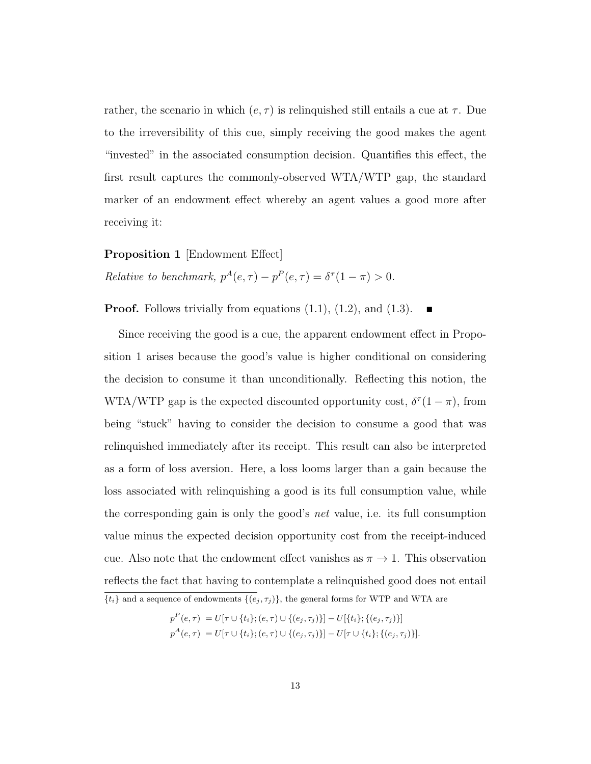rather, the scenario in which  $(e, \tau)$  is relinquished still entails a cue at  $\tau$ . Due to the irreversibility of this cue, simply receiving the good makes the agent "invested" in the associated consumption decision. Quantifies this effect, the first result captures the commonly-observed WTA/WTP gap, the standard marker of an endowment effect whereby an agent values a good more after receiving it:

Proposition 1 [Endowment Effect] Relative to benchmark,  $p^A(e, \tau) - p^P(e, \tau) = \delta^{\tau}(1-\pi) > 0$ .

**Proof.** Follows trivially from equations  $(1.1)$ ,  $(1.2)$ , and  $(1.3)$ .

Since receiving the good is a cue, the apparent endowment effect in Proposition 1 arises because the good's value is higher conditional on considering the decision to consume it than unconditionally. Reflecting this notion, the WTA/WTP gap is the expected discounted opportunity cost,  $\delta^{\tau}(1-\pi)$ , from being "stuck" having to consider the decision to consume a good that was relinquished immediately after its receipt. This result can also be interpreted as a form of loss aversion. Here, a loss looms larger than a gain because the loss associated with relinquishing a good is its full consumption value, while the corresponding gain is only the good's net value, i.e. its full consumption value minus the expected decision opportunity cost from the receipt-induced cue. Also note that the endowment effect vanishes as  $\pi \to 1$ . This observation reflects the fact that having to contemplate a relinquished good does not entail  ${\{t_i\}}$  and a sequence of endowments  ${\{(e_j, \tau_j)\}}$ , the general forms for WTP and WTA are

$$
p^{P}(e,\tau) = U[\tau \cup \{t_i\}; (e,\tau) \cup \{(e_j,\tau_j)\}] - U[\{t_i\}; \{(e_j,\tau_j)\}]
$$
  

$$
p^{A}(e,\tau) = U[\tau \cup \{t_i\}; (e,\tau) \cup \{(e_j,\tau_j)\}] - U[\tau \cup \{t_i\}; \{(e_j,\tau_j)\}].
$$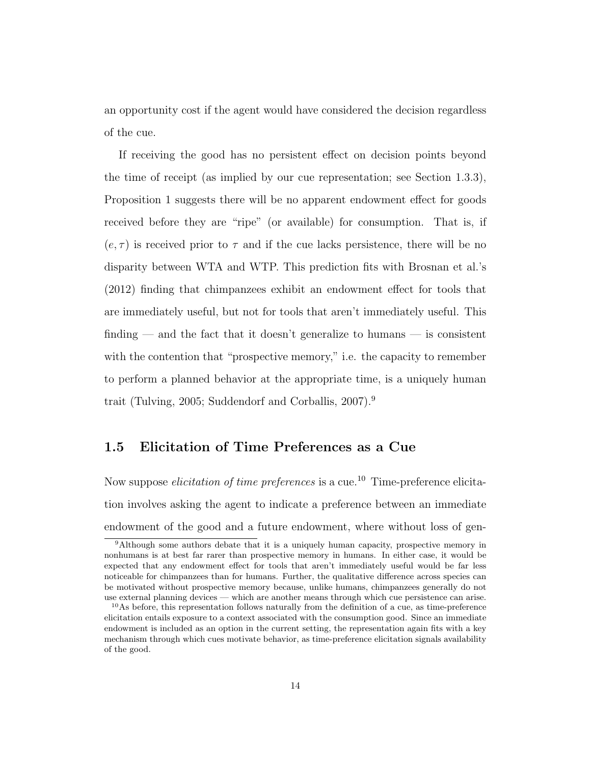an opportunity cost if the agent would have considered the decision regardless of the cue.

If receiving the good has no persistent effect on decision points beyond the time of receipt (as implied by our cue representation; see Section 1.3.3), Proposition 1 suggests there will be no apparent endowment effect for goods received before they are "ripe" (or available) for consumption. That is, if  $(e, \tau)$  is received prior to  $\tau$  and if the cue lacks persistence, there will be no disparity between WTA and WTP. This prediction fits with Brosnan et al.'s (2012) finding that chimpanzees exhibit an endowment effect for tools that are immediately useful, but not for tools that aren't immediately useful. This finding — and the fact that it doesn't generalize to humans — is consistent with the contention that "prospective memory," i.e. the capacity to remember to perform a planned behavior at the appropriate time, is a uniquely human trait (Tulving, 2005; Suddendorf and Corballis, 2007).<sup>9</sup>

## 1.5 Elicitation of Time Preferences as a Cue

Now suppose *elicitation of time preferences* is a cue.<sup>10</sup> Time-preference elicitation involves asking the agent to indicate a preference between an immediate endowment of the good and a future endowment, where without loss of gen-

<sup>9</sup>Although some authors debate that it is a uniquely human capacity, prospective memory in nonhumans is at best far rarer than prospective memory in humans. In either case, it would be expected that any endowment effect for tools that aren't immediately useful would be far less noticeable for chimpanzees than for humans. Further, the qualitative difference across species can be motivated without prospective memory because, unlike humans, chimpanzees generally do not use external planning devices — which are another means through which cue persistence can arise.

<sup>10</sup>As before, this representation follows naturally from the definition of a cue, as time-preference elicitation entails exposure to a context associated with the consumption good. Since an immediate endowment is included as an option in the current setting, the representation again fits with a key mechanism through which cues motivate behavior, as time-preference elicitation signals availability of the good.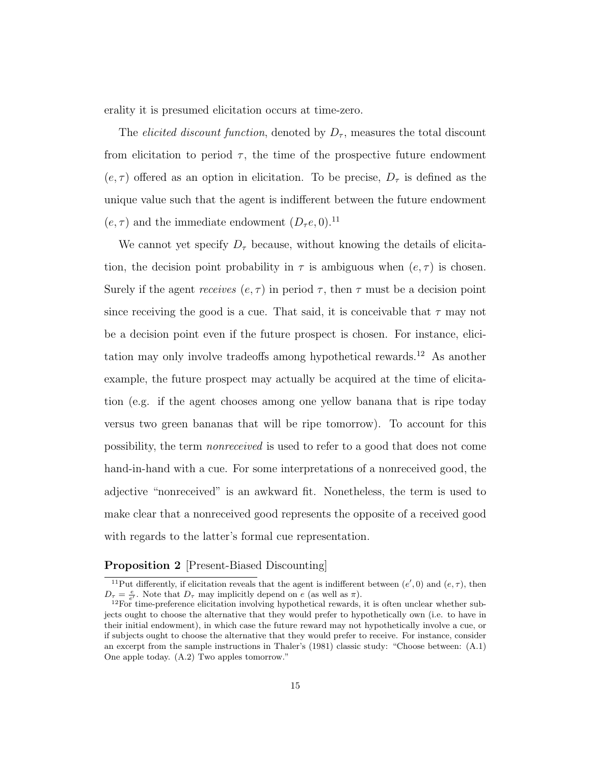erality it is presumed elicitation occurs at time-zero.

The *elicited discount function*, denoted by  $D_{\tau}$ , measures the total discount from elicitation to period  $\tau$ , the time of the prospective future endowment  $(e, \tau)$  offered as an option in elicitation. To be precise,  $D_{\tau}$  is defined as the unique value such that the agent is indifferent between the future endowment  $(e, \tau)$  and the immediate endowment  $(D_\tau e, 0)$ .<sup>11</sup>

We cannot yet specify  $D_{\tau}$  because, without knowing the details of elicitation, the decision point probability in  $\tau$  is ambiguous when  $(e, \tau)$  is chosen. Surely if the agent *receives*  $(e, \tau)$  in period  $\tau$ , then  $\tau$  must be a decision point since receiving the good is a cue. That said, it is conceivable that  $\tau$  may not be a decision point even if the future prospect is chosen. For instance, elicitation may only involve tradeoffs among hypothetical rewards.<sup>12</sup> As another example, the future prospect may actually be acquired at the time of elicitation (e.g. if the agent chooses among one yellow banana that is ripe today versus two green bananas that will be ripe tomorrow). To account for this possibility, the term nonreceived is used to refer to a good that does not come hand-in-hand with a cue. For some interpretations of a nonreceived good, the adjective "nonreceived" is an awkward fit. Nonetheless, the term is used to make clear that a nonreceived good represents the opposite of a received good with regards to the latter's formal cue representation.

#### Proposition 2 [Present-Biased Discounting]

<sup>&</sup>lt;sup>11</sup>Put differently, if elicitation reveals that the agent is indifferent between  $(e', 0)$  and  $(e, \tau)$ , then  $D_{\tau} = \frac{e}{e'}$ . Note that  $D_{\tau}$  may implicitly depend on e (as well as  $\pi$ ).

 $12$ For time-preference elicitation involving hypothetical rewards, it is often unclear whether subjects ought to choose the alternative that they would prefer to hypothetically own (i.e. to have in their initial endowment), in which case the future reward may not hypothetically involve a cue, or if subjects ought to choose the alternative that they would prefer to receive. For instance, consider an excerpt from the sample instructions in Thaler's (1981) classic study: "Choose between: (A.1) One apple today. (A.2) Two apples tomorrow."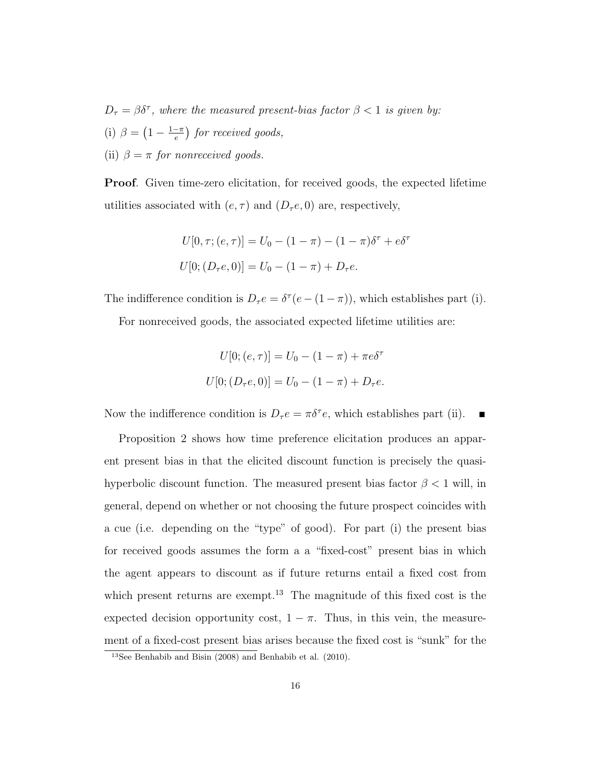$D_{\tau} = \beta \delta^{\tau}$ , where the measured present-bias factor  $\beta < 1$  is given by: (i)  $\beta = (1 - \frac{1-\pi}{e})$  $\left(\frac{-\pi}{e}\right)$  for received goods, (ii)  $\beta = \pi$  for nonreceived goods.

Proof. Given time-zero elicitation, for received goods, the expected lifetime utilities associated with  $(e, \tau)$  and  $(D_\tau e, 0)$  are, respectively,

$$
U[0, \tau; (e, \tau)] = U_0 - (1 - \pi) - (1 - \pi)\delta^{\tau} + e\delta^{\tau}
$$

$$
U[0; (D_{\tau}e, 0)] = U_0 - (1 - \pi) + D_{\tau}e.
$$

The indifference condition is  $D_\tau e = \delta^\tau (e - (1 - \pi))$ , which establishes part (i).

For nonreceived goods, the associated expected lifetime utilities are:

$$
U[0; (e, \tau)] = U_0 - (1 - \pi) + \pi e \delta^{\tau}
$$
  

$$
U[0; (D_{\tau}e, 0)] = U_0 - (1 - \pi) + D_{\tau}e.
$$

Now the indifference condition is  $D_\tau e = \pi \delta^\tau e$ , which establishes part (ii).

Proposition 2 shows how time preference elicitation produces an apparent present bias in that the elicited discount function is precisely the quasihyperbolic discount function. The measured present bias factor  $\beta < 1$  will, in general, depend on whether or not choosing the future prospect coincides with a cue (i.e. depending on the "type" of good). For part (i) the present bias for received goods assumes the form a a "fixed-cost" present bias in which the agent appears to discount as if future returns entail a fixed cost from which present returns are exempt.<sup>13</sup> The magnitude of this fixed cost is the expected decision opportunity cost,  $1 - \pi$ . Thus, in this vein, the measurement of a fixed-cost present bias arises because the fixed cost is "sunk" for the

<sup>13</sup>See Benhabib and Bisin (2008) and Benhabib et al. (2010).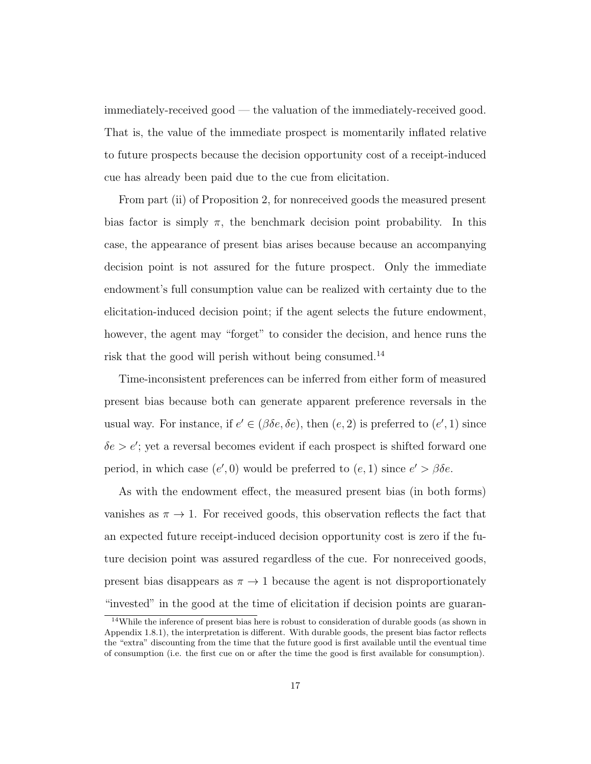immediately-received good — the valuation of the immediately-received good. That is, the value of the immediate prospect is momentarily inflated relative to future prospects because the decision opportunity cost of a receipt-induced cue has already been paid due to the cue from elicitation.

From part (ii) of Proposition 2, for nonreceived goods the measured present bias factor is simply  $\pi$ , the benchmark decision point probability. In this case, the appearance of present bias arises because because an accompanying decision point is not assured for the future prospect. Only the immediate endowment's full consumption value can be realized with certainty due to the elicitation-induced decision point; if the agent selects the future endowment, however, the agent may "forget" to consider the decision, and hence runs the risk that the good will perish without being consumed.<sup>14</sup>

Time-inconsistent preferences can be inferred from either form of measured present bias because both can generate apparent preference reversals in the usual way. For instance, if  $e' \in (\beta \delta e, \delta e)$ , then  $(e, 2)$  is preferred to  $(e', 1)$  since  $\delta e > e'$ ; yet a reversal becomes evident if each prospect is shifted forward one period, in which case  $(e', 0)$  would be preferred to  $(e, 1)$  since  $e' > \beta \delta e$ .

As with the endowment effect, the measured present bias (in both forms) vanishes as  $\pi \to 1$ . For received goods, this observation reflects the fact that an expected future receipt-induced decision opportunity cost is zero if the future decision point was assured regardless of the cue. For nonreceived goods, present bias disappears as  $\pi \to 1$  because the agent is not disproportionately "invested" in the good at the time of elicitation if decision points are guaran-

 $14$ While the inference of present bias here is robust to consideration of durable goods (as shown in Appendix 1.8.1), the interpretation is different. With durable goods, the present bias factor reflects the "extra" discounting from the time that the future good is first available until the eventual time of consumption (i.e. the first cue on or after the time the good is first available for consumption).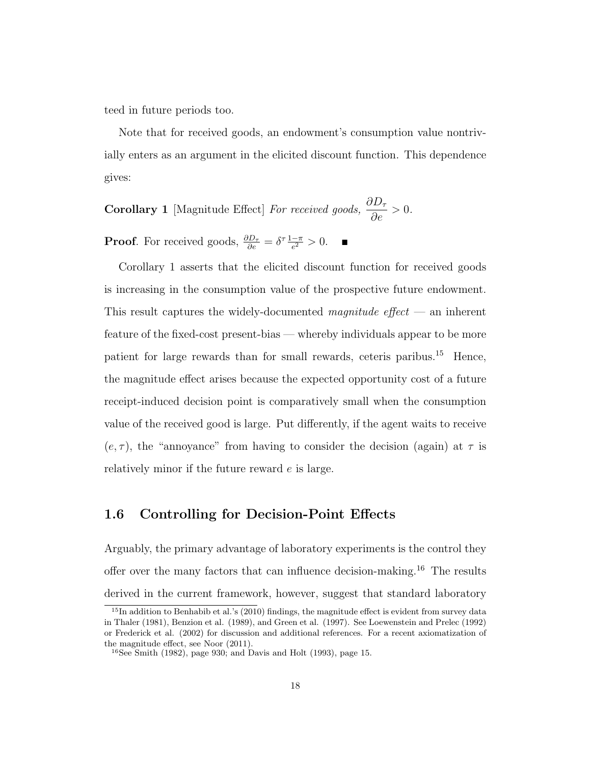teed in future periods too.

Note that for received goods, an endowment's consumption value nontrivially enters as an argument in the elicited discount function. This dependence gives:

**Corollary 1** [Magnitude Effect] For received goods,  $\frac{\partial D_{\tau}}{\partial \tau}$  $\frac{\partial^2 \mathcal{F}}{\partial e} > 0.$ 

**Proof.** For received goods,  $\frac{\partial D_{\tau}}{\partial e} = \delta^{\tau} \frac{1 - \pi}{e^2}$  $\frac{-\pi}{e^2} > 0$ .

Corollary 1 asserts that the elicited discount function for received goods is increasing in the consumption value of the prospective future endowment. This result captures the widely-documented *magnitude*  $effect$  — an inherent feature of the fixed-cost present-bias — whereby individuals appear to be more patient for large rewards than for small rewards, ceteris paribus.<sup>15</sup> Hence, the magnitude effect arises because the expected opportunity cost of a future receipt-induced decision point is comparatively small when the consumption value of the received good is large. Put differently, if the agent waits to receive  $(e, \tau)$ , the "annoyance" from having to consider the decision (again) at  $\tau$  is relatively minor if the future reward e is large.

### 1.6 Controlling for Decision-Point Effects

Arguably, the primary advantage of laboratory experiments is the control they offer over the many factors that can influence decision-making.<sup>16</sup> The results derived in the current framework, however, suggest that standard laboratory

<sup>&</sup>lt;sup>15</sup>In addition to Benhabib et al.'s (2010) findings, the magnitude effect is evident from survey data in Thaler (1981), Benzion et al. (1989), and Green et al. (1997). See Loewenstein and Prelec (1992) or Frederick et al. (2002) for discussion and additional references. For a recent axiomatization of the magnitude effect, see Noor (2011).

<sup>16</sup>See Smith (1982), page 930; and Davis and Holt (1993), page 15.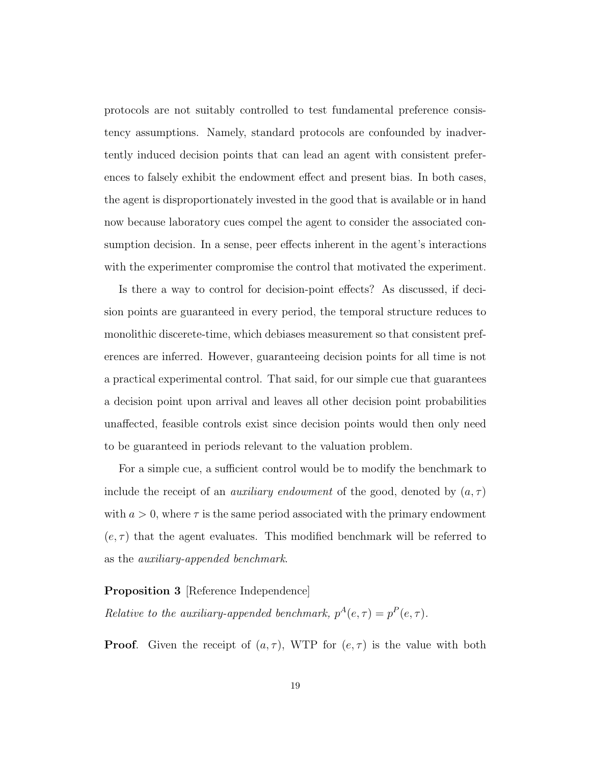protocols are not suitably controlled to test fundamental preference consistency assumptions. Namely, standard protocols are confounded by inadvertently induced decision points that can lead an agent with consistent preferences to falsely exhibit the endowment effect and present bias. In both cases, the agent is disproportionately invested in the good that is available or in hand now because laboratory cues compel the agent to consider the associated consumption decision. In a sense, peer effects inherent in the agent's interactions with the experimenter compromise the control that motivated the experiment.

Is there a way to control for decision-point effects? As discussed, if decision points are guaranteed in every period, the temporal structure reduces to monolithic discerete-time, which debiases measurement so that consistent preferences are inferred. However, guaranteeing decision points for all time is not a practical experimental control. That said, for our simple cue that guarantees a decision point upon arrival and leaves all other decision point probabilities unaffected, feasible controls exist since decision points would then only need to be guaranteed in periods relevant to the valuation problem.

For a simple cue, a sufficient control would be to modify the benchmark to include the receipt of an *auxiliary endowment* of the good, denoted by  $(a, \tau)$ with  $a > 0$ , where  $\tau$  is the same period associated with the primary endowment  $(e, \tau)$  that the agent evaluates. This modified benchmark will be referred to as the auxiliary-appended benchmark.

#### Proposition 3 [Reference Independence]

Relative to the auxiliary-appended benchmark,  $p^{A}(e, \tau) = p^{P}(e, \tau)$ .

**Proof.** Given the receipt of  $(a, \tau)$ , WTP for  $(e, \tau)$  is the value with both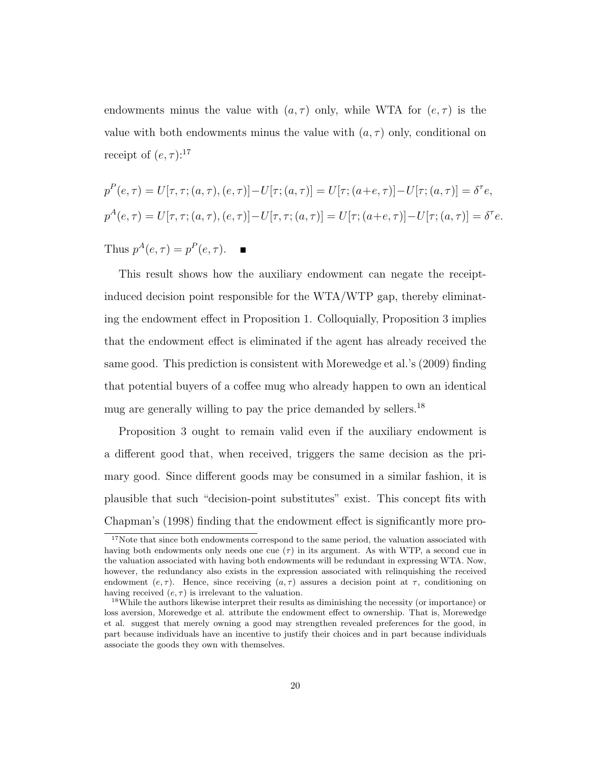endowments minus the value with  $(a, \tau)$  only, while WTA for  $(e, \tau)$  is the value with both endowments minus the value with  $(a, \tau)$  only, conditional on receipt of  $(e, \tau)$ :<sup>17</sup>

$$
p^{P}(e,\tau) = U[\tau,\tau;(a,\tau),(e,\tau)] - U[\tau;(a,\tau)] = U[\tau;(a+e,\tau)] - U[\tau;(a,\tau)] = \delta^{\tau}e,
$$
  

$$
p^{A}(e,\tau) = U[\tau,\tau;(a,\tau),(e,\tau)] - U[\tau,\tau;(a,\tau)] = U[\tau;(a+e,\tau)] - U[\tau;(a,\tau)] = \delta^{\tau}e.
$$

Thus  $p^A(e, \tau) = p^P(e, \tau)$ .

This result shows how the auxiliary endowment can negate the receiptinduced decision point responsible for the WTA/WTP gap, thereby eliminating the endowment effect in Proposition 1. Colloquially, Proposition 3 implies that the endowment effect is eliminated if the agent has already received the same good. This prediction is consistent with Morewedge et al.'s (2009) finding that potential buyers of a coffee mug who already happen to own an identical mug are generally willing to pay the price demanded by sellers.<sup>18</sup>

Proposition 3 ought to remain valid even if the auxiliary endowment is a different good that, when received, triggers the same decision as the primary good. Since different goods may be consumed in a similar fashion, it is plausible that such "decision-point substitutes" exist. This concept fits with Chapman's (1998) finding that the endowment effect is significantly more pro-

<sup>&</sup>lt;sup>17</sup>Note that since both endowments correspond to the same period, the valuation associated with having both endowments only needs one cue  $(\tau)$  in its argument. As with WTP, a second cue in the valuation associated with having both endowments will be redundant in expressing WTA. Now, however, the redundancy also exists in the expression associated with relinquishing the received endowment (e,  $\tau$ ). Hence, since receiving (a,  $\tau$ ) assures a decision point at  $\tau$ , conditioning on having received  $(e, \tau)$  is irrelevant to the valuation.

<sup>&</sup>lt;sup>18</sup>While the authors likewise interpret their results as diminishing the necessity (or importance) or loss aversion, Morewedge et al. attribute the endowment effect to ownership. That is, Morewedge et al. suggest that merely owning a good may strengthen revealed preferences for the good, in part because individuals have an incentive to justify their choices and in part because individuals associate the goods they own with themselves.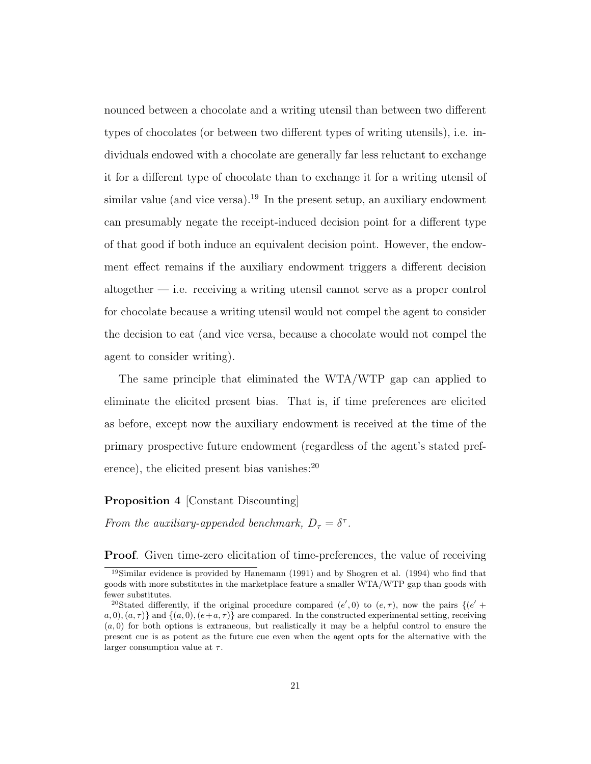nounced between a chocolate and a writing utensil than between two different types of chocolates (or between two different types of writing utensils), i.e. individuals endowed with a chocolate are generally far less reluctant to exchange it for a different type of chocolate than to exchange it for a writing utensil of similar value (and vice versa).<sup>19</sup> In the present setup, an auxiliary endowment can presumably negate the receipt-induced decision point for a different type of that good if both induce an equivalent decision point. However, the endowment effect remains if the auxiliary endowment triggers a different decision altogether — i.e. receiving a writing utensil cannot serve as a proper control for chocolate because a writing utensil would not compel the agent to consider the decision to eat (and vice versa, because a chocolate would not compel the agent to consider writing).

The same principle that eliminated the WTA/WTP gap can applied to eliminate the elicited present bias. That is, if time preferences are elicited as before, except now the auxiliary endowment is received at the time of the primary prospective future endowment (regardless of the agent's stated preference), the elicited present bias vanishes: $^{20}$ 

#### Proposition 4 [Constant Discounting]

From the auxiliary-appended benchmark,  $D_{\tau} = \delta^{\tau}$ .

**Proof.** Given time-zero elicitation of time-preferences, the value of receiving

<sup>19</sup>Similar evidence is provided by Hanemann (1991) and by Shogren et al. (1994) who find that goods with more substitutes in the marketplace feature a smaller WTA/WTP gap than goods with fewer substitutes.

<sup>&</sup>lt;sup>20</sup>Stated differently, if the original procedure compared  $(e', 0)$  to  $(e, \tau)$ , now the pairs  $\{(e' +$  $a, 0), (a, \tau)$  and  $\{(a, 0), (e+a, \tau)\}\$ are compared. In the constructed experimental setting, receiving  $(a, 0)$  for both options is extraneous, but realistically it may be a helpful control to ensure the present cue is as potent as the future cue even when the agent opts for the alternative with the larger consumption value at  $\tau$ .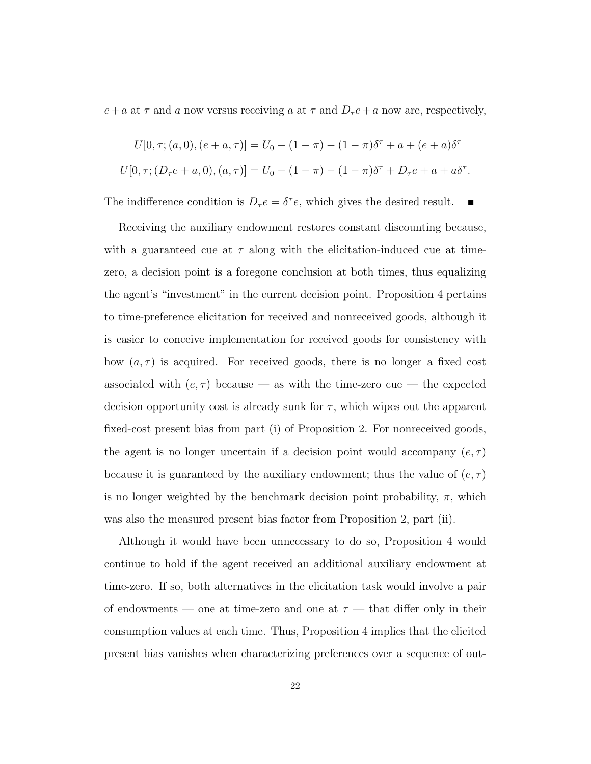$e+a$  at  $\tau$  and a now versus receiving a at  $\tau$  and  $D_{\tau}e+a$  now are, respectively,

$$
U[0, \tau; (a, 0), (e + a, \tau)] = U_0 - (1 - \pi) - (1 - \pi)\delta^{\tau} + a + (e + a)\delta^{\tau}
$$
  

$$
U[0, \tau; (D_{\tau}e + a, 0), (a, \tau)] = U_0 - (1 - \pi) - (1 - \pi)\delta^{\tau} + D_{\tau}e + a + a\delta^{\tau}.
$$

The indifference condition is  $D_\tau e = \delta^\tau e$ , which gives the desired result.  $\blacksquare$ 

Receiving the auxiliary endowment restores constant discounting because, with a guaranteed cue at  $\tau$  along with the elicitation-induced cue at timezero, a decision point is a foregone conclusion at both times, thus equalizing the agent's "investment" in the current decision point. Proposition 4 pertains to time-preference elicitation for received and nonreceived goods, although it is easier to conceive implementation for received goods for consistency with how  $(a, \tau)$  is acquired. For received goods, there is no longer a fixed cost associated with  $(e, \tau)$  because — as with the time-zero cue — the expected decision opportunity cost is already sunk for  $\tau$ , which wipes out the apparent fixed-cost present bias from part (i) of Proposition 2. For nonreceived goods, the agent is no longer uncertain if a decision point would accompany  $(e, \tau)$ because it is guaranteed by the auxiliary endowment; thus the value of  $(e, \tau)$ is no longer weighted by the benchmark decision point probability,  $\pi$ , which was also the measured present bias factor from Proposition 2, part (ii).

Although it would have been unnecessary to do so, Proposition 4 would continue to hold if the agent received an additional auxiliary endowment at time-zero. If so, both alternatives in the elicitation task would involve a pair of endowments — one at time-zero and one at  $\tau$  — that differ only in their consumption values at each time. Thus, Proposition 4 implies that the elicited present bias vanishes when characterizing preferences over a sequence of out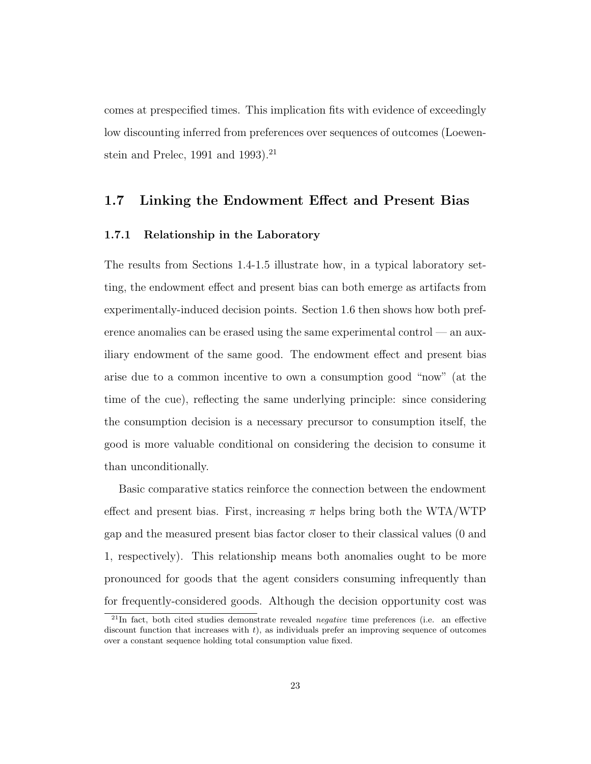comes at prespecified times. This implication fits with evidence of exceedingly low discounting inferred from preferences over sequences of outcomes (Loewenstein and Prelec, 1991 and 1993).<sup>21</sup>

## 1.7 Linking the Endowment Effect and Present Bias

#### 1.7.1 Relationship in the Laboratory

The results from Sections 1.4-1.5 illustrate how, in a typical laboratory setting, the endowment effect and present bias can both emerge as artifacts from experimentally-induced decision points. Section 1.6 then shows how both preference anomalies can be erased using the same experimental control — an auxiliary endowment of the same good. The endowment effect and present bias arise due to a common incentive to own a consumption good "now" (at the time of the cue), reflecting the same underlying principle: since considering the consumption decision is a necessary precursor to consumption itself, the good is more valuable conditional on considering the decision to consume it than unconditionally.

Basic comparative statics reinforce the connection between the endowment effect and present bias. First, increasing  $\pi$  helps bring both the WTA/WTP gap and the measured present bias factor closer to their classical values (0 and 1, respectively). This relationship means both anomalies ought to be more pronounced for goods that the agent considers consuming infrequently than for frequently-considered goods. Although the decision opportunity cost was

 $^{21}$ In fact, both cited studies demonstrate revealed *negative* time preferences (i.e. an effective discount function that increases with  $t$ ), as individuals prefer an improving sequence of outcomes over a constant sequence holding total consumption value fixed.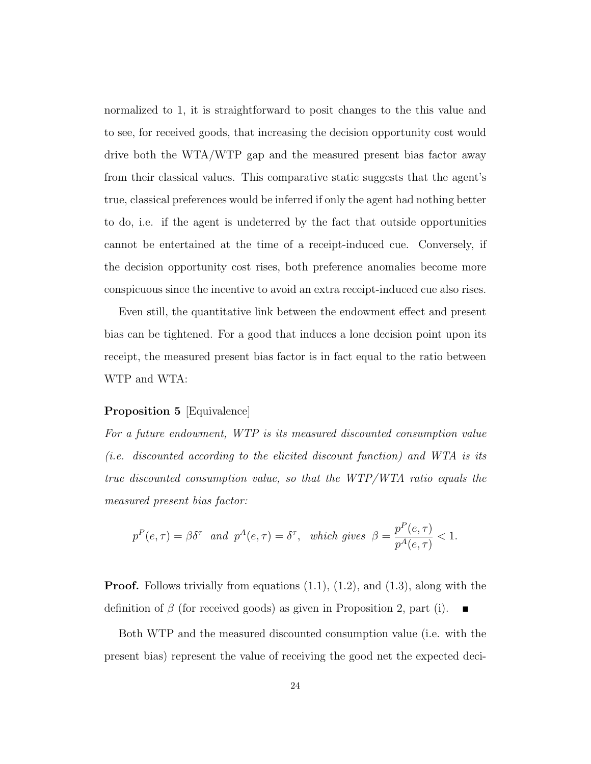normalized to 1, it is straightforward to posit changes to the this value and to see, for received goods, that increasing the decision opportunity cost would drive both the WTA/WTP gap and the measured present bias factor away from their classical values. This comparative static suggests that the agent's true, classical preferences would be inferred if only the agent had nothing better to do, i.e. if the agent is undeterred by the fact that outside opportunities cannot be entertained at the time of a receipt-induced cue. Conversely, if the decision opportunity cost rises, both preference anomalies become more conspicuous since the incentive to avoid an extra receipt-induced cue also rises.

Even still, the quantitative link between the endowment effect and present bias can be tightened. For a good that induces a lone decision point upon its receipt, the measured present bias factor is in fact equal to the ratio between WTP and WTA:

#### Proposition 5 [Equivalence]

For a future endowment, WTP is its measured discounted consumption value (i.e. discounted according to the elicited discount function) and WTA is its true discounted consumption value, so that the WTP/WTA ratio equals the measured present bias factor:

$$
p^{P}(e,\tau) = \beta \delta^{\tau}
$$
 and  $p^{A}(e,\tau) = \delta^{\tau}$ , which gives  $\beta = \frac{p^{P}(e,\tau)}{p^{A}(e,\tau)} < 1$ .

**Proof.** Follows trivially from equations  $(1.1)$ ,  $(1.2)$ , and  $(1.3)$ , along with the definition of  $\beta$  (for received goods) as given in Proposition 2, part (i).

Both WTP and the measured discounted consumption value (i.e. with the present bias) represent the value of receiving the good net the expected deci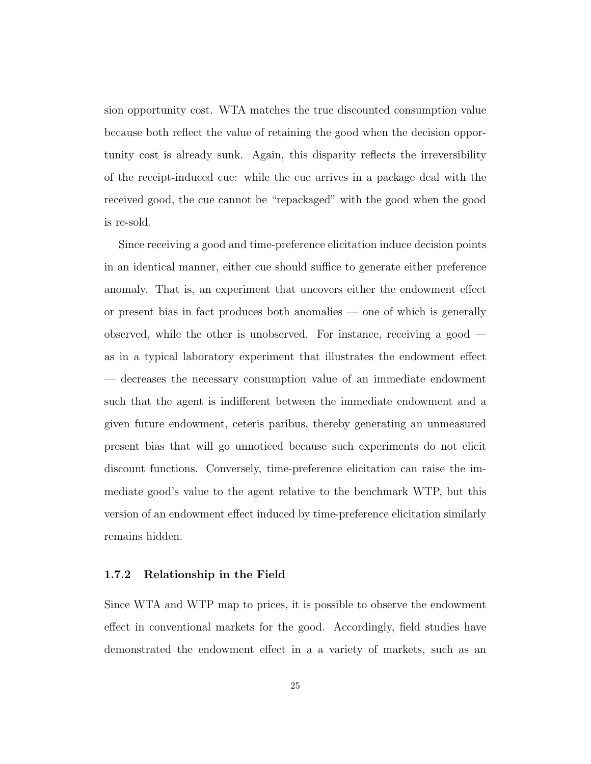sion opportunity cost. WTA matches the true discounted consumption value because both reflect the value of retaining the good when the decision opportunity cost is already sunk. Again, this disparity reflects the irreversibility of the receipt-induced cue: while the cue arrives in a package deal with the received good, the cue cannot be "repackaged" with the good when the good is re-sold.

Since receiving a good and time-preference elicitation induce decision points in an identical manner, either cue should suffice to generate either preference anomaly. That is, an experiment that uncovers either the endowment effect or present bias in fact produces both anomalies — one of which is generally observed, while the other is unobserved. For instance, receiving a good as in a typical laboratory experiment that illustrates the endowment effect — decreases the necessary consumption value of an immediate endowment such that the agent is indifferent between the immediate endowment and a given future endowment, ceteris paribus, thereby generating an unmeasured present bias that will go unnoticed because such experiments do not elicit discount functions. Conversely, time-preference elicitation can raise the immediate good's value to the agent relative to the benchmark WTP, but this version of an endowment effect induced by time-preference elicitation similarly remains hidden.

#### 1.7.2 Relationship in the Field

Since WTA and WTP map to prices, it is possible to observe the endowment effect in conventional markets for the good. Accordingly, field studies have demonstrated the endowment effect in a a variety of markets, such as an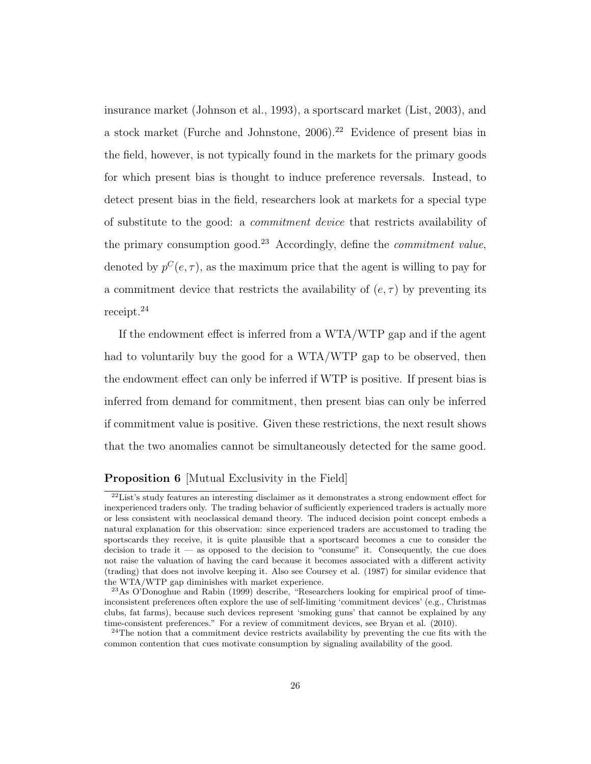insurance market (Johnson et al., 1993), a sportscard market (List, 2003), and a stock market (Furche and Johnstone,  $2006$ ).<sup>22</sup> Evidence of present bias in the field, however, is not typically found in the markets for the primary goods for which present bias is thought to induce preference reversals. Instead, to detect present bias in the field, researchers look at markets for a special type of substitute to the good: a commitment device that restricts availability of the primary consumption good.<sup>23</sup> Accordingly, define the *commitment value*, denoted by  $p^{C}(e, \tau)$ , as the maximum price that the agent is willing to pay for a commitment device that restricts the availability of  $(e, \tau)$  by preventing its receipt.<sup>24</sup>

If the endowment effect is inferred from a WTA/WTP gap and if the agent had to voluntarily buy the good for a WTA/WTP gap to be observed, then the endowment effect can only be inferred if WTP is positive. If present bias is inferred from demand for commitment, then present bias can only be inferred if commitment value is positive. Given these restrictions, the next result shows that the two anomalies cannot be simultaneously detected for the same good.

## Proposition 6 [Mutual Exclusivity in the Field]

<sup>22</sup>List's study features an interesting disclaimer as it demonstrates a strong endowment effect for inexperienced traders only. The trading behavior of sufficiently experienced traders is actually more or less consistent with neoclassical demand theory. The induced decision point concept embeds a natural explanation for this observation: since experienced traders are accustomed to trading the sportscards they receive, it is quite plausible that a sportscard becomes a cue to consider the decision to trade it — as opposed to the decision to "consume" it. Consequently, the cue does not raise the valuation of having the card because it becomes associated with a different activity (trading) that does not involve keeping it. Also see Coursey et al. (1987) for similar evidence that the WTA/WTP gap diminishes with market experience.

<sup>23</sup>As O'Donoghue and Rabin (1999) describe, "Researchers looking for empirical proof of timeinconsistent preferences often explore the use of self-limiting 'commitment devices' (e.g., Christmas clubs, fat farms), because such devices represent 'smoking guns' that cannot be explained by any time-consistent preferences." For a review of commitment devices, see Bryan et al. (2010).

<sup>&</sup>lt;sup>24</sup>The notion that a commitment device restricts availability by preventing the cue fits with the common contention that cues motivate consumption by signaling availability of the good.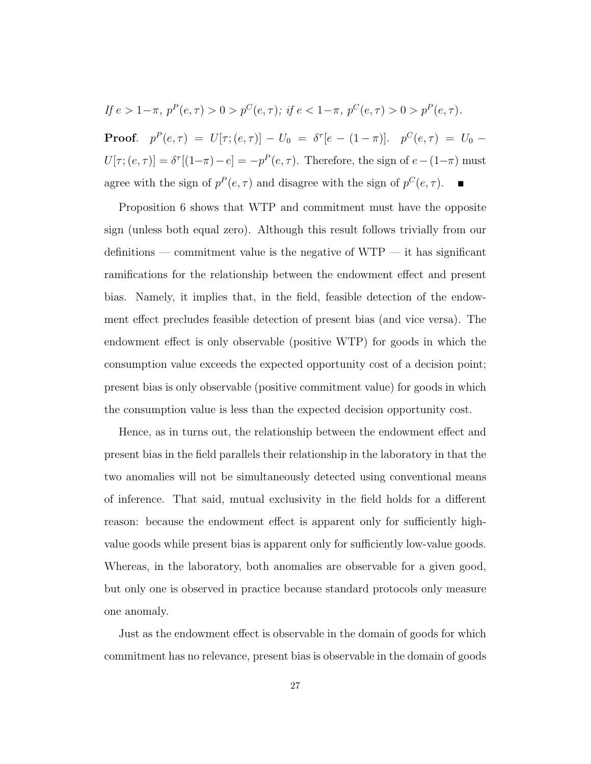If 
$$
e > 1-\pi
$$
,  $p^P(e, \tau) > 0 > p^C(e, \tau)$ ; if  $e < 1-\pi$ ,  $p^C(e, \tau) > 0 > p^P(e, \tau)$ .

**Proof.**  $p^P(e,\tau) = U[\tau;(e,\tau)] - U_0 = \delta^{\tau}[e - (1-\pi)].$   $p^C(e,\tau) = U_0 U[\tau; (e, \tau)] = \delta^{\tau}[(1-\pi)-e] = -p^P(e, \tau)$ . Therefore, the sign of  $e-(1-\pi)$  must agree with the sign of  $p^P(e, \tau)$  and disagree with the sign of  $p^C(e, \tau)$ .

Proposition 6 shows that WTP and commitment must have the opposite sign (unless both equal zero). Although this result follows trivially from our definitions — commitment value is the negative of WTP — it has significant ramifications for the relationship between the endowment effect and present bias. Namely, it implies that, in the field, feasible detection of the endowment effect precludes feasible detection of present bias (and vice versa). The endowment effect is only observable (positive WTP) for goods in which the consumption value exceeds the expected opportunity cost of a decision point; present bias is only observable (positive commitment value) for goods in which the consumption value is less than the expected decision opportunity cost.

Hence, as in turns out, the relationship between the endowment effect and present bias in the field parallels their relationship in the laboratory in that the two anomalies will not be simultaneously detected using conventional means of inference. That said, mutual exclusivity in the field holds for a different reason: because the endowment effect is apparent only for sufficiently highvalue goods while present bias is apparent only for sufficiently low-value goods. Whereas, in the laboratory, both anomalies are observable for a given good, but only one is observed in practice because standard protocols only measure one anomaly.

Just as the endowment effect is observable in the domain of goods for which commitment has no relevance, present bias is observable in the domain of goods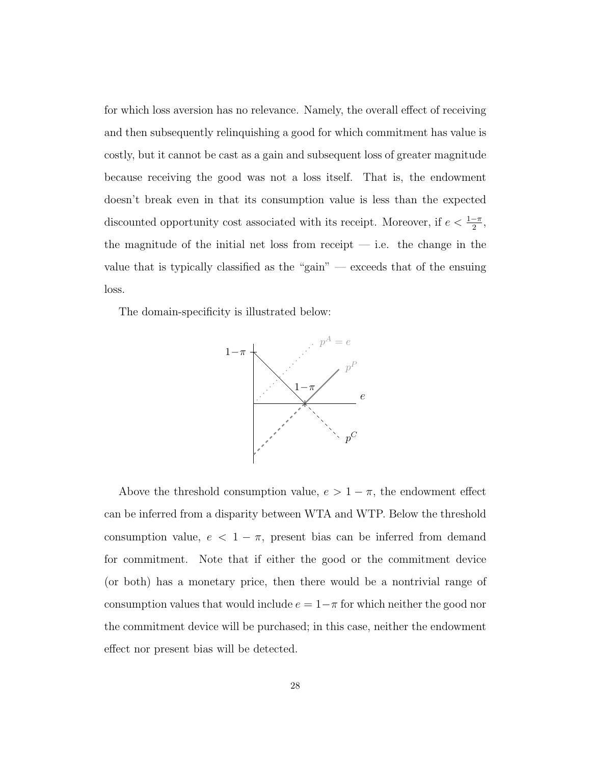for which loss aversion has no relevance. Namely, the overall effect of receiving and then subsequently relinquishing a good for which commitment has value is costly, but it cannot be cast as a gain and subsequent loss of greater magnitude because receiving the good was not a loss itself. That is, the endowment doesn't break even in that its consumption value is less than the expected discounted opportunity cost associated with its receipt. Moreover, if  $e < \frac{1-\pi}{2}$ , the magnitude of the initial net loss from receipt  $-$  i.e. the change in the value that is typically classified as the "gain" — exceeds that of the ensuing loss.

The domain-specificity is illustrated below:



Above the threshold consumption value,  $e > 1 - \pi$ , the endowment effect can be inferred from a disparity between WTA and WTP. Below the threshold consumption value,  $e < 1 - \pi$ , present bias can be inferred from demand for commitment. Note that if either the good or the commitment device (or both) has a monetary price, then there would be a nontrivial range of consumption values that would include  $e = 1 - \pi$  for which neither the good nor the commitment device will be purchased; in this case, neither the endowment effect nor present bias will be detected.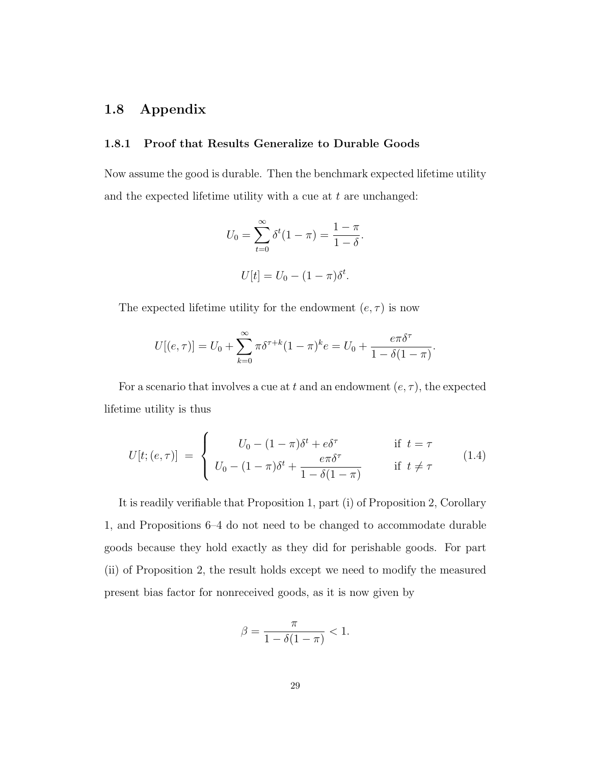# 1.8 Appendix

## 1.8.1 Proof that Results Generalize to Durable Goods

Now assume the good is durable. Then the benchmark expected lifetime utility and the expected lifetime utility with a cue at  $t$  are unchanged:

$$
U_0 = \sum_{t=0}^{\infty} \delta^t (1 - \pi) = \frac{1 - \pi}{1 - \delta}.
$$
  

$$
U[t] = U_0 - (1 - \pi)\delta^t.
$$

The expected lifetime utility for the endowment  $(e, \tau)$  is now

$$
U[(e,\tau)] = U_0 + \sum_{k=0}^{\infty} \pi \delta^{\tau+k} (1-\pi)^k e = U_0 + \frac{e\pi \delta^{\tau}}{1-\delta(1-\pi)}.
$$

For a scenario that involves a cue at t and an endowment  $(e, \tau)$ , the expected lifetime utility is thus

$$
U[t; (e, \tau)] = \begin{cases} U_0 - (1 - \pi)\delta^t + e^{\delta \tau} & \text{if } t = \tau \\ U_0 - (1 - \pi)\delta^t + \frac{e\pi\delta^{\tau}}{1 - \delta(1 - \pi)} & \text{if } t \neq \tau \end{cases}
$$
(1.4)

It is readily verifiable that Proposition 1, part (i) of Proposition 2, Corollary 1, and Propositions 6–4 do not need to be changed to accommodate durable goods because they hold exactly as they did for perishable goods. For part (ii) of Proposition 2, the result holds except we need to modify the measured present bias factor for nonreceived goods, as it is now given by

$$
\beta = \frac{\pi}{1 - \delta(1 - \pi)} < 1.
$$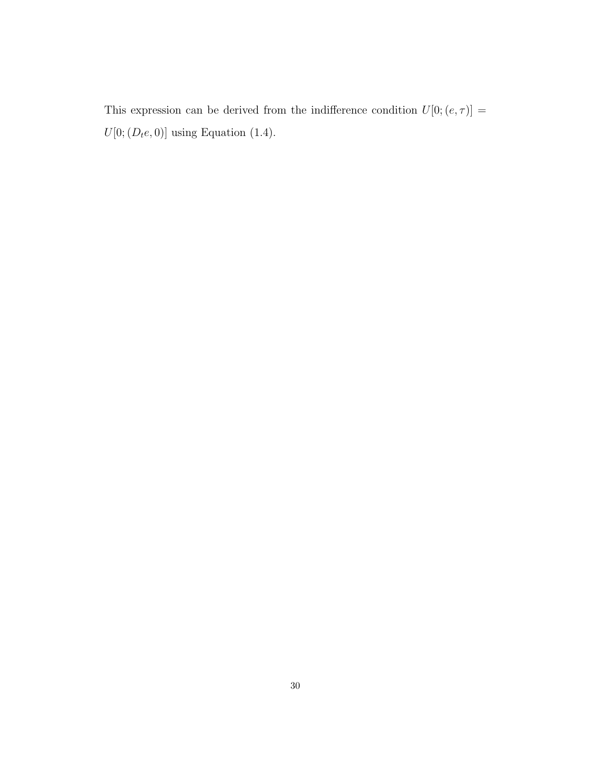This expression can be derived from the indifference condition  $U[0;(e,\tau)]$   $=$  $U[0;(D_t e, 0)]$  using Equation (1.4).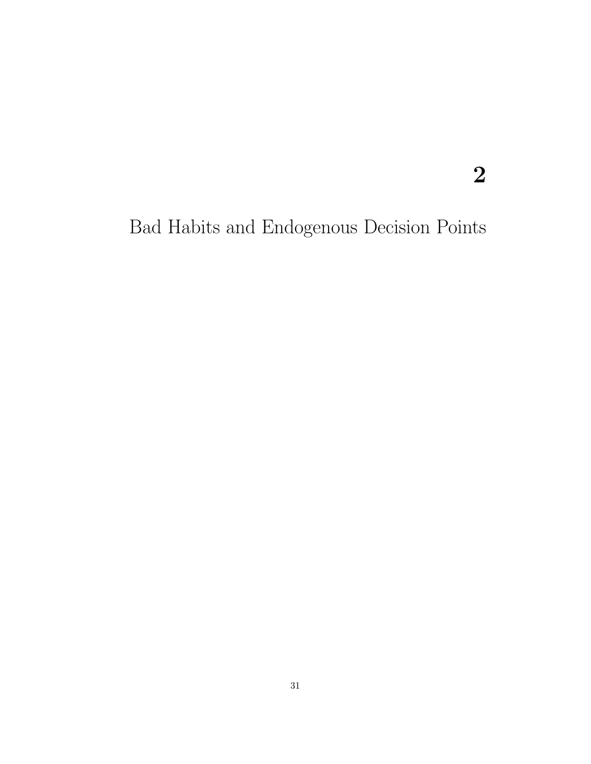# Bad Habits and Endogenous Decision Points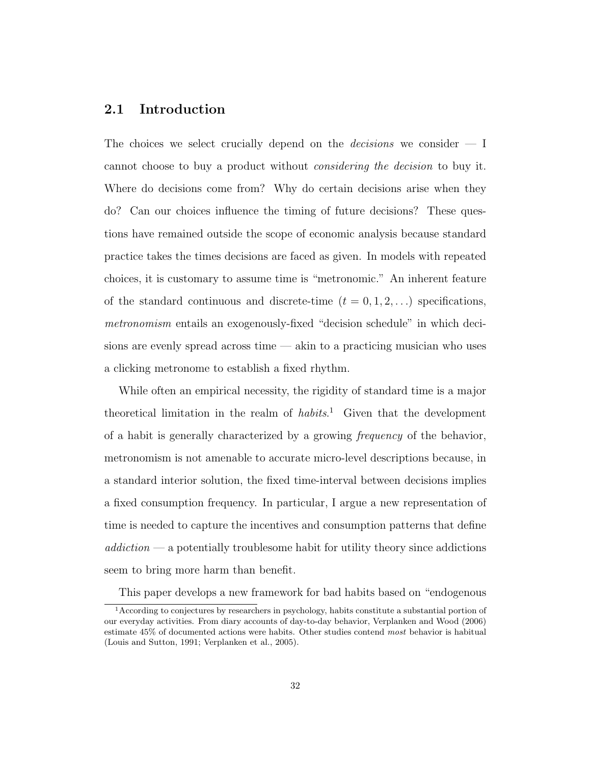## 2.1 Introduction

The choices we select crucially depend on the *decisions* we consider  $- I$ cannot choose to buy a product without considering the decision to buy it. Where do decisions come from? Why do certain decisions arise when they do? Can our choices influence the timing of future decisions? These questions have remained outside the scope of economic analysis because standard practice takes the times decisions are faced as given. In models with repeated choices, it is customary to assume time is "metronomic." An inherent feature of the standard continuous and discrete-time  $(t = 0, 1, 2, ...)$  specifications, metronomism entails an exogenously-fixed "decision schedule" in which decisions are evenly spread across time — akin to a practicing musician who uses a clicking metronome to establish a fixed rhythm.

While often an empirical necessity, the rigidity of standard time is a major theoretical limitation in the realm of habits.<sup>1</sup> Given that the development of a habit is generally characterized by a growing frequency of the behavior, metronomism is not amenable to accurate micro-level descriptions because, in a standard interior solution, the fixed time-interval between decisions implies a fixed consumption frequency. In particular, I argue a new representation of time is needed to capture the incentives and consumption patterns that define  $addiction - a$  potentially troublesome habit for utility theory since addictions seem to bring more harm than benefit.

This paper develops a new framework for bad habits based on "endogenous

<sup>1</sup>According to conjectures by researchers in psychology, habits constitute a substantial portion of our everyday activities. From diary accounts of day-to-day behavior, Verplanken and Wood (2006) estimate 45% of documented actions were habits. Other studies contend most behavior is habitual (Louis and Sutton, 1991; Verplanken et al., 2005).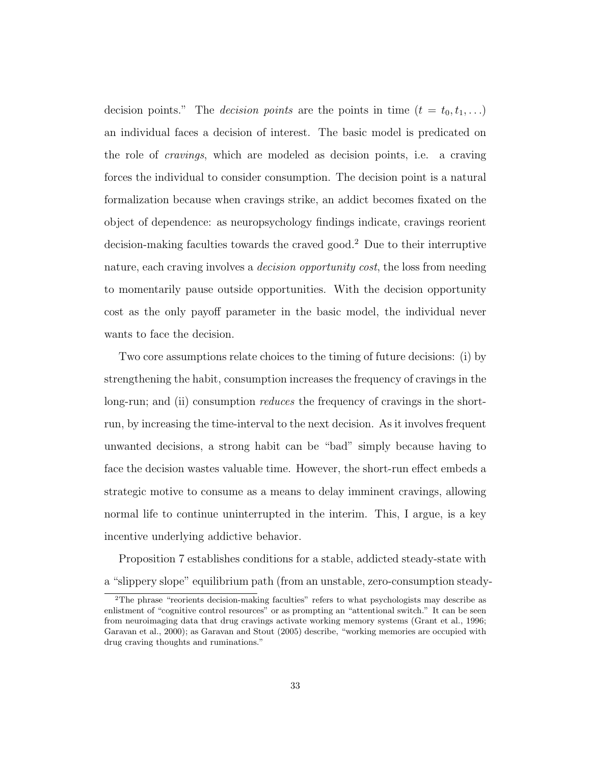decision points." The *decision points* are the points in time  $(t = t_0, t_1, \ldots)$ an individual faces a decision of interest. The basic model is predicated on the role of cravings, which are modeled as decision points, i.e. a craving forces the individual to consider consumption. The decision point is a natural formalization because when cravings strike, an addict becomes fixated on the object of dependence: as neuropsychology findings indicate, cravings reorient decision-making faculties towards the craved good.<sup>2</sup> Due to their interruptive nature, each craving involves a *decision opportunity cost*, the loss from needing to momentarily pause outside opportunities. With the decision opportunity cost as the only payoff parameter in the basic model, the individual never wants to face the decision.

Two core assumptions relate choices to the timing of future decisions: (i) by strengthening the habit, consumption increases the frequency of cravings in the long-run; and (ii) consumption *reduces* the frequency of cravings in the shortrun, by increasing the time-interval to the next decision. As it involves frequent unwanted decisions, a strong habit can be "bad" simply because having to face the decision wastes valuable time. However, the short-run effect embeds a strategic motive to consume as a means to delay imminent cravings, allowing normal life to continue uninterrupted in the interim. This, I argue, is a key incentive underlying addictive behavior.

Proposition 7 establishes conditions for a stable, addicted steady-state with a "slippery slope" equilibrium path (from an unstable, zero-consumption steady-

<sup>2</sup>The phrase "reorients decision-making faculties" refers to what psychologists may describe as enlistment of "cognitive control resources" or as prompting an "attentional switch." It can be seen from neuroimaging data that drug cravings activate working memory systems (Grant et al., 1996; Garavan et al., 2000); as Garavan and Stout (2005) describe, "working memories are occupied with drug craving thoughts and ruminations."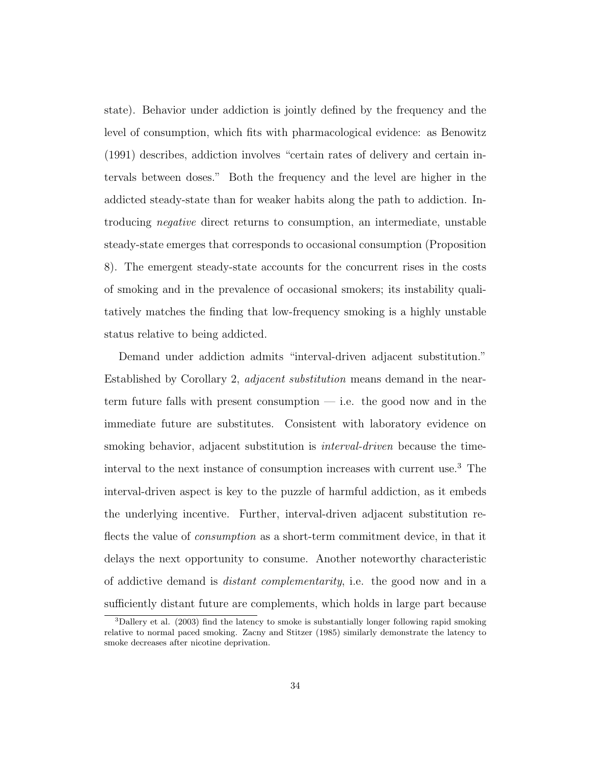state). Behavior under addiction is jointly defined by the frequency and the level of consumption, which fits with pharmacological evidence: as Benowitz (1991) describes, addiction involves "certain rates of delivery and certain intervals between doses." Both the frequency and the level are higher in the addicted steady-state than for weaker habits along the path to addiction. Introducing negative direct returns to consumption, an intermediate, unstable steady-state emerges that corresponds to occasional consumption (Proposition 8). The emergent steady-state accounts for the concurrent rises in the costs of smoking and in the prevalence of occasional smokers; its instability qualitatively matches the finding that low-frequency smoking is a highly unstable status relative to being addicted.

Demand under addiction admits "interval-driven adjacent substitution." Established by Corollary 2, adjacent substitution means demand in the nearterm future falls with present consumption  $-$  i.e. the good now and in the immediate future are substitutes. Consistent with laboratory evidence on smoking behavior, adjacent substitution is *interval-driven* because the timeinterval to the next instance of consumption increases with current use.<sup>3</sup> The interval-driven aspect is key to the puzzle of harmful addiction, as it embeds the underlying incentive. Further, interval-driven adjacent substitution reflects the value of *consumption* as a short-term commitment device, in that it delays the next opportunity to consume. Another noteworthy characteristic of addictive demand is distant complementarity, i.e. the good now and in a sufficiently distant future are complements, which holds in large part because

<sup>3</sup>Dallery et al. (2003) find the latency to smoke is substantially longer following rapid smoking relative to normal paced smoking. Zacny and Stitzer (1985) similarly demonstrate the latency to smoke decreases after nicotine deprivation.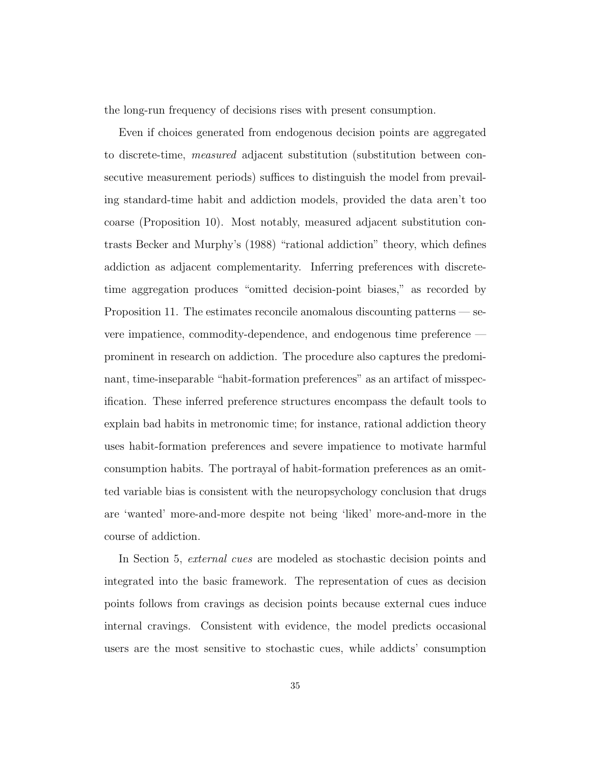the long-run frequency of decisions rises with present consumption.

Even if choices generated from endogenous decision points are aggregated to discrete-time, measured adjacent substitution (substitution between consecutive measurement periods) suffices to distinguish the model from prevailing standard-time habit and addiction models, provided the data aren't too coarse (Proposition 10). Most notably, measured adjacent substitution contrasts Becker and Murphy's (1988) "rational addiction" theory, which defines addiction as adjacent complementarity. Inferring preferences with discretetime aggregation produces "omitted decision-point biases," as recorded by Proposition 11. The estimates reconcile anomalous discounting patterns — severe impatience, commodity-dependence, and endogenous time preference prominent in research on addiction. The procedure also captures the predominant, time-inseparable "habit-formation preferences" as an artifact of misspecification. These inferred preference structures encompass the default tools to explain bad habits in metronomic time; for instance, rational addiction theory uses habit-formation preferences and severe impatience to motivate harmful consumption habits. The portrayal of habit-formation preferences as an omitted variable bias is consistent with the neuropsychology conclusion that drugs are 'wanted' more-and-more despite not being 'liked' more-and-more in the course of addiction.

In Section 5, external cues are modeled as stochastic decision points and integrated into the basic framework. The representation of cues as decision points follows from cravings as decision points because external cues induce internal cravings. Consistent with evidence, the model predicts occasional users are the most sensitive to stochastic cues, while addicts' consumption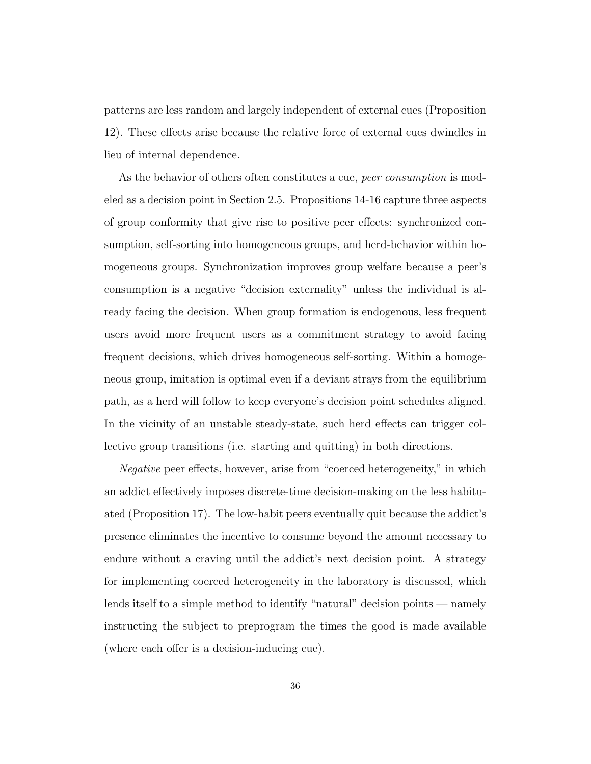patterns are less random and largely independent of external cues (Proposition 12). These effects arise because the relative force of external cues dwindles in lieu of internal dependence.

As the behavior of others often constitutes a cue, *peer consumption* is modeled as a decision point in Section 2.5. Propositions 14-16 capture three aspects of group conformity that give rise to positive peer effects: synchronized consumption, self-sorting into homogeneous groups, and herd-behavior within homogeneous groups. Synchronization improves group welfare because a peer's consumption is a negative "decision externality" unless the individual is already facing the decision. When group formation is endogenous, less frequent users avoid more frequent users as a commitment strategy to avoid facing frequent decisions, which drives homogeneous self-sorting. Within a homogeneous group, imitation is optimal even if a deviant strays from the equilibrium path, as a herd will follow to keep everyone's decision point schedules aligned. In the vicinity of an unstable steady-state, such herd effects can trigger collective group transitions (i.e. starting and quitting) in both directions.

Negative peer effects, however, arise from "coerced heterogeneity," in which an addict effectively imposes discrete-time decision-making on the less habituated (Proposition 17). The low-habit peers eventually quit because the addict's presence eliminates the incentive to consume beyond the amount necessary to endure without a craving until the addict's next decision point. A strategy for implementing coerced heterogeneity in the laboratory is discussed, which lends itself to a simple method to identify "natural" decision points — namely instructing the subject to preprogram the times the good is made available (where each offer is a decision-inducing cue).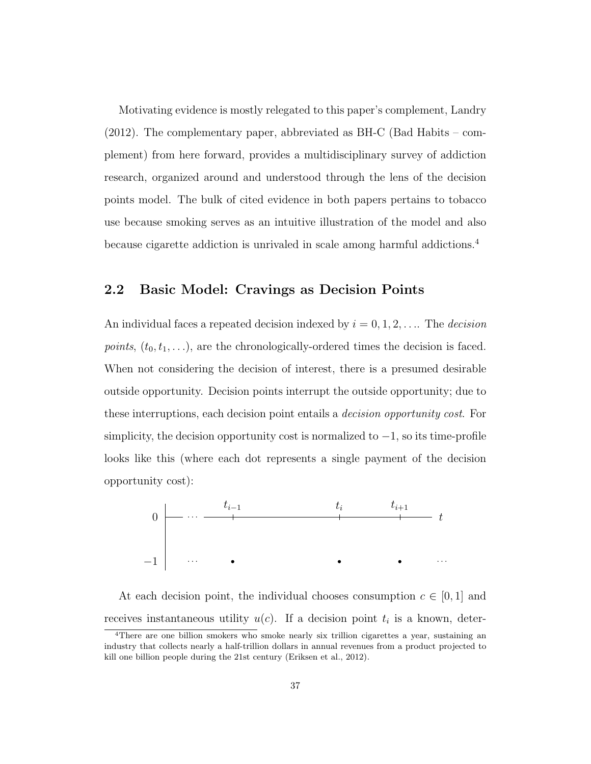Motivating evidence is mostly relegated to this paper's complement, Landry (2012). The complementary paper, abbreviated as BH-C (Bad Habits – complement) from here forward, provides a multidisciplinary survey of addiction research, organized around and understood through the lens of the decision points model. The bulk of cited evidence in both papers pertains to tobacco use because smoking serves as an intuitive illustration of the model and also because cigarette addiction is unrivaled in scale among harmful addictions.<sup>4</sup>

## 2.2 Basic Model: Cravings as Decision Points

An individual faces a repeated decision indexed by  $i = 0, 1, 2, \ldots$  The *decision points*,  $(t_0, t_1, \ldots)$ , are the chronologically-ordered times the decision is faced. When not considering the decision of interest, there is a presumed desirable outside opportunity. Decision points interrupt the outside opportunity; due to these interruptions, each decision point entails a decision opportunity cost. For simplicity, the decision opportunity cost is normalized to  $-1$ , so its time-profile looks like this (where each dot represents a single payment of the decision opportunity cost):



At each decision point, the individual chooses consumption  $c \in [0,1]$  and receives instantaneous utility  $u(c)$ . If a decision point  $t_i$  is a known, deter-

<sup>&</sup>lt;sup>4</sup>There are one billion smokers who smoke nearly six trillion cigarettes a year, sustaining an industry that collects nearly a half-trillion dollars in annual revenues from a product projected to kill one billion people during the 21st century (Eriksen et al., 2012).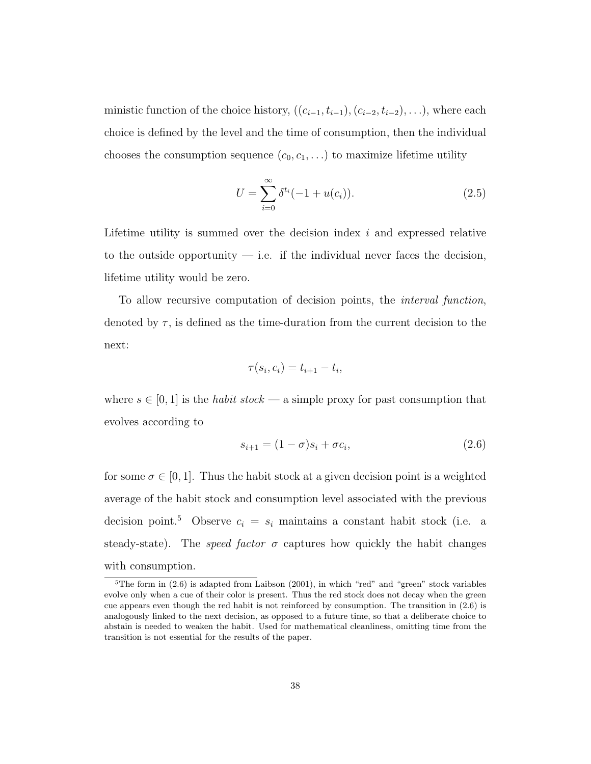ministic function of the choice history,  $((c_{i-1}, t_{i-1}), (c_{i-2}, t_{i-2}), \ldots)$ , where each choice is defined by the level and the time of consumption, then the individual chooses the consumption sequence  $(c_0, c_1, \ldots)$  to maximize lifetime utility

$$
U = \sum_{i=0}^{\infty} \delta^{t_i} (-1 + u(c_i)).
$$
\n(2.5)

Lifetime utility is summed over the decision index  $i$  and expressed relative to the outside opportunity  $-$  i.e. if the individual never faces the decision, lifetime utility would be zero.

To allow recursive computation of decision points, the interval function, denoted by  $\tau$ , is defined as the time-duration from the current decision to the next:

$$
\tau(s_i, c_i) = t_{i+1} - t_i,
$$

where  $s \in [0, 1]$  is the *habit stock* — a simple proxy for past consumption that evolves according to

$$
s_{i+1} = (1 - \sigma)s_i + \sigma c_i, \tag{2.6}
$$

for some  $\sigma \in [0, 1]$ . Thus the habit stock at a given decision point is a weighted average of the habit stock and consumption level associated with the previous decision point.<sup>5</sup> Observe  $c_i = s_i$  maintains a constant habit stock (i.e. a steady-state). The *speed factor*  $\sigma$  captures how quickly the habit changes with consumption.

 $5$ The form in  $(2.6)$  is adapted from Laibson  $(2001)$ , in which "red" and "green" stock variables evolve only when a cue of their color is present. Thus the red stock does not decay when the green cue appears even though the red habit is not reinforced by consumption. The transition in (2.6) is analogously linked to the next decision, as opposed to a future time, so that a deliberate choice to abstain is needed to weaken the habit. Used for mathematical cleanliness, omitting time from the transition is not essential for the results of the paper.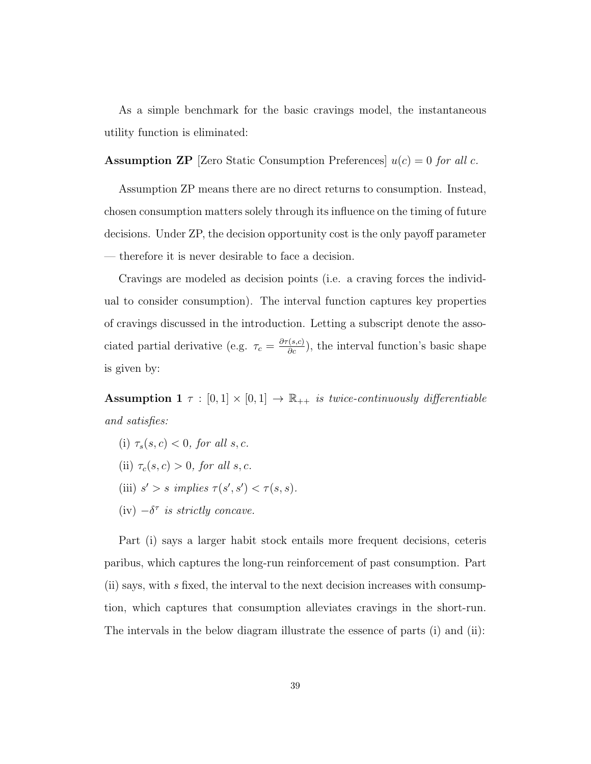As a simple benchmark for the basic cravings model, the instantaneous utility function is eliminated:

**Assumption ZP** [Zero Static Consumption Preferences]  $u(c) = 0$  for all c.

Assumption ZP means there are no direct returns to consumption. Instead, chosen consumption matters solely through its influence on the timing of future decisions. Under ZP, the decision opportunity cost is the only payoff parameter — therefore it is never desirable to face a decision.

Cravings are modeled as decision points (i.e. a craving forces the individual to consider consumption). The interval function captures key properties of cravings discussed in the introduction. Letting a subscript denote the associated partial derivative (e.g.  $\tau_c = \frac{\partial \tau(s,c)}{\partial c}$ ), the interval function's basic shape is given by:

Assumption 1  $\tau : [0,1] \times [0,1] \rightarrow \mathbb{R}_{++}$  is twice-continuously differentiable and satisfies:

(i)  $\tau_s(s,c) < 0$ , for all s, c. (ii)  $\tau_c(s, c) > 0$ , for all s, c. (iii)  $s' > s$  implies  $\tau(s', s') < \tau(s, s)$ . (iv)  $-\delta^{\tau}$  is strictly concave.

Part (i) says a larger habit stock entails more frequent decisions, ceteris paribus, which captures the long-run reinforcement of past consumption. Part  $(i)$  says, with s fixed, the interval to the next decision increases with consumption, which captures that consumption alleviates cravings in the short-run. The intervals in the below diagram illustrate the essence of parts (i) and (ii):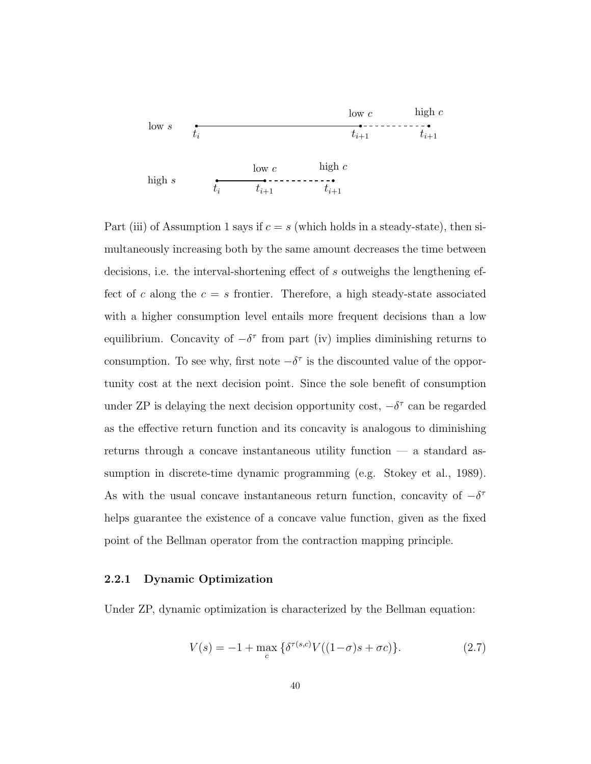

Part (iii) of Assumption 1 says if  $c = s$  (which holds in a steady-state), then simultaneously increasing both by the same amount decreases the time between decisions, i.e. the interval-shortening effect of s outweighs the lengthening effect of c along the  $c = s$  frontier. Therefore, a high steady-state associated with a higher consumption level entails more frequent decisions than a low equilibrium. Concavity of  $-\delta^{\tau}$  from part (iv) implies diminishing returns to consumption. To see why, first note  $-\delta^{\tau}$  is the discounted value of the opportunity cost at the next decision point. Since the sole benefit of consumption under ZP is delaying the next decision opportunity cost,  $-\delta^{\tau}$  can be regarded as the effective return function and its concavity is analogous to diminishing returns through a concave instantaneous utility function — a standard assumption in discrete-time dynamic programming (e.g. Stokey et al., 1989). As with the usual concave instantaneous return function, concavity of  $-\delta^{\tau}$ helps guarantee the existence of a concave value function, given as the fixed point of the Bellman operator from the contraction mapping principle.

#### 2.2.1 Dynamic Optimization

Under ZP, dynamic optimization is characterized by the Bellman equation:

$$
V(s) = -1 + \max_{c} \{ \delta^{\tau(s,c)} V((1-\sigma)s + \sigma c) \}.
$$
 (2.7)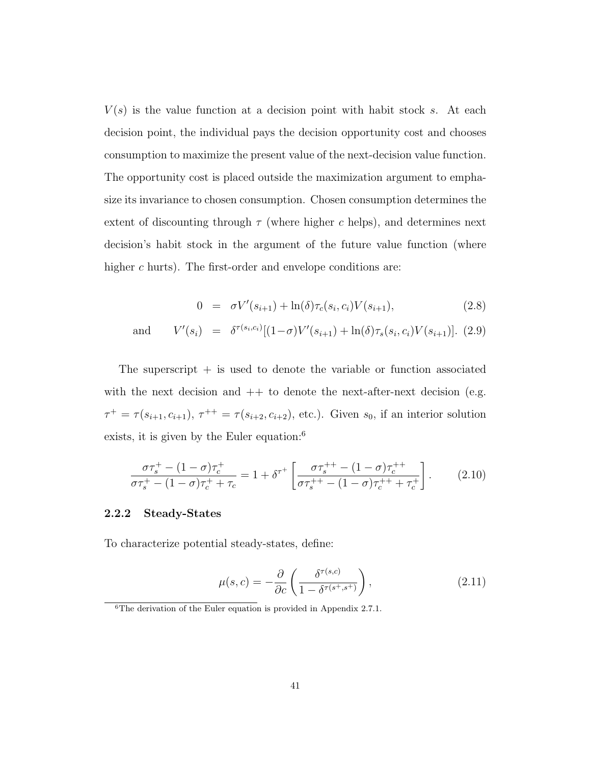$V(s)$  is the value function at a decision point with habit stock s. At each decision point, the individual pays the decision opportunity cost and chooses consumption to maximize the present value of the next-decision value function. The opportunity cost is placed outside the maximization argument to emphasize its invariance to chosen consumption. Chosen consumption determines the extent of discounting through  $\tau$  (where higher c helps), and determines next decision's habit stock in the argument of the future value function (where higher c hurts). The first-order and envelope conditions are:

$$
0 = \sigma V'(s_{i+1}) + \ln(\delta) \tau_c(s_i, c_i) V(s_{i+1}), \qquad (2.8)
$$

and 
$$
V'(s_i) = \delta^{\tau(s_i, c_i)}[(1-\sigma)V'(s_{i+1}) + \ln(\delta)\tau_s(s_i, c_i)V(s_{i+1})].
$$
 (2.9)

The superscript  $+$  is used to denote the variable or function associated with the next decision and  $++$  to denote the next-after-next decision (e.g.  $\tau^+ = \tau(s_{i+1}, c_{i+1}), \tau^{++} = \tau(s_{i+2}, c_{i+2}),$  etc.). Given  $s_0$ , if an interior solution exists, it is given by the Euler equation:<sup>6</sup>

$$
\frac{\sigma \tau_s^+ - (1 - \sigma) \tau_c^+}{\sigma \tau_s^+ - (1 - \sigma) \tau_c^+ + \tau_c} = 1 + \delta^{\tau^+} \left[ \frac{\sigma \tau_s^{++} - (1 - \sigma) \tau_c^{++}}{\sigma \tau_s^{++} - (1 - \sigma) \tau_c^{++} + \tau_c^+} \right].
$$
 (2.10)

#### 2.2.2 Steady-States

To characterize potential steady-states, define:

$$
\mu(s,c) = -\frac{\partial}{\partial c} \left( \frac{\delta^{\tau(s,c)}}{1 - \delta^{\tau(s^+,s^+)}} \right),\tag{2.11}
$$

 ${}^{6}$ The derivation of the Euler equation is provided in Appendix 2.7.1.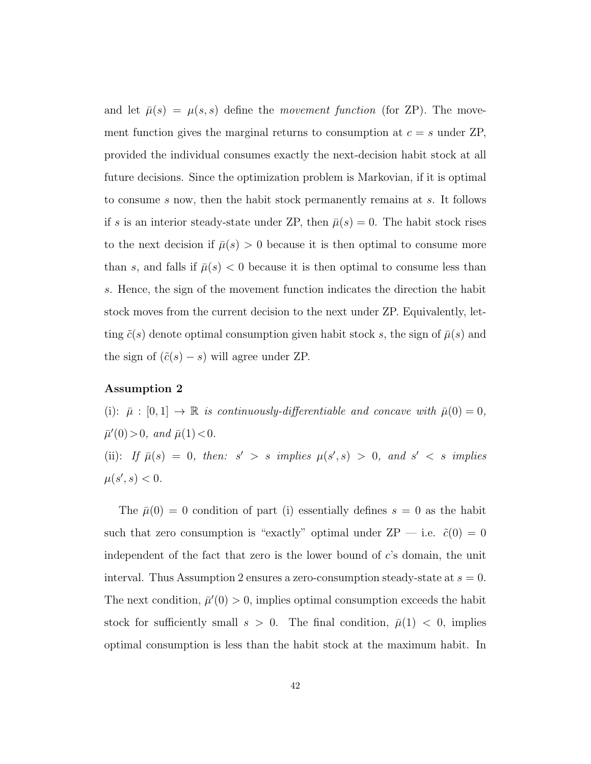and let  $\bar{\mu}(s) = \mu(s, s)$  define the movement function (for ZP). The movement function gives the marginal returns to consumption at  $c = s$  under ZP, provided the individual consumes exactly the next-decision habit stock at all future decisions. Since the optimization problem is Markovian, if it is optimal to consume s now, then the habit stock permanently remains at s. It follows if s is an interior steady-state under ZP, then  $\bar{\mu}(s) = 0$ . The habit stock rises to the next decision if  $\bar{\mu}(s) > 0$  because it is then optimal to consume more than s, and falls if  $\bar{\mu}(s) < 0$  because it is then optimal to consume less than s. Hence, the sign of the movement function indicates the direction the habit stock moves from the current decision to the next under ZP. Equivalently, letting  $\tilde{c}(s)$  denote optimal consumption given habit stock s, the sign of  $\bar{\mu}(s)$  and the sign of  $(\tilde{c}(s) - s)$  will agree under ZP.

#### Assumption 2

(i):  $\bar{\mu}$  : [0, 1]  $\rightarrow \mathbb{R}$  is continuously-differentiable and concave with  $\bar{\mu}(0) = 0$ ,  $\bar{\mu}'(0) > 0$ , and  $\bar{\mu}(1) < 0$ . (ii): If  $\bar{\mu}(s) = 0$ , then:  $s' > s$  implies  $\mu(s', s) > 0$ , and  $s' < s$  implies  $\mu(s', s) < 0.$ 

The  $\bar{\mu}(0) = 0$  condition of part (i) essentially defines  $s = 0$  as the habit such that zero consumption is "exactly" optimal under ZP — i.e.  $\tilde{c}(0) = 0$ independent of the fact that zero is the lower bound of c's domain, the unit interval. Thus Assumption 2 ensures a zero-consumption steady-state at  $s = 0$ . The next condition,  $\bar{\mu}'(0) > 0$ , implies optimal consumption exceeds the habit stock for sufficiently small  $s > 0$ . The final condition,  $\bar{\mu}(1) < 0$ , implies optimal consumption is less than the habit stock at the maximum habit. In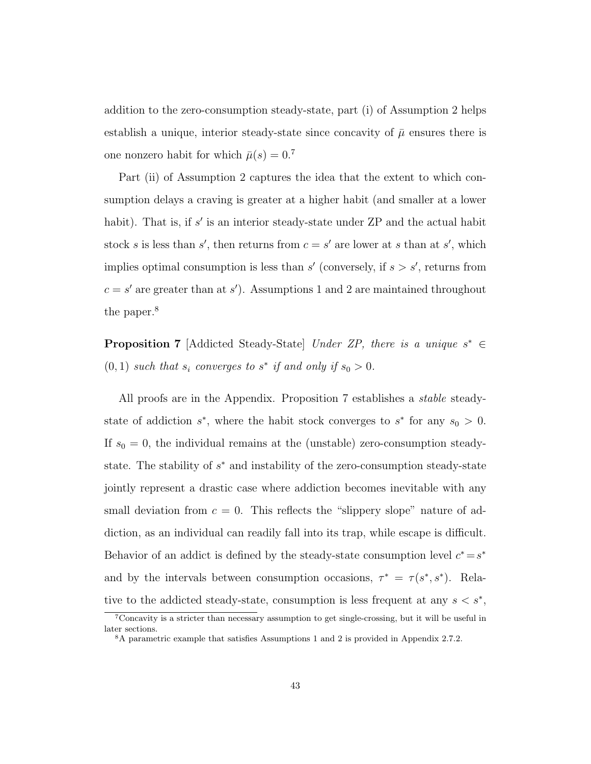addition to the zero-consumption steady-state, part (i) of Assumption 2 helps establish a unique, interior steady-state since concavity of  $\bar{\mu}$  ensures there is one nonzero habit for which  $\bar{\mu}(s) = 0$ <sup>7</sup>

Part (ii) of Assumption 2 captures the idea that the extent to which consumption delays a craving is greater at a higher habit (and smaller at a lower habit). That is, if  $s'$  is an interior steady-state under  $\text{ZP}$  and the actual habit stock s is less than s', then returns from  $c = s'$  are lower at s than at s', which implies optimal consumption is less than  $s'$  (conversely, if  $s > s'$ , returns from  $c = s'$  are greater than at s'). Assumptions 1 and 2 are maintained throughout the paper.<sup>8</sup>

**Proposition 7** [Addicted Steady-State] Under ZP, there is a unique  $s^* \in$  $(0, 1)$  such that  $s_i$  converges to  $s^*$  if and only if  $s_0 > 0$ .

All proofs are in the Appendix. Proposition 7 establishes a stable steadystate of addiction  $s^*$ , where the habit stock converges to  $s^*$  for any  $s_0 > 0$ . If  $s_0 = 0$ , the individual remains at the (unstable) zero-consumption steadystate. The stability of  $s^*$  and instability of the zero-consumption steady-state jointly represent a drastic case where addiction becomes inevitable with any small deviation from  $c = 0$ . This reflects the "slippery slope" nature of addiction, as an individual can readily fall into its trap, while escape is difficult. Behavior of an addict is defined by the steady-state consumption level  $c^* = s^*$ and by the intervals between consumption occasions,  $\tau^* = \tau(s^*, s^*)$ . Relative to the addicted steady-state, consumption is less frequent at any  $s < s^*$ ,

<sup>7</sup>Concavity is a stricter than necessary assumption to get single-crossing, but it will be useful in later sections.

<sup>8</sup>A parametric example that satisfies Assumptions 1 and 2 is provided in Appendix 2.7.2.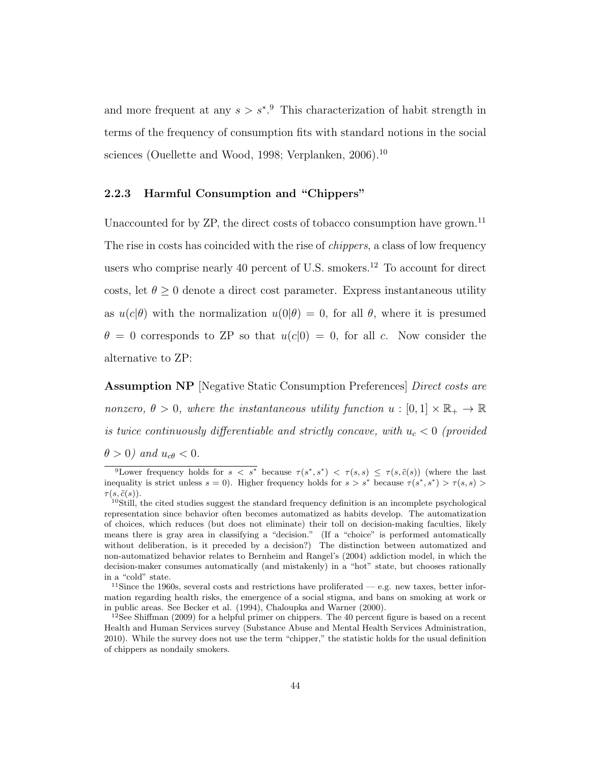and more frequent at any  $s > s^*$ <sup>9</sup>. This characterization of habit strength in terms of the frequency of consumption fits with standard notions in the social sciences (Ouellette and Wood, 1998; Verplanken, 2006).<sup>10</sup>

## 2.2.3 Harmful Consumption and "Chippers"

Unaccounted for by  $\text{ZP}$ , the direct costs of tobacco consumption have grown.<sup>11</sup> The rise in costs has coincided with the rise of *chippers*, a class of low frequency users who comprise nearly 40 percent of U.S. smokers.<sup>12</sup> To account for direct costs, let  $\theta \geq 0$  denote a direct cost parameter. Express instantaneous utility as  $u(c|\theta)$  with the normalization  $u(0|\theta) = 0$ , for all  $\theta$ , where it is presumed  $\theta = 0$  corresponds to ZP so that  $u(c|0) = 0$ , for all c. Now consider the alternative to ZP:

Assumption NP [Negative Static Consumption Preferences] Direct costs are nonzero,  $\theta > 0$ , where the instantaneous utility function  $u : [0, 1] \times \mathbb{R}_+ \to \mathbb{R}$ is twice continuously differentiable and strictly concave, with  $u_c < 0$  (provided

 $\theta > 0$ ) and  $u_{c\theta} < 0$ .

<sup>&</sup>lt;sup>9</sup>Lower frequency holds for  $s < s^*$  because  $\tau(s^*, s^*) < \tau(s, s) \leq \tau(s, \tilde{c}(s))$  (where the last inequality is strict unless  $s = 0$ ). Higher frequency holds for  $s > s^*$  because  $\tau(s^*, s^*) > \tau(s, s)$  $\tau(s,\tilde{c}(s)).$ 

<sup>&</sup>lt;sup>10</sup>Still, the cited studies suggest the standard frequency definition is an incomplete psychological representation since behavior often becomes automatized as habits develop. The automatization of choices, which reduces (but does not eliminate) their toll on decision-making faculties, likely means there is gray area in classifying a "decision." (If a "choice" is performed automatically without deliberation, is it preceded by a decision?) The distinction between automatized and non-automatized behavior relates to Bernheim and Rangel's (2004) addiction model, in which the decision-maker consumes automatically (and mistakenly) in a "hot" state, but chooses rationally in a "cold" state.

<sup>&</sup>lt;sup>11</sup>Since the 1960s, several costs and restrictions have proliferated — e.g. new taxes, better information regarding health risks, the emergence of a social stigma, and bans on smoking at work or in public areas. See Becker et al. (1994), Chaloupka and Warner (2000).

 $12$ See Shiffman (2009) for a helpful primer on chippers. The 40 percent figure is based on a recent Health and Human Services survey (Substance Abuse and Mental Health Services Administration, 2010). While the survey does not use the term "chipper," the statistic holds for the usual definition of chippers as nondaily smokers.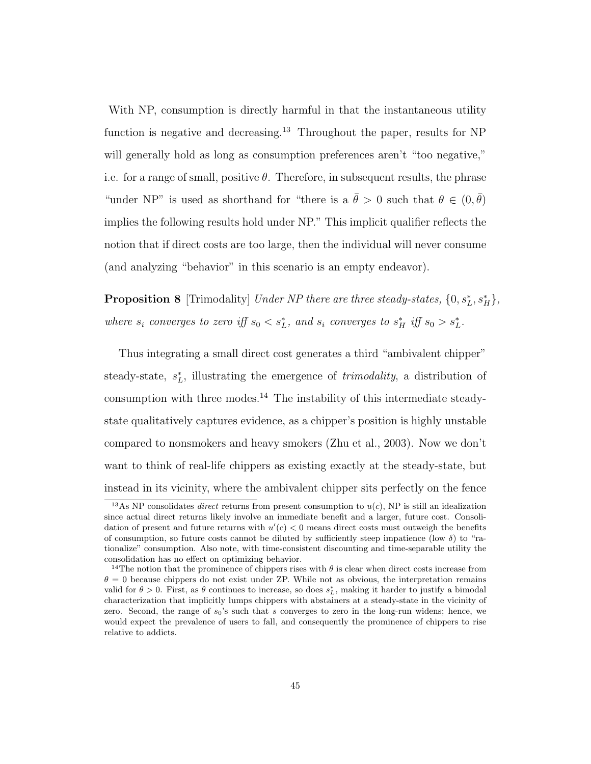With NP, consumption is directly harmful in that the instantaneous utility function is negative and decreasing.<sup>13</sup> Throughout the paper, results for NP will generally hold as long as consumption preferences aren't "too negative," i.e. for a range of small, positive  $\theta$ . Therefore, in subsequent results, the phrase "under NP" is used as shorthand for "there is a  $\bar{\theta} > 0$  such that  $\theta \in (0, \bar{\theta})$ implies the following results hold under NP." This implicit qualifier reflects the notion that if direct costs are too large, then the individual will never consume (and analyzing "behavior" in this scenario is an empty endeavor).

**Proposition 8** [Trimodality] Under NP there are three steady-states,  $\{0, s_L^*, s_H^*\}$ , where  $s_i$  converges to zero iff  $s_0 < s_L^*$ , and  $s_i$  converges to  $s_H^*$  iff  $s_0 > s_L^*$ .

Thus integrating a small direct cost generates a third "ambivalent chipper" steady-state,  $s_L^*$ , illustrating the emergence of *trimodality*, a distribution of consumption with three modes.<sup>14</sup> The instability of this intermediate steadystate qualitatively captures evidence, as a chipper's position is highly unstable compared to nonsmokers and heavy smokers (Zhu et al., 2003). Now we don't want to think of real-life chippers as existing exactly at the steady-state, but instead in its vicinity, where the ambivalent chipper sits perfectly on the fence

<sup>&</sup>lt;sup>13</sup>As NP consolidates *direct* returns from present consumption to  $u(c)$ , NP is still an idealization since actual direct returns likely involve an immediate benefit and a larger, future cost. Consolidation of present and future returns with  $u'(c) < 0$  means direct costs must outweigh the benefits of consumption, so future costs cannot be diluted by sufficiently steep impatience (low  $\delta$ ) to "rationalize" consumption. Also note, with time-consistent discounting and time-separable utility the consolidation has no effect on optimizing behavior.

<sup>&</sup>lt;sup>14</sup>The notion that the prominence of chippers rises with  $\theta$  is clear when direct costs increase from  $\theta = 0$  because chippers do not exist under ZP. While not as obvious, the interpretation remains valid for  $\theta > 0$ . First, as  $\theta$  continues to increase, so does  $s_L^*$ , making it harder to justify a bimodal characterization that implicitly lumps chippers with abstainers at a steady-state in the vicinity of zero. Second, the range of  $s_0$ 's such that s converges to zero in the long-run widens; hence, we would expect the prevalence of users to fall, and consequently the prominence of chippers to rise relative to addicts.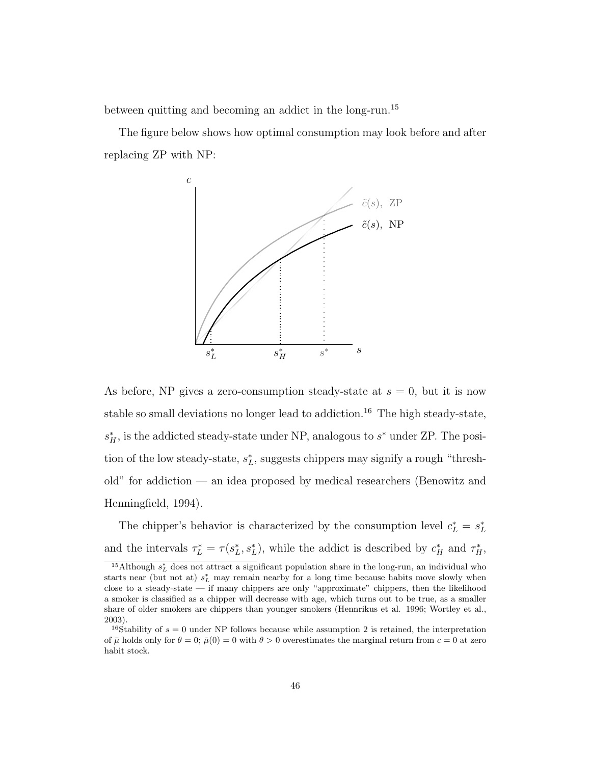between quitting and becoming an addict in the long-run.<sup>15</sup>

The figure below shows how optimal consumption may look before and after replacing ZP with NP:



As before, NP gives a zero-consumption steady-state at  $s = 0$ , but it is now stable so small deviations no longer lead to addiction.<sup>16</sup> The high steady-state,  $s_H^*$ , is the addicted steady-state under NP, analogous to  $s^*$  under ZP. The position of the low steady-state,  $s_L^*$ , suggests chippers may signify a rough "threshold" for addiction — an idea proposed by medical researchers (Benowitz and Henningfield, 1994).

The chipper's behavior is characterized by the consumption level  $c_L^* = s_L^*$ and the intervals  $\tau_L^* = \tau(s_L^*, s_L^*)$ , while the addict is described by  $c_H^*$  and  $\tau_H^*$ ,

<sup>&</sup>lt;sup>15</sup>Although  $s_L^*$  does not attract a significant population share in the long-run, an individual who starts near (but not at)  $s_L^*$  may remain nearby for a long time because habits move slowly when close to a steady-state — if many chippers are only "approximate" chippers, then the likelihood a smoker is classified as a chipper will decrease with age, which turns out to be true, as a smaller share of older smokers are chippers than younger smokers (Hennrikus et al. 1996; Wortley et al., 2003).

<sup>&</sup>lt;sup>16</sup>Stability of  $s = 0$  under NP follows because while assumption 2 is retained, the interpretation of  $\bar{\mu}$  holds only for  $\theta = 0$ ;  $\bar{\mu}(0) = 0$  with  $\theta > 0$  overestimates the marginal return from  $c = 0$  at zero habit stock.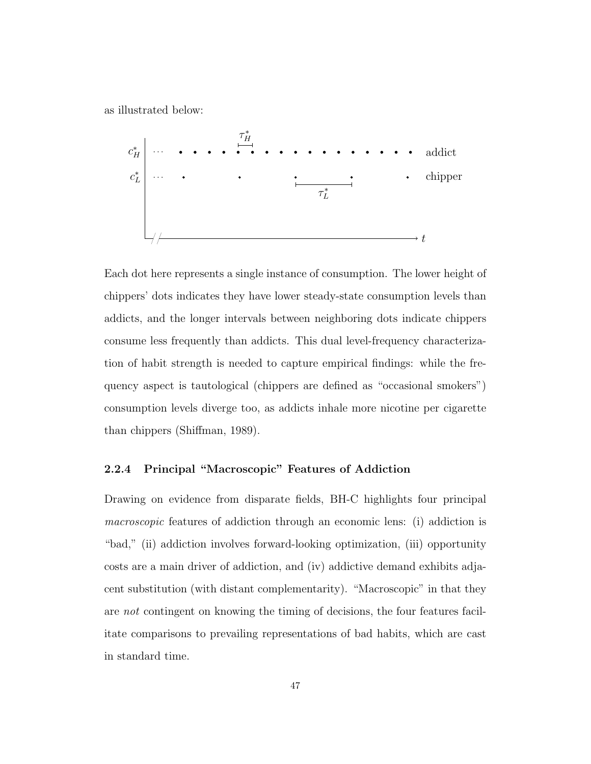as illustrated below:



Each dot here represents a single instance of consumption. The lower height of chippers' dots indicates they have lower steady-state consumption levels than addicts, and the longer intervals between neighboring dots indicate chippers consume less frequently than addicts. This dual level-frequency characterization of habit strength is needed to capture empirical findings: while the frequency aspect is tautological (chippers are defined as "occasional smokers") consumption levels diverge too, as addicts inhale more nicotine per cigarette than chippers (Shiffman, 1989).

## 2.2.4 Principal "Macroscopic" Features of Addiction

Drawing on evidence from disparate fields, BH-C highlights four principal macroscopic features of addiction through an economic lens: (i) addiction is "bad," (ii) addiction involves forward-looking optimization, (iii) opportunity costs are a main driver of addiction, and (iv) addictive demand exhibits adjacent substitution (with distant complementarity). "Macroscopic" in that they are not contingent on knowing the timing of decisions, the four features facilitate comparisons to prevailing representations of bad habits, which are cast in standard time.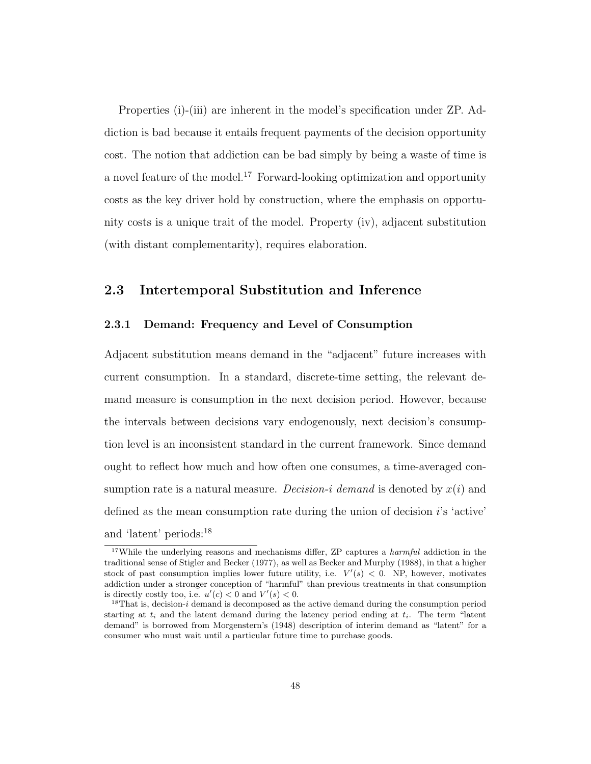Properties (i)-(iii) are inherent in the model's specification under ZP. Addiction is bad because it entails frequent payments of the decision opportunity cost. The notion that addiction can be bad simply by being a waste of time is a novel feature of the model.<sup>17</sup> Forward-looking optimization and opportunity costs as the key driver hold by construction, where the emphasis on opportunity costs is a unique trait of the model. Property (iv), adjacent substitution (with distant complementarity), requires elaboration.

## 2.3 Intertemporal Substitution and Inference

## 2.3.1 Demand: Frequency and Level of Consumption

Adjacent substitution means demand in the "adjacent" future increases with current consumption. In a standard, discrete-time setting, the relevant demand measure is consumption in the next decision period. However, because the intervals between decisions vary endogenously, next decision's consumption level is an inconsistent standard in the current framework. Since demand ought to reflect how much and how often one consumes, a time-averaged consumption rate is a natural measure. Decision-i demand is denoted by  $x(i)$  and defined as the mean consumption rate during the union of decision i's 'active' and 'latent' periods:<sup>18</sup>

<sup>&</sup>lt;sup>17</sup>While the underlying reasons and mechanisms differ, ZP captures a *harmful* addiction in the traditional sense of Stigler and Becker (1977), as well as Becker and Murphy (1988), in that a higher stock of past consumption implies lower future utility, i.e.  $V'(s) < 0$ . NP, however, motivates addiction under a stronger conception of "harmful" than previous treatments in that consumption is directly costly too, i.e.  $u'(c) < 0$  and  $V'(s) < 0$ .

 $18$ That is, decision-i demand is decomposed as the active demand during the consumption period starting at  $t_i$  and the latent demand during the latency period ending at  $t_i$ . The term "latent demand" is borrowed from Morgenstern's (1948) description of interim demand as "latent" for a consumer who must wait until a particular future time to purchase goods.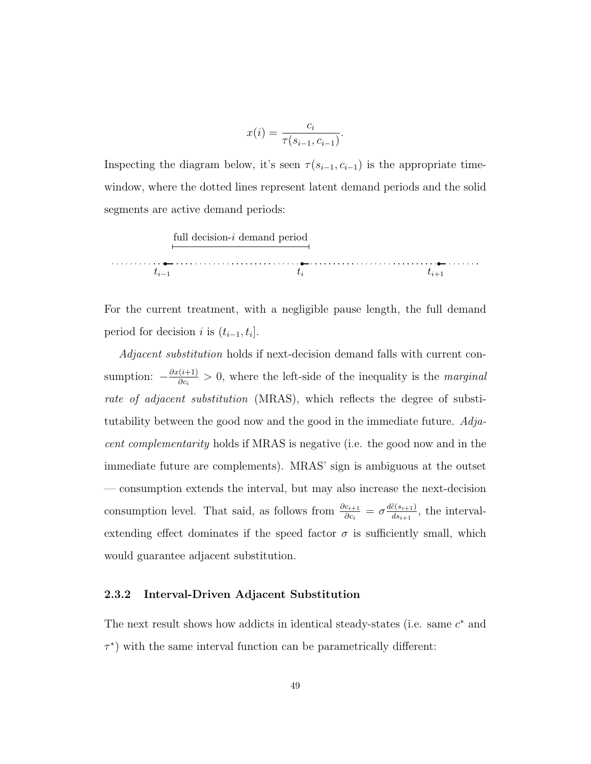$$
x(i) = \frac{c_i}{\tau(s_{i-1}, c_{i-1})}.
$$

Inspecting the diagram below, it's seen  $\tau(s_{i-1}, c_{i-1})$  is the appropriate timewindow, where the dotted lines represent latent demand periods and the solid segments are active demand periods:

full decision-i demand period  $t_{i-1}$  t<sub>i+1</sub>

For the current treatment, with a negligible pause length, the full demand period for decision *i* is  $(t_{i-1}, t_i]$ .

Adjacent substitution holds if next-decision demand falls with current consumption:  $-\frac{\partial x(i+1)}{\partial c}$  $\frac{(i+1)}{\partial c_i} > 0$ , where the left-side of the inequality is the *marginal* rate of adjacent substitution (MRAS), which reflects the degree of substitutability between the good now and the good in the immediate future. Adjacent complementarity holds if MRAS is negative (i.e. the good now and in the immediate future are complements). MRAS' sign is ambiguous at the outset — consumption extends the interval, but may also increase the next-decision consumption level. That said, as follows from  $\frac{\partial c_{i+1}}{\partial c_i} = \sigma \frac{d\tilde{c}(s_{i+1})}{ds_{i+1}}$  $\frac{c(s_{i+1})}{ds_{i+1}}$ , the intervalextending effect dominates if the speed factor  $\sigma$  is sufficiently small, which would guarantee adjacent substitution.

### 2.3.2 Interval-Driven Adjacent Substitution

The next result shows how addicts in identical steady-states (i.e. same  $c^*$  and  $\tau^*$ ) with the same interval function can be parametrically different: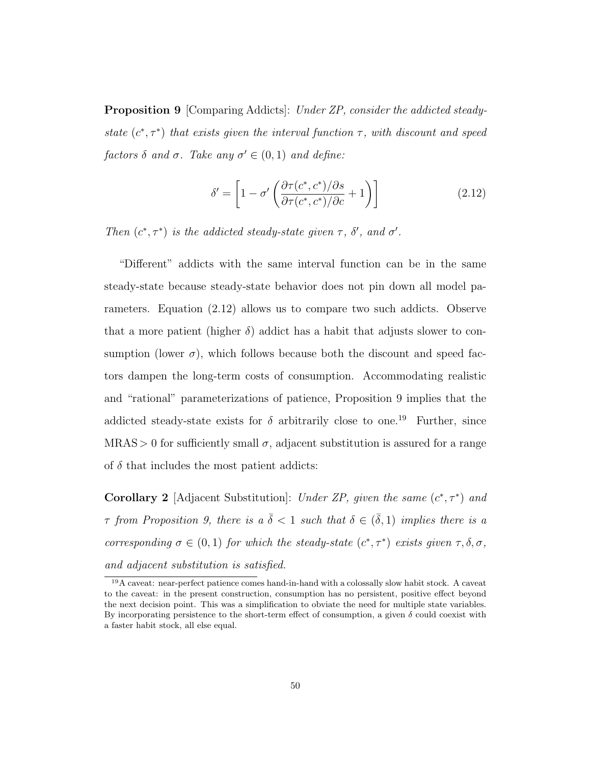Proposition 9 [Comparing Addicts]: Under ZP, consider the addicted steadystate  $(c^*, \tau^*)$  that exists given the interval function  $\tau$ , with discount and speed factors  $\delta$  and  $\sigma$ . Take any  $\sigma' \in (0,1)$  and define:

$$
\delta' = \left[1 - \sigma' \left(\frac{\partial \tau(c^*, c^*)/\partial s}{\partial \tau(c^*, c^*)/\partial c} + 1\right)\right]
$$
\n(2.12)

Then  $(c^*, \tau^*)$  is the addicted steady-state given  $\tau$ ,  $\delta'$ , and  $\sigma'$ .

"Different" addicts with the same interval function can be in the same steady-state because steady-state behavior does not pin down all model parameters. Equation (2.12) allows us to compare two such addicts. Observe that a more patient (higher  $\delta$ ) addict has a habit that adjusts slower to consumption (lower  $\sigma$ ), which follows because both the discount and speed factors dampen the long-term costs of consumption. Accommodating realistic and "rational" parameterizations of patience, Proposition 9 implies that the addicted steady-state exists for  $\delta$  arbitrarily close to one.<sup>19</sup> Further, since  $MRAS > 0$  for sufficiently small  $\sigma$ , adjacent substitution is assured for a range of  $\delta$  that includes the most patient addicts:

**Corollary 2** [Adjacent Substitution]: Under ZP, given the same  $(c^*, \tau^*)$  and  $\tau$  from Proposition 9, there is a  $\bar{\delta} < 1$  such that  $\delta \in (\bar{\delta}, 1)$  implies there is a corresponding  $\sigma \in (0,1)$  for which the steady-state  $(c^*, \tau^*)$  exists given  $\tau, \delta, \sigma$ , and adjacent substitution is satisfied.

<sup>19</sup>A caveat: near-perfect patience comes hand-in-hand with a colossally slow habit stock. A caveat to the caveat: in the present construction, consumption has no persistent, positive effect beyond the next decision point. This was a simplification to obviate the need for multiple state variables. By incorporating persistence to the short-term effect of consumption, a given  $\delta$  could coexist with a faster habit stock, all else equal.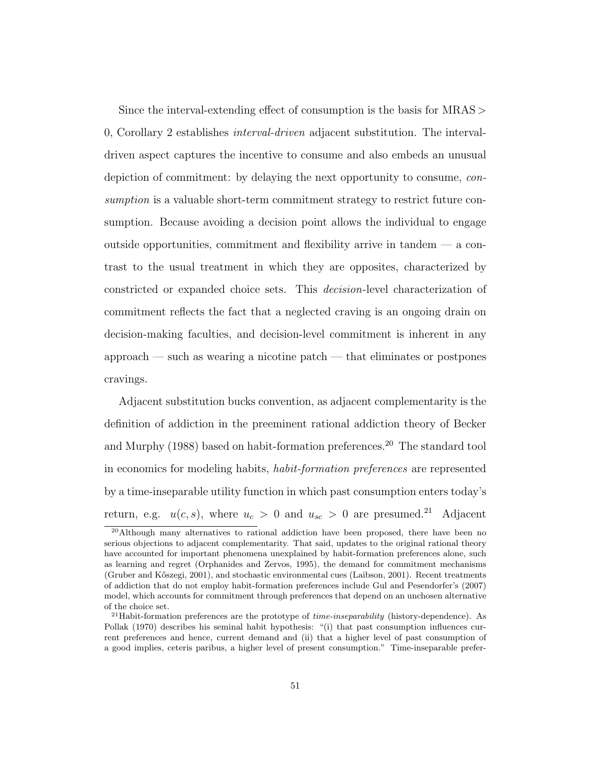Since the interval-extending effect of consumption is the basis for MRAS > 0, Corollary 2 establishes interval-driven adjacent substitution. The intervaldriven aspect captures the incentive to consume and also embeds an unusual depiction of commitment: by delaying the next opportunity to consume, consumption is a valuable short-term commitment strategy to restrict future consumption. Because avoiding a decision point allows the individual to engage outside opportunities, commitment and flexibility arrive in tandem  $-$  a contrast to the usual treatment in which they are opposites, characterized by constricted or expanded choice sets. This decision-level characterization of commitment reflects the fact that a neglected craving is an ongoing drain on decision-making faculties, and decision-level commitment is inherent in any approach — such as wearing a nicotine patch — that eliminates or postpones cravings.

Adjacent substitution bucks convention, as adjacent complementarity is the definition of addiction in the preeminent rational addiction theory of Becker and Murphy  $(1988)$  based on habit-formation preferences.<sup>20</sup> The standard tool in economics for modeling habits, habit-formation preferences are represented by a time-inseparable utility function in which past consumption enters today's return, e.g.  $u(c, s)$ , where  $u_c > 0$  and  $u_{sc} > 0$  are presumed.<sup>21</sup> Adjacent

<sup>20</sup>Although many alternatives to rational addiction have been proposed, there have been no serious objections to adjacent complementarity. That said, updates to the original rational theory have accounted for important phenomena unexplained by habit-formation preferences alone, such as learning and regret (Orphanides and Zervos, 1995), the demand for commitment mechanisms (Gruber and K˝oszegi, 2001), and stochastic environmental cues (Laibson, 2001). Recent treatments of addiction that do not employ habit-formation preferences include Gul and Pesendorfer's (2007) model, which accounts for commitment through preferences that depend on an unchosen alternative of the choice set.

<sup>&</sup>lt;sup>21</sup>Habit-formation preferences are the prototype of *time-inseparability* (history-dependence). As Pollak (1970) describes his seminal habit hypothesis: "(i) that past consumption influences current preferences and hence, current demand and (ii) that a higher level of past consumption of a good implies, ceteris paribus, a higher level of present consumption." Time-inseparable prefer-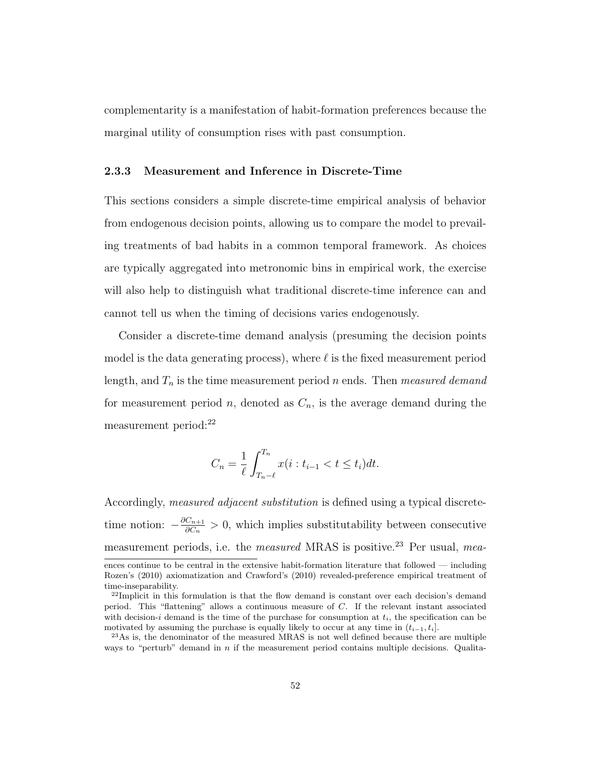complementarity is a manifestation of habit-formation preferences because the marginal utility of consumption rises with past consumption.

## 2.3.3 Measurement and Inference in Discrete-Time

This sections considers a simple discrete-time empirical analysis of behavior from endogenous decision points, allowing us to compare the model to prevailing treatments of bad habits in a common temporal framework. As choices are typically aggregated into metronomic bins in empirical work, the exercise will also help to distinguish what traditional discrete-time inference can and cannot tell us when the timing of decisions varies endogenously.

Consider a discrete-time demand analysis (presuming the decision points model is the data generating process), where  $\ell$  is the fixed measurement period length, and  $T_n$  is the time measurement period n ends. Then measured demand for measurement period n, denoted as  $C_n$ , is the average demand during the measurement period:<sup>22</sup>

$$
C_n = \frac{1}{\ell} \int_{T_n - \ell}^{T_n} x(i : t_{i-1} < t \le t_i) dt.
$$

Accordingly, measured adjacent substitution is defined using a typical discretetime notion:  $-\frac{\partial C_{n+1}}{\partial C}$  $\frac{C_{n+1}}{\partial C_n} > 0$ , which implies substitutability between consecutive measurement periods, i.e. the *measured* MRAS is positive.<sup>23</sup> Per usual, *mea*-

ences continue to be central in the extensive habit-formation literature that followed — including Rozen's (2010) axiomatization and Crawford's (2010) revealed-preference empirical treatment of time-inseparability.

 $22$ Implicit in this formulation is that the flow demand is constant over each decision's demand period. This "flattening" allows a continuous measure of C. If the relevant instant associated with decision-i demand is the time of the purchase for consumption at  $t_i$ , the specification can be motivated by assuming the purchase is equally likely to occur at any time in  $(t_{i-1}, t_i]$ .

<sup>23</sup>As is, the denominator of the measured MRAS is not well defined because there are multiple ways to "perturb" demand in n if the measurement period contains multiple decisions. Qualita-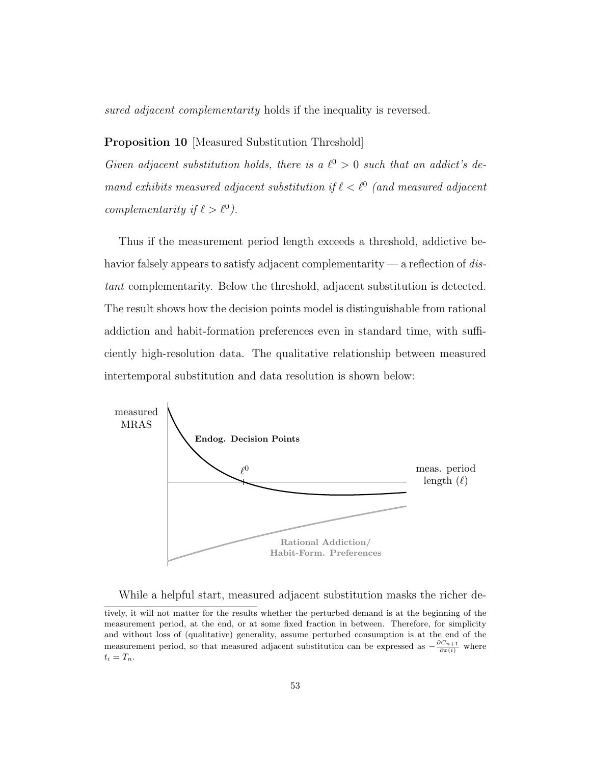sured adjacent complementarity holds if the inequality is reversed.

## Proposition 10 [Measured Substitution Threshold]

Given adjacent substitution holds, there is a  $\ell^0 > 0$  such that an addict's demand exhibits measured adjacent substitution if  $\ell < \ell^0$  (and measured adjacent complementarity if  $\ell > \ell^0$ ).

Thus if the measurement period length exceeds a threshold, addictive behavior falsely appears to satisfy adjacent complementarity — a reflection of distant complementarity. Below the threshold, adjacent substitution is detected. The result shows how the decision points model is distinguishable from rational addiction and habit-formation preferences even in standard time, with sufficiently high-resolution data. The qualitative relationship between measured intertemporal substitution and data resolution is shown below:



While a helpful start, measured adjacent substitution masks the richer de-

tively, it will not matter for the results whether the perturbed demand is at the beginning of the measurement period, at the end, or at some fixed fraction in between. Therefore, for simplicity and without loss of (qualitative) generality, assume perturbed consumption is at the end of the measurement period, so that measured adjacent substitution can be expressed as  $-\frac{\partial C_{n+1}}{\partial x(i)}$  where  $t_i = T_n$ .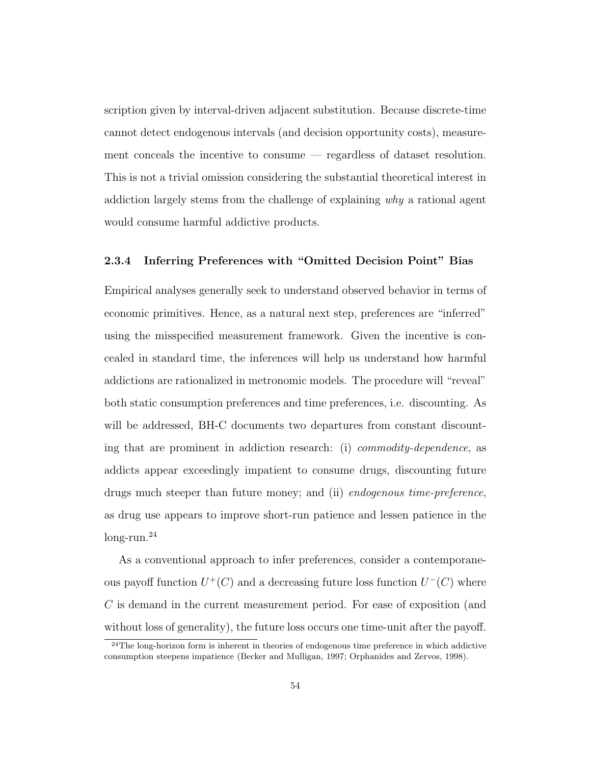scription given by interval-driven adjacent substitution. Because discrete-time cannot detect endogenous intervals (and decision opportunity costs), measurement conceals the incentive to consume — regardless of dataset resolution. This is not a trivial omission considering the substantial theoretical interest in addiction largely stems from the challenge of explaining why a rational agent would consume harmful addictive products.

## 2.3.4 Inferring Preferences with "Omitted Decision Point" Bias

Empirical analyses generally seek to understand observed behavior in terms of economic primitives. Hence, as a natural next step, preferences are "inferred" using the misspecified measurement framework. Given the incentive is concealed in standard time, the inferences will help us understand how harmful addictions are rationalized in metronomic models. The procedure will "reveal" both static consumption preferences and time preferences, i.e. discounting. As will be addressed, BH-C documents two departures from constant discounting that are prominent in addiction research: (i) commodity-dependence, as addicts appear exceedingly impatient to consume drugs, discounting future drugs much steeper than future money; and (ii) endogenous time-preference, as drug use appears to improve short-run patience and lessen patience in the long-run.<sup>24</sup>

As a conventional approach to infer preferences, consider a contemporaneous payoff function  $U^+(C)$  and a decreasing future loss function  $U^-(C)$  where C is demand in the current measurement period. For ease of exposition (and without loss of generality), the future loss occurs one time-unit after the payoff.

<sup>&</sup>lt;sup>24</sup>The long-horizon form is inherent in theories of endogenous time preference in which addictive consumption steepens impatience (Becker and Mulligan, 1997; Orphanides and Zervos, 1998).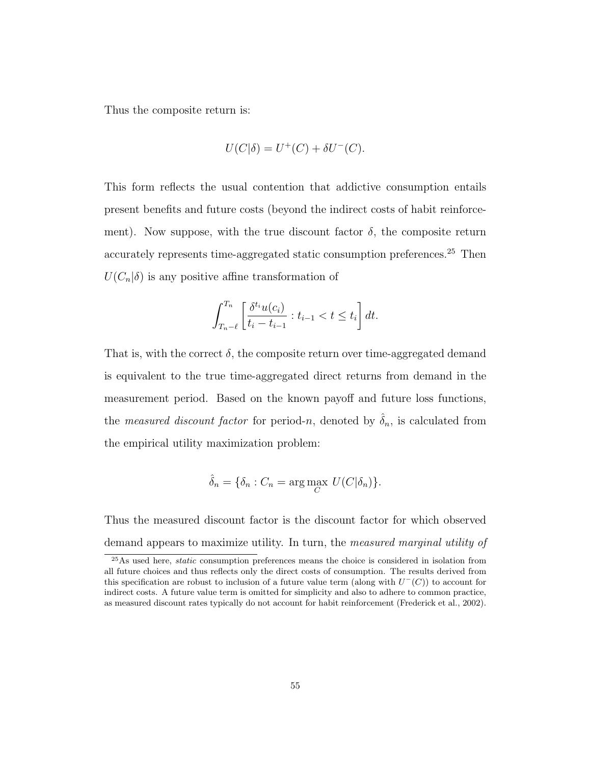Thus the composite return is:

$$
U(C|\delta) = U^{+}(C) + \delta U^{-}(C).
$$

This form reflects the usual contention that addictive consumption entails present benefits and future costs (beyond the indirect costs of habit reinforcement). Now suppose, with the true discount factor  $\delta$ , the composite return accurately represents time-aggregated static consumption preferences.<sup>25</sup> Then  $U(C_n|\delta)$  is any positive affine transformation of

$$
\int_{T_n-\ell}^{T_n} \left[ \frac{\delta^{t_i} u(c_i)}{t_i - t_{i-1}} : t_{i-1} < t \le t_i \right] dt.
$$

That is, with the correct  $\delta$ , the composite return over time-aggregated demand is equivalent to the true time-aggregated direct returns from demand in the measurement period. Based on the known payoff and future loss functions, the *measured discount factor* for period-n, denoted by  $\delta_n$ , is calculated from the empirical utility maximization problem:

$$
\hat{\delta}_n = \{ \delta_n : C_n = \arg \max_C \ U(C|\delta_n) \}.
$$

Thus the measured discount factor is the discount factor for which observed demand appears to maximize utility. In turn, the measured marginal utility of

<sup>&</sup>lt;sup>25</sup>As used here, *static* consumption preferences means the choice is considered in isolation from all future choices and thus reflects only the direct costs of consumption. The results derived from this specification are robust to inclusion of a future value term (along with  $U^-(C)$ ) to account for indirect costs. A future value term is omitted for simplicity and also to adhere to common practice, as measured discount rates typically do not account for habit reinforcement (Frederick et al., 2002).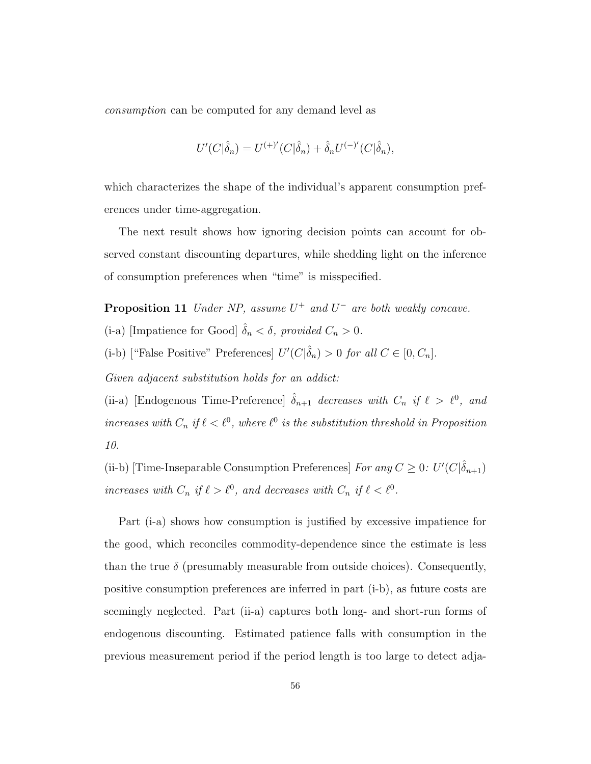consumption can be computed for any demand level as

$$
U'(C|\hat{\delta}_n) = U^{(+)}'(C|\hat{\delta}_n) + \hat{\delta}_n U^{(-)}'(C|\hat{\delta}_n),
$$

which characterizes the shape of the individual's apparent consumption preferences under time-aggregation.

The next result shows how ignoring decision points can account for observed constant discounting departures, while shedding light on the inference of consumption preferences when "time" is misspecified.

**Proposition 11** Under NP, assume  $U^+$  and  $U^-$  are both weakly concave. (i-a) [Impatience for Good]  $\hat{\delta}_n < \delta$ , provided  $C_n > 0$ .

(i-b) ["False Positive" Preferences]  $U'(C|\hat{\delta}_n) > 0$  for all  $C \in [0, C_n]$ .

Given adjacent substitution holds for an addict:

(ii-a) [Endogenous Time-Preference]  $\hat{\delta}_{n+1}$  decreases with  $C_n$  if  $\ell > \ell^0$ , and increases with  $C_n$  if  $\ell < \ell^0$ , where  $\ell^0$  is the substitution threshold in Proposition 10.

(ii-b) [Time-Inseparable Consumption Preferences] For any  $C \geq 0$ :  $U'(C|\hat{\delta}_{n+1})$ increases with  $C_n$  if  $\ell > \ell^0$ , and decreases with  $C_n$  if  $\ell < \ell^0$ .

Part (i-a) shows how consumption is justified by excessive impatience for the good, which reconciles commodity-dependence since the estimate is less than the true  $\delta$  (presumably measurable from outside choices). Consequently, positive consumption preferences are inferred in part (i-b), as future costs are seemingly neglected. Part (ii-a) captures both long- and short-run forms of endogenous discounting. Estimated patience falls with consumption in the previous measurement period if the period length is too large to detect adja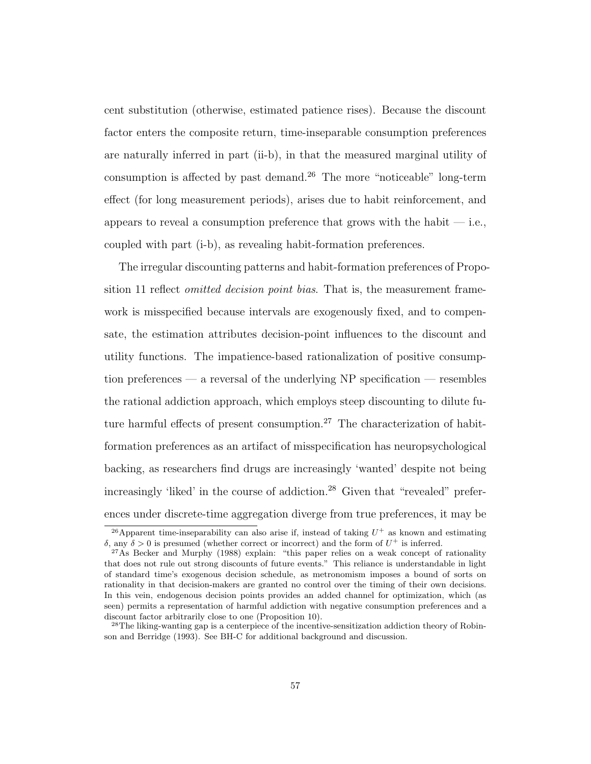cent substitution (otherwise, estimated patience rises). Because the discount factor enters the composite return, time-inseparable consumption preferences are naturally inferred in part (ii-b), in that the measured marginal utility of consumption is affected by past demand.<sup>26</sup> The more "noticeable" long-term effect (for long measurement periods), arises due to habit reinforcement, and appears to reveal a consumption preference that grows with the habit  $-$  i.e., coupled with part (i-b), as revealing habit-formation preferences.

The irregular discounting patterns and habit-formation preferences of Proposition 11 reflect *omitted decision point bias*. That is, the measurement framework is misspecified because intervals are exogenously fixed, and to compensate, the estimation attributes decision-point influences to the discount and utility functions. The impatience-based rationalization of positive consumption preferences — a reversal of the underlying NP specification — resembles the rational addiction approach, which employs steep discounting to dilute future harmful effects of present consumption.<sup>27</sup> The characterization of habitformation preferences as an artifact of misspecification has neuropsychological backing, as researchers find drugs are increasingly 'wanted' despite not being increasingly 'liked' in the course of addiction.<sup>28</sup> Given that "revealed" preferences under discrete-time aggregation diverge from true preferences, it may be

<sup>&</sup>lt;sup>26</sup> Apparent time-inseparability can also arise if, instead of taking  $U^+$  as known and estimating δ, any δ > 0 is presumed (whether correct or incorrect) and the form of  $U^+$  is inferred.

 $27\text{As}$  Becker and Murphy (1988) explain: "this paper relies on a weak concept of rationality that does not rule out strong discounts of future events." This reliance is understandable in light of standard time's exogenous decision schedule, as metronomism imposes a bound of sorts on rationality in that decision-makers are granted no control over the timing of their own decisions. In this vein, endogenous decision points provides an added channel for optimization, which (as seen) permits a representation of harmful addiction with negative consumption preferences and a discount factor arbitrarily close to one (Proposition 10).

<sup>&</sup>lt;sup>28</sup>The liking-wanting gap is a centerpiece of the incentive-sensitization addiction theory of Robinson and Berridge (1993). See BH-C for additional background and discussion.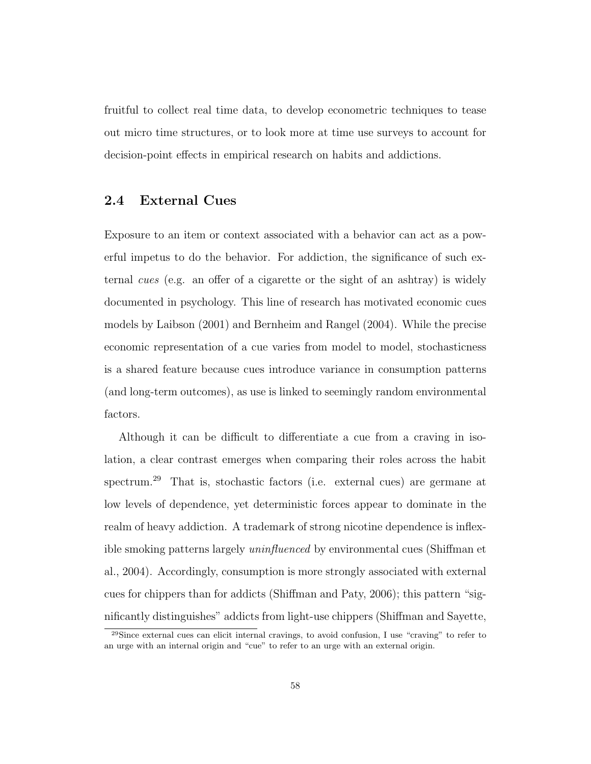fruitful to collect real time data, to develop econometric techniques to tease out micro time structures, or to look more at time use surveys to account for decision-point effects in empirical research on habits and addictions.

## 2.4 External Cues

Exposure to an item or context associated with a behavior can act as a powerful impetus to do the behavior. For addiction, the significance of such external cues (e.g. an offer of a cigarette or the sight of an ashtray) is widely documented in psychology. This line of research has motivated economic cues models by Laibson (2001) and Bernheim and Rangel (2004). While the precise economic representation of a cue varies from model to model, stochasticness is a shared feature because cues introduce variance in consumption patterns (and long-term outcomes), as use is linked to seemingly random environmental factors.

Although it can be difficult to differentiate a cue from a craving in isolation, a clear contrast emerges when comparing their roles across the habit spectrum.<sup>29</sup> That is, stochastic factors (i.e. external cues) are germane at low levels of dependence, yet deterministic forces appear to dominate in the realm of heavy addiction. A trademark of strong nicotine dependence is inflexible smoking patterns largely uninfluenced by environmental cues (Shiffman et al., 2004). Accordingly, consumption is more strongly associated with external cues for chippers than for addicts (Shiffman and Paty, 2006); this pattern "significantly distinguishes" addicts from light-use chippers (Shiffman and Sayette,

<sup>29</sup>Since external cues can elicit internal cravings, to avoid confusion, I use "craving" to refer to an urge with an internal origin and "cue" to refer to an urge with an external origin.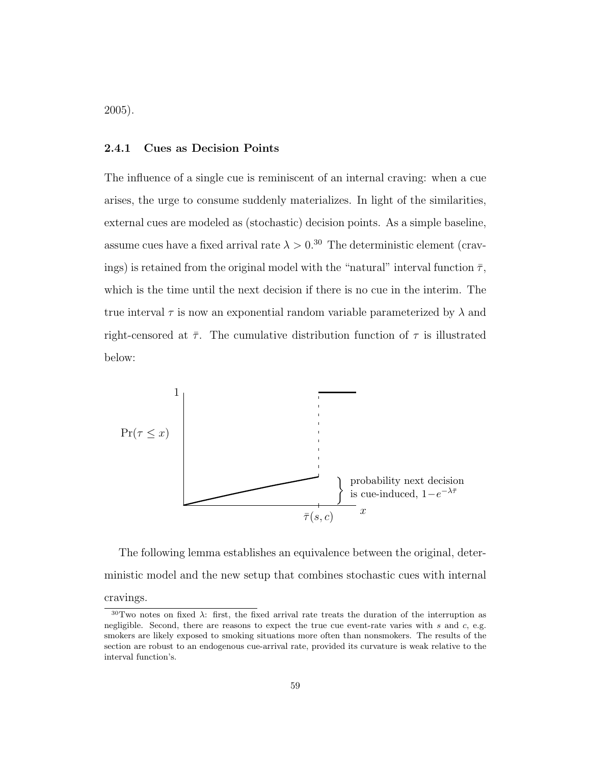2005).

## 2.4.1 Cues as Decision Points

The influence of a single cue is reminiscent of an internal craving: when a cue arises, the urge to consume suddenly materializes. In light of the similarities, external cues are modeled as (stochastic) decision points. As a simple baseline, assume cues have a fixed arrival rate  $\lambda > 0.30$  The deterministic element (cravings) is retained from the original model with the "natural" interval function  $\bar{\tau}$ , which is the time until the next decision if there is no cue in the interim. The true interval  $\tau$  is now an exponential random variable parameterized by  $\lambda$  and right-censored at  $\bar{\tau}$ . The cumulative distribution function of  $\tau$  is illustrated below:



The following lemma establishes an equivalence between the original, deterministic model and the new setup that combines stochastic cues with internal cravings.

 $30$ Two notes on fixed  $\lambda$ : first, the fixed arrival rate treats the duration of the interruption as negligible. Second, there are reasons to expect the true cue event-rate varies with  $s$  and  $c$ , e.g. smokers are likely exposed to smoking situations more often than nonsmokers. The results of the section are robust to an endogenous cue-arrival rate, provided its curvature is weak relative to the interval function's.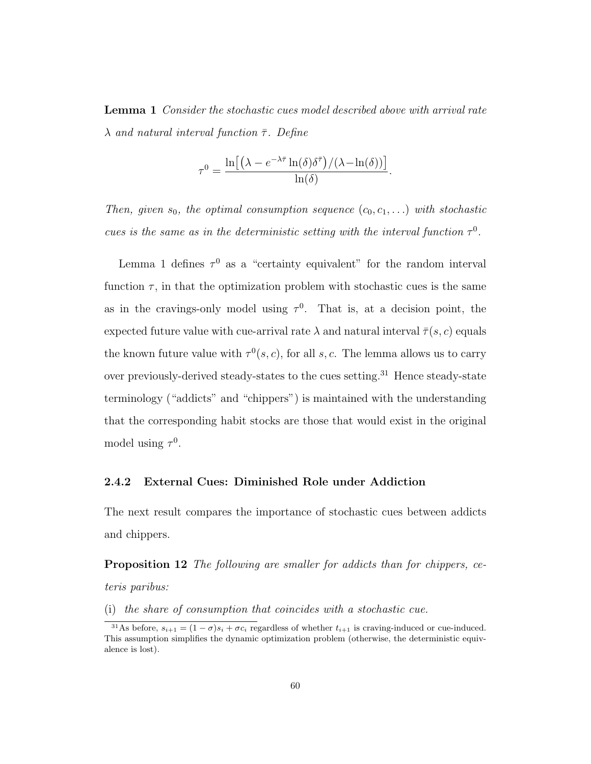Lemma 1 Consider the stochastic cues model described above with arrival rate  $\lambda$  and natural interval function  $\bar{\tau}$ . Define

$$
\tau^0 = \frac{\ln\left[\left(\lambda - e^{-\lambda \bar{\tau}} \ln(\delta) \delta^{\bar{\tau}}\right) / (\lambda - \ln(\delta))\right]}{\ln(\delta)}.
$$

Then, given  $s_0$ , the optimal consumption sequence  $(c_0, c_1, \ldots)$  with stochastic cues is the same as in the deterministic setting with the interval function  $\tau^0$ .

Lemma 1 defines  $\tau^0$  as a "certainty equivalent" for the random interval function  $\tau$ , in that the optimization problem with stochastic cues is the same as in the cravings-only model using  $\tau^0$ . That is, at a decision point, the expected future value with cue-arrival rate  $\lambda$  and natural interval  $\bar{\tau}(s,c)$  equals the known future value with  $\tau^{0}(s, c)$ , for all s, c. The lemma allows us to carry over previously-derived steady-states to the cues setting.<sup>31</sup> Hence steady-state terminology ("addicts" and "chippers") is maintained with the understanding that the corresponding habit stocks are those that would exist in the original model using  $\tau^0$ .

## 2.4.2 External Cues: Diminished Role under Addiction

The next result compares the importance of stochastic cues between addicts and chippers.

Proposition 12 The following are smaller for addicts than for chippers, ceteris paribus:

(i) the share of consumption that coincides with a stochastic cue.

<sup>&</sup>lt;sup>31</sup>As before,  $s_{i+1} = (1 - \sigma)s_i + \sigma c_i$  regardless of whether  $t_{i+1}$  is craving-induced or cue-induced. This assumption simplifies the dynamic optimization problem (otherwise, the deterministic equivalence is lost).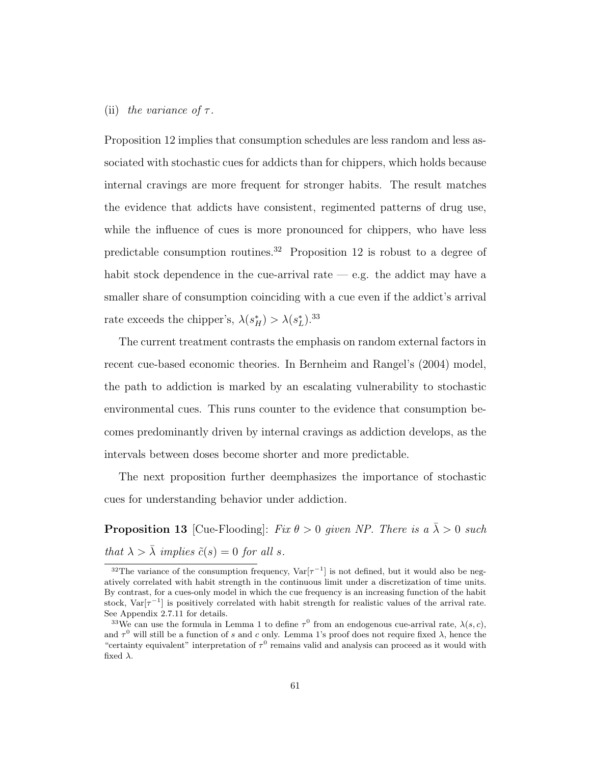### (ii) the variance of  $\tau$ .

Proposition 12 implies that consumption schedules are less random and less associated with stochastic cues for addicts than for chippers, which holds because internal cravings are more frequent for stronger habits. The result matches the evidence that addicts have consistent, regimented patterns of drug use, while the influence of cues is more pronounced for chippers, who have less predictable consumption routines.<sup>32</sup> Proposition 12 is robust to a degree of habit stock dependence in the cue-arrival rate  $-$  e.g. the addict may have a smaller share of consumption coinciding with a cue even if the addict's arrival rate exceeds the chipper's,  $\lambda(s_H^*) > \lambda(s_L^*)$ .<sup>33</sup>

The current treatment contrasts the emphasis on random external factors in recent cue-based economic theories. In Bernheim and Rangel's (2004) model, the path to addiction is marked by an escalating vulnerability to stochastic environmental cues. This runs counter to the evidence that consumption becomes predominantly driven by internal cravings as addiction develops, as the intervals between doses become shorter and more predictable.

The next proposition further deemphasizes the importance of stochastic cues for understanding behavior under addiction.

**Proposition 13** [Cue-Flooding]: Fix  $\theta > 0$  given NP. There is a  $\bar{\lambda} > 0$  such that  $\lambda > \overline{\lambda}$  implies  $\tilde{c}(s) = 0$  for all s.

<sup>&</sup>lt;sup>32</sup>The variance of the consumption frequency,  $Var[\tau^{-1}]$  is not defined, but it would also be negatively correlated with habit strength in the continuous limit under a discretization of time units. By contrast, for a cues-only model in which the cue frequency is an increasing function of the habit stock,  $Var[\tau^{-1}]$  is positively correlated with habit strength for realistic values of the arrival rate. See Appendix 2.7.11 for details.

<sup>&</sup>lt;sup>33</sup>We can use the formula in Lemma 1 to define  $\tau^0$  from an endogenous cue-arrival rate,  $\lambda(s,c)$ , and  $\tau^0$  will still be a function of s and c only. Lemma 1's proof does not require fixed  $\lambda$ , hence the "certainty equivalent" interpretation of  $\tau^0$  remains valid and analysis can proceed as it would with fixed  $\lambda$ .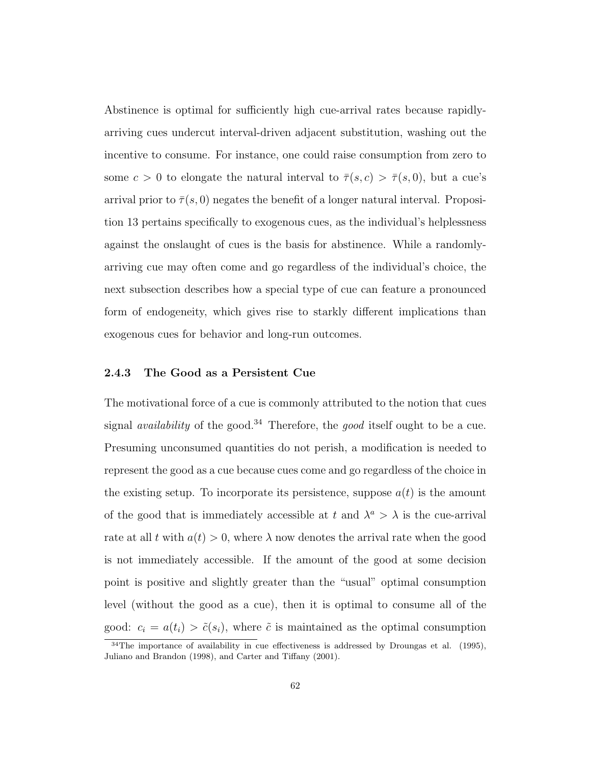Abstinence is optimal for sufficiently high cue-arrival rates because rapidlyarriving cues undercut interval-driven adjacent substitution, washing out the incentive to consume. For instance, one could raise consumption from zero to some  $c > 0$  to elongate the natural interval to  $\overline{\tau}(s,c) > \overline{\tau}(s,0)$ , but a cue's arrival prior to  $\bar{\tau}(s,0)$  negates the benefit of a longer natural interval. Proposition 13 pertains specifically to exogenous cues, as the individual's helplessness against the onslaught of cues is the basis for abstinence. While a randomlyarriving cue may often come and go regardless of the individual's choice, the next subsection describes how a special type of cue can feature a pronounced form of endogeneity, which gives rise to starkly different implications than exogenous cues for behavior and long-run outcomes.

#### 2.4.3 The Good as a Persistent Cue

The motivational force of a cue is commonly attributed to the notion that cues signal *availability* of the good.<sup>34</sup> Therefore, the *good* itself ought to be a cue. Presuming unconsumed quantities do not perish, a modification is needed to represent the good as a cue because cues come and go regardless of the choice in the existing setup. To incorporate its persistence, suppose  $a(t)$  is the amount of the good that is immediately accessible at t and  $\lambda^a > \lambda$  is the cue-arrival rate at all t with  $a(t) > 0$ , where  $\lambda$  now denotes the arrival rate when the good is not immediately accessible. If the amount of the good at some decision point is positive and slightly greater than the "usual" optimal consumption level (without the good as a cue), then it is optimal to consume all of the good:  $c_i = a(t_i) > \tilde{c}(s_i)$ , where  $\tilde{c}$  is maintained as the optimal consumption

<sup>34</sup>The importance of availability in cue effectiveness is addressed by Droungas et al. (1995), Juliano and Brandon (1998), and Carter and Tiffany (2001).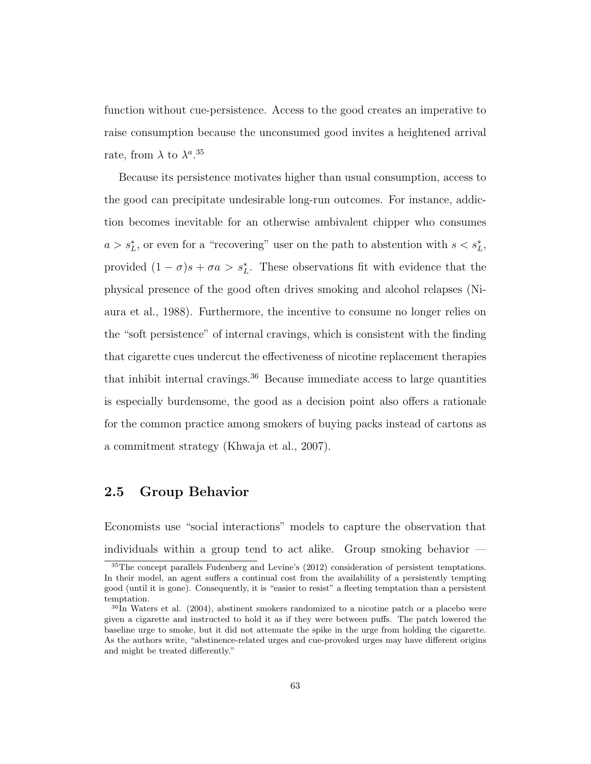function without cue-persistence. Access to the good creates an imperative to raise consumption because the unconsumed good invites a heightened arrival rate, from  $\lambda$  to  $\lambda^{a}$ .<sup>35</sup>

Because its persistence motivates higher than usual consumption, access to the good can precipitate undesirable long-run outcomes. For instance, addiction becomes inevitable for an otherwise ambivalent chipper who consumes  $a > s_L^*$ , or even for a "recovering" user on the path to abstention with  $s < s_L^*$ , provided  $(1 - \sigma)s + \sigma a > s_L^*$ . These observations fit with evidence that the physical presence of the good often drives smoking and alcohol relapses (Niaura et al., 1988). Furthermore, the incentive to consume no longer relies on the "soft persistence" of internal cravings, which is consistent with the finding that cigarette cues undercut the effectiveness of nicotine replacement therapies that inhibit internal cravings.<sup>36</sup> Because immediate access to large quantities is especially burdensome, the good as a decision point also offers a rationale for the common practice among smokers of buying packs instead of cartons as a commitment strategy (Khwaja et al., 2007).

# 2.5 Group Behavior

Economists use "social interactions" models to capture the observation that individuals within a group tend to act alike. Group smoking behavior —

<sup>35</sup>The concept parallels Fudenberg and Levine's (2012) consideration of persistent temptations. In their model, an agent suffers a continual cost from the availability of a persistently tempting good (until it is gone). Consequently, it is "easier to resist" a fleeting temptation than a persistent temptation.

<sup>36</sup>In Waters et al. (2004), abstinent smokers randomized to a nicotine patch or a placebo were given a cigarette and instructed to hold it as if they were between puffs. The patch lowered the baseline urge to smoke, but it did not attenuate the spike in the urge from holding the cigarette. As the authors write, "abstinence-related urges and cue-provoked urges may have different origins and might be treated differently."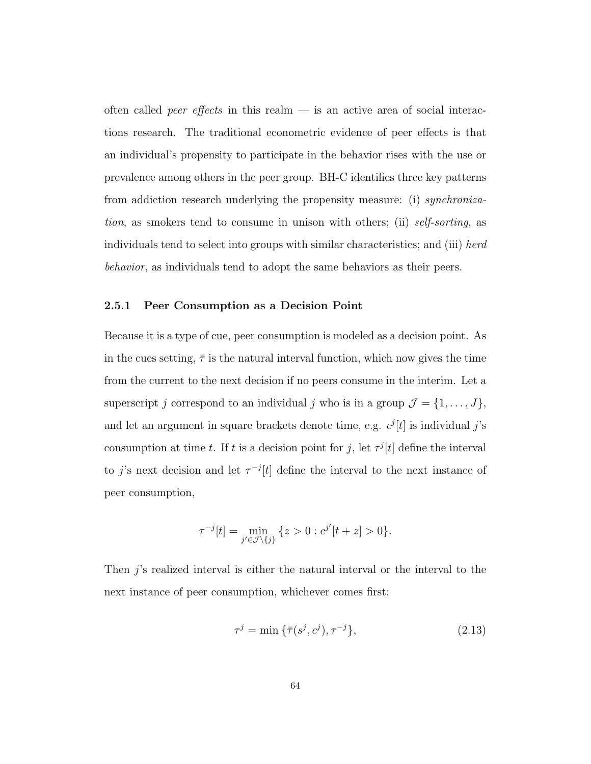often called *peer effects* in this realm  $-$  is an active area of social interactions research. The traditional econometric evidence of peer effects is that an individual's propensity to participate in the behavior rises with the use or prevalence among others in the peer group. BH-C identifies three key patterns from addiction research underlying the propensity measure: (i) *synchroniza*tion, as smokers tend to consume in unison with others; (ii) self-sorting, as individuals tend to select into groups with similar characteristics; and (iii) herd behavior, as individuals tend to adopt the same behaviors as their peers.

#### 2.5.1 Peer Consumption as a Decision Point

Because it is a type of cue, peer consumption is modeled as a decision point. As in the cues setting,  $\bar{\tau}$  is the natural interval function, which now gives the time from the current to the next decision if no peers consume in the interim. Let a superscript j correspond to an individual j who is in a group  $\mathcal{J} = \{1, \ldots, J\}$ , and let an argument in square brackets denote time, e.g.  $c^{j}[t]$  is individual j's consumption at time t. If t is a decision point for j, let  $\tau^{j}[t]$  define the interval to j's next decision and let  $\tau^{-j}[t]$  define the interval to the next instance of peer consumption,

$$
\tau^{-j}[t] = \min_{j' \in \mathcal{J} \setminus \{j\}} \{z > 0 : c^{j'}[t+z] > 0\}.
$$

Then j's realized interval is either the natural interval or the interval to the next instance of peer consumption, whichever comes first:

$$
\tau^{j} = \min \{ \bar{\tau}(s^{j}, c^{j}), \tau^{-j} \}, \tag{2.13}
$$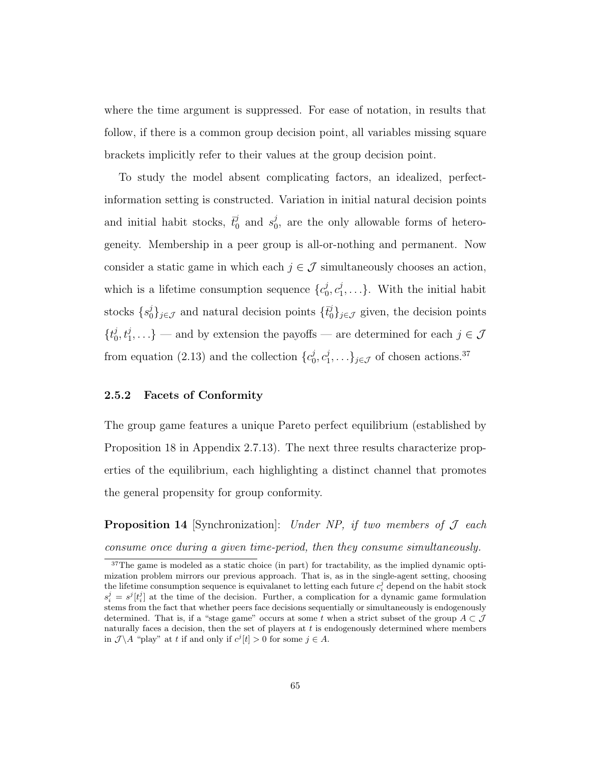where the time argument is suppressed. For ease of notation, in results that follow, if there is a common group decision point, all variables missing square brackets implicitly refer to their values at the group decision point.

To study the model absent complicating factors, an idealized, perfectinformation setting is constructed. Variation in initial natural decision points and initial habit stocks,  $\vec{t}_0^j$  $j_0$  and  $s_0^j$  $\delta_0^j$ , are the only allowable forms of heterogeneity. Membership in a peer group is all-or-nothing and permanent. Now consider a static game in which each  $j \in \mathcal{J}$  simultaneously chooses an action, which is a lifetime consumption sequence  $\{c_0^j\}$  $_{0}^{j},c_{1}^{j}$  $\{1, \ldots\}$ . With the initial habit stocks  $\{s_0^j\}_{j\in\mathcal{J}}$  and natural decision points  $\{\vec{t}_0^j\}_{j\in\mathcal{J}}$  given, the decision points  ${t_0^j}$  $\{(\mathbf{y}_0^j, t_1^j, \ldots) \}$  — and by extension the payoffs — are determined for each  $j \in \mathcal{J}$ from equation (2.13) and the collection  $\{c_0^j\}$  $_{0}^{j},c_{1}^{j}$  $\{(\mathbf{x}_1, \ldots)\}_{j \in \mathcal{J}}$  of chosen actions.<sup>37</sup>

#### 2.5.2 Facets of Conformity

The group game features a unique Pareto perfect equilibrium (established by Proposition 18 in Appendix 2.7.13). The next three results characterize properties of the equilibrium, each highlighting a distinct channel that promotes the general propensity for group conformity.

**Proposition 14** [Synchronization]: Under NP, if two members of  $J$  each consume once during a given time-period, then they consume simultaneously.

<sup>&</sup>lt;sup>37</sup>The game is modeled as a static choice (in part) for tractability, as the implied dynamic optimization problem mirrors our previous approach. That is, as in the single-agent setting, choosing the lifetime consumption sequence is equivalanet to letting each future  $c_i^j$  depend on the habit stock  $s_i^j = s^j[t_i^j]$  at the time of the decision. Further, a complication for a dynamic game formulation stems from the fact that whether peers face decisions sequentially or simultaneously is endogenously determined. That is, if a "stage game" occurs at some t when a strict subset of the group  $A \subset \mathcal{J}$ naturally faces a decision, then the set of players at  $t$  is endogenously determined where members in  $\mathcal{J} \backslash A$  "play" at t if and only if  $c^j[t] > 0$  for some  $j \in A$ .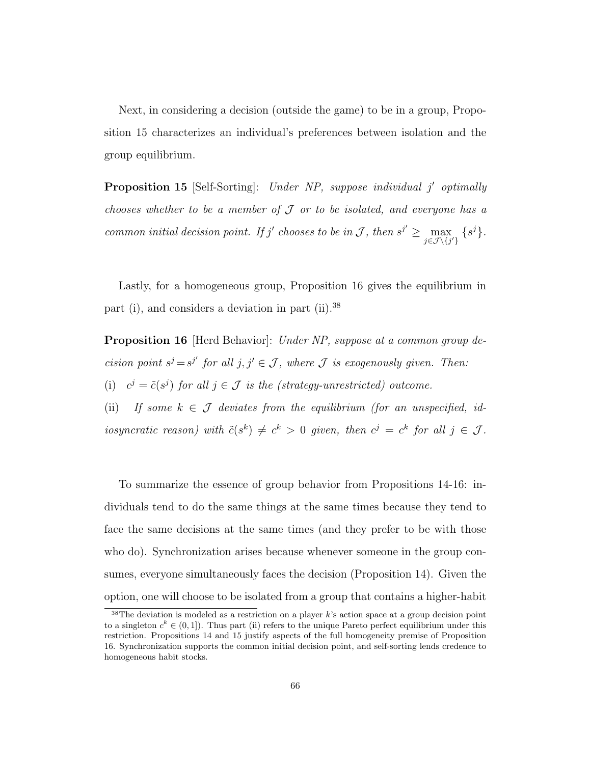Next, in considering a decision (outside the game) to be in a group, Proposition 15 characterizes an individual's preferences between isolation and the group equilibrium.

**Proposition 15** [Self-Sorting]: Under NP, suppose individual j' optimally chooses whether to be a member of  $\mathcal J$  or to be isolated, and everyone has a common initial decision point. If j' chooses to be in J, then  $s^{j'} \geq \max_{j \in \mathcal{J} \setminus \{j'\}} \{s^j\}.$ 

Lastly, for a homogeneous group, Proposition 16 gives the equilibrium in part (i), and considers a deviation in part (ii).<sup>38</sup>

**Proposition 16** [Herd Behavior]: Under NP, suppose at a common group decision point  $s^j = s^{j'}$  for all  $j, j' \in \mathcal{J}$ , where  $\mathcal J$  is exogenously given. Then: (i)  $c^j = \tilde{c}(s^j)$  for all  $j \in \mathcal{J}$  is the (strategy-unrestricted) outcome.

(ii) If some  $k \in \mathcal{J}$  deviates from the equilibrium (for an unspecified, idiosyncratic reason) with  $\tilde{c}(s^k) \neq c^k > 0$  given, then  $c^j = c^k$  for all  $j \in \mathcal{J}$ .

To summarize the essence of group behavior from Propositions 14-16: individuals tend to do the same things at the same times because they tend to face the same decisions at the same times (and they prefer to be with those who do). Synchronization arises because whenever someone in the group consumes, everyone simultaneously faces the decision (Proposition 14). Given the option, one will choose to be isolated from a group that contains a higher-habit

<sup>38</sup>The deviation is modeled as a restriction on a player k's action space at a group decision point to a singleton  $c^k \in (0,1]$ ). Thus part (ii) refers to the unique Pareto perfect equilibrium under this restriction. Propositions 14 and 15 justify aspects of the full homogeneity premise of Proposition 16. Synchronization supports the common initial decision point, and self-sorting lends credence to homogeneous habit stocks.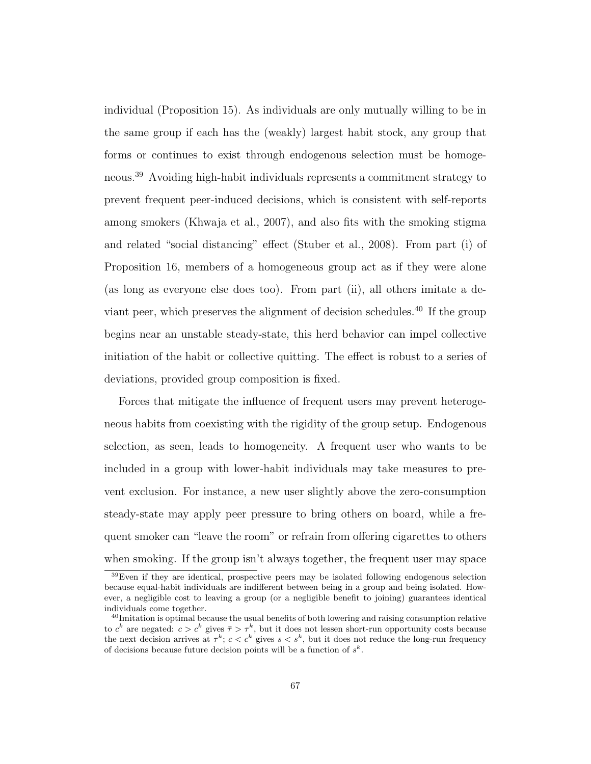individual (Proposition 15). As individuals are only mutually willing to be in the same group if each has the (weakly) largest habit stock, any group that forms or continues to exist through endogenous selection must be homogeneous.<sup>39</sup> Avoiding high-habit individuals represents a commitment strategy to prevent frequent peer-induced decisions, which is consistent with self-reports among smokers (Khwaja et al., 2007), and also fits with the smoking stigma and related "social distancing" effect (Stuber et al., 2008). From part (i) of Proposition 16, members of a homogeneous group act as if they were alone (as long as everyone else does too). From part (ii), all others imitate a deviant peer, which preserves the alignment of decision schedules.<sup>40</sup> If the group begins near an unstable steady-state, this herd behavior can impel collective initiation of the habit or collective quitting. The effect is robust to a series of deviations, provided group composition is fixed.

Forces that mitigate the influence of frequent users may prevent heterogeneous habits from coexisting with the rigidity of the group setup. Endogenous selection, as seen, leads to homogeneity. A frequent user who wants to be included in a group with lower-habit individuals may take measures to prevent exclusion. For instance, a new user slightly above the zero-consumption steady-state may apply peer pressure to bring others on board, while a frequent smoker can "leave the room" or refrain from offering cigarettes to others when smoking. If the group isn't always together, the frequent user may space

<sup>39</sup>Even if they are identical, prospective peers may be isolated following endogenous selection because equal-habit individuals are indifferent between being in a group and being isolated. However, a negligible cost to leaving a group (or a negligible benefit to joining) guarantees identical individuals come together.

 $40$ Imitation is optimal because the usual benefits of both lowering and raising consumption relative to  $c^k$  are negated:  $c > c^k$  gives  $\bar{\tau} > \tau^k$ , but it does not lessen short-run opportunity costs because the next decision arrives at  $\tau^k$ ;  $c < c^k$  gives  $s < s^k$ , but it does not reduce the long-run frequency of decisions because future decision points will be a function of  $s^k$ .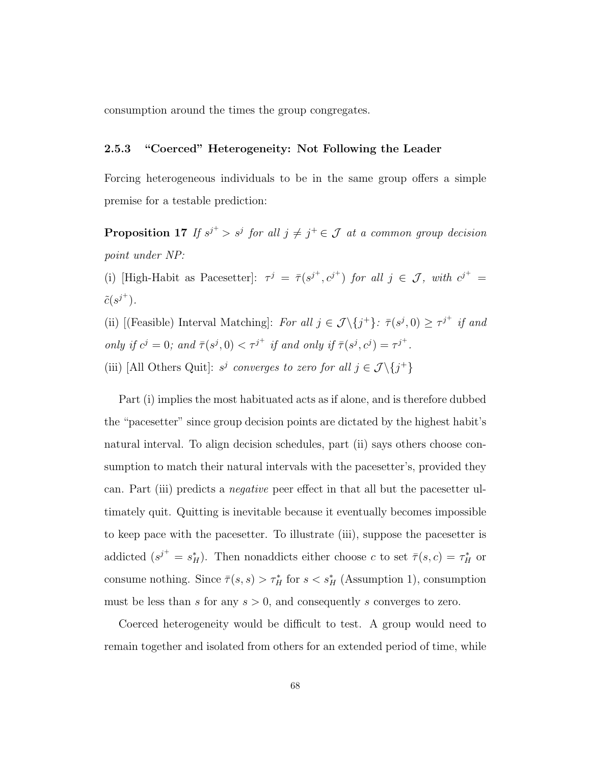consumption around the times the group congregates.

### 2.5.3 "Coerced" Heterogeneity: Not Following the Leader

Forcing heterogeneous individuals to be in the same group offers a simple premise for a testable prediction:

**Proposition 17** If  $s^{j^+} > s^j$  for all  $j \neq j^+ \in \mathcal{J}$  at a common group decision point under NP:

(i) [High-Habit as Pacesetter]:  $\tau^j = \bar{\tau}(s^{j^+}, c^{j^+})$  for all  $j \in \mathcal{J}$ , with  $c^{j^+} =$  $\tilde{c}(s^{j^+}).$ 

(ii) [(Feasible) Interval Matching]: For all  $j \in \mathcal{J} \setminus \{j^+\}$ :  $\bar{\tau}(s^j, 0) \geq \tau^{j^+}$  if and only if  $c^j = 0$ ; and  $\overline{\tau}(s^j, 0) < \tau^{j^+}$  if and only if  $\overline{\tau}(s^j, c^j) = \tau^{j^+}$ .

(iii) [All Others Quit]:  $s^j$  converges to zero for all  $j \in \mathcal{J} \setminus \{j^+\}$ 

Part (i) implies the most habituated acts as if alone, and is therefore dubbed the "pacesetter" since group decision points are dictated by the highest habit's natural interval. To align decision schedules, part (ii) says others choose consumption to match their natural intervals with the pacesetter's, provided they can. Part (iii) predicts a negative peer effect in that all but the pacesetter ultimately quit. Quitting is inevitable because it eventually becomes impossible to keep pace with the pacesetter. To illustrate (iii), suppose the pacesetter is addicted  $(s^{j^+} = s_H^*)$ . Then nonaddicts either choose c to set  $\bar{\tau}(s,c) = \tau_H^*$  or consume nothing. Since  $\bar{\tau}(s,s) > \tau_H^*$  for  $s < s_H^*$  (Assumption 1), consumption must be less than s for any  $s > 0$ , and consequently s converges to zero.

Coerced heterogeneity would be difficult to test. A group would need to remain together and isolated from others for an extended period of time, while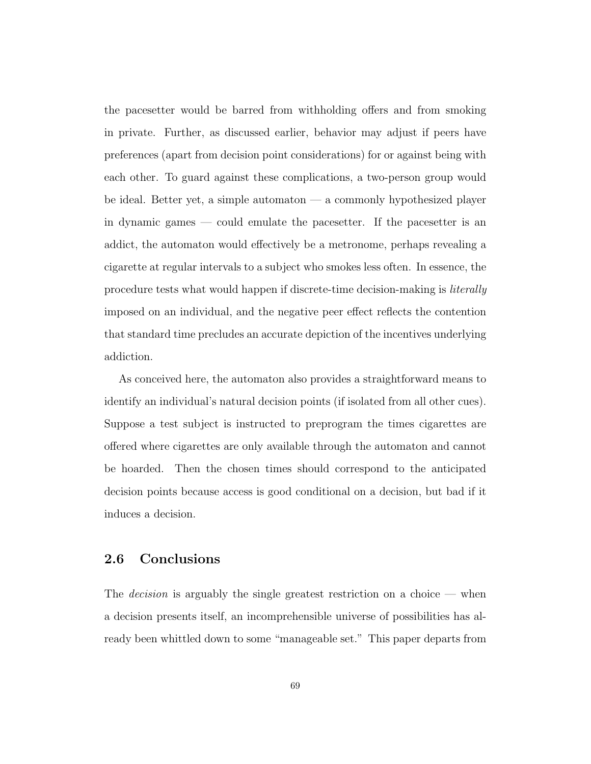the pacesetter would be barred from withholding offers and from smoking in private. Further, as discussed earlier, behavior may adjust if peers have preferences (apart from decision point considerations) for or against being with each other. To guard against these complications, a two-person group would be ideal. Better yet, a simple automaton — a commonly hypothesized player in dynamic games — could emulate the pacesetter. If the pacesetter is an addict, the automaton would effectively be a metronome, perhaps revealing a cigarette at regular intervals to a subject who smokes less often. In essence, the procedure tests what would happen if discrete-time decision-making is literally imposed on an individual, and the negative peer effect reflects the contention that standard time precludes an accurate depiction of the incentives underlying addiction.

As conceived here, the automaton also provides a straightforward means to identify an individual's natural decision points (if isolated from all other cues). Suppose a test subject is instructed to preprogram the times cigarettes are offered where cigarettes are only available through the automaton and cannot be hoarded. Then the chosen times should correspond to the anticipated decision points because access is good conditional on a decision, but bad if it induces a decision.

# 2.6 Conclusions

The *decision* is arguably the single greatest restriction on a choice — when a decision presents itself, an incomprehensible universe of possibilities has already been whittled down to some "manageable set." This paper departs from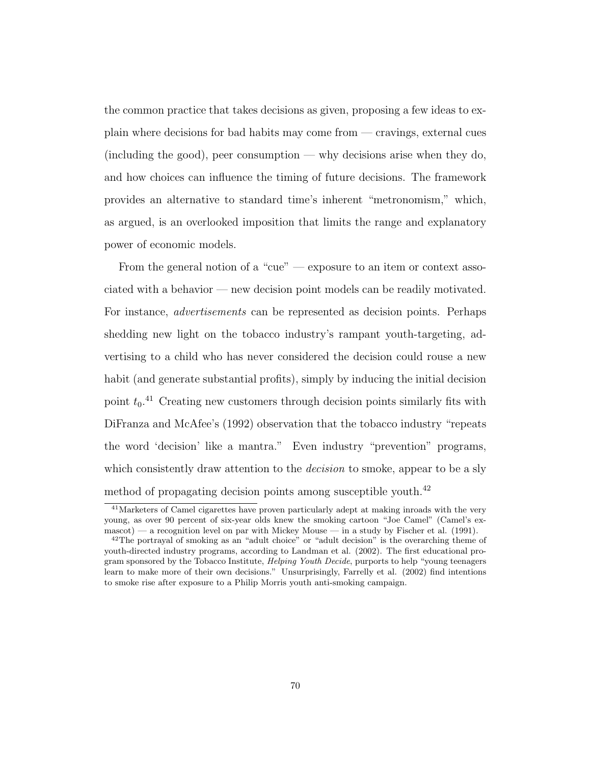the common practice that takes decisions as given, proposing a few ideas to explain where decisions for bad habits may come from — cravings, external cues (including the good), peer consumption — why decisions arise when they do, and how choices can influence the timing of future decisions. The framework provides an alternative to standard time's inherent "metronomism," which, as argued, is an overlooked imposition that limits the range and explanatory power of economic models.

From the general notion of a "cue" — exposure to an item or context associated with a behavior — new decision point models can be readily motivated. For instance, advertisements can be represented as decision points. Perhaps shedding new light on the tobacco industry's rampant youth-targeting, advertising to a child who has never considered the decision could rouse a new habit (and generate substantial profits), simply by inducing the initial decision point  $t_0$ <sup>41</sup> Creating new customers through decision points similarly fits with DiFranza and McAfee's (1992) observation that the tobacco industry "repeats the word 'decision' like a mantra." Even industry "prevention" programs, which consistently draw attention to the *decision* to smoke, appear to be a sly method of propagating decision points among susceptible youth.<sup>42</sup>

<sup>41</sup>Marketers of Camel cigarettes have proven particularly adept at making inroads with the very young, as over 90 percent of six-year olds knew the smoking cartoon "Joe Camel" (Camel's ex $masscot$ ) — a recognition level on par with Mickey Mouse — in a study by Fischer et al. (1991).

<sup>42</sup>The portrayal of smoking as an "adult choice" or "adult decision" is the overarching theme of youth-directed industry programs, according to Landman et al. (2002). The first educational program sponsored by the Tobacco Institute, *Helping Youth Decide*, purports to help "young teenagers" learn to make more of their own decisions." Unsurprisingly, Farrelly et al. (2002) find intentions to smoke rise after exposure to a Philip Morris youth anti-smoking campaign.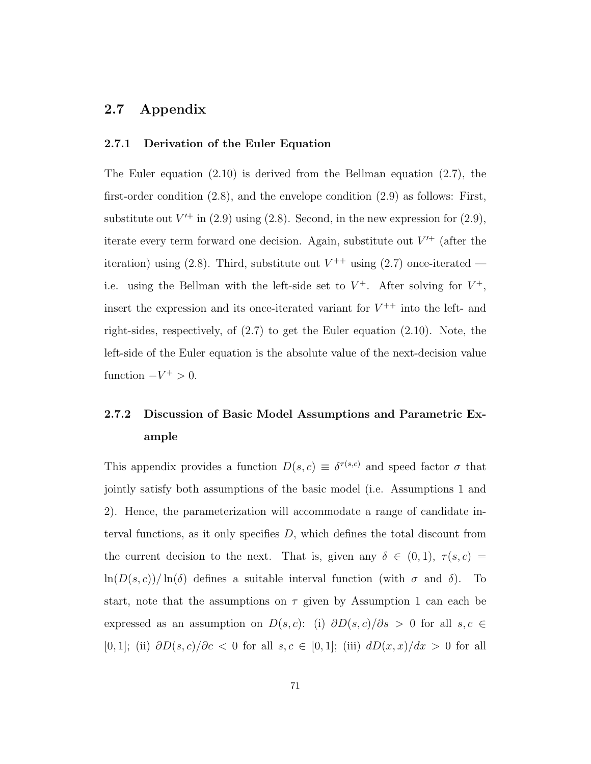# 2.7 Appendix

#### 2.7.1 Derivation of the Euler Equation

The Euler equation  $(2.10)$  is derived from the Bellman equation  $(2.7)$ , the first-order condition (2.8), and the envelope condition (2.9) as follows: First, substitute out  $V'^{+}$  in (2.9) using (2.8). Second, in the new expression for (2.9), iterate every term forward one decision. Again, substitute out  $V'^+$  (after the iteration) using (2.8). Third, substitute out  $V^{++}$  using (2.7) once-iterated i.e. using the Bellman with the left-side set to  $V^+$ . After solving for  $V^+$ , insert the expression and its once-iterated variant for  $V^{++}$  into the left- and right-sides, respectively, of  $(2.7)$  to get the Euler equation  $(2.10)$ . Note, the left-side of the Euler equation is the absolute value of the next-decision value function  $-V^+ > 0$ .

# 2.7.2 Discussion of Basic Model Assumptions and Parametric Example

This appendix provides a function  $D(s, c) \equiv \delta^{\tau(s,c)}$  and speed factor  $\sigma$  that jointly satisfy both assumptions of the basic model (i.e. Assumptions 1 and 2). Hence, the parameterization will accommodate a range of candidate interval functions, as it only specifies  $D$ , which defines the total discount from the current decision to the next. That is, given any  $\delta \in (0,1)$ ,  $\tau(s,c)$  $\ln(D(s, c))/\ln(\delta)$  defines a suitable interval function (with  $\sigma$  and  $\delta$ ). To start, note that the assumptions on  $\tau$  given by Assumption 1 can each be expressed as an assumption on  $D(s, c)$ : (i)  $\partial D(s, c)/\partial s > 0$  for all  $s, c \in$ [0, 1]; (ii)  $\partial D(s,c)/\partial c < 0$  for all  $s, c \in [0,1]$ ; (iii)  $dD(x,x)/dx > 0$  for all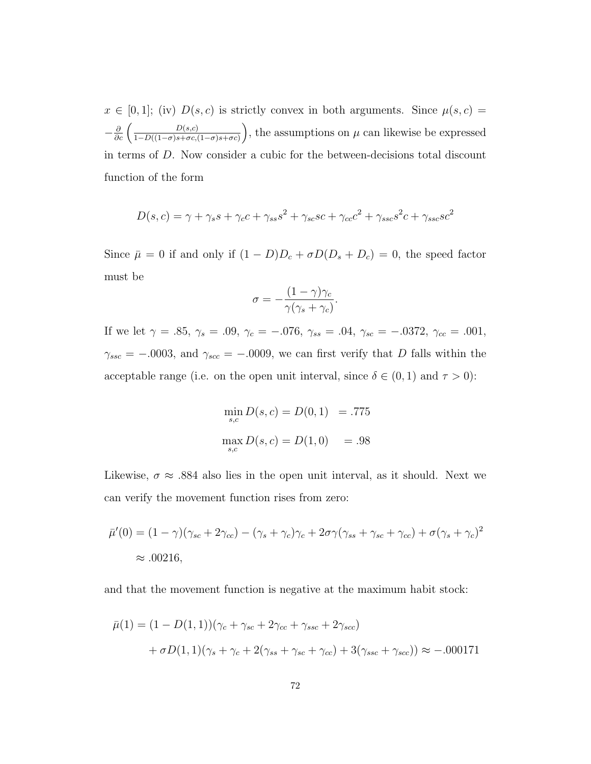$x \in [0,1]$ ; (iv)  $D(s, c)$  is strictly convex in both arguments. Since  $\mu(s, c)$  $-\frac{\partial}{\partial c}\left(\frac{D(s,c)}{1-D((1-\sigma)s+\sigma c)}\right)$  $\frac{D(s,c)}{1-D((1-\sigma)s+\sigma c,(1-\sigma)s+\sigma c)}\bigg)$ , the assumptions on  $\mu$  can likewise be expressed in terms of D. Now consider a cubic for the between-decisions total discount function of the form

$$
D(s,c) = \gamma + \gamma_s s + \gamma_c c + \gamma_{ss} s^2 + \gamma_{sc} s c + \gamma_{cc} c^2 + \gamma_{ssc} s^2 c + \gamma_{ssc} s c^2
$$

Since  $\bar{\mu} = 0$  if and only if  $(1 - D)D_c + \sigma D(D_s + D_c) = 0$ , the speed factor must be

$$
\sigma = -\frac{(1-\gamma)\gamma_c}{\gamma(\gamma_s + \gamma_c)}.
$$

If we let  $\gamma = .85, \gamma_s = .09, \gamma_c = -.076, \gamma_{ss} = .04, \gamma_{sc} = -.0372, \gamma_{cc} = .001,$  $\gamma_{ssc} = -.0003$ , and  $\gamma_{scc} = -.0009$ , we can first verify that D falls within the acceptable range (i.e. on the open unit interval, since  $\delta \in (0,1)$  and  $\tau > 0$ ):

$$
\min_{s,c} D(s,c) = D(0,1) = .775
$$
  

$$
\max_{s,c} D(s,c) = D(1,0) = .98
$$

Likewise,  $\sigma \approx 0.884$  also lies in the open unit interval, as it should. Next we can verify the movement function rises from zero:

$$
\bar{\mu}'(0) = (1 - \gamma)(\gamma_{sc} + 2\gamma_{cc}) - (\gamma_s + \gamma_c)\gamma_c + 2\sigma\gamma(\gamma_{ss} + \gamma_{sc} + \gamma_{cc}) + \sigma(\gamma_s + \gamma_c)^2
$$
  

$$
\approx .00216,
$$

and that the movement function is negative at the maximum habit stock:

$$
\bar{\mu}(1) = (1 - D(1, 1))(\gamma_c + \gamma_{sc} + 2\gamma_{cc} + \gamma_{ssc} + 2\gamma_{sc}) \n+ \sigma D(1, 1)(\gamma_s + \gamma_c + 2(\gamma_{ss} + \gamma_{sc} + \gamma_{cc}) + 3(\gamma_{ssc} + \gamma_{sc})) \approx -.000171
$$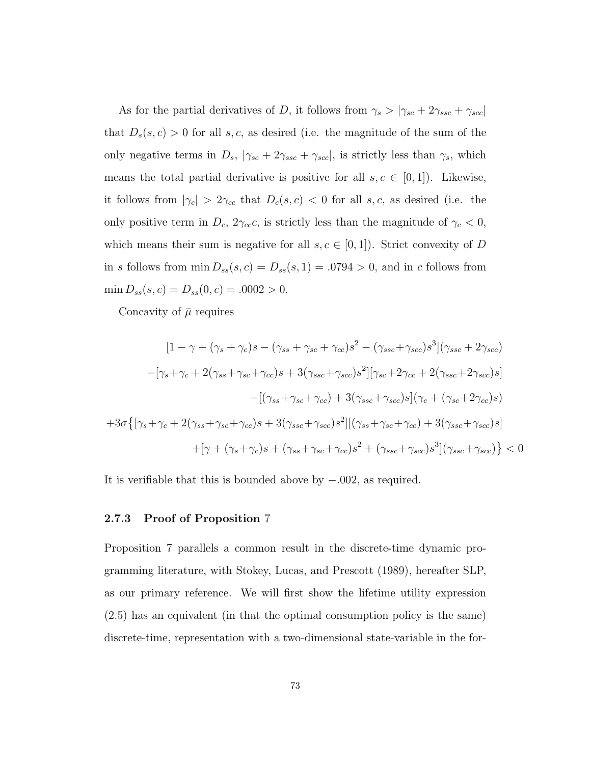As for the partial derivatives of D, it follows from  $\gamma_s > |\gamma_{sc} + 2\gamma_{ssc} + \gamma_{scc}|$ that  $D_s(s, c) > 0$  for all s, c, as desired (i.e. the magnitude of the sum of the only negative terms in  $D_s$ ,  $|\gamma_{sc} + 2\gamma_{ssc} + \gamma_{sc}|$ , is strictly less than  $\gamma_s$ , which means the total partial derivative is positive for all  $s, c \in [0, 1]$ . Likewise, it follows from  $|\gamma_c| > 2\gamma_{cc}$  that  $D_c(s, c) < 0$  for all s, c, as desired (i.e. the only positive term in  $D_c$ ,  $2\gamma_{cc}c$ , is strictly less than the magnitude of  $\gamma_c < 0$ , which means their sum is negative for all  $s, c \in [0, 1]$ . Strict convexity of D in s follows from  $\min D_{ss}(s, c) = D_{ss}(s, 1) = .0794 > 0$ , and in c follows from  $\min D_{ss}(s, c) = D_{ss}(0, c) = .0002 > 0.$ 

Concavity of  $\bar{\mu}$  requires

$$
[1 - \gamma - (\gamma_s + \gamma_c)s - (\gamma_{ss} + \gamma_{sc} + \gamma_{cc})s^2 - (\gamma_{ssc} + \gamma_{scc})s^3](\gamma_{ssc} + 2\gamma_{scc})
$$

$$
-[\gamma_s + \gamma_c + 2(\gamma_{ss} + \gamma_{sc} + \gamma_{cc})s + 3(\gamma_{ssc} + \gamma_{scc})s^2][\gamma_{sc} + 2\gamma_{cc} + 2(\gamma_{ssc} + 2\gamma_{scc})s]
$$

$$
-[(\gamma_{ss} + \gamma_{sc} + \gamma_{cc}) + 3(\gamma_{ssc} + \gamma_{scc})s](\gamma_c + (\gamma_{sc} + 2\gamma_{cc})s)
$$

$$
+3\sigma\{[\gamma_s + \gamma_c + 2(\gamma_{ss} + \gamma_{sc} + \gamma_{cc})s + 3(\gamma_{ssc} + \gamma_{sc})s^2][( \gamma_{ss} + \gamma_{sc} + \gamma_{cc}) + 3(\gamma_{ssc} + \gamma_{scc})s]
$$

$$
+[\gamma + (\gamma_s + \gamma_c)s + (\gamma_{ss} + \gamma_{sc} + \gamma_{cc})s^2 + (\gamma_{ssc} + \gamma_{scc})s^3](\gamma_{ssc} + \gamma_{scc}) \} < 0
$$

It is verifiable that this is bounded above by −.002, as required.

#### 2.7.3 Proof of Proposition 7

Proposition 7 parallels a common result in the discrete-time dynamic programming literature, with Stokey, Lucas, and Prescott (1989), hereafter SLP, as our primary reference. We will first show the lifetime utility expression (2.5) has an equivalent (in that the optimal consumption policy is the same) discrete-time, representation with a two-dimensional state-variable in the for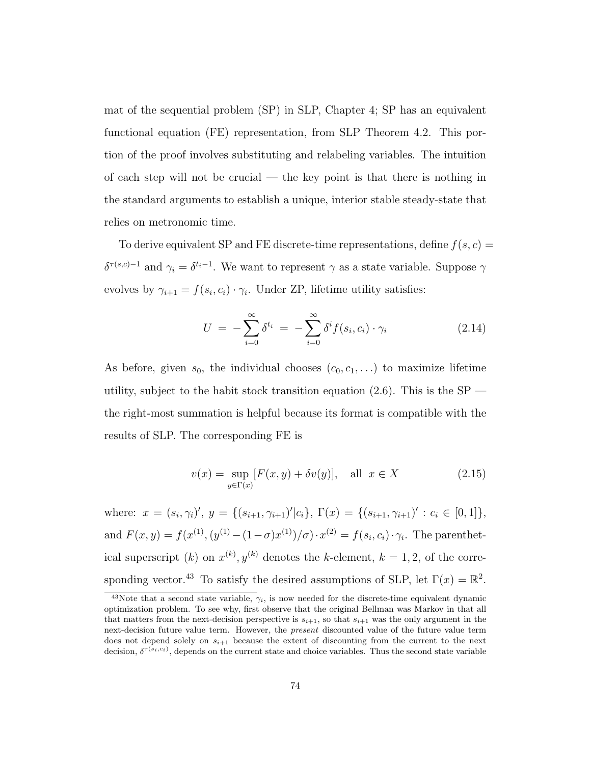mat of the sequential problem (SP) in SLP, Chapter 4; SP has an equivalent functional equation (FE) representation, from SLP Theorem 4.2. This portion of the proof involves substituting and relabeling variables. The intuition of each step will not be crucial — the key point is that there is nothing in the standard arguments to establish a unique, interior stable steady-state that relies on metronomic time.

To derive equivalent SP and FE discrete-time representations, define  $f(s, c)$  =  $\delta^{\tau(s,c)-1}$  and  $\gamma_i = \delta^{t_i-1}$ . We want to represent  $\gamma$  as a state variable. Suppose  $\gamma$ evolves by  $\gamma_{i+1} = f(s_i, c_i) \cdot \gamma_i$ . Under ZP, lifetime utility satisfies:

$$
U = -\sum_{i=0}^{\infty} \delta^{t_i} = -\sum_{i=0}^{\infty} \delta^i f(s_i, c_i) \cdot \gamma_i \qquad (2.14)
$$

As before, given  $s_0$ , the individual chooses  $(c_0, c_1, \ldots)$  to maximize lifetime utility, subject to the habit stock transition equation  $(2.6)$ . This is the SP the right-most summation is helpful because its format is compatible with the results of SLP. The corresponding FE is

$$
v(x) = \sup_{y \in \Gamma(x)} [F(x, y) + \delta v(y)], \quad \text{all } x \in X \tag{2.15}
$$

where:  $x = (s_i, \gamma_i)'$ ,  $y = \{(s_{i+1}, \gamma_{i+1})'|c_i\}$ ,  $\Gamma(x) = \{(s_{i+1}, \gamma_{i+1})' : c_i \in [0, 1]\}$ , and  $F(x, y) = f(x^{(1)}, (y^{(1)} - (1 - \sigma)x^{(1)})/\sigma) \cdot x^{(2)} = f(s_i, c_i) \cdot \gamma_i$ . The parenthetical superscript (k) on  $x^{(k)}$ ,  $y^{(k)}$  denotes the k-element,  $k = 1, 2$ , of the corresponding vector.<sup>43</sup> To satisfy the desired assumptions of SLP, let  $\Gamma(x) = \mathbb{R}^2$ .

<sup>&</sup>lt;sup>43</sup>Note that a second state variable,  $\gamma_i$ , is now needed for the discrete-time equivalent dynamic optimization problem. To see why, first observe that the original Bellman was Markov in that all that matters from the next-decision perspective is  $s_{i+1}$ , so that  $s_{i+1}$  was the only argument in the next-decision future value term. However, the *present* discounted value of the future value term does not depend solely on  $s_{i+1}$  because the extent of discounting from the current to the next decision,  $\delta^{\tau(s_i,c_i)}$ , depends on the current state and choice variables. Thus the second state variable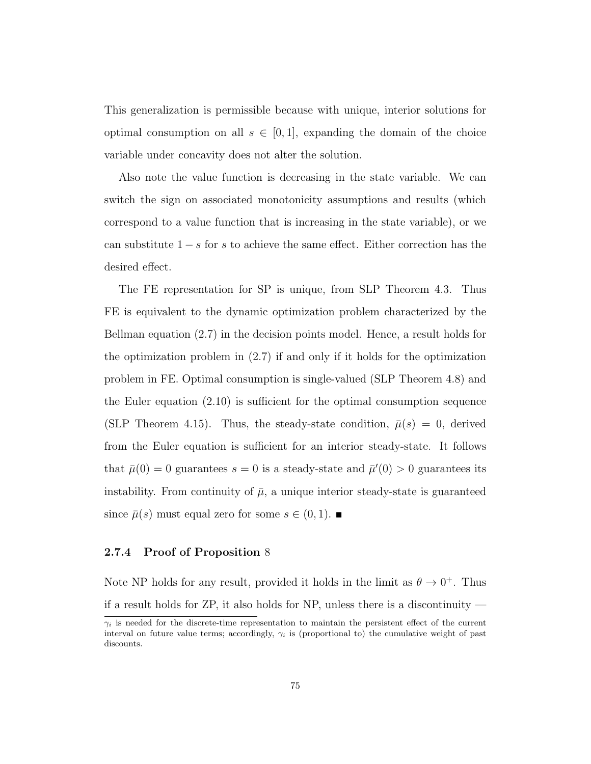This generalization is permissible because with unique, interior solutions for optimal consumption on all  $s \in [0,1]$ , expanding the domain of the choice variable under concavity does not alter the solution.

Also note the value function is decreasing in the state variable. We can switch the sign on associated monotonicity assumptions and results (which correspond to a value function that is increasing in the state variable), or we can substitute  $1 - s$  for s to achieve the same effect. Either correction has the desired effect.

The FE representation for SP is unique, from SLP Theorem 4.3. Thus FE is equivalent to the dynamic optimization problem characterized by the Bellman equation (2.7) in the decision points model. Hence, a result holds for the optimization problem in (2.7) if and only if it holds for the optimization problem in FE. Optimal consumption is single-valued (SLP Theorem 4.8) and the Euler equation (2.10) is sufficient for the optimal consumption sequence (SLP Theorem 4.15). Thus, the steady-state condition,  $\bar{\mu}(s) = 0$ , derived from the Euler equation is sufficient for an interior steady-state. It follows that  $\bar{\mu}(0) = 0$  guarantees  $s = 0$  is a steady-state and  $\bar{\mu}'(0) > 0$  guarantees its instability. From continuity of  $\bar{\mu}$ , a unique interior steady-state is guaranteed since  $\bar{\mu}(s)$  must equal zero for some  $s \in (0,1)$ .

#### 2.7.4 Proof of Proposition 8

Note NP holds for any result, provided it holds in the limit as  $\theta \to 0^+$ . Thus if a result holds for ZP, it also holds for NP, unless there is a discontinuity —

 $\gamma_i$  is needed for the discrete-time representation to maintain the persistent effect of the current interval on future value terms; accordingly,  $\gamma_i$  is (proportional to) the cumulative weight of past discounts.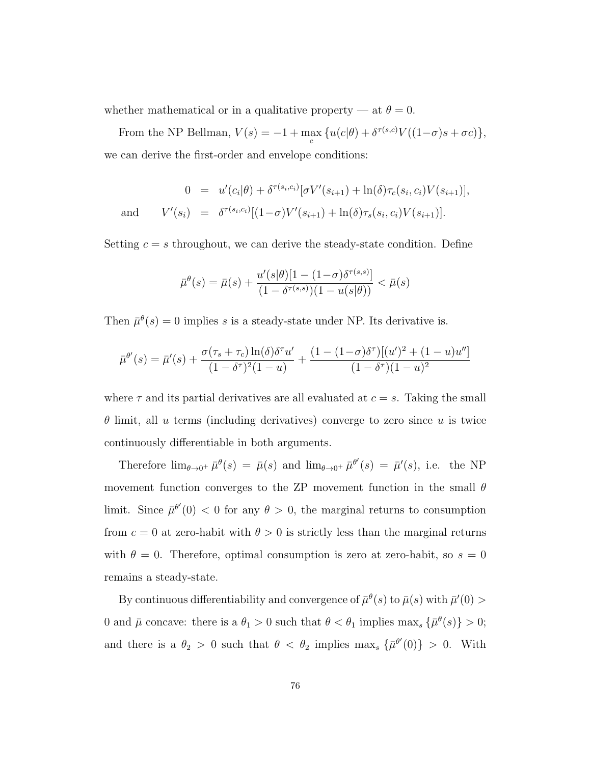whether mathematical or in a qualitative property — at  $\theta = 0$ .

From the NP Bellman,  $V(s) = -1 + \max_{c} \{ u(c|\theta) + \delta^{\tau(s,c)} V((1-\sigma)s + \sigma c) \},\$ we can derive the first-order and envelope conditions:

$$
0 = u'(c_i|\theta) + \delta^{\tau(s_i, c_i)}[\sigma V'(s_{i+1}) + \ln(\delta)\tau_c(s_i, c_i)V(s_{i+1})],
$$
  
and 
$$
V'(s_i) = \delta^{\tau(s_i, c_i)}[(1-\sigma)V'(s_{i+1}) + \ln(\delta)\tau_s(s_i, c_i)V(s_{i+1})].
$$

Setting  $c = s$  throughout, we can derive the steady-state condition. Define

$$
\bar{\mu}^{\theta}(s) = \bar{\mu}(s) + \frac{u'(s|\theta)[1 - (1-\sigma)\delta^{\tau(s,s)}]}{(1 - \delta^{\tau(s,s)})(1 - u(s|\theta))} < \bar{\mu}(s)
$$

Then  $\bar{\mu}^{\theta}(s) = 0$  implies s is a steady-state under NP. Its derivative is.

$$
\bar{\mu}^{\theta'}(s) = \bar{\mu}'(s) + \frac{\sigma(\tau_s + \tau_c) \ln(\delta) \delta^{\tau} u'}{(1 - \delta^{\tau})^2 (1 - u)} + \frac{(1 - (1 - \sigma) \delta^{\tau})[(u')^2 + (1 - u)u'']}{(1 - \delta^{\tau})(1 - u)^2}
$$

where  $\tau$  and its partial derivatives are all evaluated at  $c = s$ . Taking the small  $\theta$  limit, all u terms (including derivatives) converge to zero since u is twice continuously differentiable in both arguments.

Therefore  $\lim_{\theta \to 0^+} \bar{\mu}^{\theta}(s) = \bar{\mu}(s)$  and  $\lim_{\theta \to 0^+} \bar{\mu}^{\theta'}(s) = \bar{\mu}'(s)$ , i.e. the NP movement function converges to the ZP movement function in the small  $\theta$ limit. Since  $\bar{\mu}^{\theta'}(0) < 0$  for any  $\theta > 0$ , the marginal returns to consumption from  $c = 0$  at zero-habit with  $\theta > 0$  is strictly less than the marginal returns with  $\theta = 0$ . Therefore, optimal consumption is zero at zero-habit, so  $s = 0$ remains a steady-state.

By continuous differentiability and convergence of  $\bar{\mu}^{\theta}(s)$  to  $\bar{\mu}(s)$  with  $\bar{\mu}'(0)$ 0 and  $\bar{\mu}$  concave: there is a  $\theta_1 > 0$  such that  $\theta < \theta_1$  implies  $\max_s {\{\bar{\mu}^{\theta}(s)\}} > 0;$ and there is a  $\theta_2 > 0$  such that  $\theta < \theta_2$  implies max<sub>s</sub>  $\{\bar{\mu}^{\theta}(0)\} > 0$ . With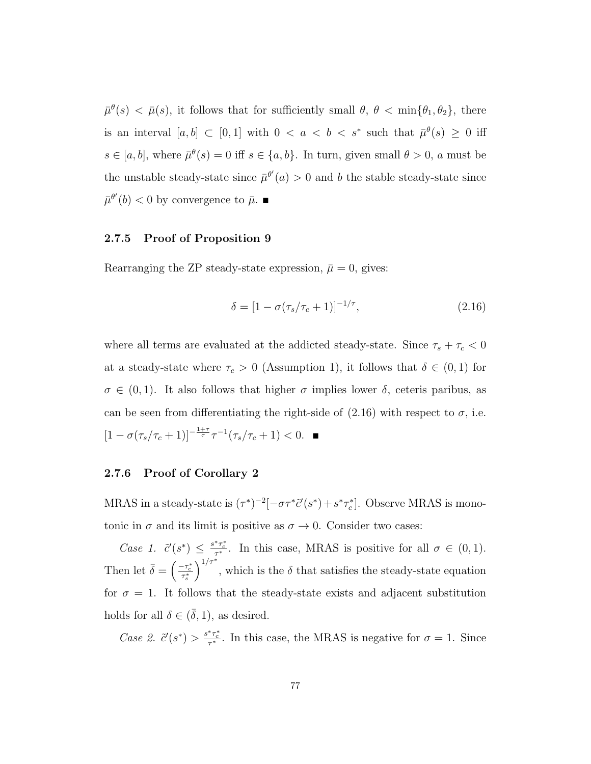$\bar{\mu}^{\theta}(s) < \bar{\mu}(s)$ , it follows that for sufficiently small  $\theta$ ,  $\theta < \min{\{\theta_1, \theta_2\}}$ , there is an interval  $[a, b] \subset [0, 1]$  with  $0 < a < b < s^*$  such that  $\bar{\mu}^{\theta}(s) \geq 0$  iff  $s \in [a, b]$ , where  $\bar{\mu}^{\theta}(s) = 0$  iff  $s \in \{a, b\}$ . In turn, given small  $\theta > 0$ , a must be the unstable steady-state since  $\bar{\mu}^{\theta'}(a) > 0$  and b the stable steady-state since  $\bar{\mu}^{\theta'}(b) < 0$  by convergence to  $\bar{\mu}$ .

### 2.7.5 Proof of Proposition 9

Rearranging the ZP steady-state expression,  $\bar{\mu} = 0$ , gives:

$$
\delta = [1 - \sigma(\tau_s/\tau_c + 1)]^{-1/\tau}, \tag{2.16}
$$

where all terms are evaluated at the addicted steady-state. Since  $\tau_s + \tau_c < 0$ at a steady-state where  $\tau_c > 0$  (Assumption 1), it follows that  $\delta \in (0,1)$  for  $\sigma \in (0,1)$ . It also follows that higher  $\sigma$  implies lower  $\delta$ , ceteris paribus, as can be seen from differentiating the right-side of  $(2.16)$  with respect to  $\sigma$ , i.e.  $[1 - \sigma(\tau_s/\tau_c + 1)]^{-\frac{1+\tau}{\tau}} \tau^{-1}(\tau_s/\tau_c + 1) < 0.$ 

#### 2.7.6 Proof of Corollary 2

MRAS in a steady-state is  $(\tau^*)^{-2}[-\sigma\tau^*\tilde{c}'(s^*) + s^*\tau_c^*]$ . Observe MRAS is monotonic in  $\sigma$  and its limit is positive as  $\sigma \to 0$ . Consider two cases:

Case 1.  $\tilde{c}'(s^*) \leq \frac{s^*\tau_c^*}{\tau^*}$ . In this case, MRAS is positive for all  $\sigma \in (0,1)$ . Then let  $\bar{\delta} = \left(\frac{-\tau_c^*}{\tau_s^*}\right)$  $\int_{1/\tau^*}^{1/\tau^*}$ , which is the  $\delta$  that satisfies the steady-state equation for  $\sigma = 1$ . It follows that the steady-state exists and adjacent substitution holds for all  $\delta \in (\bar{\delta}, 1)$ , as desired.

Case 2.  $\tilde{c}'(s^*) > \frac{s^*\tau_c^*}{\tau^*}$ . In this case, the MRAS is negative for  $\sigma = 1$ . Since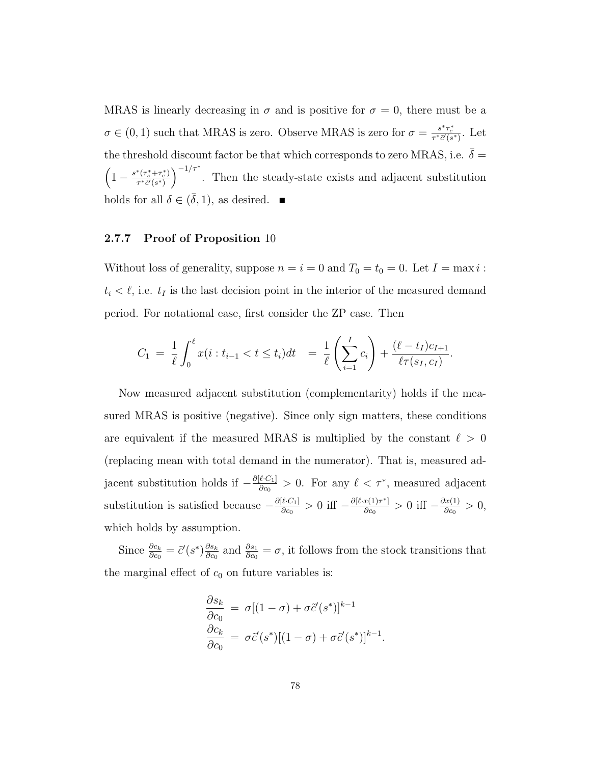MRAS is linearly decreasing in  $\sigma$  and is positive for  $\sigma = 0$ , there must be a  $\sigma \in (0, 1)$  such that MRAS is zero. Observe MRAS is zero for  $\sigma = \frac{s^*\tau_c^*}{\tau^*\tilde{c}'(s^*)}$ . Let the threshold discount factor be that which corresponds to zero MRAS, i.e.  $\bar{\delta}$  =  $\left(1-\frac{s^*(\tau_s^*+\tau_c^*)}{\tau^*\tilde{c}'(s^*)}\right)$  $\frac{\tau^*(\tau_s^*+\tau_c^*)}{\tau^*\tilde{c}'(s^*)}$ <sup>-1/ $\tau^*$ </sup>. Then the steady-state exists and adjacent substitution holds for all  $\delta \in (\bar{\delta}, 1)$ , as desired.  $\blacksquare$ 

### 2.7.7 Proof of Proposition 10

Without loss of generality, suppose  $n = i = 0$  and  $T_0 = t_0 = 0$ . Let  $I = \max i$ :  $t_i < \ell$ , i.e.  $t_I$  is the last decision point in the interior of the measured demand period. For notational ease, first consider the ZP case. Then

$$
C_1 = \frac{1}{\ell} \int_0^{\ell} x(i : t_{i-1} < t \le t_i) dt = \frac{1}{\ell} \left( \sum_{i=1}^I c_i \right) + \frac{(\ell - t_I)c_{I+1}}{\ell \tau(s_I, c_I)}.
$$

Now measured adjacent substitution (complementarity) holds if the measured MRAS is positive (negative). Since only sign matters, these conditions are equivalent if the measured MRAS is multiplied by the constant  $\ell > 0$ (replacing mean with total demand in the numerator). That is, measured adjacent substitution holds if  $-\frac{\partial[\ell \cdot C_1]}{\partial c_0}$  $\frac{\ell C_1}{\delta c_0} > 0$ . For any  $\ell < \tau^*$ , measured adjacent substitution is satisfied because  $-\frac{\partial[\ell C_1]}{\partial c_0}$  $\frac{\partial [l \cdot C_1]}{\partial c_0} > 0$  iff  $-\frac{\partial [l \cdot x(1)\tau^*]}{\partial c_0}$  $\frac{x(1)\tau^*}{\partial c_0} > 0$  iff  $-\frac{\partial x(1)}{\partial c_0}$  $\frac{f(x(1))}{\partial c_0} > 0,$ which holds by assumption.

Since  $\frac{\partial c_k}{\partial c_0} = \tilde{c}'(s^*) \frac{\partial s_k}{\partial c_0}$  $\frac{\partial s_k}{\partial c_0}$  and  $\frac{\partial s_1}{\partial c_0} = \sigma$ , it follows from the stock transitions that the marginal effect of  $c_0$  on future variables is:

$$
\frac{\partial s_k}{\partial c_0} = \sigma [(1 - \sigma) + \sigma \tilde{c}'(s^*)]^{k-1}
$$

$$
\frac{\partial c_k}{\partial c_0} = \sigma \tilde{c}'(s^*) [(1 - \sigma) + \sigma \tilde{c}'(s^*)]^{k-1}
$$

.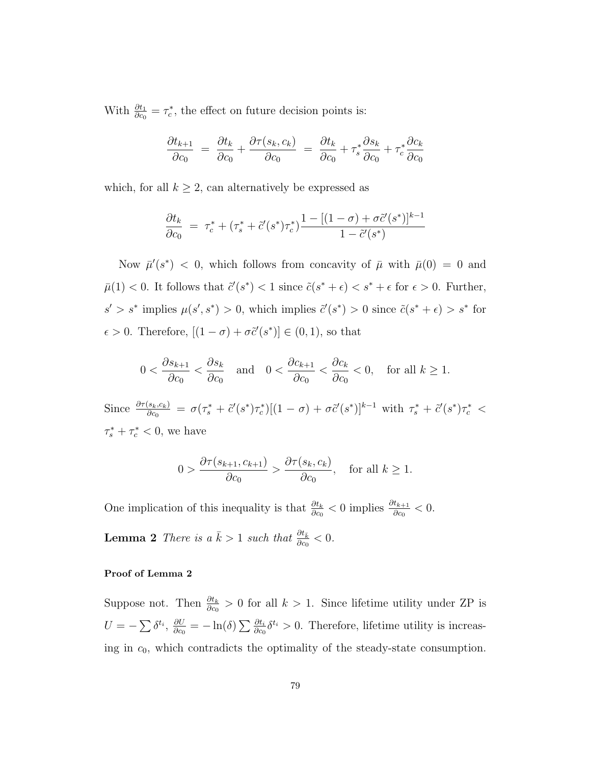With  $\frac{\partial t_1}{\partial c_0} = \tau_c^*$ , the effect on future decision points is:

$$
\frac{\partial t_{k+1}}{\partial c_0} = \frac{\partial t_k}{\partial c_0} + \frac{\partial \tau(s_k, c_k)}{\partial c_0} = \frac{\partial t_k}{\partial c_0} + \tau_s^* \frac{\partial s_k}{\partial c_0} + \tau_c^* \frac{\partial c_k}{\partial c_0}
$$

which, for all  $k\geq 2,$  can alternatively be expressed as

$$
\frac{\partial t_k}{\partial c_0} = \tau_c^* + (\tau_s^* + \tilde{c}'(s^*)\tau_c^*) \frac{1 - [(1 - \sigma) + \sigma \tilde{c}'(s^*)]^{k-1}}{1 - \tilde{c}'(s^*)}
$$

Now  $\bar{\mu}'(s^*)$  < 0, which follows from concavity of  $\bar{\mu}$  with  $\bar{\mu}(0) = 0$  and  $\bar{\mu}(1) < 0$ . It follows that  $\tilde{c}'(s^*) < 1$  since  $\tilde{c}(s^* + \epsilon) < s^* + \epsilon$  for  $\epsilon > 0$ . Further,  $s' > s^*$  implies  $\mu(s', s^*) > 0$ , which implies  $\tilde{c}'(s^*) > 0$  since  $\tilde{c}(s^* + \epsilon) > s^*$  for  $\epsilon > 0$ . Therefore,  $[(1 - \sigma) + \sigma \tilde{c}'(s^*)] \in (0, 1)$ , so that

$$
0 < \frac{\partial s_{k+1}}{\partial c_0} < \frac{\partial s_k}{\partial c_0} \quad \text{and} \quad 0 < \frac{\partial c_{k+1}}{\partial c_0} < \frac{\partial c_k}{\partial c_0} < 0, \quad \text{for all } k \ge 1.
$$

Since  $\frac{\partial \tau(s_k,c_k)}{\partial c_0} = \sigma(\tau_s^* + \tilde{c}'(s^*)\tau_c^*)[(1-\sigma) + \sigma\tilde{c}'(s^*)]^{k-1}$  with  $\tau_s^* + \tilde{c}'(s^*)\tau_c^* <$  $\tau_s^* + \tau_c^* < 0$ , we have

$$
0 > \frac{\partial \tau(s_{k+1}, c_{k+1})}{\partial c_0} > \frac{\partial \tau(s_k, c_k)}{\partial c_0}, \quad \text{for all } k \ge 1.
$$

One implication of this inequality is that  $\frac{\partial t_k}{\partial c_0} < 0$  implies  $\frac{\partial t_{k+1}}{\partial c_0} < 0$ .

**Lemma 2** There is a  $\bar{k} > 1$  such that  $\frac{\partial t_{\bar{k}}}{\partial c_0} < 0$ .

#### Proof of Lemma 2

Suppose not. Then  $\frac{\partial t_k}{\partial c_0} > 0$  for all  $k > 1$ . Since lifetime utility under ZP is  $U = -\sum \delta^{t_i}, \frac{\partial U}{\partial c}$  $\frac{\partial U}{\partial c_0} = -\ln(\delta) \sum \frac{\partial t_i}{\partial c_0} \delta^{t_i} > 0.$  Therefore, lifetime utility is increasing in  $c_0$ , which contradicts the optimality of the steady-state consumption.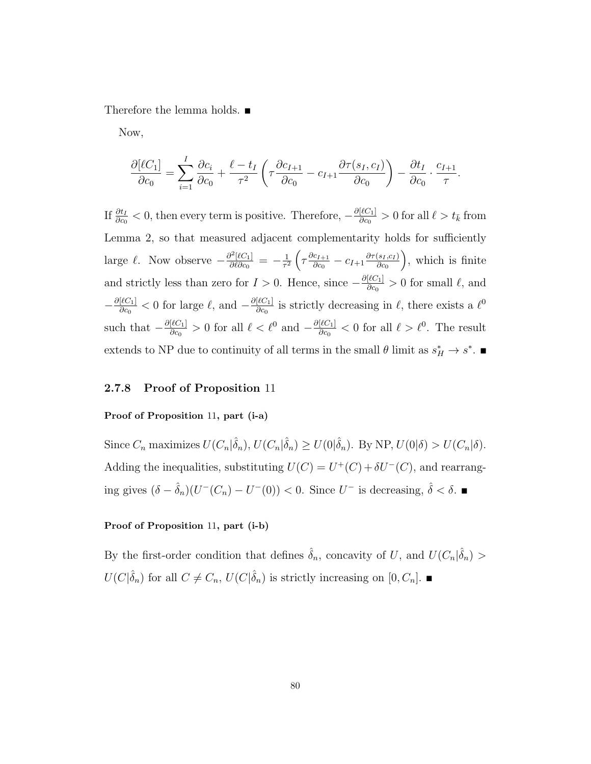Therefore the lemma holds. ■

Now,

$$
\frac{\partial[\ell C_1]}{\partial c_0} = \sum_{i=1}^I \frac{\partial c_i}{\partial c_0} + \frac{\ell - t_I}{\tau^2} \left( \tau \frac{\partial c_{I+1}}{\partial c_0} - c_{I+1} \frac{\partial \tau(s_I, c_I)}{\partial c_0} \right) - \frac{\partial t_I}{\partial c_0} \cdot \frac{c_{I+1}}{\tau}.
$$

If  $\frac{\partial t_I}{\partial c_0} < 0$ , then every term is positive. Therefore,  $-\frac{\partial [\ell C_1]}{\partial c_0}$  $\frac{d|C_1|}{d|C_0} > 0$  for all  $\ell > t_{\bar{k}}$  from Lemma 2, so that measured adjacent complementarity holds for sufficiently large  $\ell$ . Now observe  $-\frac{\partial^2[\ell C_1]}{\partial \ell \partial c_0}$  $\frac{\partial^2[\ell C_1]}{\partial \ell \partial c_0} = -\frac{1}{\tau^2}$  $\frac{1}{\tau^2}\left(\tau \frac{\partial c_{I+1}}{\partial c_0} \right)$  $\frac{c_{I+1}}{\partial c_0} - c_{I+1} \frac{\partial \tau(s_I, c_I)}{\partial c_0}$  $\partial c_0$  , which is finite and strictly less than zero for  $I > 0$ . Hence, since  $-\frac{\partial l(C_1)}{\partial c_2}$  $\frac{d|C_1|}{d|C_0|} > 0$  for small  $\ell$ , and  $-\frac{\partial [\ell C_1]}{\partial c_2}$  $\frac{[\ell C_1]}{\partial c_0} < 0$  for large  $\ell$ , and  $-\frac{\partial [\ell C_1]}{\partial c_0}$  $\frac{\ell^2 C_1}{\partial c_0}$  is strictly decreasing in  $\ell$ , there exists a  $\ell^0$ such that  $-\frac{\partial[\ell C_1]}{\partial c_2}$  $\frac{[\ell C_1]}{\partial c_0} > 0$  for all  $\ell < \ell^0$  and  $-\frac{\partial [\ell C_1]}{\partial c_0}$  $\frac{|\ell C_1|}{\partial c_0} < 0$  for all  $\ell > \ell^0$ . The result extends to NP due to continuity of all terms in the small  $\theta$  limit as  $s_H^* \to s^*$ .

### 2.7.8 Proof of Proposition 11

#### Proof of Proposition 11, part (i-a)

Since  $C_n$  maximizes  $U(C_n|\hat{\delta}_n)$ ,  $U(C_n|\hat{\delta}_n) \geq U(0|\hat{\delta}_n)$ . By NP,  $U(0|\delta) > U(C_n|\delta)$ . Adding the inequalities, substituting  $U(C) = U^+(C) + \delta U^-(C)$ , and rearranging gives  $(\delta - \hat{\delta}_n)(U^-(C_n) - U^-(0)) < 0$ . Since  $U^-$  is decreasing,  $\hat{\delta} < \delta$ . ■

#### Proof of Proposition 11, part (i-b)

By the first-order condition that defines  $\hat{\delta}_n$ , concavity of U, and  $U(C_n|\hat{\delta}_n)$  $U(C|\hat{\delta}_n)$  for all  $C \neq C_n$ ,  $U(C|\hat{\delta}_n)$  is strictly increasing on  $[0, C_n]$ .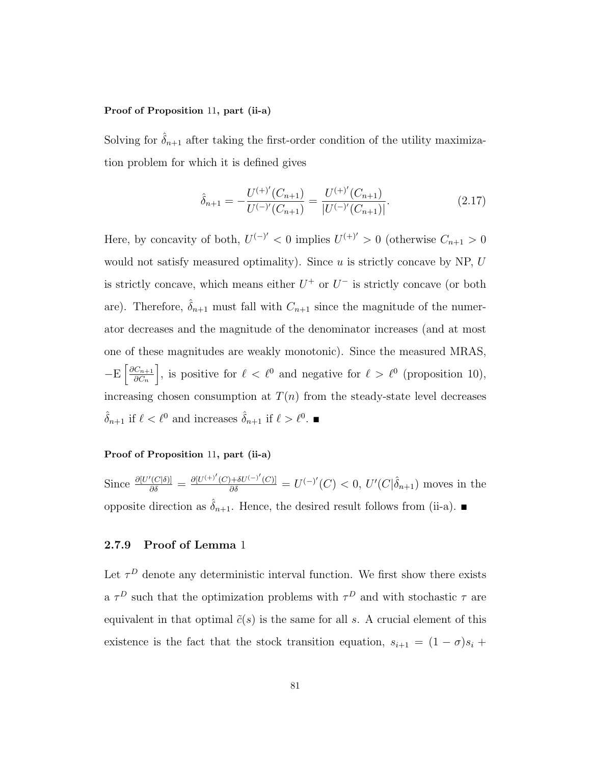#### Proof of Proposition 11, part (ii-a)

Solving for  $\hat{\delta}_{n+1}$  after taking the first-order condition of the utility maximization problem for which it is defined gives

$$
\hat{\delta}_{n+1} = -\frac{U^{(+)'}(C_{n+1})}{U^{(-)'}(C_{n+1})} = \frac{U^{(+)'}(C_{n+1})}{|U^{(-)'}(C_{n+1})|}.
$$
\n(2.17)

Here, by concavity of both,  $U^{(-)'} < 0$  implies  $U^{(+)'} > 0$  (otherwise  $C_{n+1} > 0$ would not satisfy measured optimality). Since  $u$  is strictly concave by NP,  $U$ is strictly concave, which means either  $U^+$  or  $U^-$  is strictly concave (or both are). Therefore,  $\hat{\delta}_{n+1}$  must fall with  $C_{n+1}$  since the magnitude of the numerator decreases and the magnitude of the denominator increases (and at most one of these magnitudes are weakly monotonic). Since the measured MRAS,  $-E\left[\frac{\partial C_{n+1}}{\partial C}\right]$  $\partial C_n$ , is positive for  $\ell < \ell^0$  and negative for  $\ell > \ell^0$  (proposition 10), increasing chosen consumption at  $T(n)$  from the steady-state level decreases  $\hat{\delta}_{n+1}$  if  $\ell < \ell^0$  and increases  $\hat{\delta}_{n+1}$  if  $\ell > \ell^0$ .

#### Proof of Proposition 11, part (ii-a)

Since  $\frac{\partial [U'(C|\delta)]}{\partial \delta} = \frac{\partial [U^{(+)}(C) + \delta U^{(-)}(C)]}{\partial \delta} = U^{(-)}(C) < 0, U'(C|\hat{\delta}_{n+1})$  moves in the opposite direction as  $\hat{\delta}_{n+1}$ . Hence, the desired result follows from (ii-a).

#### 2.7.9 Proof of Lemma 1

Let  $\tau^D$  denote any deterministic interval function. We first show there exists a  $\tau^D$  such that the optimization problems with  $\tau^D$  and with stochastic  $\tau$  are equivalent in that optimal  $\tilde{c}(s)$  is the same for all s. A crucial element of this existence is the fact that the stock transition equation,  $s_{i+1} = (1 - \sigma)s_i +$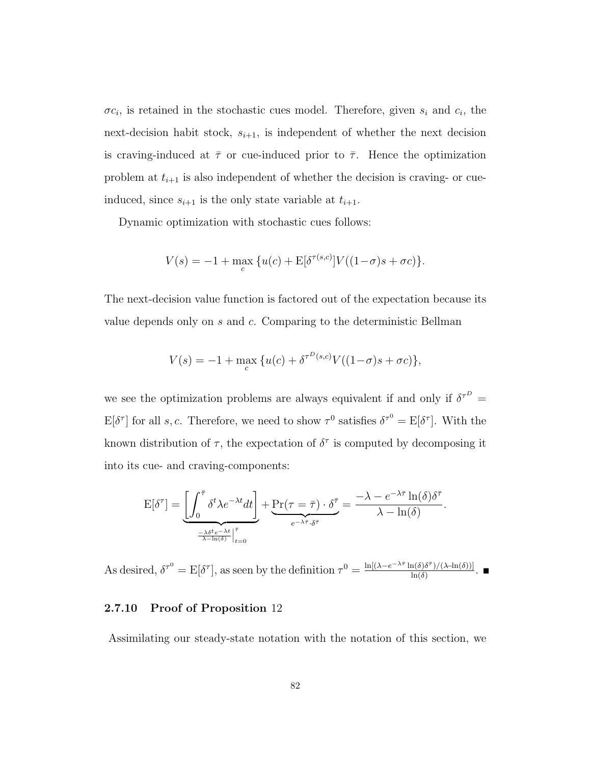$\sigma c_i$ , is retained in the stochastic cues model. Therefore, given  $s_i$  and  $c_i$ , the next-decision habit stock,  $s_{i+1}$ , is independent of whether the next decision is craving-induced at  $\bar{\tau}$  or cue-induced prior to  $\bar{\tau}$ . Hence the optimization problem at  $t_{i+1}$  is also independent of whether the decision is craving- or cueinduced, since  $s_{i+1}$  is the only state variable at  $t_{i+1}$ .

Dynamic optimization with stochastic cues follows:

$$
V(s) = -1 + \max_{c} \{ u(c) + \mathbb{E}[\delta^{\tau(s,c)}] V((1-\sigma)s + \sigma c) \}.
$$

The next-decision value function is factored out of the expectation because its value depends only on s and c. Comparing to the deterministic Bellman

$$
V(s) = -1 + \max_{c} \{ u(c) + \delta^{\tau^{D}(s,c)} V((1-\sigma)s + \sigma c) \},\
$$

we see the optimization problems are always equivalent if and only if  $\delta^{\tau^D}$  =  $E[\delta^{\tau}]$  for all s, c. Therefore, we need to show  $\tau^0$  satisfies  $\delta^{\tau^0} = E[\delta^{\tau}]$ . With the known distribution of  $\tau$ , the expectation of  $\delta^{\tau}$  is computed by decomposing it into its cue- and craving-components:

$$
E[\delta^{\tau}] = \underbrace{\left[\int_0^{\bar{\tau}} \delta^t \lambda e^{-\lambda t} dt\right]}_{\frac{-\lambda \delta^t e^{-\lambda t}}{\lambda - \ln(\delta)}\Big|_{t=0}^{\bar{\tau}}} + \underbrace{\Pr(\tau = \bar{\tau}) \cdot \delta^{\bar{\tau}}}_{e^{-\lambda \bar{\tau}} \cdot \delta^{\bar{\tau}}} = \frac{-\lambda - e^{-\lambda \bar{\tau}} \ln(\delta) \delta^{\bar{\tau}}}{\lambda - \ln(\delta)}.
$$

As desired,  $\delta^{\tau^0} = \mathbb{E}[\delta^{\tau}]$ , as seen by the definition  $\tau^0 = \frac{\ln[(\lambda - e^{-\lambda \tau} \ln(\delta) \delta^{\tau})/(\lambda - \ln(\delta))]}{\ln(\delta)}$  $\frac{\ln(\delta)}{\ln(\delta)}$ .  $\blacksquare$ 

#### 2.7.10 Proof of Proposition 12

Assimilating our steady-state notation with the notation of this section, we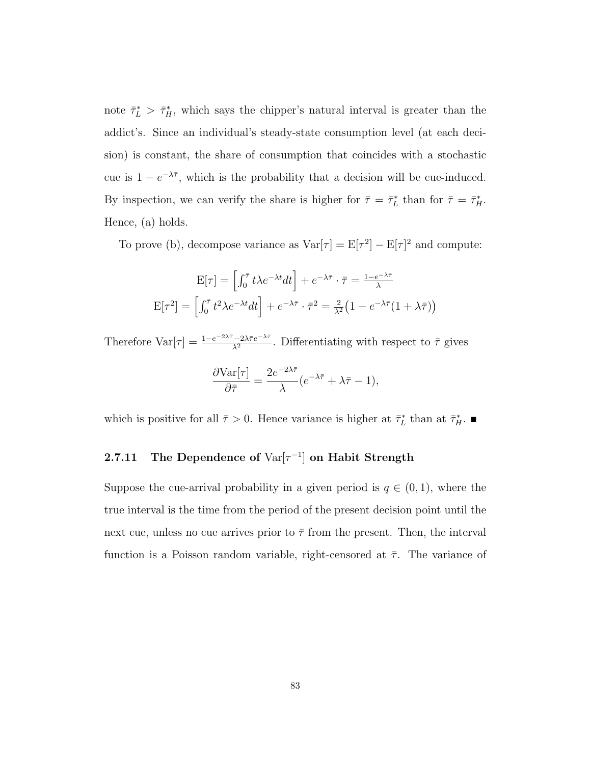note  $\bar{\tau}_L^* > \bar{\tau}_H^*$ , which says the chipper's natural interval is greater than the addict's. Since an individual's steady-state consumption level (at each decision) is constant, the share of consumption that coincides with a stochastic cue is  $1 - e^{-\lambda \bar{\tau}}$ , which is the probability that a decision will be cue-induced. By inspection, we can verify the share is higher for  $\bar{\tau} = \bar{\tau}_L^*$  than for  $\bar{\tau} = \bar{\tau}_H^*$ . Hence, (a) holds.

To prove (b), decompose variance as  $Var[\tau] = E[\tau^2] - E[\tau]^2$  and compute:

$$
E[\tau] = \left[\int_0^{\bar{\tau}} t\lambda e^{-\lambda t} dt\right] + e^{-\lambda \bar{\tau}} \cdot \bar{\tau} = \frac{1 - e^{-\lambda \bar{\tau}}}{\lambda}
$$

$$
E[\tau^2] = \left[\int_0^{\bar{\tau}} t^2 \lambda e^{-\lambda t} dt\right] + e^{-\lambda \bar{\tau}} \cdot \bar{\tau}^2 = \frac{2}{\lambda^2} \left(1 - e^{-\lambda \bar{\tau}} (1 + \lambda \bar{\tau})\right)
$$

Therefore  $\text{Var}[\tau] = \frac{1 - e^{-2\lambda \bar{\tau}} - 2\lambda \bar{\tau} e^{-\lambda \bar{\tau}}}{\lambda^2}$ . Differentiating with respect to  $\bar{\tau}$  gives

$$
\frac{\partial \text{Var}[\tau]}{\partial \bar{\tau}} = \frac{2e^{-2\lambda \bar{\tau}}}{\lambda} (e^{-\lambda \bar{\tau}} + \lambda \bar{\tau} - 1),
$$

which is positive for all  $\bar{\tau} > 0$ . Hence variance is higher at  $\bar{\tau}_L^*$  than at  $\bar{\tau}_H^*$ .

# 2.7.11 The Dependence of  $Var[\tau^{-1}]$  on Habit Strength

Suppose the cue-arrival probability in a given period is  $q \in (0,1)$ , where the true interval is the time from the period of the present decision point until the next cue, unless no cue arrives prior to  $\bar{\tau}$  from the present. Then, the interval function is a Poisson random variable, right-censored at  $\bar{\tau}$ . The variance of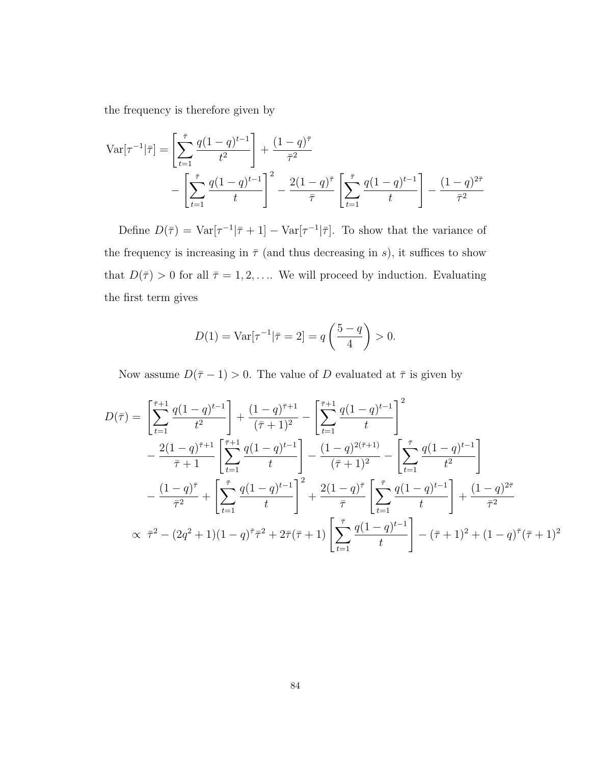the frequency is therefore given by

$$
\operatorname{Var}[\tau^{-1}|\bar{\tau}] = \left[\sum_{t=1}^{\bar{\tau}} \frac{q(1-q)^{t-1}}{t^2}\right] + \frac{(1-q)^{\bar{\tau}}}{\bar{\tau}^2} - \left[\sum_{t=1}^{\bar{\tau}} \frac{q(1-q)^{t-1}}{t}\right]^2 - \frac{2(1-q)^{\bar{\tau}}}{\bar{\tau}} \left[\sum_{t=1}^{\bar{\tau}} \frac{q(1-q)^{t-1}}{t}\right] - \frac{(1-q)^{2\bar{\tau}}}{\bar{\tau}^2}
$$

Define  $D(\bar{\tau}) = \text{Var}[\tau^{-1}|\bar{\tau} + 1] - \text{Var}[\tau^{-1}|\bar{\tau}]$ . To show that the variance of the frequency is increasing in  $\bar{\tau}$  (and thus decreasing in s), it suffices to show that  $D(\bar{\tau}) > 0$  for all  $\bar{\tau} = 1, 2, \dots$  We will proceed by induction. Evaluating the first term gives

$$
D(1) = \text{Var}[\tau^{-1} | \bar{\tau} = 2] = q\left(\frac{5-q}{4}\right) > 0.
$$

Now assume  $D(\bar{\tau}-1) > 0$ . The value of D evaluated at  $\bar{\tau}$  is given by

$$
D(\bar{\tau}) = \left[\sum_{t=1}^{\bar{\tau}+1} \frac{q(1-q)^{t-1}}{t^2}\right] + \frac{(1-q)^{\bar{\tau}+1}}{(\bar{\tau}+1)^2} - \left[\sum_{t=1}^{\bar{\tau}+1} \frac{q(1-q)^{t-1}}{t}\right]^2
$$
  
 
$$
- \frac{2(1-q)^{\bar{\tau}+1}}{\bar{\tau}+1} \left[\sum_{t=1}^{\bar{\tau}+1} \frac{q(1-q)^{t-1}}{t}\right] - \frac{(1-q)^{2(\bar{\tau}+1)}}{(\bar{\tau}+1)^2} - \left[\sum_{t=1}^{\bar{\tau}} \frac{q(1-q)^{t-1}}{t^2}\right]
$$
  
 
$$
- \frac{(1-q)^{\bar{\tau}}}{\bar{\tau}^2} + \left[\sum_{t=1}^{\bar{\tau}} \frac{q(1-q)^{t-1}}{t}\right]^2 + \frac{2(1-q)^{\bar{\tau}}}{\bar{\tau}} \left[\sum_{t=1}^{\bar{\tau}} \frac{q(1-q)^{t-1}}{t}\right] + \frac{(1-q)^{2\bar{\tau}}}{\bar{\tau}^2}
$$
  
 
$$
\propto \bar{\tau}^2 - (2q^2 + 1)(1-q)^{\bar{\tau}}\bar{\tau}^2 + 2\bar{\tau}(\bar{\tau}+1) \left[\sum_{t=1}^{\bar{\tau}} \frac{q(1-q)^{t-1}}{t}\right] - (\bar{\tau}+1)^2 + (1-q)^{\bar{\tau}}(\bar{\tau}+1)^2
$$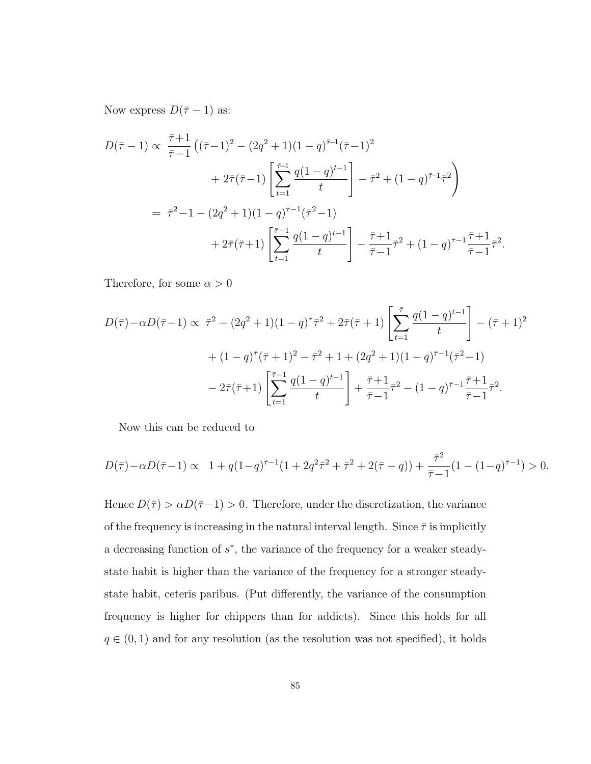Now express  $D(\bar{\tau}-1)$  as:

$$
D(\bar{\tau} - 1) \propto \frac{\bar{\tau} + 1}{\bar{\tau} - 1} \left( (\bar{\tau} - 1)^2 - (2q^2 + 1)(1 - q)^{\bar{\tau} - 1} (\bar{\tau} - 1)^2 + 2\bar{\tau} (\bar{\tau} - 1) \left[ \sum_{t=1}^{\bar{\tau} - 1} \frac{q(1 - q)^{t-1}}{t} \right] - \bar{\tau}^2 + (1 - q)^{\bar{\tau} - 1} \bar{\tau}^2 \right)
$$
  
=  $\bar{\tau}^2 - 1 - (2q^2 + 1)(1 - q)^{\bar{\tau} - 1} (\bar{\tau}^2 - 1)$   
+  $2\bar{\tau} (\bar{\tau} + 1) \left[ \sum_{t=1}^{\bar{\tau} - 1} \frac{q(1 - q)^{t-1}}{t} \right] - \frac{\bar{\tau} + 1}{\bar{\tau} - 1} \bar{\tau}^2 + (1 - q)^{\bar{\tau} - 1} \frac{\bar{\tau} + 1}{\bar{\tau} - 1} \bar{\tau}^2.$ 

Therefore, for some  $\alpha>0$ 

$$
D(\bar{\tau}) - \alpha D(\bar{\tau} - 1) \propto \ \bar{\tau}^2 - (2q^2 + 1)(1 - q)^{\bar{\tau}} \bar{\tau}^2 + 2\bar{\tau}(\bar{\tau} + 1) \left[ \sum_{t=1}^{\bar{\tau}} \frac{q(1 - q)^{t-1}}{t} \right] - (\bar{\tau} + 1)^2
$$

$$
+ (1 - q)^{\bar{\tau}} (\bar{\tau} + 1)^2 - \bar{\tau}^2 + 1 + (2q^2 + 1)(1 - q)^{\bar{\tau} - 1} (\bar{\tau}^2 - 1)
$$

$$
- 2\bar{\tau}(\bar{\tau} + 1) \left[ \sum_{t=1}^{\bar{\tau} - 1} \frac{q(1 - q)^{t-1}}{t} \right] + \frac{\bar{\tau} + 1}{\bar{\tau} - 1} \bar{\tau}^2 - (1 - q)^{\bar{\tau} - 1} \frac{\bar{\tau} + 1}{\bar{\tau} - 1} \bar{\tau}^2.
$$

Now this can be reduced to

$$
D(\bar{\tau}) - \alpha D(\bar{\tau} - 1) \propto 1 + q(1 - q)^{\bar{\tau} - 1}(1 + 2q^2 \bar{\tau}^2 + \bar{\tau}^2 + 2(\bar{\tau} - q)) + \frac{\bar{\tau}^2}{\bar{\tau} - 1}(1 - (1 - q)^{\bar{\tau} - 1}) > 0.
$$

Hence  $D(\bar{\tau}) > \alpha D(\bar{\tau}-1) > 0$ . Therefore, under the discretization, the variance of the frequency is increasing in the natural interval length. Since  $\bar{\tau}$  is implicitly a decreasing function of  $s^*$ , the variance of the frequency for a weaker steadystate habit is higher than the variance of the frequency for a stronger steadystate habit, ceteris paribus. (Put differently, the variance of the consumption frequency is higher for chippers than for addicts). Since this holds for all  $q \in (0, 1)$  and for any resolution (as the resolution was not specified), it holds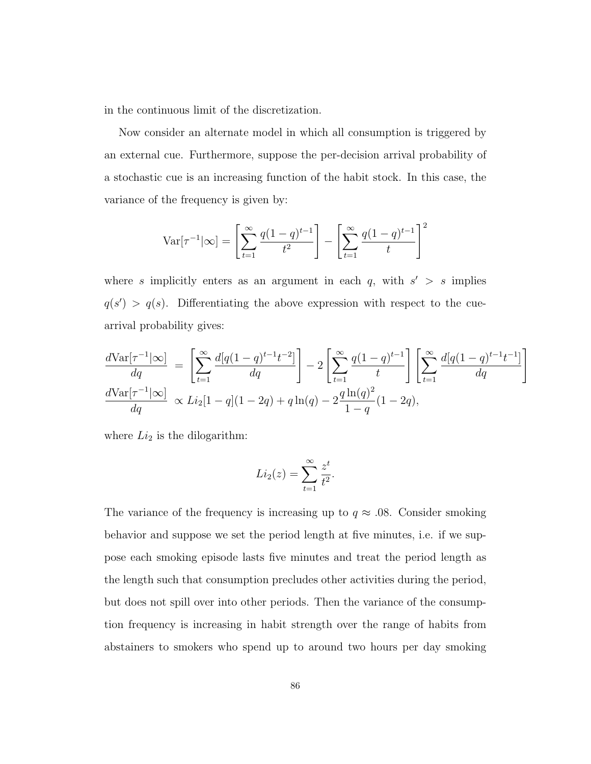in the continuous limit of the discretization.

Now consider an alternate model in which all consumption is triggered by an external cue. Furthermore, suppose the per-decision arrival probability of a stochastic cue is an increasing function of the habit stock. In this case, the variance of the frequency is given by:

$$
\text{Var}[\tau^{-1}|\infty] = \left[\sum_{t=1}^{\infty} \frac{q(1-q)^{t-1}}{t^2}\right] - \left[\sum_{t=1}^{\infty} \frac{q(1-q)^{t-1}}{t}\right]^2
$$

where s implicitly enters as an argument in each q, with  $s' > s$  implies  $q(s') > q(s)$ . Differentiating the above expression with respect to the cuearrival probability gives:

$$
\frac{d\text{Var}[\tau^{-1}|\infty]}{dq} = \left[\sum_{t=1}^{\infty} \frac{d[q(1-q)^{t-1}t^{-2}]}{dq}\right] - 2\left[\sum_{t=1}^{\infty} \frac{q(1-q)^{t-1}}{t}\right] \left[\sum_{t=1}^{\infty} \frac{d[q(1-q)^{t-1}t^{-1}]}{dq}\right]
$$

$$
\frac{d\text{Var}[\tau^{-1}|\infty]}{dq} \propto Li_2[1-q](1-2q) + q\ln(q) - 2\frac{q\ln(q)^2}{1-q}(1-2q),
$$

where  $Li_2$  is the dilogarithm:

$$
Li_2(z) = \sum_{t=1}^{\infty} \frac{z^t}{t^2}.
$$

The variance of the frequency is increasing up to  $q \approx .08$ . Consider smoking behavior and suppose we set the period length at five minutes, i.e. if we suppose each smoking episode lasts five minutes and treat the period length as the length such that consumption precludes other activities during the period, but does not spill over into other periods. Then the variance of the consumption frequency is increasing in habit strength over the range of habits from abstainers to smokers who spend up to around two hours per day smoking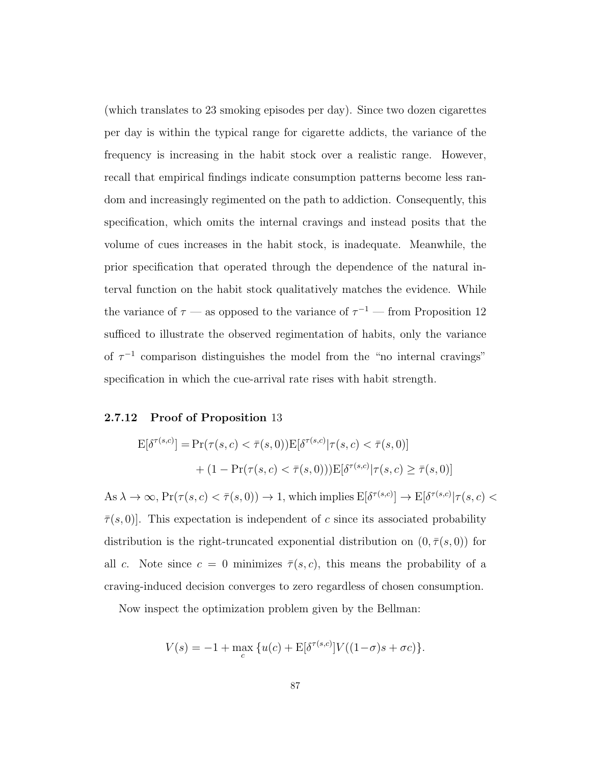(which translates to 23 smoking episodes per day). Since two dozen cigarettes per day is within the typical range for cigarette addicts, the variance of the frequency is increasing in the habit stock over a realistic range. However, recall that empirical findings indicate consumption patterns become less random and increasingly regimented on the path to addiction. Consequently, this specification, which omits the internal cravings and instead posits that the volume of cues increases in the habit stock, is inadequate. Meanwhile, the prior specification that operated through the dependence of the natural interval function on the habit stock qualitatively matches the evidence. While the variance of  $\tau$  — as opposed to the variance of  $\tau^{-1}$  — from Proposition 12 sufficed to illustrate the observed regimentation of habits, only the variance of  $\tau^{-1}$  comparison distinguishes the model from the "no internal cravings" specification in which the cue-arrival rate rises with habit strength.

### 2.7.12 Proof of Proposition 13

$$
E[\delta^{\tau(s,c)}] = Pr(\tau(s,c) < \bar{\tau}(s,0))E[\delta^{\tau(s,c)} | \tau(s,c) < \bar{\tau}(s,0)] \\
+ (1 - Pr(\tau(s,c) < \bar{\tau}(s,0)))E[\delta^{\tau(s,c)} | \tau(s,c) \ge \bar{\tau}(s,0)]
$$

 $\text{As } \lambda \to \infty, \Pr(\tau(s, c) < \bar{\tau}(s, 0)) \to 1, \text{ which implies } \text{E}[\delta^{\tau(s,c)}] \to \text{E}[\delta^{\tau(s,c)} | \tau(s, c) <$  $\bar{\tau}(s, 0)$ . This expectation is independent of c since its associated probability distribution is the right-truncated exponential distribution on  $(0, \overline{\tau}(s, 0))$  for all c. Note since  $c = 0$  minimizes  $\bar{\tau}(s,c)$ , this means the probability of a craving-induced decision converges to zero regardless of chosen consumption.

Now inspect the optimization problem given by the Bellman:

$$
V(s) = -1 + \max_{c} \{ u(c) + \mathbf{E}[\delta^{\tau(s,c)}] V((1-\sigma)s + \sigma c) \}.
$$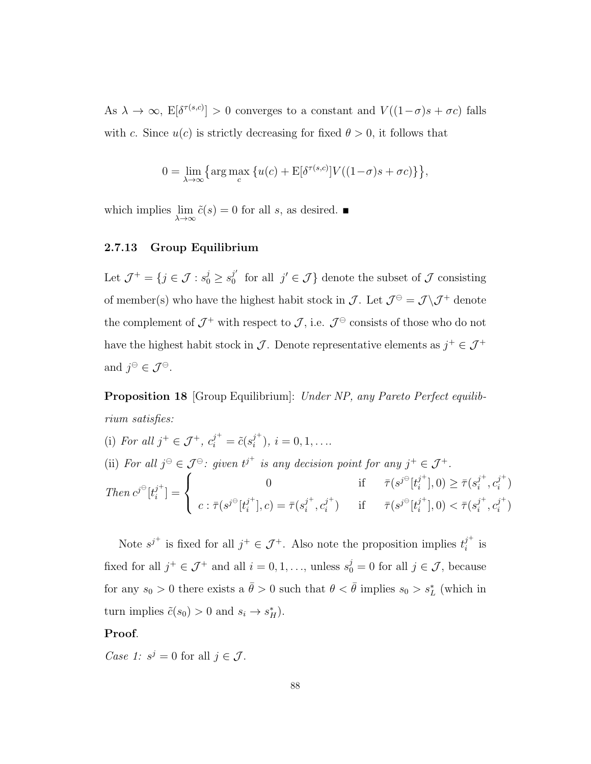As  $\lambda \to \infty$ ,  $E[\delta^{\tau(s,c)}] > 0$  converges to a constant and  $V((1-\sigma)s + \sigma c)$  falls with c. Since  $u(c)$  is strictly decreasing for fixed  $\theta > 0$ , it follows that

$$
0 = \lim_{\lambda \to \infty} \left\{ \arg \max_{c} \left\{ u(c) + \mathcal{E}[\delta^{\tau(s,c)}] V((1-\sigma)s + \sigma c) \right\} \right\},\
$$

which implies  $\lim_{\lambda \to \infty} \tilde{c}(s) = 0$  for all s, as desired.  $\blacksquare$ 

### 2.7.13 Group Equilibrium

Let  $\mathcal{J}^+ = \{j \in \mathcal{J} : s_0^j \geq s_0^{j'}\}$  $j'$  for all  $j' \in \mathcal{J}$  denote the subset of  $\mathcal J$  consisting of member(s) who have the highest habit stock in  $\mathcal{J}$ . Let  $\mathcal{J}^{\ominus} = \mathcal{J} \backslash \mathcal{J}^+$  denote the complement of  $\mathcal{J}^+$  with respect to  $\mathcal{J}$ , i.e.  $\mathcal{J}^{\ominus}$  consists of those who do not have the highest habit stock in  $\mathcal J$ . Denote representative elements as  $j^+ \in \mathcal J^+$ and  $j^{\ominus} \in \mathcal{J}^{\ominus}$ .

**Proposition 18** [Group Equilibrium]: Under NP, any Pareto Perfect equilibrium satisfies:

(i) For all 
$$
j^+ \in \mathcal{J}^+
$$
,  $c_i^{j^+} = \tilde{c}(s_i^{j^+})$ ,  $i = 0, 1, ...$   
\n(ii) For all  $j^{\ominus} \in \mathcal{J}^{\ominus}$ : given  $t^{j^+}$  is any decision point for any  $j^+ \in \mathcal{J}^+$ .  
\nThen  $c^{j^{\ominus}}[t_i^{j^+}] = \begin{cases} 0 & \text{if } \bar{\tau}(s^{j^{\ominus}}[t_i^{j^+}], 0) \ge \bar{\tau}(s_i^{j^+}, c_i^{j^+}) \\ c : \bar{\tau}(s^{j^{\ominus}}[t_i^{j^+}], c) = \bar{\tau}(s_i^{j^+}, c_i^{j^+}) & \text{if } \bar{\tau}(s^{j^{\ominus}}[t_i^{j^+}], 0) < \bar{\tau}(s_i^{j^+}, c_i^{j^+}) \end{cases}$ 

Note  $s^{j^+}$  is fixed for all  $j^+ \in \mathcal{J}^+$ . Also note the proposition implies  $t_i^{j^+}$  $\frac{j}{i}$  is fixed for all  $j^+ \in \mathcal{J}^+$  and all  $i = 0, 1, \ldots$ , unless  $s_0^j = 0$  for all  $j \in \mathcal{J}$ , because for any  $s_0 > 0$  there exists a  $\bar{\theta} > 0$  such that  $\theta < \bar{\theta}$  implies  $s_0 > s_L^*$  (which in turn implies  $\tilde{c}(s_0) > 0$  and  $s_i \to s_H^*$ ).

#### Proof.

Case 1:  $s^j = 0$  for all  $j \in \mathcal{J}$ .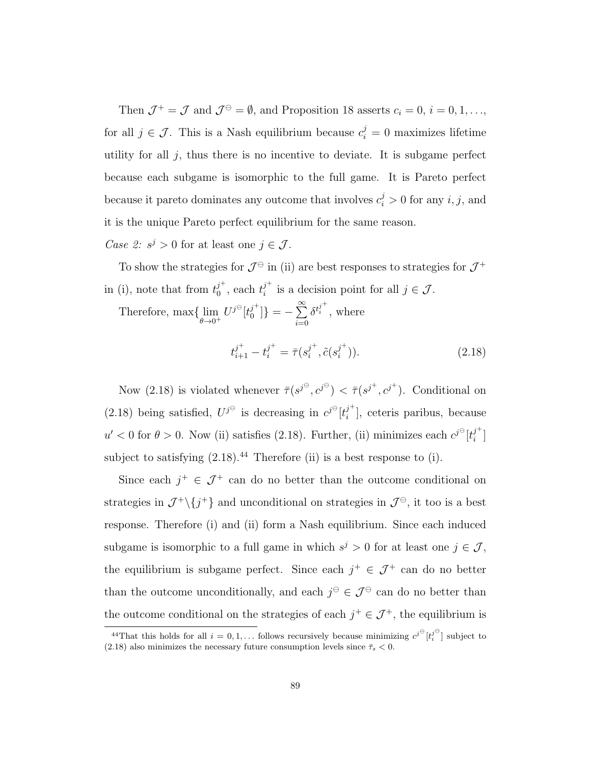Then  $\mathcal{J}^+ = \mathcal{J}$  and  $\mathcal{J}^{\ominus} = \emptyset$ , and Proposition 18 asserts  $c_i = 0, i = 0, 1, \ldots$ , for all  $j \in \mathcal{J}$ . This is a Nash equilibrium because  $c_i^j = 0$  maximizes lifetime utility for all  $j$ , thus there is no incentive to deviate. It is subgame perfect because each subgame is isomorphic to the full game. It is Pareto perfect because it pareto dominates any outcome that involves  $c_i^j > 0$  for any  $i, j$ , and it is the unique Pareto perfect equilibrium for the same reason.

Case 2:  $s^j > 0$  for at least one  $j \in \mathcal{J}$ .

To show the strategies for  $\mathcal{J}^{\ominus}$  in (ii) are best responses to strategies for  $\mathcal{J}^+$ in (i), note that from  $t_0^{j^+}$  $j^+$ <sub>0</sub>, each  $t_i^{j^+}$  $i^j$  is a decision point for all  $j \in \mathcal{J}$ .

Therefore,  $\max\{\lim_{\theta\to 0^+} U^{j^{\ominus}}[t_0^{j^+}]$  $\binom{j^{+}}{0}$ ] = -  $\sum^{\infty}$  $i=0$  $\delta^{t_i^{j^+}}$ , where

$$
t_{i+1}^{j^+} - t_i^{j^+} = \bar{\tau}(s_i^{j^+}, \tilde{c}(s_i^{j^+})). \tag{2.18}
$$

Now (2.18) is violated whenever  $\bar{\tau}(s^{j\Theta}, c^{j\Theta}) < \bar{\tau}(s^{j^+}, c^{j^+})$ . Conditional on (2.18) being satisfied,  $U^{j^{\ominus}}$  is decreasing in  $c^{j^{\ominus}}[t_i^{j^+}]$  $\binom{j}{i}$ , ceteris paribus, because  $u' < 0$  for  $\theta > 0$ . Now (ii) satisfies (2.18). Further, (ii) minimizes each  $c^{j}$ <sup> $\theta$ </sup> $[t_i^j$ <sup>+</sup>  $\begin{bmatrix} 1 \\ i \end{bmatrix}$ subject to satisfying  $(2.18).<sup>44</sup>$  Therefore (ii) is a best response to (i).

Since each  $j^+ \in \mathcal{J}^+$  can do no better than the outcome conditional on strategies in  $\mathcal{J}^+\backslash\{j^+\}$  and unconditional on strategies in  $\mathcal{J}^{\ominus}$ , it too is a best response. Therefore (i) and (ii) form a Nash equilibrium. Since each induced subgame is isomorphic to a full game in which  $s^j > 0$  for at least one  $j \in \mathcal{J}$ , the equilibrium is subgame perfect. Since each  $j^+ \in \mathcal{J}^+$  can do no better than the outcome unconditionally, and each  $j^{\ominus} \in \mathcal{J}^{\ominus}$  can do no better than the outcome conditional on the strategies of each  $j^+ \in \mathcal{J}^+$ , the equilibrium is

<sup>&</sup>lt;sup>44</sup>That this holds for all  $i = 0, 1, \ldots$  follows recursively because minimizing  $c^{j^{\Theta}}[t_i^{j^{\Theta}}]$  subject to (2.18) also minimizes the necessary future consumption levels since  $\bar{\tau}_s < 0$ .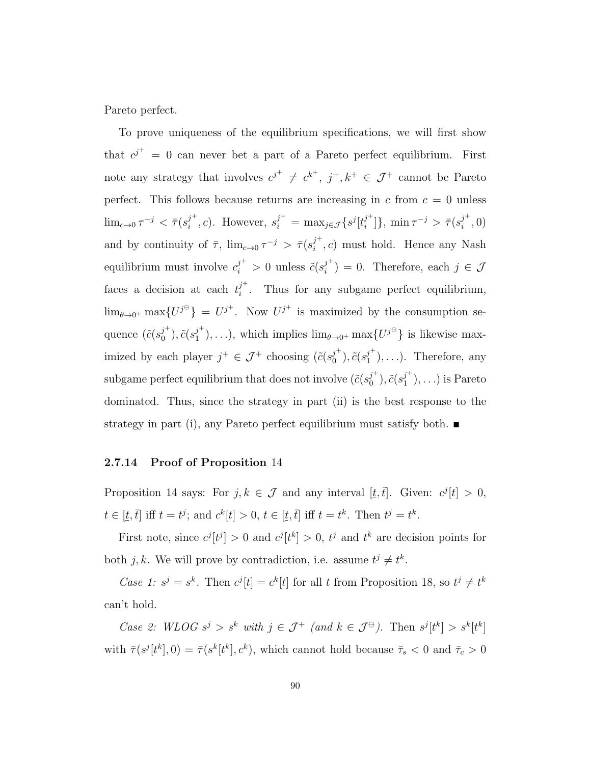Pareto perfect.

To prove uniqueness of the equilibrium specifications, we will first show that  $c^{j^+} = 0$  can never bet a part of a Pareto perfect equilibrium. First note any strategy that involves  $c^{j^+} \neq c^{k^+}$ ,  $j^+, k^+ \in \mathcal{J}^+$  cannot be Pareto perfect. This follows because returns are increasing in  $c$  from  $c = 0$  unless  $\lim_{c\to 0} \tau^{-j} < \bar{\tau}(s_i^{j^+})$  $j^+$ , c). However,  $s_i^{j^+} = \max_{j \in \mathcal{J}} \{ s^j [t_i^{j^+}]$  $\{\vec{r}^{\dagger}_{i}\}$ , min  $\tau^{-j} > \bar{\tau}(s_i^{j^+})$  $\binom{j}{i}$ , 0) and by continuity of  $\bar{\tau}$ ,  $\lim_{c\to 0} \tau^{-j} > \bar{\tau}(s_i^{j+1})$  $i^j$ , c) must hold. Hence any Nash equilibrium must involve  $c_i^{j^+} > 0$  unless  $\tilde{c}(s_i^{j^+})$  $j'_{i}$ ) = 0. Therefore, each  $j \in \mathcal{J}$ faces a decision at each  $t_i^{j^+}$  $i$ . Thus for any subgame perfect equilibrium,  $\lim_{\theta \to 0^+} \max \{ U^{j^{\ominus}} \} = U^{j^+}$ . Now  $U^{j^+}$  is maximized by the consumption sequence  $(\tilde{c}(s_0^{j^+}))$  $j^{\text{+}}_{0}), \tilde{c}(s_{1}^{j^{\text{+}}}$  $j^{\dagger}_{1}$ ,...), which implies  $\lim_{\theta \to 0^{+}} \max \{U^{j^{\Theta}}\}\$ is likewise maximized by each player  $j^+ \in \mathcal{J}^+$  choosing  $(\tilde{c}(s_0^{j^+}))$  $_0^{j^+}), \tilde{c}(s_1^{j^+})$  $j'_{1}$ ,...). Therefore, any subgame perfect equilibrium that does not involve  $(\tilde{c}(s_0^{j^+}))$  $_0^{j^+}), \tilde{c}(s_1^{j^+})$  $j'_{1}$ , ...) is Pareto dominated. Thus, since the strategy in part (ii) is the best response to the strategy in part (i), any Pareto perfect equilibrium must satisfy both.  $\blacksquare$ 

#### 2.7.14 Proof of Proposition 14

Proposition 14 says: For  $j, k \in \mathcal{J}$  and any interval  $[\underline{t}, \overline{t}]$ . Given:  $c^{j}[t] > 0$ ,  $t \in [\underline{t}, \overline{t}]$  iff  $t = t^j$ ; and  $c^k[t] > 0$ ,  $t \in [\underline{t}, \overline{t}]$  iff  $t = t^k$ . Then  $t^j = t^k$ .

First note, since  $c^{j}[t^{j}] > 0$  and  $c^{j}[t^{k}] > 0$ ,  $t^{j}$  and  $t^{k}$  are decision points for both j, k. We will prove by contradiction, i.e. assume  $t^j \neq t^k$ .

Case 1:  $s^j = s^k$ . Then  $c^j[t] = c^k[t]$  for all t from Proposition 18, so  $t^j \neq t^k$ can't hold.

Case 2: WLOG  $s^j > s^k$  with  $j \in \mathcal{J}^+$  (and  $k \in \mathcal{J}^{\ominus}$ ). Then  $s^j[t^k] > s^k[t^k]$ with  $\bar{\tau}(s^j[t^k],0) = \bar{\tau}(s^k[t^k],c^k)$ , which cannot hold because  $\bar{\tau}_s < 0$  and  $\bar{\tau}_c > 0$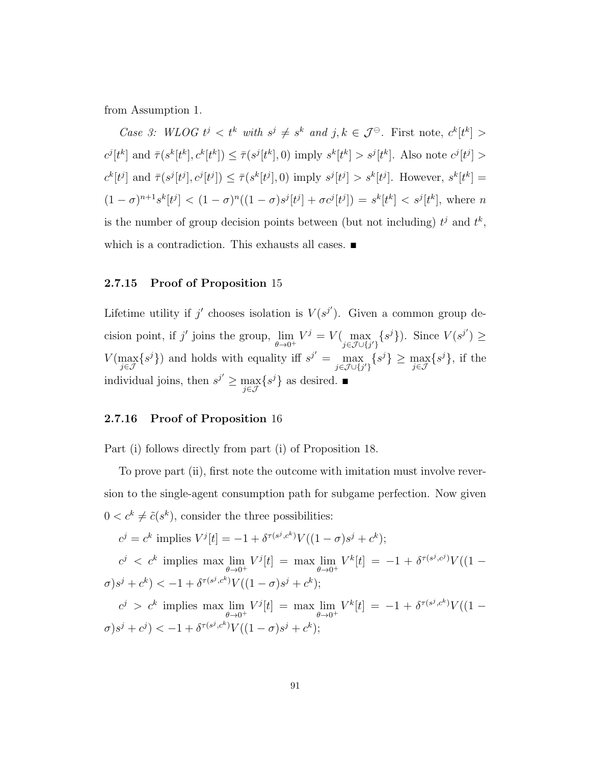from Assumption 1.

Case 3: WLOG  $t^j < t^k$  with  $s^j \neq s^k$  and  $j, k \in \mathcal{J}^\ominus$ . First note,  $c^k[t^k] >$  $c^j[t^k]$  and  $\bar{\tau}(s^k[t^k], c^k[t^k]) \leq \bar{\tau}(s^j[t^k], 0)$  imply  $s^k[t^k] > s^j[t^k]$ . Also note  $c^j[t^j] >$  $c^k[t^j]$  and  $\bar{\tau}(s^j[t^j], c^j[t^j]) \leq \bar{\tau}(s^k[t^j], 0)$  imply  $s^j[t^j] > s^k[t^j]$ . However,  $s^k[t^k] =$  $(1-\sigma)^{n+1}s^k[t^j] < (1-\sigma)^n((1-\sigma)s^j[t^j]+\sigma c^j[t^j]) = s^k[t^k] < s^j[t^k]$ , where n is the number of group decision points between (but not including)  $t^j$  and  $t^k$ , which is a contradiction. This exhausts all cases.  $\blacksquare$ 

### 2.7.15 Proof of Proposition 15

Lifetime utility if j' chooses isolation is  $V(s^{j'})$ . Given a common group decision point, if j' joins the group,  $\lim_{\theta \to 0^+} V^j = V(\max_{j \in \mathcal{J} \cup \{j'\}} \{s^j\})$ . Since  $V(s^{j'}) \ge$  $V(\max_{j\in\mathcal{J}}\{s^j\})$  and holds with equality iff  $s^{j'} = \max_{j\in\mathcal{J}\cup\{j'\}}\{s^j\} \geq \max_{j\in\mathcal{J}}\{s^j\}$ , if the individual joins, then  $s^{j'} \ge \max_{j \in \mathcal{J}} \{s^j\}$  as desired.

### 2.7.16 Proof of Proposition 16

Part (i) follows directly from part (i) of Proposition 18.

To prove part (ii), first note the outcome with imitation must involve reversion to the single-agent consumption path for subgame perfection. Now given  $0 < c^k \neq \tilde{c}(s^k)$ , consider the three possibilities:

$$
c^{j} = c^{k} \text{ implies } V^{j}[t] = -1 + \delta^{\tau(s^{j}, c^{k})} V((1 - \sigma)s^{j} + c^{k});
$$
  
\n
$$
c^{j} < c^{k} \text{ implies } \max \lim_{\theta \to 0^{+}} V^{j}[t] = \max \lim_{\theta \to 0^{+}} V^{k}[t] = -1 + \delta^{\tau(s^{j}, c^{j})} V((1 - \sigma)s^{j} + c^{k})
$$
  
\n
$$
c^{j} > c^{k} \text{ implies } \max \lim_{\theta \to 0^{+}} V^{j}[t] = \max \lim_{\theta \to 0^{+}} V^{k}[t] = -1 + \delta^{\tau(s^{j}, c^{k})} V((1 - \sigma)s^{j} + c^{j})
$$
  
\n
$$
\sigma(s^{j} + c^{j}) < -1 + \delta^{\tau(s^{j}, c^{k})} V((1 - \sigma)s^{j} + c^{k});
$$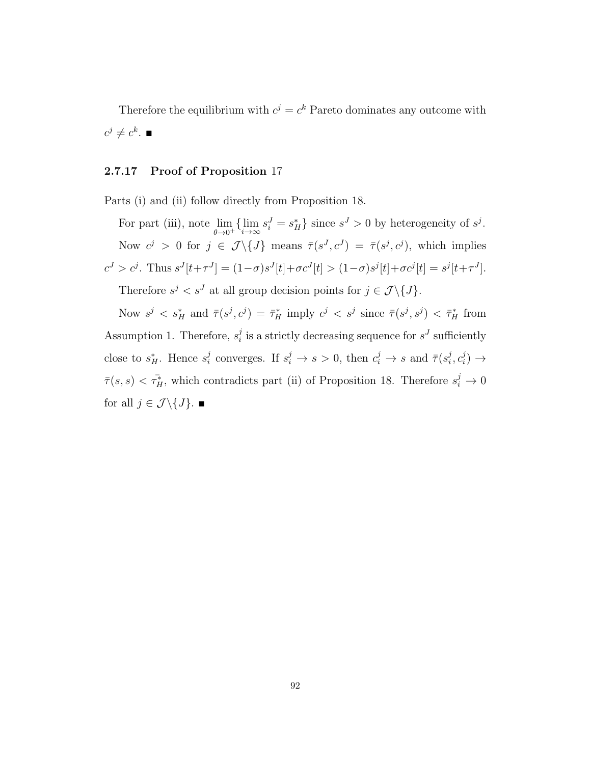Therefore the equilibrium with  $c^j = c^k$  Pareto dominates any outcome with  $c^j\neq c^k.$   $\blacksquare$ 

### 2.7.17 Proof of Proposition 17

Parts (i) and (ii) follow directly from Proposition 18.

For part (iii), note  $\lim_{\theta \to 0^+} \{\lim_{i \to \infty} s_i^J = s_H^* \}$  since  $s^J > 0$  by heterogeneity of  $s^j$ . Now  $c^j > 0$  for  $j \in \mathcal{J} \setminus \{J\}$  means  $\bar{\tau}(s^J, c^J) = \bar{\tau}(s^j, c^j)$ , which implies  $c^{J} > c^{j}$ . Thus  $s^{J}[t+\tau^{J}] = (1-\sigma)s^{J}[t]+\sigma c^{J}[t] > (1-\sigma)s^{j}[t]+\sigma c^{j}[t] = s^{j}[t+\tau^{J}]$ . Therefore  $s^j < s^J$  at all group decision points for  $j \in \mathcal{J} \setminus \{J\}$ .

Now  $s^j < s_H^*$  and  $\bar{\tau}(s^j, c^j) = \bar{\tau}_H^*$  imply  $c^j < s^j$  since  $\bar{\tau}(s^j, s^j) < \bar{\tau}_H^*$  from Assumption 1. Therefore,  $s_i^j$  $i$  is a strictly decreasing sequence for  $s<sup>J</sup>$  sufficiently close to  $s_H^*$ . Hence  $s_i^j$  $i_i^j$  converges. If  $s_i^j \to s > 0$ , then  $c_i^j \to s$  and  $\bar{\tau}(s_i^j)$  $i^j, c_i^j$  $\binom{j}{i} \rightarrow$  $\bar{\tau}(s,s) < \tau_H^*$ , which contradicts part (ii) of Proposition 18. Therefore  $s_i^j \to 0$ for all  $j \in \mathcal{J} \backslash \{J\}$ .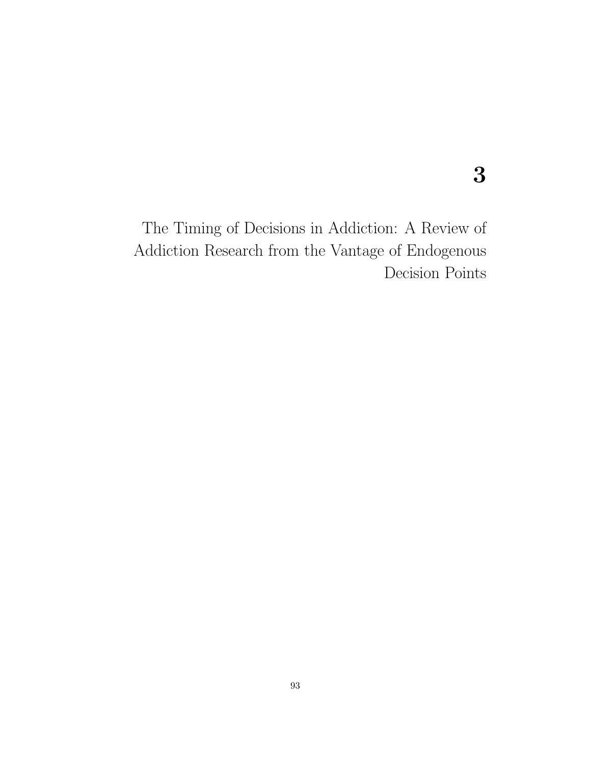3

The Timing of Decisions in Addiction: A Review of Addiction Research from the Vantage of Endogenous Decision Points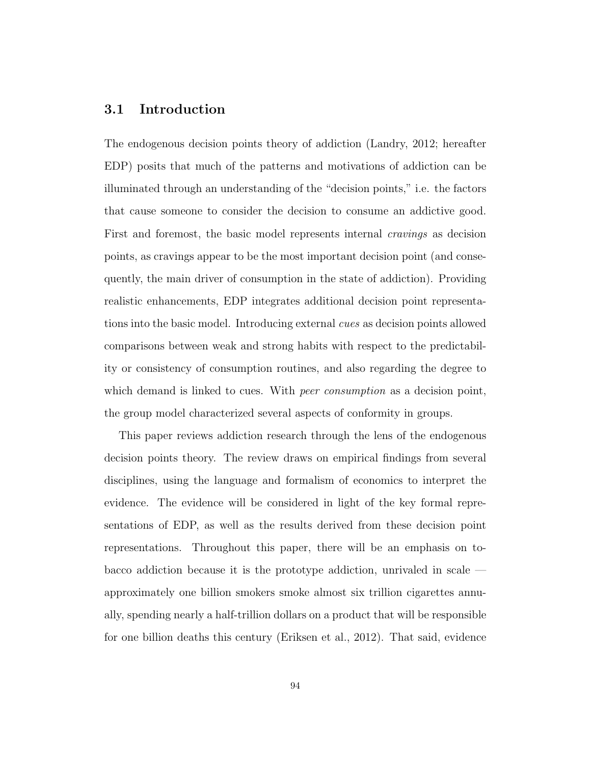# 3.1 Introduction

The endogenous decision points theory of addiction (Landry, 2012; hereafter EDP) posits that much of the patterns and motivations of addiction can be illuminated through an understanding of the "decision points," i.e. the factors that cause someone to consider the decision to consume an addictive good. First and foremost, the basic model represents internal *cravings* as decision points, as cravings appear to be the most important decision point (and consequently, the main driver of consumption in the state of addiction). Providing realistic enhancements, EDP integrates additional decision point representations into the basic model. Introducing external cues as decision points allowed comparisons between weak and strong habits with respect to the predictability or consistency of consumption routines, and also regarding the degree to which demand is linked to cues. With *peer consumption* as a decision point, the group model characterized several aspects of conformity in groups.

This paper reviews addiction research through the lens of the endogenous decision points theory. The review draws on empirical findings from several disciplines, using the language and formalism of economics to interpret the evidence. The evidence will be considered in light of the key formal representations of EDP, as well as the results derived from these decision point representations. Throughout this paper, there will be an emphasis on tobacco addiction because it is the prototype addiction, unrivaled in scale approximately one billion smokers smoke almost six trillion cigarettes annually, spending nearly a half-trillion dollars on a product that will be responsible for one billion deaths this century (Eriksen et al., 2012). That said, evidence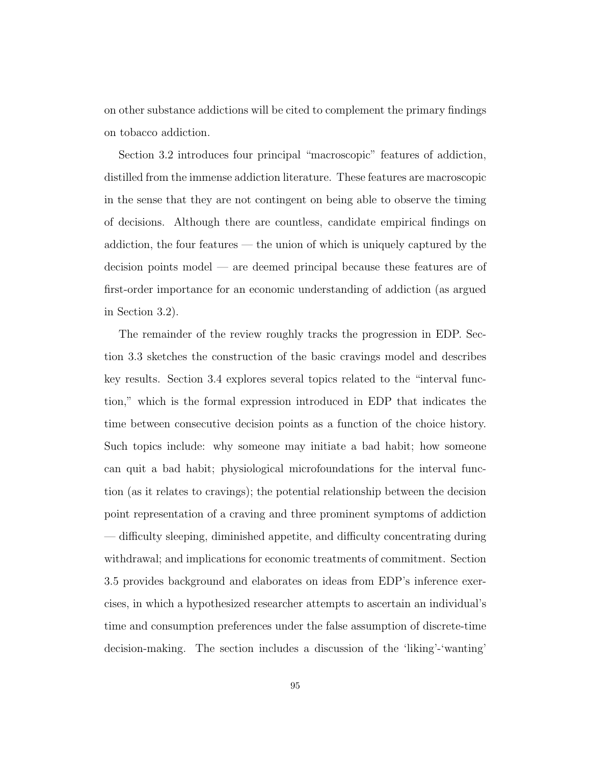on other substance addictions will be cited to complement the primary findings on tobacco addiction.

Section 3.2 introduces four principal "macroscopic" features of addiction, distilled from the immense addiction literature. These features are macroscopic in the sense that they are not contingent on being able to observe the timing of decisions. Although there are countless, candidate empirical findings on addiction, the four features — the union of which is uniquely captured by the decision points model — are deemed principal because these features are of first-order importance for an economic understanding of addiction (as argued in Section 3.2).

The remainder of the review roughly tracks the progression in EDP. Section 3.3 sketches the construction of the basic cravings model and describes key results. Section 3.4 explores several topics related to the "interval function," which is the formal expression introduced in EDP that indicates the time between consecutive decision points as a function of the choice history. Such topics include: why someone may initiate a bad habit; how someone can quit a bad habit; physiological microfoundations for the interval function (as it relates to cravings); the potential relationship between the decision point representation of a craving and three prominent symptoms of addiction — difficulty sleeping, diminished appetite, and difficulty concentrating during withdrawal; and implications for economic treatments of commitment. Section 3.5 provides background and elaborates on ideas from EDP's inference exercises, in which a hypothesized researcher attempts to ascertain an individual's time and consumption preferences under the false assumption of discrete-time decision-making. The section includes a discussion of the 'liking'-'wanting'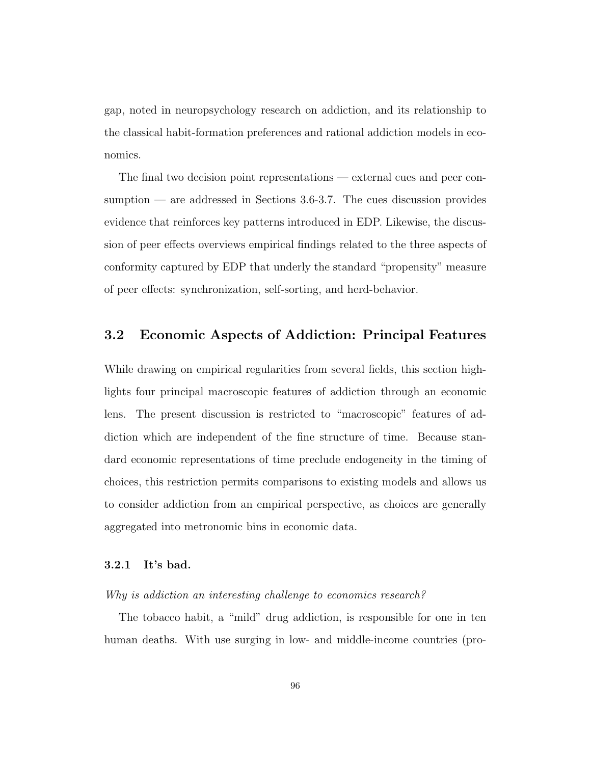gap, noted in neuropsychology research on addiction, and its relationship to the classical habit-formation preferences and rational addiction models in economics.

The final two decision point representations — external cues and peer consumption — are addressed in Sections 3.6-3.7. The cues discussion provides evidence that reinforces key patterns introduced in EDP. Likewise, the discussion of peer effects overviews empirical findings related to the three aspects of conformity captured by EDP that underly the standard "propensity" measure of peer effects: synchronization, self-sorting, and herd-behavior.

# 3.2 Economic Aspects of Addiction: Principal Features

While drawing on empirical regularities from several fields, this section highlights four principal macroscopic features of addiction through an economic lens. The present discussion is restricted to "macroscopic" features of addiction which are independent of the fine structure of time. Because standard economic representations of time preclude endogeneity in the timing of choices, this restriction permits comparisons to existing models and allows us to consider addiction from an empirical perspective, as choices are generally aggregated into metronomic bins in economic data.

#### 3.2.1 It's bad.

### Why is addiction an interesting challenge to economics research?

The tobacco habit, a "mild" drug addiction, is responsible for one in ten human deaths. With use surging in low- and middle-income countries (pro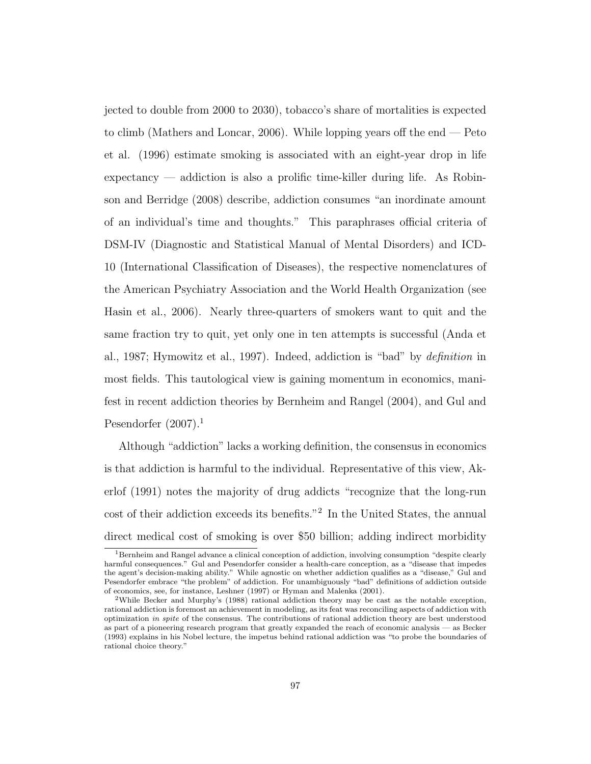jected to double from 2000 to 2030), tobacco's share of mortalities is expected to climb (Mathers and Loncar, 2006). While lopping years off the end  $-$  Peto et al. (1996) estimate smoking is associated with an eight-year drop in life expectancy — addiction is also a prolific time-killer during life. As Robinson and Berridge (2008) describe, addiction consumes "an inordinate amount of an individual's time and thoughts." This paraphrases official criteria of DSM-IV (Diagnostic and Statistical Manual of Mental Disorders) and ICD-10 (International Classification of Diseases), the respective nomenclatures of the American Psychiatry Association and the World Health Organization (see Hasin et al., 2006). Nearly three-quarters of smokers want to quit and the same fraction try to quit, yet only one in ten attempts is successful (Anda et al., 1987; Hymowitz et al., 1997). Indeed, addiction is "bad" by definition in most fields. This tautological view is gaining momentum in economics, manifest in recent addiction theories by Bernheim and Rangel (2004), and Gul and Pesendorfer  $(2007).<sup>1</sup>$ 

Although "addiction" lacks a working definition, the consensus in economics is that addiction is harmful to the individual. Representative of this view, Akerlof (1991) notes the majority of drug addicts "recognize that the long-run cost of their addiction exceeds its benefits."<sup>2</sup> In the United States, the annual direct medical cost of smoking is over \$50 billion; adding indirect morbidity

<sup>1</sup>Bernheim and Rangel advance a clinical conception of addiction, involving consumption "despite clearly harmful consequences." Gul and Pesendorfer consider a health-care conception, as a "disease that impedes the agent's decision-making ability." While agnostic on whether addiction qualifies as a "disease," Gul and Pesendorfer embrace "the problem" of addiction. For unambiguously "bad" definitions of addiction outside of economics, see, for instance, Leshner (1997) or Hyman and Malenka (2001).

<sup>2</sup>While Becker and Murphy's (1988) rational addiction theory may be cast as the notable exception, rational addiction is foremost an achievement in modeling, as its feat was reconciling aspects of addiction with optimization in spite of the consensus. The contributions of rational addiction theory are best understood as part of a pioneering research program that greatly expanded the reach of economic analysis — as Becker (1993) explains in his Nobel lecture, the impetus behind rational addiction was "to probe the boundaries of rational choice theory."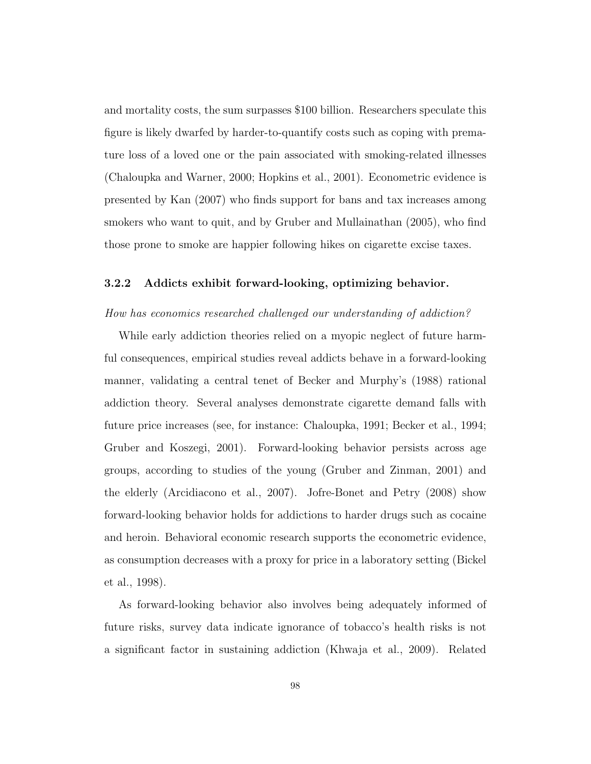and mortality costs, the sum surpasses \$100 billion. Researchers speculate this figure is likely dwarfed by harder-to-quantify costs such as coping with premature loss of a loved one or the pain associated with smoking-related illnesses (Chaloupka and Warner, 2000; Hopkins et al., 2001). Econometric evidence is presented by Kan (2007) who finds support for bans and tax increases among smokers who want to quit, and by Gruber and Mullainathan (2005), who find those prone to smoke are happier following hikes on cigarette excise taxes.

## 3.2.2 Addicts exhibit forward-looking, optimizing behavior.

## How has economics researched challenged our understanding of addiction?

While early addiction theories relied on a myopic neglect of future harmful consequences, empirical studies reveal addicts behave in a forward-looking manner, validating a central tenet of Becker and Murphy's (1988) rational addiction theory. Several analyses demonstrate cigarette demand falls with future price increases (see, for instance: Chaloupka, 1991; Becker et al., 1994; Gruber and Koszegi, 2001). Forward-looking behavior persists across age groups, according to studies of the young (Gruber and Zinman, 2001) and the elderly (Arcidiacono et al., 2007). Jofre-Bonet and Petry (2008) show forward-looking behavior holds for addictions to harder drugs such as cocaine and heroin. Behavioral economic research supports the econometric evidence, as consumption decreases with a proxy for price in a laboratory setting (Bickel et al., 1998).

As forward-looking behavior also involves being adequately informed of future risks, survey data indicate ignorance of tobacco's health risks is not a significant factor in sustaining addiction (Khwaja et al., 2009). Related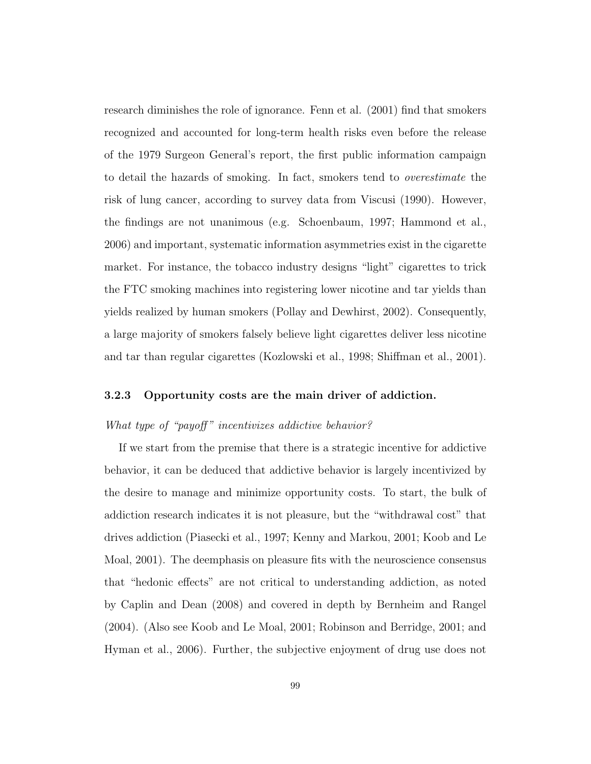research diminishes the role of ignorance. Fenn et al. (2001) find that smokers recognized and accounted for long-term health risks even before the release of the 1979 Surgeon General's report, the first public information campaign to detail the hazards of smoking. In fact, smokers tend to overestimate the risk of lung cancer, according to survey data from Viscusi (1990). However, the findings are not unanimous (e.g. Schoenbaum, 1997; Hammond et al., 2006) and important, systematic information asymmetries exist in the cigarette market. For instance, the tobacco industry designs "light" cigarettes to trick the FTC smoking machines into registering lower nicotine and tar yields than yields realized by human smokers (Pollay and Dewhirst, 2002). Consequently, a large majority of smokers falsely believe light cigarettes deliver less nicotine and tar than regular cigarettes (Kozlowski et al., 1998; Shiffman et al., 2001).

## 3.2.3 Opportunity costs are the main driver of addiction.

## What type of "payoff" incentivizes addictive behavior?

If we start from the premise that there is a strategic incentive for addictive behavior, it can be deduced that addictive behavior is largely incentivized by the desire to manage and minimize opportunity costs. To start, the bulk of addiction research indicates it is not pleasure, but the "withdrawal cost" that drives addiction (Piasecki et al., 1997; Kenny and Markou, 2001; Koob and Le Moal, 2001). The deemphasis on pleasure fits with the neuroscience consensus that "hedonic effects" are not critical to understanding addiction, as noted by Caplin and Dean (2008) and covered in depth by Bernheim and Rangel (2004). (Also see Koob and Le Moal, 2001; Robinson and Berridge, 2001; and Hyman et al., 2006). Further, the subjective enjoyment of drug use does not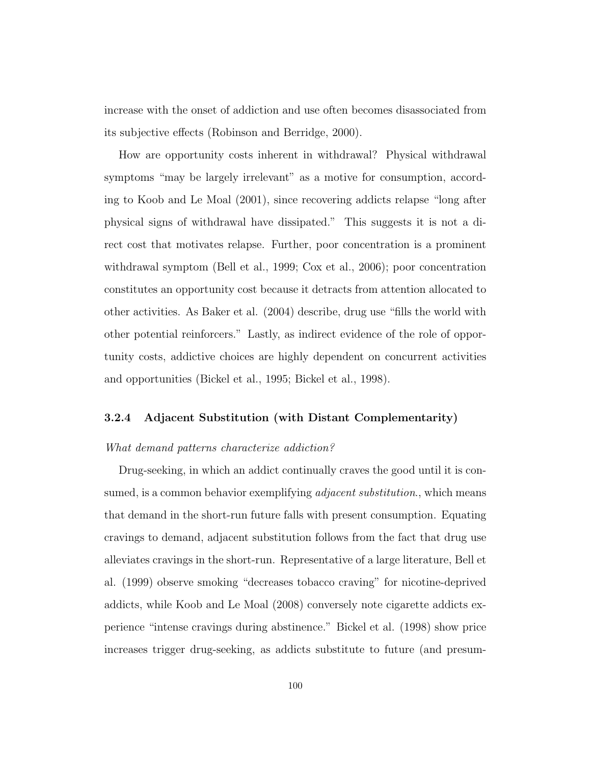increase with the onset of addiction and use often becomes disassociated from its subjective effects (Robinson and Berridge, 2000).

How are opportunity costs inherent in withdrawal? Physical withdrawal symptoms "may be largely irrelevant" as a motive for consumption, according to Koob and Le Moal (2001), since recovering addicts relapse "long after physical signs of withdrawal have dissipated." This suggests it is not a direct cost that motivates relapse. Further, poor concentration is a prominent withdrawal symptom (Bell et al., 1999; Cox et al., 2006); poor concentration constitutes an opportunity cost because it detracts from attention allocated to other activities. As Baker et al. (2004) describe, drug use "fills the world with other potential reinforcers." Lastly, as indirect evidence of the role of opportunity costs, addictive choices are highly dependent on concurrent activities and opportunities (Bickel et al., 1995; Bickel et al., 1998).

## 3.2.4 Adjacent Substitution (with Distant Complementarity)

## What demand patterns characterize addiction?

Drug-seeking, in which an addict continually craves the good until it is consumed, is a common behavior exemplifying *adjacent substitution*., which means that demand in the short-run future falls with present consumption. Equating cravings to demand, adjacent substitution follows from the fact that drug use alleviates cravings in the short-run. Representative of a large literature, Bell et al. (1999) observe smoking "decreases tobacco craving" for nicotine-deprived addicts, while Koob and Le Moal (2008) conversely note cigarette addicts experience "intense cravings during abstinence." Bickel et al. (1998) show price increases trigger drug-seeking, as addicts substitute to future (and presum-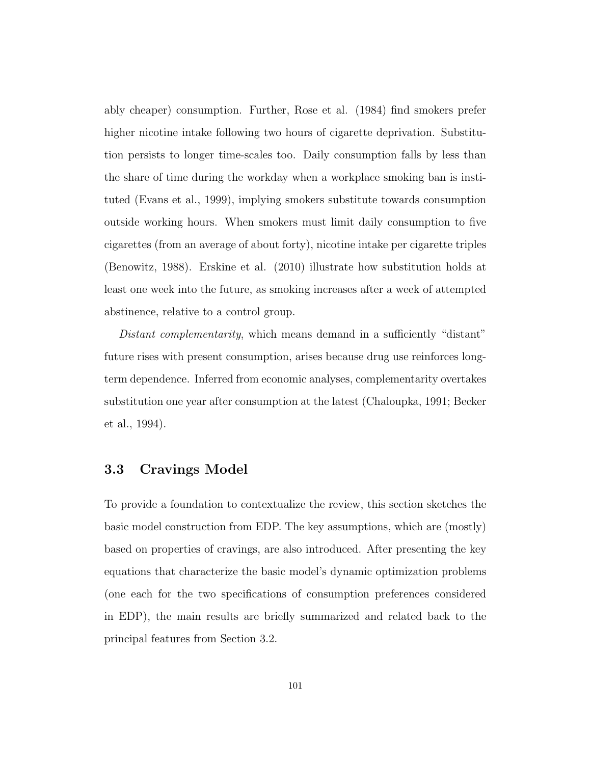ably cheaper) consumption. Further, Rose et al. (1984) find smokers prefer higher nicotine intake following two hours of cigarette deprivation. Substitution persists to longer time-scales too. Daily consumption falls by less than the share of time during the workday when a workplace smoking ban is instituted (Evans et al., 1999), implying smokers substitute towards consumption outside working hours. When smokers must limit daily consumption to five cigarettes (from an average of about forty), nicotine intake per cigarette triples (Benowitz, 1988). Erskine et al. (2010) illustrate how substitution holds at least one week into the future, as smoking increases after a week of attempted abstinence, relative to a control group.

Distant complementarity, which means demand in a sufficiently "distant" future rises with present consumption, arises because drug use reinforces longterm dependence. Inferred from economic analyses, complementarity overtakes substitution one year after consumption at the latest (Chaloupka, 1991; Becker et al., 1994).

## 3.3 Cravings Model

To provide a foundation to contextualize the review, this section sketches the basic model construction from EDP. The key assumptions, which are (mostly) based on properties of cravings, are also introduced. After presenting the key equations that characterize the basic model's dynamic optimization problems (one each for the two specifications of consumption preferences considered in EDP), the main results are briefly summarized and related back to the principal features from Section 3.2.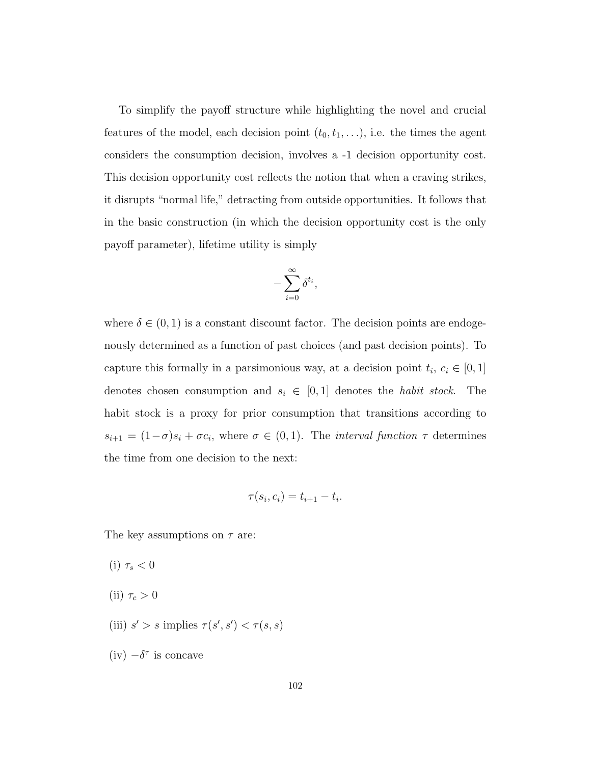To simplify the payoff structure while highlighting the novel and crucial features of the model, each decision point  $(t_0, t_1, \ldots)$ , i.e. the times the agent considers the consumption decision, involves a -1 decision opportunity cost. This decision opportunity cost reflects the notion that when a craving strikes, it disrupts "normal life," detracting from outside opportunities. It follows that in the basic construction (in which the decision opportunity cost is the only payoff parameter), lifetime utility is simply

$$
-\sum_{i=0}^\infty \delta^{t_i},
$$

where  $\delta \in (0,1)$  is a constant discount factor. The decision points are endogenously determined as a function of past choices (and past decision points). To capture this formally in a parsimonious way, at a decision point  $t_i, c_i \in [0, 1]$ denotes chosen consumption and  $s_i \in [0,1]$  denotes the *habit stock*. The habit stock is a proxy for prior consumption that transitions according to  $s_{i+1} = (1-\sigma)s_i + \sigma c_i$ , where  $\sigma \in (0,1)$ . The *interval function*  $\tau$  determines the time from one decision to the next:

$$
\tau(s_i, c_i) = t_{i+1} - t_i.
$$

The key assumptions on  $\tau$  are:

(i)  $\tau_s < 0$ (ii)  $\tau_c > 0$ (iii)  $s' > s$  implies  $\tau(s', s') < \tau(s, s)$ (iv)  $-\delta^{\tau}$  is concave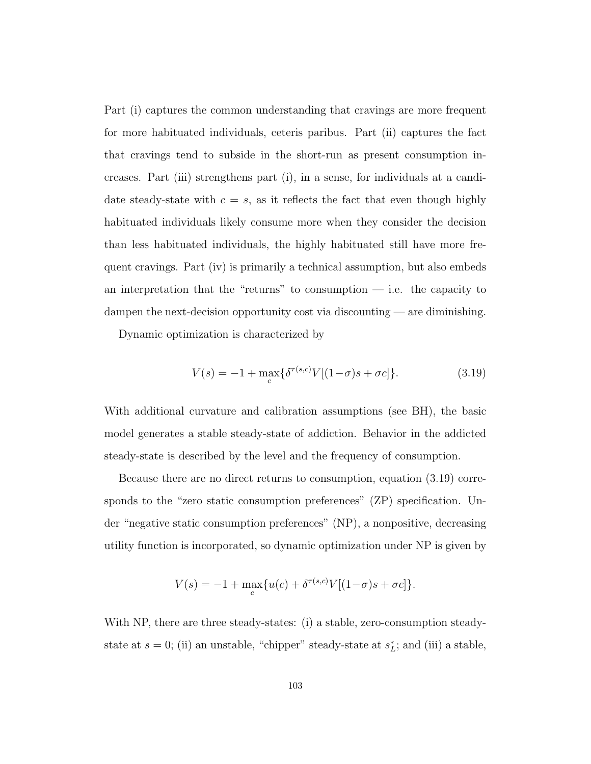Part (i) captures the common understanding that cravings are more frequent for more habituated individuals, ceteris paribus. Part (ii) captures the fact that cravings tend to subside in the short-run as present consumption increases. Part (iii) strengthens part (i), in a sense, for individuals at a candidate steady-state with  $c = s$ , as it reflects the fact that even though highly habituated individuals likely consume more when they consider the decision than less habituated individuals, the highly habituated still have more frequent cravings. Part (iv) is primarily a technical assumption, but also embeds an interpretation that the "returns" to consumption  $-$  i.e. the capacity to dampen the next-decision opportunity cost via discounting — are diminishing.

Dynamic optimization is characterized by

$$
V(s) = -1 + \max_{c} \{ \delta^{\tau(s,c)} V[(1-\sigma)s + \sigma c] \}.
$$
 (3.19)

With additional curvature and calibration assumptions (see BH), the basic model generates a stable steady-state of addiction. Behavior in the addicted steady-state is described by the level and the frequency of consumption.

Because there are no direct returns to consumption, equation (3.19) corresponds to the "zero static consumption preferences" (ZP) specification. Under "negative static consumption preferences" (NP), a nonpositive, decreasing utility function is incorporated, so dynamic optimization under NP is given by

$$
V(s) = -1 + \max_{c} \{ u(c) + \delta^{\tau(s,c)} V[(1-\sigma)s + \sigma c] \}.
$$

With NP, there are three steady-states: (i) a stable, zero-consumption steadystate at  $s = 0$ ; (ii) an unstable, "chipper" steady-state at  $s_L^*$ ; and (iii) a stable,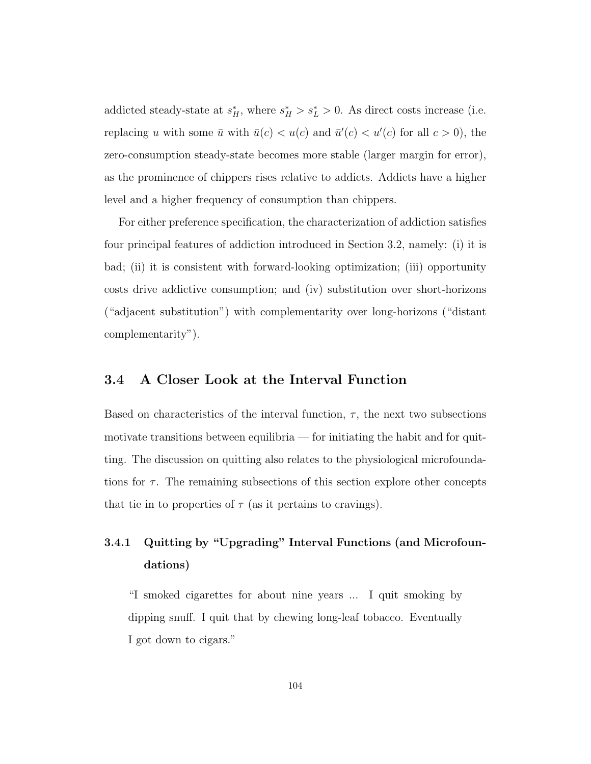addicted steady-state at  $s_H^*$ , where  $s_H^* > s_L^* > 0$ . As direct costs increase (i.e. replacing u with some  $\bar{u}$  with  $\bar{u}(c) < u(c)$  and  $\bar{u}'(c) < u'(c)$  for all  $c > 0$ , the zero-consumption steady-state becomes more stable (larger margin for error), as the prominence of chippers rises relative to addicts. Addicts have a higher level and a higher frequency of consumption than chippers.

For either preference specification, the characterization of addiction satisfies four principal features of addiction introduced in Section 3.2, namely: (i) it is bad; (ii) it is consistent with forward-looking optimization; (iii) opportunity costs drive addictive consumption; and (iv) substitution over short-horizons ("adjacent substitution") with complementarity over long-horizons ("distant complementarity").

## 3.4 A Closer Look at the Interval Function

Based on characteristics of the interval function,  $\tau$ , the next two subsections motivate transitions between equilibria — for initiating the habit and for quitting. The discussion on quitting also relates to the physiological microfoundations for  $\tau$ . The remaining subsections of this section explore other concepts that tie in to properties of  $\tau$  (as it pertains to cravings).

## 3.4.1 Quitting by "Upgrading" Interval Functions (and Microfoundations)

"I smoked cigarettes for about nine years ... I quit smoking by dipping snuff. I quit that by chewing long-leaf tobacco. Eventually I got down to cigars."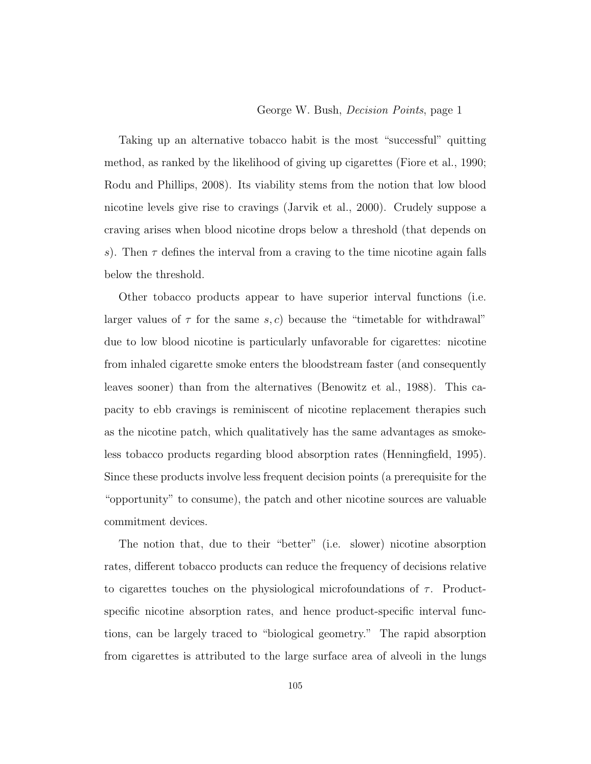## George W. Bush, Decision Points, page 1

Taking up an alternative tobacco habit is the most "successful" quitting method, as ranked by the likelihood of giving up cigarettes (Fiore et al., 1990; Rodu and Phillips, 2008). Its viability stems from the notion that low blood nicotine levels give rise to cravings (Jarvik et al., 2000). Crudely suppose a craving arises when blood nicotine drops below a threshold (that depends on s). Then  $\tau$  defines the interval from a craving to the time nicotine again falls below the threshold.

Other tobacco products appear to have superior interval functions (i.e. larger values of  $\tau$  for the same s, c) because the "timetable for withdrawal" due to low blood nicotine is particularly unfavorable for cigarettes: nicotine from inhaled cigarette smoke enters the bloodstream faster (and consequently leaves sooner) than from the alternatives (Benowitz et al., 1988). This capacity to ebb cravings is reminiscent of nicotine replacement therapies such as the nicotine patch, which qualitatively has the same advantages as smokeless tobacco products regarding blood absorption rates (Henningfield, 1995). Since these products involve less frequent decision points (a prerequisite for the "opportunity" to consume), the patch and other nicotine sources are valuable commitment devices.

The notion that, due to their "better" (i.e. slower) nicotine absorption rates, different tobacco products can reduce the frequency of decisions relative to cigarettes touches on the physiological microfoundations of  $\tau$ . Productspecific nicotine absorption rates, and hence product-specific interval functions, can be largely traced to "biological geometry." The rapid absorption from cigarettes is attributed to the large surface area of alveoli in the lungs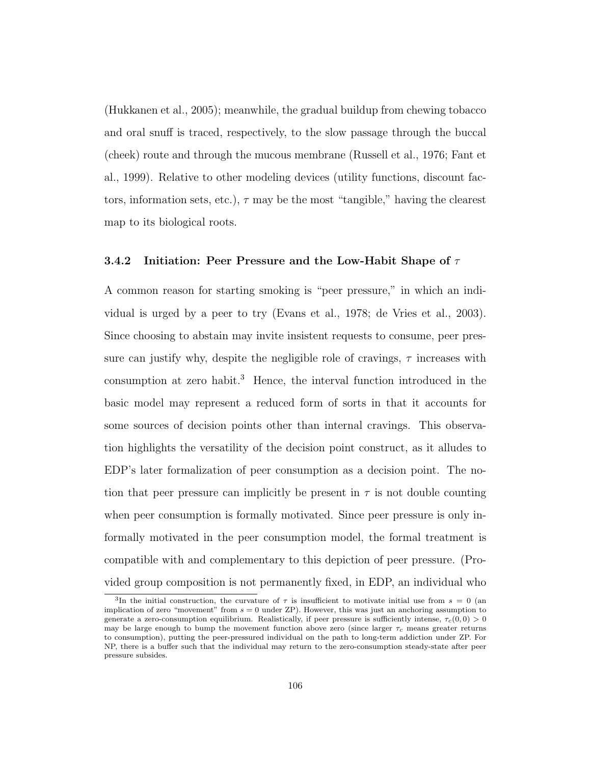(Hukkanen et al., 2005); meanwhile, the gradual buildup from chewing tobacco and oral snuff is traced, respectively, to the slow passage through the buccal (cheek) route and through the mucous membrane (Russell et al., 1976; Fant et al., 1999). Relative to other modeling devices (utility functions, discount factors, information sets, etc.),  $\tau$  may be the most "tangible," having the clearest map to its biological roots.

## 3.4.2 Initiation: Peer Pressure and the Low-Habit Shape of  $\tau$

A common reason for starting smoking is "peer pressure," in which an individual is urged by a peer to try (Evans et al., 1978; de Vries et al., 2003). Since choosing to abstain may invite insistent requests to consume, peer pressure can justify why, despite the negligible role of cravings,  $\tau$  increases with consumption at zero habit.<sup>3</sup> Hence, the interval function introduced in the basic model may represent a reduced form of sorts in that it accounts for some sources of decision points other than internal cravings. This observation highlights the versatility of the decision point construct, as it alludes to EDP's later formalization of peer consumption as a decision point. The notion that peer pressure can implicitly be present in  $\tau$  is not double counting when peer consumption is formally motivated. Since peer pressure is only informally motivated in the peer consumption model, the formal treatment is compatible with and complementary to this depiction of peer pressure. (Provided group composition is not permanently fixed, in EDP, an individual who

<sup>&</sup>lt;sup>3</sup>In the initial construction, the curvature of  $\tau$  is insufficient to motivate initial use from  $s = 0$  (an implication of zero "movement" from  $s = 0$  under ZP). However, this was just an anchoring assumption to generate a zero-consumption equilibrium. Realistically, if peer pressure is sufficiently intense,  $\tau_c(0, 0) > 0$ may be large enough to bump the movement function above zero (since larger  $\tau_c$  means greater returns to consumption), putting the peer-pressured individual on the path to long-term addiction under ZP. For NP, there is a buffer such that the individual may return to the zero-consumption steady-state after peer pressure subsides.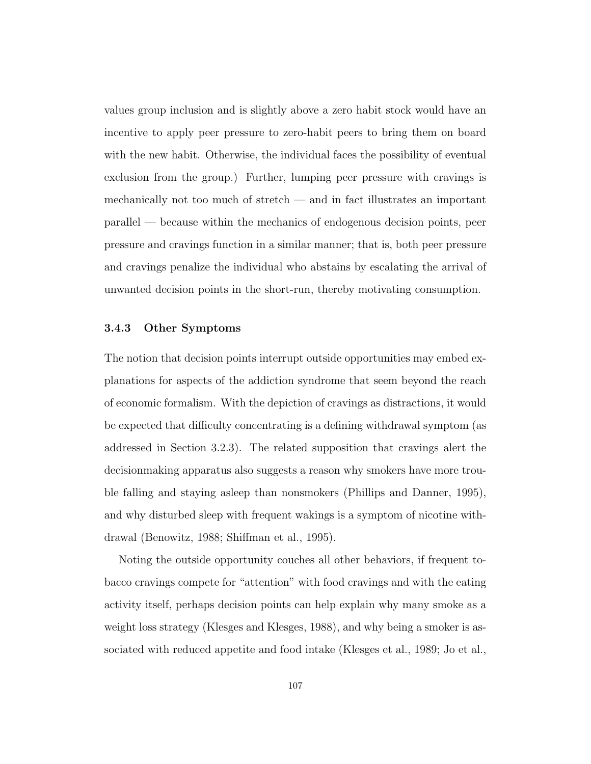values group inclusion and is slightly above a zero habit stock would have an incentive to apply peer pressure to zero-habit peers to bring them on board with the new habit. Otherwise, the individual faces the possibility of eventual exclusion from the group.) Further, lumping peer pressure with cravings is mechanically not too much of stretch — and in fact illustrates an important parallel — because within the mechanics of endogenous decision points, peer pressure and cravings function in a similar manner; that is, both peer pressure and cravings penalize the individual who abstains by escalating the arrival of unwanted decision points in the short-run, thereby motivating consumption.

## 3.4.3 Other Symptoms

The notion that decision points interrupt outside opportunities may embed explanations for aspects of the addiction syndrome that seem beyond the reach of economic formalism. With the depiction of cravings as distractions, it would be expected that difficulty concentrating is a defining withdrawal symptom (as addressed in Section 3.2.3). The related supposition that cravings alert the decisionmaking apparatus also suggests a reason why smokers have more trouble falling and staying asleep than nonsmokers (Phillips and Danner, 1995), and why disturbed sleep with frequent wakings is a symptom of nicotine withdrawal (Benowitz, 1988; Shiffman et al., 1995).

Noting the outside opportunity couches all other behaviors, if frequent tobacco cravings compete for "attention" with food cravings and with the eating activity itself, perhaps decision points can help explain why many smoke as a weight loss strategy (Klesges and Klesges, 1988), and why being a smoker is associated with reduced appetite and food intake (Klesges et al., 1989; Jo et al.,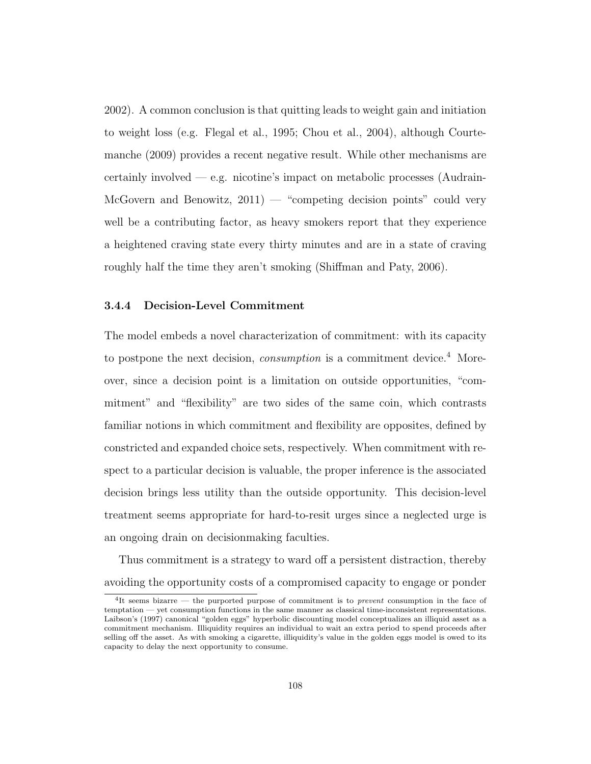2002). A common conclusion is that quitting leads to weight gain and initiation to weight loss (e.g. Flegal et al., 1995; Chou et al., 2004), although Courtemanche (2009) provides a recent negative result. While other mechanisms are certainly involved  $-e.g.$  nicotine's impact on metabolic processes (Audrain-McGovern and Benowitz,  $2011$ ) — "competing decision points" could very well be a contributing factor, as heavy smokers report that they experience a heightened craving state every thirty minutes and are in a state of craving roughly half the time they aren't smoking (Shiffman and Paty, 2006).

## 3.4.4 Decision-Level Commitment

The model embeds a novel characterization of commitment: with its capacity to postpone the next decision, *consumption* is a commitment device.<sup>4</sup> Moreover, since a decision point is a limitation on outside opportunities, "commitment" and "flexibility" are two sides of the same coin, which contrasts familiar notions in which commitment and flexibility are opposites, defined by constricted and expanded choice sets, respectively. When commitment with respect to a particular decision is valuable, the proper inference is the associated decision brings less utility than the outside opportunity. This decision-level treatment seems appropriate for hard-to-resit urges since a neglected urge is an ongoing drain on decisionmaking faculties.

Thus commitment is a strategy to ward off a persistent distraction, thereby avoiding the opportunity costs of a compromised capacity to engage or ponder

<sup>&</sup>lt;sup>4</sup>It seems bizarre — the purported purpose of commitment is to *prevent* consumption in the face of temptation — yet consumption functions in the same manner as classical time-inconsistent representations. Laibson's (1997) canonical "golden eggs" hyperbolic discounting model conceptualizes an illiquid asset as a commitment mechanism. Illiquidity requires an individual to wait an extra period to spend proceeds after selling off the asset. As with smoking a cigarette, illiquidity's value in the golden eggs model is owed to its capacity to delay the next opportunity to consume.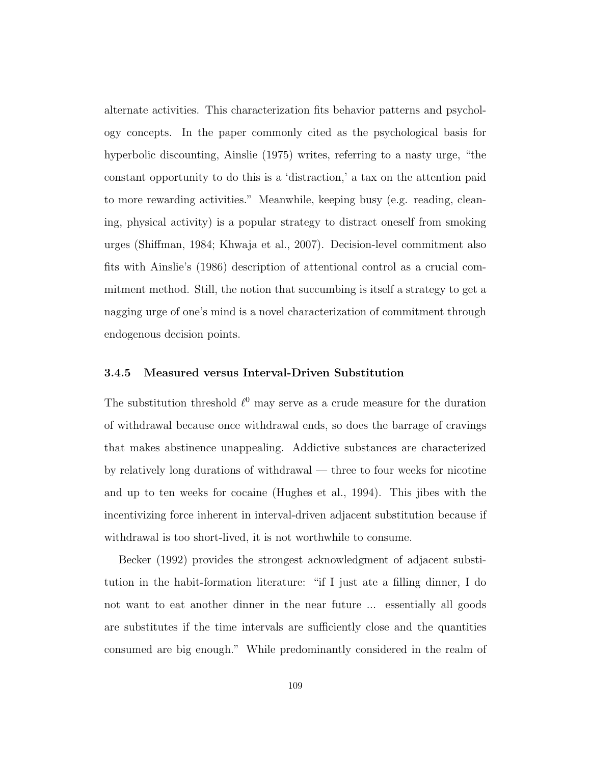alternate activities. This characterization fits behavior patterns and psychology concepts. In the paper commonly cited as the psychological basis for hyperbolic discounting, Ainslie (1975) writes, referring to a nasty urge, "the constant opportunity to do this is a 'distraction,' a tax on the attention paid to more rewarding activities." Meanwhile, keeping busy (e.g. reading, cleaning, physical activity) is a popular strategy to distract oneself from smoking urges (Shiffman, 1984; Khwaja et al., 2007). Decision-level commitment also fits with Ainslie's (1986) description of attentional control as a crucial commitment method. Still, the notion that succumbing is itself a strategy to get a nagging urge of one's mind is a novel characterization of commitment through endogenous decision points.

## 3.4.5 Measured versus Interval-Driven Substitution

The substitution threshold  $\ell^0$  may serve as a crude measure for the duration of withdrawal because once withdrawal ends, so does the barrage of cravings that makes abstinence unappealing. Addictive substances are characterized by relatively long durations of withdrawal — three to four weeks for nicotine and up to ten weeks for cocaine (Hughes et al., 1994). This jibes with the incentivizing force inherent in interval-driven adjacent substitution because if withdrawal is too short-lived, it is not worthwhile to consume.

Becker (1992) provides the strongest acknowledgment of adjacent substitution in the habit-formation literature: "if I just ate a filling dinner, I do not want to eat another dinner in the near future ... essentially all goods are substitutes if the time intervals are sufficiently close and the quantities consumed are big enough." While predominantly considered in the realm of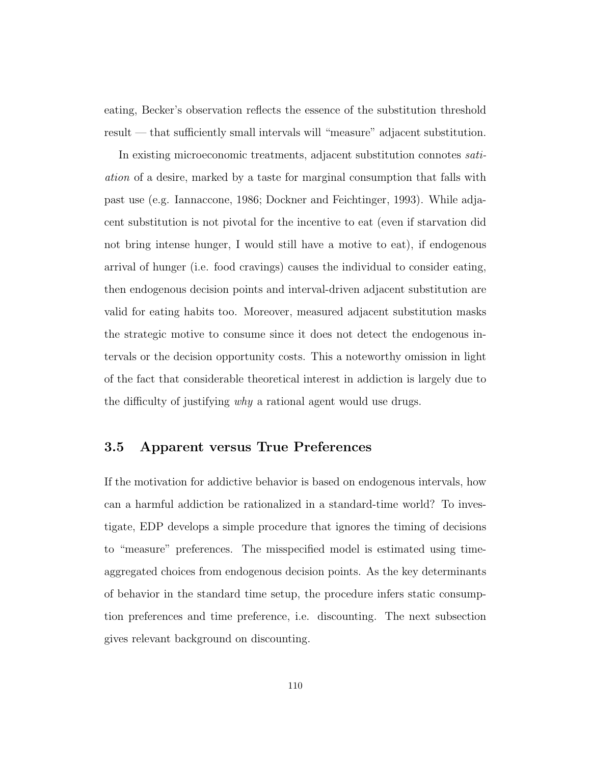eating, Becker's observation reflects the essence of the substitution threshold result — that sufficiently small intervals will "measure" adjacent substitution.

In existing microeconomic treatments, adjacent substitution connotes satiation of a desire, marked by a taste for marginal consumption that falls with past use (e.g. Iannaccone, 1986; Dockner and Feichtinger, 1993). While adjacent substitution is not pivotal for the incentive to eat (even if starvation did not bring intense hunger, I would still have a motive to eat), if endogenous arrival of hunger (i.e. food cravings) causes the individual to consider eating, then endogenous decision points and interval-driven adjacent substitution are valid for eating habits too. Moreover, measured adjacent substitution masks the strategic motive to consume since it does not detect the endogenous intervals or the decision opportunity costs. This a noteworthy omission in light of the fact that considerable theoretical interest in addiction is largely due to the difficulty of justifying *why* a rational agent would use drugs.

## 3.5 Apparent versus True Preferences

If the motivation for addictive behavior is based on endogenous intervals, how can a harmful addiction be rationalized in a standard-time world? To investigate, EDP develops a simple procedure that ignores the timing of decisions to "measure" preferences. The misspecified model is estimated using timeaggregated choices from endogenous decision points. As the key determinants of behavior in the standard time setup, the procedure infers static consumption preferences and time preference, i.e. discounting. The next subsection gives relevant background on discounting.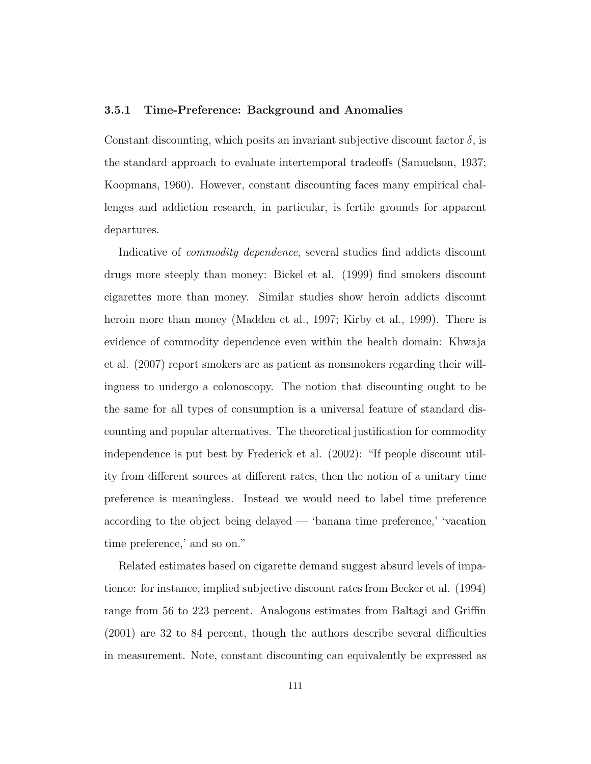#### 3.5.1 Time-Preference: Background and Anomalies

Constant discounting, which posits an invariant subjective discount factor  $\delta$ , is the standard approach to evaluate intertemporal tradeoffs (Samuelson, 1937; Koopmans, 1960). However, constant discounting faces many empirical challenges and addiction research, in particular, is fertile grounds for apparent departures.

Indicative of *commodity dependence*, several studies find addicts discount drugs more steeply than money: Bickel et al. (1999) find smokers discount cigarettes more than money. Similar studies show heroin addicts discount heroin more than money (Madden et al., 1997; Kirby et al., 1999). There is evidence of commodity dependence even within the health domain: Khwaja et al. (2007) report smokers are as patient as nonsmokers regarding their willingness to undergo a colonoscopy. The notion that discounting ought to be the same for all types of consumption is a universal feature of standard discounting and popular alternatives. The theoretical justification for commodity independence is put best by Frederick et al. (2002): "If people discount utility from different sources at different rates, then the notion of a unitary time preference is meaningless. Instead we would need to label time preference according to the object being delayed — 'banana time preference,' 'vacation time preference,' and so on."

Related estimates based on cigarette demand suggest absurd levels of impatience: for instance, implied subjective discount rates from Becker et al. (1994) range from 56 to 223 percent. Analogous estimates from Baltagi and Griffin (2001) are 32 to 84 percent, though the authors describe several difficulties in measurement. Note, constant discounting can equivalently be expressed as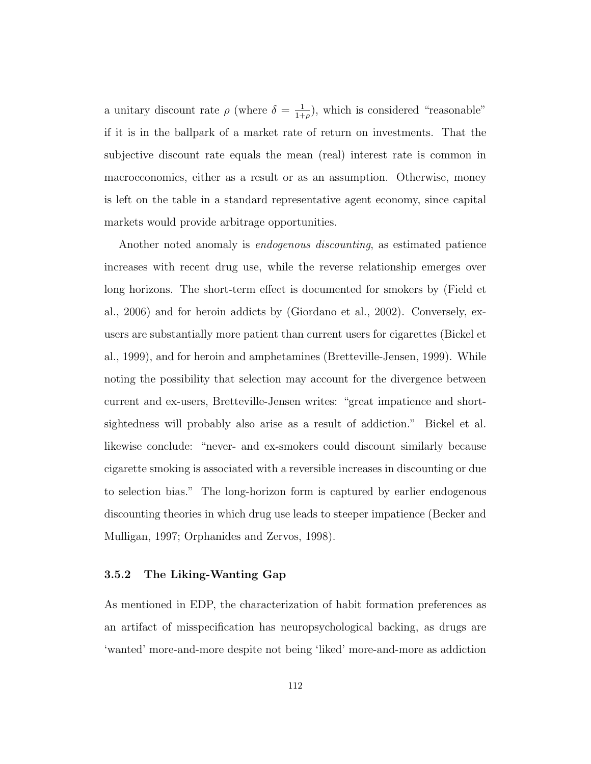a unitary discount rate  $\rho$  (where  $\delta = \frac{1}{1+\rho}$  $\frac{1}{1+\rho}$ ), which is considered "reasonable" if it is in the ballpark of a market rate of return on investments. That the subjective discount rate equals the mean (real) interest rate is common in macroeconomics, either as a result or as an assumption. Otherwise, money is left on the table in a standard representative agent economy, since capital markets would provide arbitrage opportunities.

Another noted anomaly is endogenous discounting, as estimated patience increases with recent drug use, while the reverse relationship emerges over long horizons. The short-term effect is documented for smokers by (Field et al., 2006) and for heroin addicts by (Giordano et al., 2002). Conversely, exusers are substantially more patient than current users for cigarettes (Bickel et al., 1999), and for heroin and amphetamines (Bretteville-Jensen, 1999). While noting the possibility that selection may account for the divergence between current and ex-users, Bretteville-Jensen writes: "great impatience and shortsightedness will probably also arise as a result of addiction." Bickel et al. likewise conclude: "never- and ex-smokers could discount similarly because cigarette smoking is associated with a reversible increases in discounting or due to selection bias." The long-horizon form is captured by earlier endogenous discounting theories in which drug use leads to steeper impatience (Becker and Mulligan, 1997; Orphanides and Zervos, 1998).

## 3.5.2 The Liking-Wanting Gap

As mentioned in EDP, the characterization of habit formation preferences as an artifact of misspecification has neuropsychological backing, as drugs are 'wanted' more-and-more despite not being 'liked' more-and-more as addiction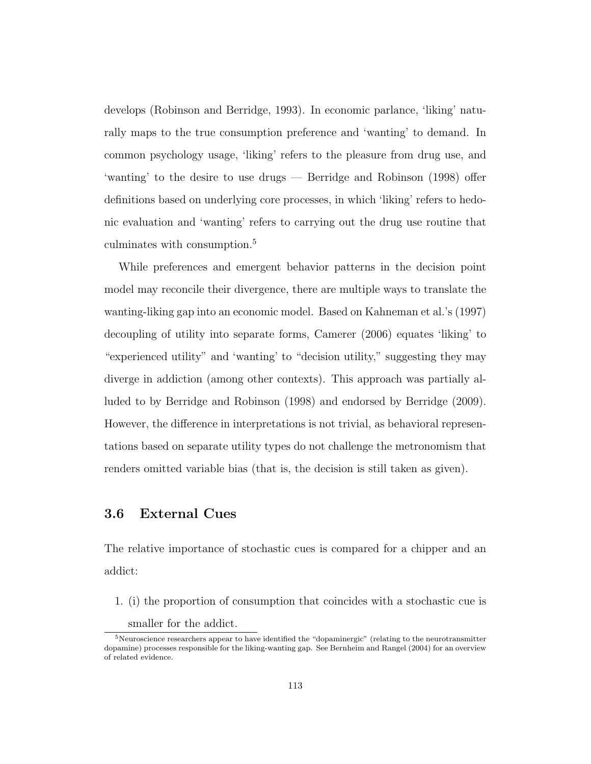develops (Robinson and Berridge, 1993). In economic parlance, 'liking' naturally maps to the true consumption preference and 'wanting' to demand. In common psychology usage, 'liking' refers to the pleasure from drug use, and 'wanting' to the desire to use drugs — Berridge and Robinson (1998) offer definitions based on underlying core processes, in which 'liking' refers to hedonic evaluation and 'wanting' refers to carrying out the drug use routine that culminates with consumption.<sup>5</sup>

While preferences and emergent behavior patterns in the decision point model may reconcile their divergence, there are multiple ways to translate the wanting-liking gap into an economic model. Based on Kahneman et al.'s (1997) decoupling of utility into separate forms, Camerer (2006) equates 'liking' to "experienced utility" and 'wanting' to "decision utility," suggesting they may diverge in addiction (among other contexts). This approach was partially alluded to by Berridge and Robinson (1998) and endorsed by Berridge (2009). However, the difference in interpretations is not trivial, as behavioral representations based on separate utility types do not challenge the metronomism that renders omitted variable bias (that is, the decision is still taken as given).

## 3.6 External Cues

The relative importance of stochastic cues is compared for a chipper and an addict:

1. (i) the proportion of consumption that coincides with a stochastic cue is

smaller for the addict.

 $5$ Neuroscience researchers appear to have identified the "dopaminergic" (relating to the neurotransmitter dopamine) processes responsible for the liking-wanting gap. See Bernheim and Rangel (2004) for an overview of related evidence.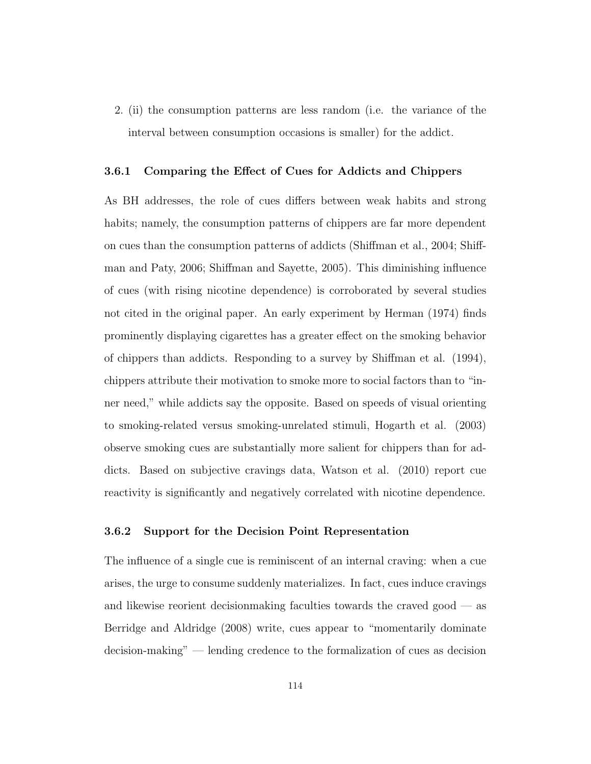2. (ii) the consumption patterns are less random (i.e. the variance of the interval between consumption occasions is smaller) for the addict.

#### 3.6.1 Comparing the Effect of Cues for Addicts and Chippers

As BH addresses, the role of cues differs between weak habits and strong habits; namely, the consumption patterns of chippers are far more dependent on cues than the consumption patterns of addicts (Shiffman et al., 2004; Shiffman and Paty, 2006; Shiffman and Sayette, 2005). This diminishing influence of cues (with rising nicotine dependence) is corroborated by several studies not cited in the original paper. An early experiment by Herman (1974) finds prominently displaying cigarettes has a greater effect on the smoking behavior of chippers than addicts. Responding to a survey by Shiffman et al. (1994), chippers attribute their motivation to smoke more to social factors than to "inner need," while addicts say the opposite. Based on speeds of visual orienting to smoking-related versus smoking-unrelated stimuli, Hogarth et al. (2003) observe smoking cues are substantially more salient for chippers than for addicts. Based on subjective cravings data, Watson et al. (2010) report cue reactivity is significantly and negatively correlated with nicotine dependence.

## 3.6.2 Support for the Decision Point Representation

The influence of a single cue is reminiscent of an internal craving: when a cue arises, the urge to consume suddenly materializes. In fact, cues induce cravings and likewise reorient decisionmaking faculties towards the craved good — as Berridge and Aldridge (2008) write, cues appear to "momentarily dominate decision-making" — lending credence to the formalization of cues as decision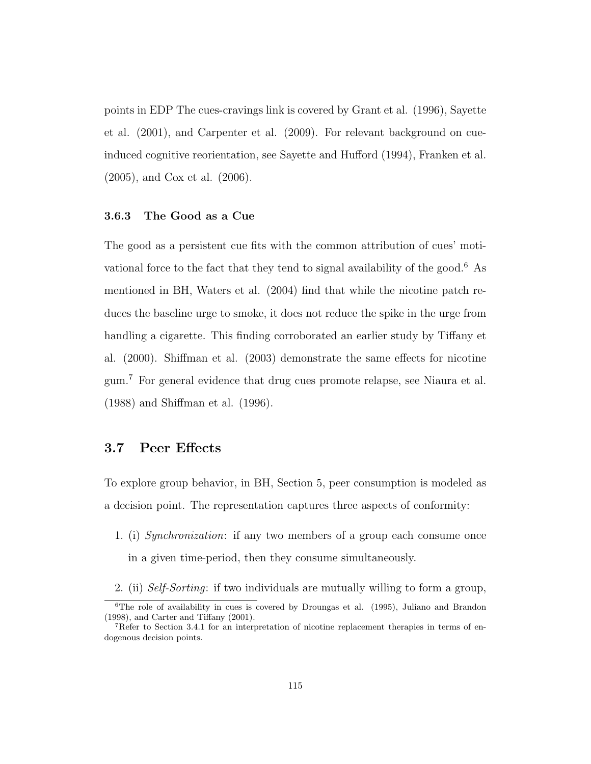points in EDP The cues-cravings link is covered by Grant et al. (1996), Sayette et al. (2001), and Carpenter et al. (2009). For relevant background on cueinduced cognitive reorientation, see Sayette and Hufford (1994), Franken et al. (2005), and Cox et al. (2006).

## 3.6.3 The Good as a Cue

The good as a persistent cue fits with the common attribution of cues' motivational force to the fact that they tend to signal availability of the good.<sup>6</sup> As mentioned in BH, Waters et al. (2004) find that while the nicotine patch reduces the baseline urge to smoke, it does not reduce the spike in the urge from handling a cigarette. This finding corroborated an earlier study by Tiffany et al. (2000). Shiffman et al. (2003) demonstrate the same effects for nicotine gum.<sup>7</sup> For general evidence that drug cues promote relapse, see Niaura et al. (1988) and Shiffman et al. (1996).

## 3.7 Peer Effects

To explore group behavior, in BH, Section 5, peer consumption is modeled as a decision point. The representation captures three aspects of conformity:

- 1. (i) Synchronization: if any two members of a group each consume once in a given time-period, then they consume simultaneously.
- 2. (ii) Self-Sorting: if two individuals are mutually willing to form a group,

<sup>&</sup>lt;sup>6</sup>The role of availability in cues is covered by Droungas et al. (1995), Juliano and Brandon (1998), and Carter and Tiffany (2001).

<sup>7</sup>Refer to Section 3.4.1 for an interpretation of nicotine replacement therapies in terms of endogenous decision points.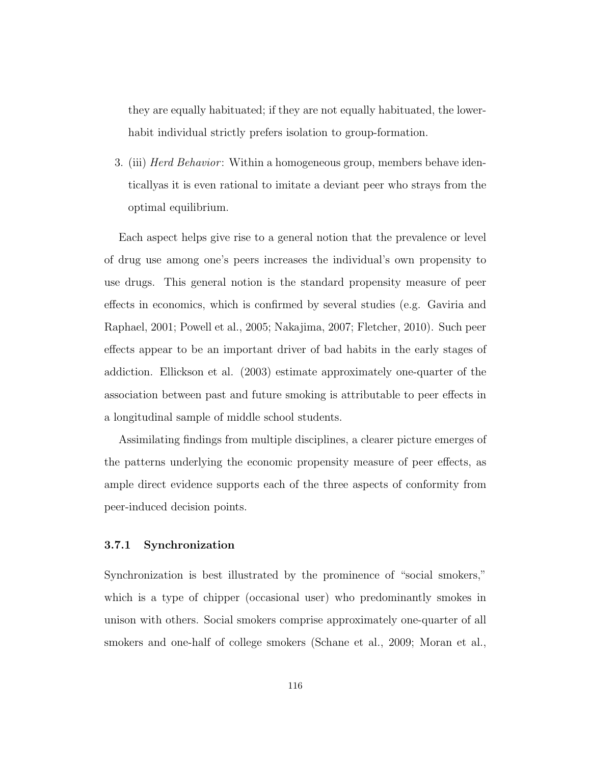they are equally habituated; if they are not equally habituated, the lowerhabit individual strictly prefers isolation to group-formation.

3. (iii) *Herd Behavior*: Within a homogeneous group, members behave identicallyas it is even rational to imitate a deviant peer who strays from the optimal equilibrium.

Each aspect helps give rise to a general notion that the prevalence or level of drug use among one's peers increases the individual's own propensity to use drugs. This general notion is the standard propensity measure of peer effects in economics, which is confirmed by several studies (e.g. Gaviria and Raphael, 2001; Powell et al., 2005; Nakajima, 2007; Fletcher, 2010). Such peer effects appear to be an important driver of bad habits in the early stages of addiction. Ellickson et al. (2003) estimate approximately one-quarter of the association between past and future smoking is attributable to peer effects in a longitudinal sample of middle school students.

Assimilating findings from multiple disciplines, a clearer picture emerges of the patterns underlying the economic propensity measure of peer effects, as ample direct evidence supports each of the three aspects of conformity from peer-induced decision points.

## 3.7.1 Synchronization

Synchronization is best illustrated by the prominence of "social smokers," which is a type of chipper (occasional user) who predominantly smokes in unison with others. Social smokers comprise approximately one-quarter of all smokers and one-half of college smokers (Schane et al., 2009; Moran et al.,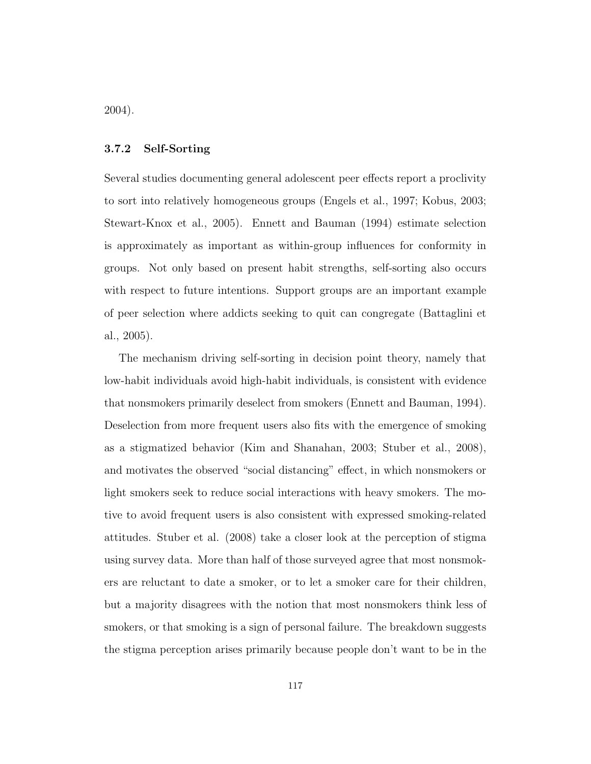2004).

## 3.7.2 Self-Sorting

Several studies documenting general adolescent peer effects report a proclivity to sort into relatively homogeneous groups (Engels et al., 1997; Kobus, 2003; Stewart-Knox et al., 2005). Ennett and Bauman (1994) estimate selection is approximately as important as within-group influences for conformity in groups. Not only based on present habit strengths, self-sorting also occurs with respect to future intentions. Support groups are an important example of peer selection where addicts seeking to quit can congregate (Battaglini et al., 2005).

The mechanism driving self-sorting in decision point theory, namely that low-habit individuals avoid high-habit individuals, is consistent with evidence that nonsmokers primarily deselect from smokers (Ennett and Bauman, 1994). Deselection from more frequent users also fits with the emergence of smoking as a stigmatized behavior (Kim and Shanahan, 2003; Stuber et al., 2008), and motivates the observed "social distancing" effect, in which nonsmokers or light smokers seek to reduce social interactions with heavy smokers. The motive to avoid frequent users is also consistent with expressed smoking-related attitudes. Stuber et al. (2008) take a closer look at the perception of stigma using survey data. More than half of those surveyed agree that most nonsmokers are reluctant to date a smoker, or to let a smoker care for their children, but a majority disagrees with the notion that most nonsmokers think less of smokers, or that smoking is a sign of personal failure. The breakdown suggests the stigma perception arises primarily because people don't want to be in the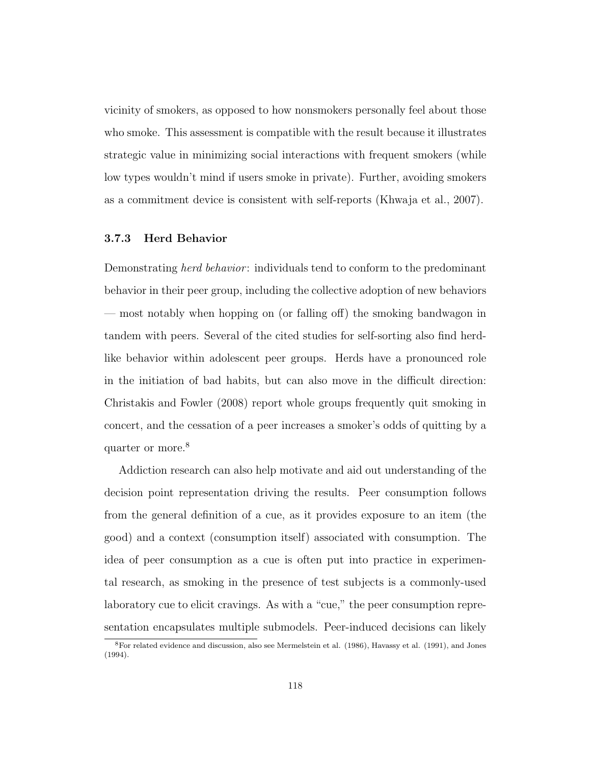vicinity of smokers, as opposed to how nonsmokers personally feel about those who smoke. This assessment is compatible with the result because it illustrates strategic value in minimizing social interactions with frequent smokers (while low types wouldn't mind if users smoke in private). Further, avoiding smokers as a commitment device is consistent with self-reports (Khwaja et al., 2007).

## 3.7.3 Herd Behavior

Demonstrating *herd behavior*: individuals tend to conform to the predominant behavior in their peer group, including the collective adoption of new behaviors — most notably when hopping on (or falling off) the smoking bandwagon in tandem with peers. Several of the cited studies for self-sorting also find herdlike behavior within adolescent peer groups. Herds have a pronounced role in the initiation of bad habits, but can also move in the difficult direction: Christakis and Fowler (2008) report whole groups frequently quit smoking in concert, and the cessation of a peer increases a smoker's odds of quitting by a quarter or more.<sup>8</sup>

Addiction research can also help motivate and aid out understanding of the decision point representation driving the results. Peer consumption follows from the general definition of a cue, as it provides exposure to an item (the good) and a context (consumption itself) associated with consumption. The idea of peer consumption as a cue is often put into practice in experimental research, as smoking in the presence of test subjects is a commonly-used laboratory cue to elicit cravings. As with a "cue," the peer consumption representation encapsulates multiple submodels. Peer-induced decisions can likely

<sup>8</sup>For related evidence and discussion, also see Mermelstein et al. (1986), Havassy et al. (1991), and Jones (1994).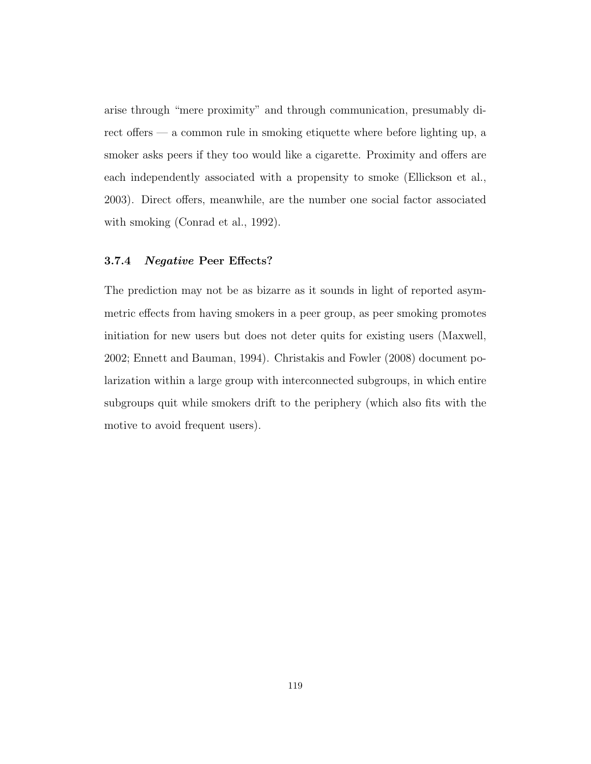arise through "mere proximity" and through communication, presumably direct offers — a common rule in smoking etiquette where before lighting up, a smoker asks peers if they too would like a cigarette. Proximity and offers are each independently associated with a propensity to smoke (Ellickson et al., 2003). Direct offers, meanwhile, are the number one social factor associated with smoking (Conrad et al., 1992).

## 3.7.4 Negative Peer Effects?

The prediction may not be as bizarre as it sounds in light of reported asymmetric effects from having smokers in a peer group, as peer smoking promotes initiation for new users but does not deter quits for existing users (Maxwell, 2002; Ennett and Bauman, 1994). Christakis and Fowler (2008) document polarization within a large group with interconnected subgroups, in which entire subgroups quit while smokers drift to the periphery (which also fits with the motive to avoid frequent users).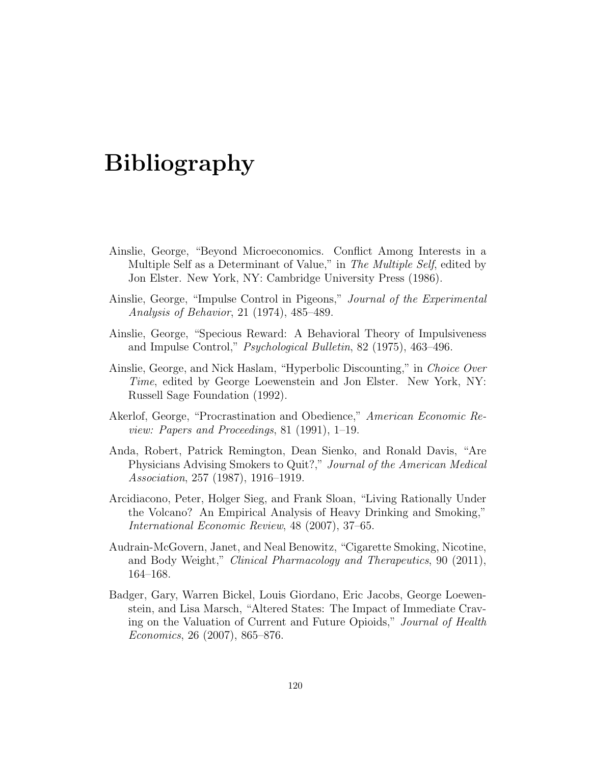# Bibliography

- Ainslie, George, "Beyond Microeconomics. Conflict Among Interests in a Multiple Self as a Determinant of Value," in The Multiple Self, edited by Jon Elster. New York, NY: Cambridge University Press (1986).
- Ainslie, George, "Impulse Control in Pigeons," Journal of the Experimental Analysis of Behavior, 21 (1974), 485–489.
- Ainslie, George, "Specious Reward: A Behavioral Theory of Impulsiveness and Impulse Control," Psychological Bulletin, 82 (1975), 463–496.
- Ainslie, George, and Nick Haslam, "Hyperbolic Discounting," in Choice Over Time, edited by George Loewenstein and Jon Elster. New York, NY: Russell Sage Foundation (1992).
- Akerlof, George, "Procrastination and Obedience," American Economic Review: Papers and Proceedings, 81 (1991), 1–19.
- Anda, Robert, Patrick Remington, Dean Sienko, and Ronald Davis, "Are Physicians Advising Smokers to Quit?," Journal of the American Medical Association, 257 (1987), 1916–1919.
- Arcidiacono, Peter, Holger Sieg, and Frank Sloan, "Living Rationally Under the Volcano? An Empirical Analysis of Heavy Drinking and Smoking," International Economic Review, 48 (2007), 37–65.
- Audrain-McGovern, Janet, and Neal Benowitz, "Cigarette Smoking, Nicotine, and Body Weight," Clinical Pharmacology and Therapeutics, 90 (2011), 164–168.
- Badger, Gary, Warren Bickel, Louis Giordano, Eric Jacobs, George Loewenstein, and Lisa Marsch, "Altered States: The Impact of Immediate Craving on the Valuation of Current and Future Opioids," Journal of Health Economics, 26 (2007), 865–876.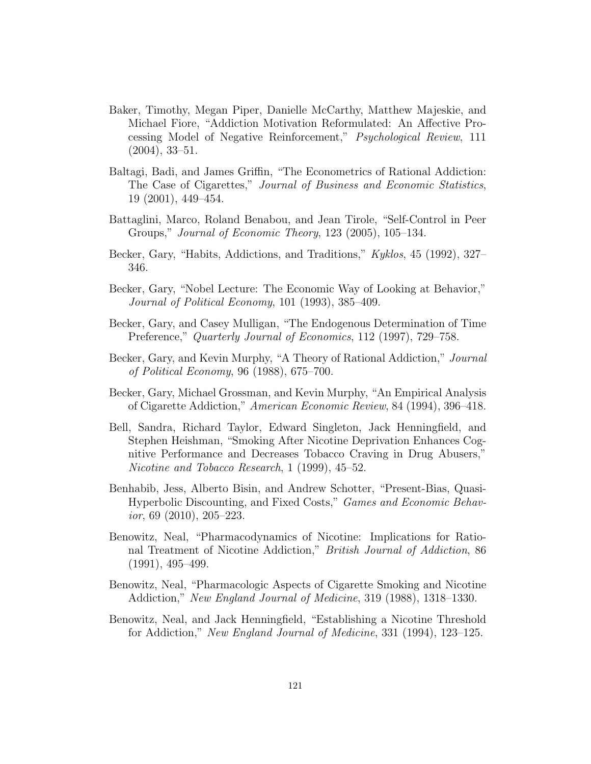- Baker, Timothy, Megan Piper, Danielle McCarthy, Matthew Majeskie, and Michael Fiore, "Addiction Motivation Reformulated: An Affective Processing Model of Negative Reinforcement," Psychological Review, 111 (2004), 33–51.
- Baltagi, Badi, and James Griffin, "The Econometrics of Rational Addiction: The Case of Cigarettes," Journal of Business and Economic Statistics, 19 (2001), 449–454.
- Battaglini, Marco, Roland Benabou, and Jean Tirole, "Self-Control in Peer Groups," Journal of Economic Theory, 123 (2005), 105–134.
- Becker, Gary, "Habits, Addictions, and Traditions," Kyklos, 45 (1992), 327– 346.
- Becker, Gary, "Nobel Lecture: The Economic Way of Looking at Behavior," Journal of Political Economy, 101 (1993), 385–409.
- Becker, Gary, and Casey Mulligan, "The Endogenous Determination of Time Preference," Quarterly Journal of Economics, 112 (1997), 729–758.
- Becker, Gary, and Kevin Murphy, "A Theory of Rational Addiction," Journal of Political Economy, 96 (1988), 675–700.
- Becker, Gary, Michael Grossman, and Kevin Murphy, "An Empirical Analysis of Cigarette Addiction," American Economic Review, 84 (1994), 396–418.
- Bell, Sandra, Richard Taylor, Edward Singleton, Jack Henningfield, and Stephen Heishman, "Smoking After Nicotine Deprivation Enhances Cognitive Performance and Decreases Tobacco Craving in Drug Abusers," Nicotine and Tobacco Research, 1 (1999), 45–52.
- Benhabib, Jess, Alberto Bisin, and Andrew Schotter, "Present-Bias, Quasi-Hyperbolic Discounting, and Fixed Costs," Games and Economic Behav $ior, 69 (2010), 205-223.$
- Benowitz, Neal, "Pharmacodynamics of Nicotine: Implications for Rational Treatment of Nicotine Addiction," British Journal of Addiction, 86 (1991), 495–499.
- Benowitz, Neal, "Pharmacologic Aspects of Cigarette Smoking and Nicotine Addiction," New England Journal of Medicine, 319 (1988), 1318–1330.
- Benowitz, Neal, and Jack Henningfield, "Establishing a Nicotine Threshold for Addiction," New England Journal of Medicine, 331 (1994), 123–125.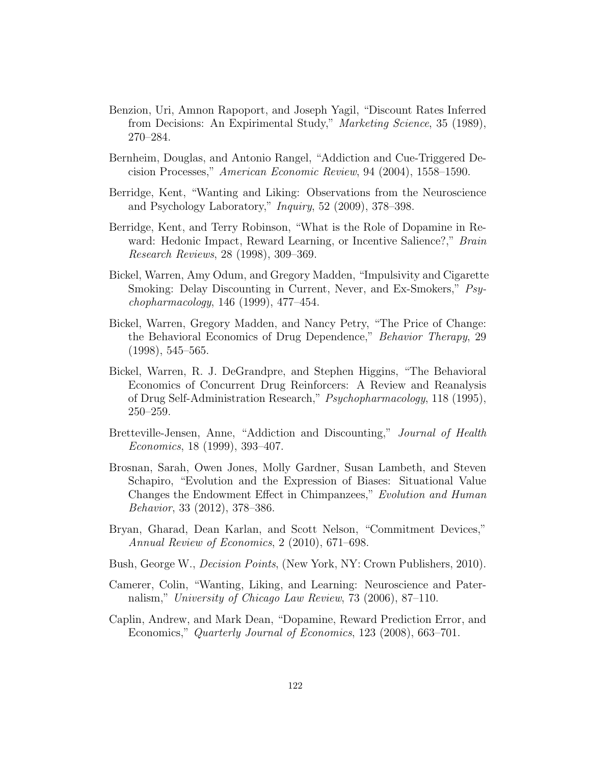- Benzion, Uri, Amnon Rapoport, and Joseph Yagil, "Discount Rates Inferred from Decisions: An Expirimental Study," Marketing Science, 35 (1989), 270–284.
- Bernheim, Douglas, and Antonio Rangel, "Addiction and Cue-Triggered Decision Processes," American Economic Review, 94 (2004), 1558–1590.
- Berridge, Kent, "Wanting and Liking: Observations from the Neuroscience and Psychology Laboratory," Inquiry, 52 (2009), 378–398.
- Berridge, Kent, and Terry Robinson, "What is the Role of Dopamine in Reward: Hedonic Impact, Reward Learning, or Incentive Salience?," Brain Research Reviews, 28 (1998), 309–369.
- Bickel, Warren, Amy Odum, and Gregory Madden, "Impulsivity and Cigarette Smoking: Delay Discounting in Current, Never, and Ex-Smokers," Psychopharmacology, 146 (1999), 477–454.
- Bickel, Warren, Gregory Madden, and Nancy Petry, "The Price of Change: the Behavioral Economics of Drug Dependence," Behavior Therapy, 29 (1998), 545–565.
- Bickel, Warren, R. J. DeGrandpre, and Stephen Higgins, "The Behavioral Economics of Concurrent Drug Reinforcers: A Review and Reanalysis of Drug Self-Administration Research," Psychopharmacology, 118 (1995), 250–259.
- Bretteville-Jensen, Anne, "Addiction and Discounting," Journal of Health Economics, 18 (1999), 393–407.
- Brosnan, Sarah, Owen Jones, Molly Gardner, Susan Lambeth, and Steven Schapiro, "Evolution and the Expression of Biases: Situational Value Changes the Endowment Effect in Chimpanzees," Evolution and Human Behavior, 33 (2012), 378–386.
- Bryan, Gharad, Dean Karlan, and Scott Nelson, "Commitment Devices," Annual Review of Economics, 2 (2010), 671–698.
- Bush, George W., Decision Points, (New York, NY: Crown Publishers, 2010).
- Camerer, Colin, "Wanting, Liking, and Learning: Neuroscience and Paternalism," University of Chicago Law Review, 73 (2006), 87–110.
- Caplin, Andrew, and Mark Dean, "Dopamine, Reward Prediction Error, and Economics," Quarterly Journal of Economics, 123 (2008), 663–701.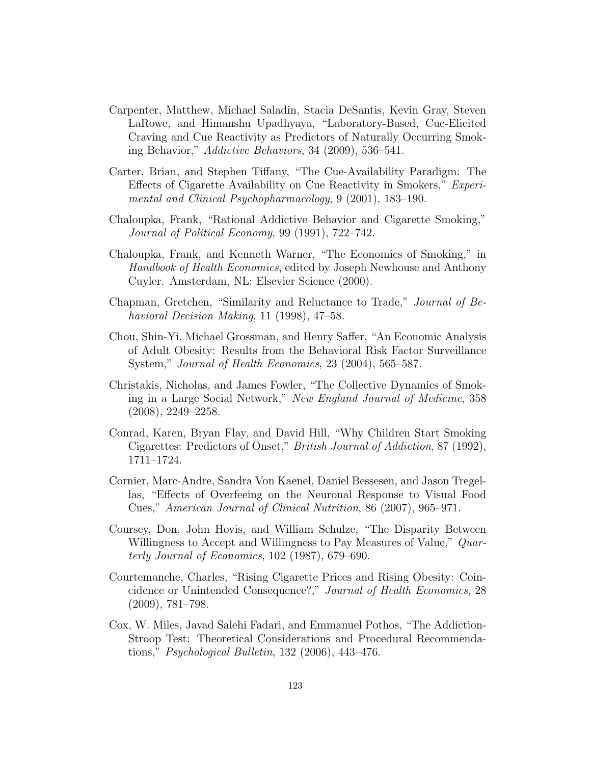- Carpenter, Matthew, Michael Saladin, Stacia DeSantis, Kevin Gray, Steven LaRowe, and Himanshu Upadhyaya, "Laboratory-Based, Cue-Elicited Craving and Cue Reactivity as Predictors of Naturally Occurring Smoking Behavior," Addictive Behaviors, 34 (2009), 536–541.
- Carter, Brian, and Stephen Tiffany, "The Cue-Availability Paradigm: The Effects of Cigarette Availability on Cue Reactivity in Smokers," Experimental and Clinical Psychopharmacology, 9 (2001), 183–190.
- Chaloupka, Frank, "Rational Addictive Behavior and Cigarette Smoking," Journal of Political Economy, 99 (1991), 722–742.
- Chaloupka, Frank, and Kenneth Warner, "The Economics of Smoking," in Handbook of Health Economics, edited by Joseph Newhouse and Anthony Cuyler. Amsterdam, NL: Elsevier Science (2000).
- Chapman, Gretchen, "Similarity and Reluctance to Trade," Journal of Behavioral Decision Making, 11 (1998), 47–58.
- Chou, Shin-Yi, Michael Grossman, and Henry Saffer, "An Economic Analysis of Adult Obesity: Results from the Behavioral Risk Factor Surveillance System," Journal of Health Economics, 23 (2004), 565–587.
- Christakis, Nicholas, and James Fowler, "The Collective Dynamics of Smoking in a Large Social Network," New England Journal of Medicine, 358 (2008), 2249–2258.
- Conrad, Karen, Bryan Flay, and David Hill, "Why Children Start Smoking Cigarettes: Predictors of Onset," British Journal of Addiction, 87 (1992), 1711–1724.
- Cornier, Marc-Andre, Sandra Von Kaenel, Daniel Bessesen, and Jason Tregellas, "Effects of Overfeeing on the Neuronal Response to Visual Food Cues," American Journal of Clinical Nutrition, 86 (2007), 965–971.
- Coursey, Don, John Hovis, and William Schulze, "The Disparity Between Willingness to Accept and Willingness to Pay Measures of Value," Quarterly Journal of Economics, 102 (1987), 679–690.
- Courtemanche, Charles, "Rising Cigarette Prices and Rising Obesity: Coincidence or Unintended Consequence?," Journal of Health Economics, 28 (2009), 781–798.
- Cox, W. Miles, Javad Salehi Fadari, and Emmanuel Pothos, "The Addiction-Stroop Test: Theoretical Considerations and Procedural Recommendations," Psychological Bulletin, 132 (2006), 443–476.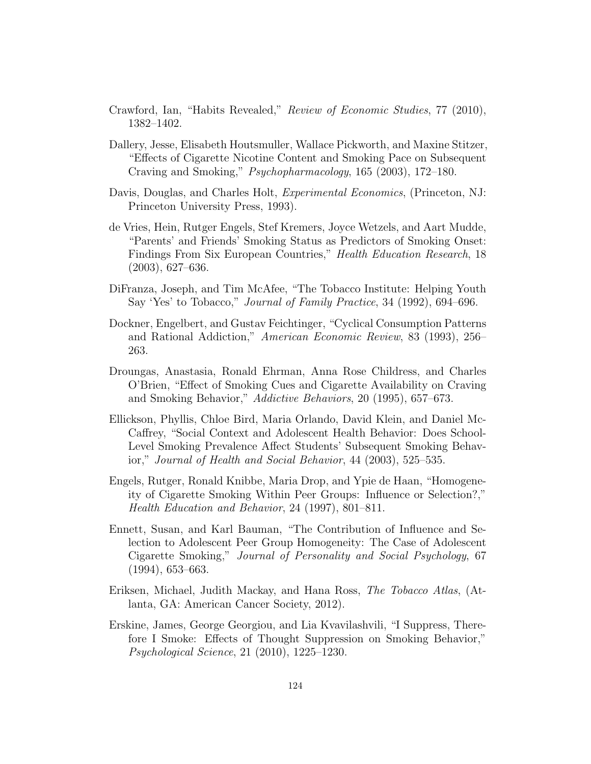- Crawford, Ian, "Habits Revealed," Review of Economic Studies, 77 (2010), 1382–1402.
- Dallery, Jesse, Elisabeth Houtsmuller, Wallace Pickworth, and Maxine Stitzer, "Effects of Cigarette Nicotine Content and Smoking Pace on Subsequent Craving and Smoking," Psychopharmacology, 165 (2003), 172–180.
- Davis, Douglas, and Charles Holt, *Experimental Economics*, (Princeton, NJ: Princeton University Press, 1993).
- de Vries, Hein, Rutger Engels, Stef Kremers, Joyce Wetzels, and Aart Mudde, "Parents' and Friends' Smoking Status as Predictors of Smoking Onset: Findings From Six European Countries," Health Education Research, 18 (2003), 627–636.
- DiFranza, Joseph, and Tim McAfee, "The Tobacco Institute: Helping Youth Say 'Yes' to Tobacco," Journal of Family Practice, 34 (1992), 694–696.
- Dockner, Engelbert, and Gustav Feichtinger, "Cyclical Consumption Patterns and Rational Addiction," American Economic Review, 83 (1993), 256– 263.
- Droungas, Anastasia, Ronald Ehrman, Anna Rose Childress, and Charles O'Brien, "Effect of Smoking Cues and Cigarette Availability on Craving and Smoking Behavior," Addictive Behaviors, 20 (1995), 657–673.
- Ellickson, Phyllis, Chloe Bird, Maria Orlando, David Klein, and Daniel Mc-Caffrey, "Social Context and Adolescent Health Behavior: Does School-Level Smoking Prevalence Affect Students' Subsequent Smoking Behavior," Journal of Health and Social Behavior, 44 (2003), 525–535.
- Engels, Rutger, Ronald Knibbe, Maria Drop, and Ypie de Haan, "Homogeneity of Cigarette Smoking Within Peer Groups: Influence or Selection?," Health Education and Behavior, 24 (1997), 801–811.
- Ennett, Susan, and Karl Bauman, "The Contribution of Influence and Selection to Adolescent Peer Group Homogeneity: The Case of Adolescent Cigarette Smoking," Journal of Personality and Social Psychology, 67 (1994), 653–663.
- Eriksen, Michael, Judith Mackay, and Hana Ross, The Tobacco Atlas, (Atlanta, GA: American Cancer Society, 2012).
- Erskine, James, George Georgiou, and Lia Kvavilashvili, "I Suppress, Therefore I Smoke: Effects of Thought Suppression on Smoking Behavior," Psychological Science, 21 (2010), 1225–1230.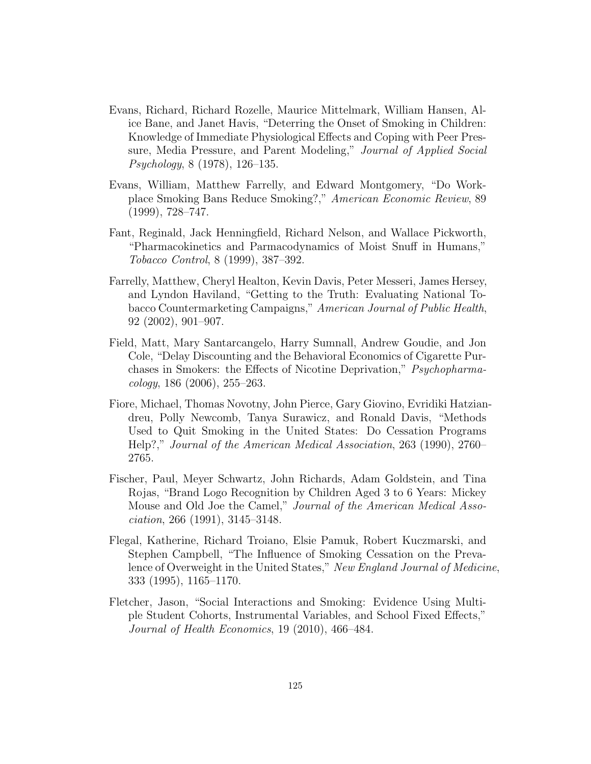- Evans, Richard, Richard Rozelle, Maurice Mittelmark, William Hansen, Alice Bane, and Janet Havis, "Deterring the Onset of Smoking in Children: Knowledge of Immediate Physiological Effects and Coping with Peer Pressure, Media Pressure, and Parent Modeling," Journal of Applied Social Psychology, 8 (1978), 126–135.
- Evans, William, Matthew Farrelly, and Edward Montgomery, "Do Workplace Smoking Bans Reduce Smoking?," American Economic Review, 89 (1999), 728–747.
- Fant, Reginald, Jack Henningfield, Richard Nelson, and Wallace Pickworth, "Pharmacokinetics and Parmacodynamics of Moist Snuff in Humans," Tobacco Control, 8 (1999), 387–392.
- Farrelly, Matthew, Cheryl Healton, Kevin Davis, Peter Messeri, James Hersey, and Lyndon Haviland, "Getting to the Truth: Evaluating National Tobacco Countermarketing Campaigns," American Journal of Public Health, 92 (2002), 901–907.
- Field, Matt, Mary Santarcangelo, Harry Sumnall, Andrew Goudie, and Jon Cole, "Delay Discounting and the Behavioral Economics of Cigarette Purchases in Smokers: the Effects of Nicotine Deprivation," Psychopharma- $\{coloq, 186 (2006), 255-263.$
- Fiore, Michael, Thomas Novotny, John Pierce, Gary Giovino, Evridiki Hatziandreu, Polly Newcomb, Tanya Surawicz, and Ronald Davis, "Methods Used to Quit Smoking in the United States: Do Cessation Programs Help?," Journal of the American Medical Association, 263 (1990), 2760– 2765.
- Fischer, Paul, Meyer Schwartz, John Richards, Adam Goldstein, and Tina Rojas, "Brand Logo Recognition by Children Aged 3 to 6 Years: Mickey Mouse and Old Joe the Camel," *Journal of the American Medical Asso*ciation, 266 (1991), 3145–3148.
- Flegal, Katherine, Richard Troiano, Elsie Pamuk, Robert Kuczmarski, and Stephen Campbell, "The Influence of Smoking Cessation on the Prevalence of Overweight in the United States," New England Journal of Medicine, 333 (1995), 1165–1170.
- Fletcher, Jason, "Social Interactions and Smoking: Evidence Using Multiple Student Cohorts, Instrumental Variables, and School Fixed Effects," Journal of Health Economics, 19 (2010), 466–484.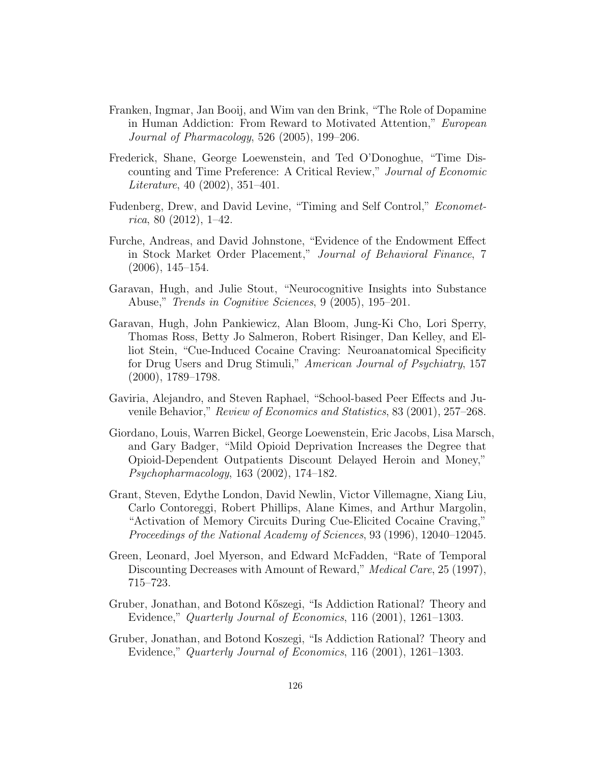- Franken, Ingmar, Jan Booij, and Wim van den Brink, "The Role of Dopamine in Human Addiction: From Reward to Motivated Attention," European Journal of Pharmacology, 526 (2005), 199–206.
- Frederick, Shane, George Loewenstein, and Ted O'Donoghue, "Time Discounting and Time Preference: A Critical Review," Journal of Economic Literature, 40 (2002), 351–401.
- Fudenberg, Drew, and David Levine, "Timing and Self Control," Econometrica, 80 (2012), 1–42.
- Furche, Andreas, and David Johnstone, "Evidence of the Endowment Effect in Stock Market Order Placement," Journal of Behavioral Finance, 7 (2006), 145–154.
- Garavan, Hugh, and Julie Stout, "Neurocognitive Insights into Substance Abuse," Trends in Cognitive Sciences, 9 (2005), 195–201.
- Garavan, Hugh, John Pankiewicz, Alan Bloom, Jung-Ki Cho, Lori Sperry, Thomas Ross, Betty Jo Salmeron, Robert Risinger, Dan Kelley, and Elliot Stein, "Cue-Induced Cocaine Craving: Neuroanatomical Specificity for Drug Users and Drug Stimuli," American Journal of Psychiatry, 157 (2000), 1789–1798.
- Gaviria, Alejandro, and Steven Raphael, "School-based Peer Effects and Juvenile Behavior," Review of Economics and Statistics, 83 (2001), 257–268.
- Giordano, Louis, Warren Bickel, George Loewenstein, Eric Jacobs, Lisa Marsch, and Gary Badger, "Mild Opioid Deprivation Increases the Degree that Opioid-Dependent Outpatients Discount Delayed Heroin and Money," Psychopharmacology, 163 (2002), 174–182.
- Grant, Steven, Edythe London, David Newlin, Victor Villemagne, Xiang Liu, Carlo Contoreggi, Robert Phillips, Alane Kimes, and Arthur Margolin, "Activation of Memory Circuits During Cue-Elicited Cocaine Craving," Proceedings of the National Academy of Sciences, 93 (1996), 12040–12045.
- Green, Leonard, Joel Myerson, and Edward McFadden, "Rate of Temporal Discounting Decreases with Amount of Reward," *Medical Care*, 25 (1997), 715–723.
- Gruber, Jonathan, and Botond K˝oszegi, "Is Addiction Rational? Theory and Evidence," Quarterly Journal of Economics, 116 (2001), 1261–1303.
- Gruber, Jonathan, and Botond Koszegi, "Is Addiction Rational? Theory and Evidence," Quarterly Journal of Economics, 116 (2001), 1261–1303.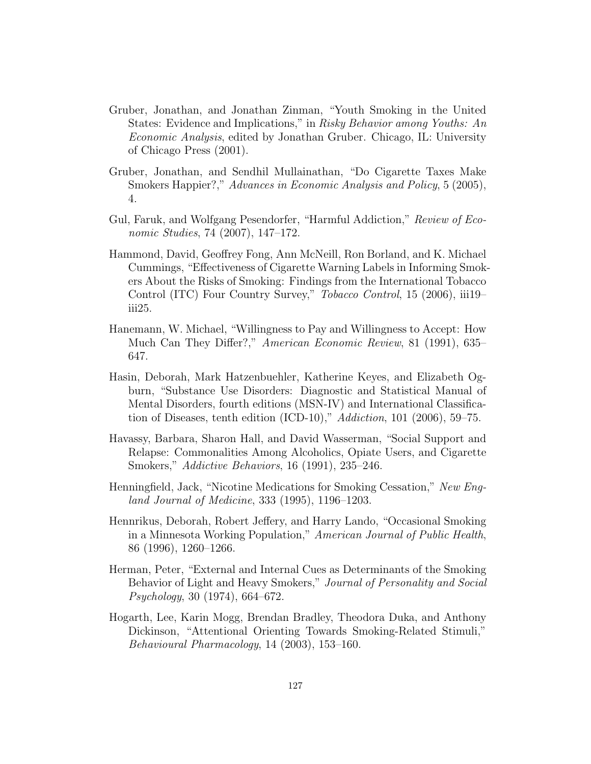- Gruber, Jonathan, and Jonathan Zinman, "Youth Smoking in the United States: Evidence and Implications," in Risky Behavior among Youths: An Economic Analysis, edited by Jonathan Gruber. Chicago, IL: University of Chicago Press (2001).
- Gruber, Jonathan, and Sendhil Mullainathan, "Do Cigarette Taxes Make Smokers Happier?," Advances in Economic Analysis and Policy, 5 (2005), 4.
- Gul, Faruk, and Wolfgang Pesendorfer, "Harmful Addiction," Review of Economic Studies, 74 (2007), 147–172.
- Hammond, David, Geoffrey Fong, Ann McNeill, Ron Borland, and K. Michael Cummings, "Effectiveness of Cigarette Warning Labels in Informing Smokers About the Risks of Smoking: Findings from the International Tobacco Control (ITC) Four Country Survey," Tobacco Control, 15 (2006), iii19– iii25.
- Hanemann, W. Michael, "Willingness to Pay and Willingness to Accept: How Much Can They Differ?," American Economic Review, 81 (1991), 635– 647.
- Hasin, Deborah, Mark Hatzenbuehler, Katherine Keyes, and Elizabeth Ogburn, "Substance Use Disorders: Diagnostic and Statistical Manual of Mental Disorders, fourth editions (MSN-IV) and International Classification of Diseases, tenth edition (ICD-10)," Addiction, 101 (2006), 59–75.
- Havassy, Barbara, Sharon Hall, and David Wasserman, "Social Support and Relapse: Commonalities Among Alcoholics, Opiate Users, and Cigarette Smokers," Addictive Behaviors, 16 (1991), 235–246.
- Henningfield, Jack, "Nicotine Medications for Smoking Cessation," New England Journal of Medicine, 333 (1995), 1196–1203.
- Hennrikus, Deborah, Robert Jeffery, and Harry Lando, "Occasional Smoking in a Minnesota Working Population," American Journal of Public Health, 86 (1996), 1260–1266.
- Herman, Peter, "External and Internal Cues as Determinants of the Smoking Behavior of Light and Heavy Smokers," Journal of Personality and Social Psychology, 30 (1974), 664–672.
- Hogarth, Lee, Karin Mogg, Brendan Bradley, Theodora Duka, and Anthony Dickinson, "Attentional Orienting Towards Smoking-Related Stimuli," Behavioural Pharmacology, 14 (2003), 153–160.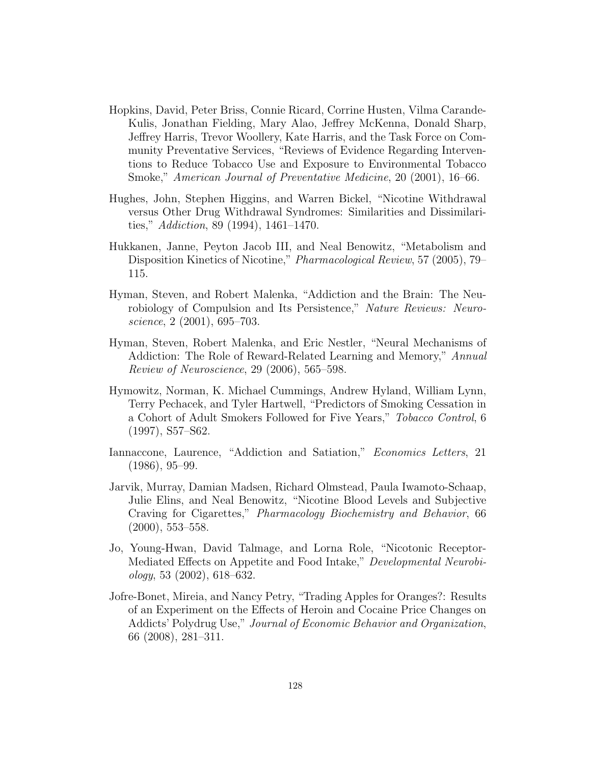- Hopkins, David, Peter Briss, Connie Ricard, Corrine Husten, Vilma Carande-Kulis, Jonathan Fielding, Mary Alao, Jeffrey McKenna, Donald Sharp, Jeffrey Harris, Trevor Woollery, Kate Harris, and the Task Force on Community Preventative Services, "Reviews of Evidence Regarding Interventions to Reduce Tobacco Use and Exposure to Environmental Tobacco Smoke," American Journal of Preventative Medicine, 20 (2001), 16–66.
- Hughes, John, Stephen Higgins, and Warren Bickel, "Nicotine Withdrawal versus Other Drug Withdrawal Syndromes: Similarities and Dissimilarities," Addiction, 89 (1994), 1461–1470.
- Hukkanen, Janne, Peyton Jacob III, and Neal Benowitz, "Metabolism and Disposition Kinetics of Nicotine," Pharmacological Review, 57 (2005), 79– 115.
- Hyman, Steven, and Robert Malenka, "Addiction and the Brain: The Neurobiology of Compulsion and Its Persistence," Nature Reviews: Neuroscience, 2 (2001), 695–703.
- Hyman, Steven, Robert Malenka, and Eric Nestler, "Neural Mechanisms of Addiction: The Role of Reward-Related Learning and Memory," Annual Review of Neuroscience, 29 (2006), 565–598.
- Hymowitz, Norman, K. Michael Cummings, Andrew Hyland, William Lynn, Terry Pechacek, and Tyler Hartwell, "Predictors of Smoking Cessation in a Cohort of Adult Smokers Followed for Five Years," Tobacco Control, 6 (1997), S57–S62.
- Iannaccone, Laurence, "Addiction and Satiation," Economics Letters, 21 (1986), 95–99.
- Jarvik, Murray, Damian Madsen, Richard Olmstead, Paula Iwamoto-Schaap, Julie Elins, and Neal Benowitz, "Nicotine Blood Levels and Subjective Craving for Cigarettes," Pharmacology Biochemistry and Behavior, 66 (2000), 553–558.
- Jo, Young-Hwan, David Talmage, and Lorna Role, "Nicotonic Receptor-Mediated Effects on Appetite and Food Intake," Developmental Neurobi $ology, 53 (2002), 618-632.$
- Jofre-Bonet, Mireia, and Nancy Petry, "Trading Apples for Oranges?: Results of an Experiment on the Effects of Heroin and Cocaine Price Changes on Addicts' Polydrug Use," Journal of Economic Behavior and Organization, 66 (2008), 281–311.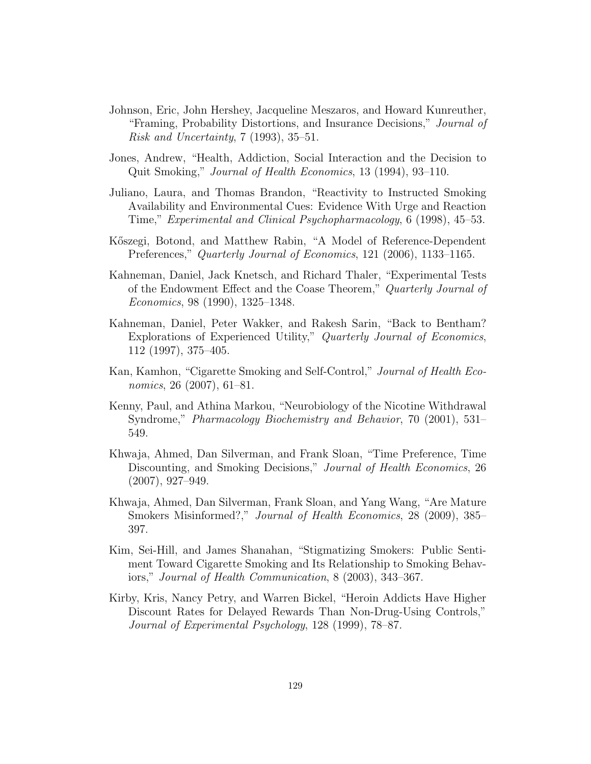- Johnson, Eric, John Hershey, Jacqueline Meszaros, and Howard Kunreuther, "Framing, Probability Distortions, and Insurance Decisions," Journal of Risk and Uncertainty, 7 (1993), 35–51.
- Jones, Andrew, "Health, Addiction, Social Interaction and the Decision to Quit Smoking," Journal of Health Economics, 13 (1994), 93–110.
- Juliano, Laura, and Thomas Brandon, "Reactivity to Instructed Smoking Availability and Environmental Cues: Evidence With Urge and Reaction Time," Experimental and Clinical Psychopharmacology, 6 (1998), 45–53.
- Kőszegi, Botond, and Matthew Rabin, "A Model of Reference-Dependent Preferences," Quarterly Journal of Economics, 121 (2006), 1133–1165.
- Kahneman, Daniel, Jack Knetsch, and Richard Thaler, "Experimental Tests of the Endowment Effect and the Coase Theorem," Quarterly Journal of Economics, 98 (1990), 1325–1348.
- Kahneman, Daniel, Peter Wakker, and Rakesh Sarin, "Back to Bentham? Explorations of Experienced Utility," Quarterly Journal of Economics, 112 (1997), 375–405.
- Kan, Kamhon, "Cigarette Smoking and Self-Control," Journal of Health Economics, 26 (2007), 61–81.
- Kenny, Paul, and Athina Markou, "Neurobiology of the Nicotine Withdrawal Syndrome," Pharmacology Biochemistry and Behavior, 70 (2001), 531– 549.
- Khwaja, Ahmed, Dan Silverman, and Frank Sloan, "Time Preference, Time Discounting, and Smoking Decisions," Journal of Health Economics, 26 (2007), 927–949.
- Khwaja, Ahmed, Dan Silverman, Frank Sloan, and Yang Wang, "Are Mature Smokers Misinformed?," Journal of Health Economics, 28 (2009), 385– 397.
- Kim, Sei-Hill, and James Shanahan, "Stigmatizing Smokers: Public Sentiment Toward Cigarette Smoking and Its Relationship to Smoking Behaviors," Journal of Health Communication, 8 (2003), 343–367.
- Kirby, Kris, Nancy Petry, and Warren Bickel, "Heroin Addicts Have Higher Discount Rates for Delayed Rewards Than Non-Drug-Using Controls," Journal of Experimental Psychology, 128 (1999), 78–87.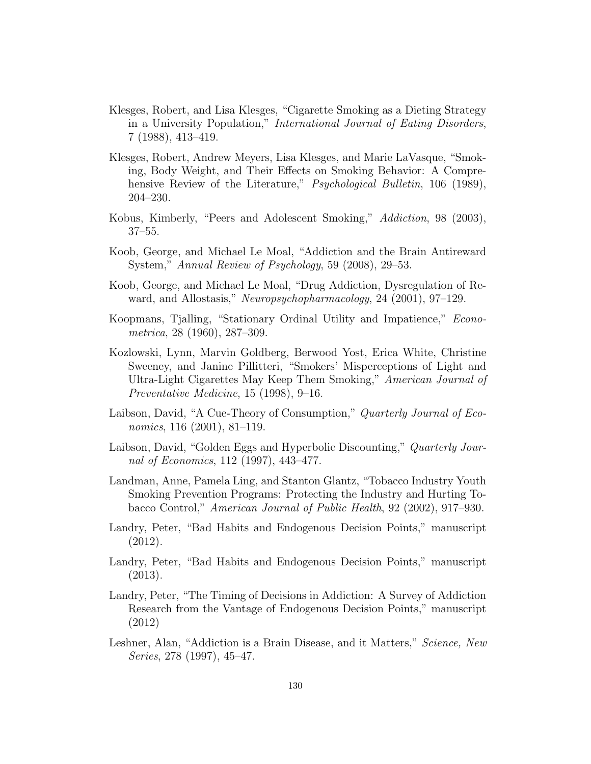- Klesges, Robert, and Lisa Klesges, "Cigarette Smoking as a Dieting Strategy in a University Population," International Journal of Eating Disorders, 7 (1988), 413–419.
- Klesges, Robert, Andrew Meyers, Lisa Klesges, and Marie LaVasque, "Smoking, Body Weight, and Their Effects on Smoking Behavior: A Comprehensive Review of the Literature," *Psychological Bulletin*, 106 (1989), 204–230.
- Kobus, Kimberly, "Peers and Adolescent Smoking," Addiction, 98 (2003), 37–55.
- Koob, George, and Michael Le Moal, "Addiction and the Brain Antireward System," Annual Review of Psychology, 59 (2008), 29–53.
- Koob, George, and Michael Le Moal, "Drug Addiction, Dysregulation of Reward, and Allostasis," Neuropsychopharmacology, 24 (2001), 97–129.
- Koopmans, Tjalling, "Stationary Ordinal Utility and Impatience," Econometrica, 28 (1960), 287–309.
- Kozlowski, Lynn, Marvin Goldberg, Berwood Yost, Erica White, Christine Sweeney, and Janine Pillitteri, "Smokers' Misperceptions of Light and Ultra-Light Cigarettes May Keep Them Smoking," American Journal of Preventative Medicine, 15 (1998), 9–16.
- Laibson, David, "A Cue-Theory of Consumption," *Quarterly Journal of Eco*nomics, 116 (2001), 81–119.
- Laibson, David, "Golden Eggs and Hyperbolic Discounting," Quarterly Journal of Economics, 112 (1997), 443–477.
- Landman, Anne, Pamela Ling, and Stanton Glantz, "Tobacco Industry Youth Smoking Prevention Programs: Protecting the Industry and Hurting Tobacco Control," American Journal of Public Health, 92 (2002), 917–930.
- Landry, Peter, "Bad Habits and Endogenous Decision Points," manuscript (2012).
- Landry, Peter, "Bad Habits and Endogenous Decision Points," manuscript (2013).
- Landry, Peter, "The Timing of Decisions in Addiction: A Survey of Addiction Research from the Vantage of Endogenous Decision Points," manuscript (2012)
- Leshner, Alan, "Addiction is a Brain Disease, and it Matters," Science, New Series, 278 (1997), 45–47.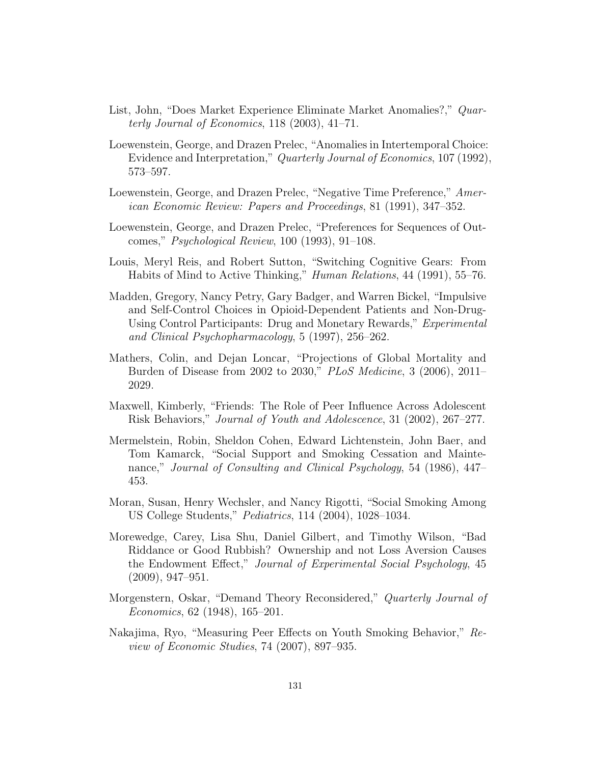- List, John, "Does Market Experience Eliminate Market Anomalies?," Quarterly Journal of Economics, 118 (2003), 41–71.
- Loewenstein, George, and Drazen Prelec, "Anomalies in Intertemporal Choice: Evidence and Interpretation," Quarterly Journal of Economics, 107 (1992), 573–597.
- Loewenstein, George, and Drazen Prelec, "Negative Time Preference," American Economic Review: Papers and Proceedings, 81 (1991), 347–352.
- Loewenstein, George, and Drazen Prelec, "Preferences for Sequences of Outcomes," Psychological Review, 100 (1993), 91–108.
- Louis, Meryl Reis, and Robert Sutton, "Switching Cognitive Gears: From Habits of Mind to Active Thinking," Human Relations, 44 (1991), 55–76.
- Madden, Gregory, Nancy Petry, Gary Badger, and Warren Bickel, "Impulsive and Self-Control Choices in Opioid-Dependent Patients and Non-Drug-Using Control Participants: Drug and Monetary Rewards," Experimental and Clinical Psychopharmacology, 5 (1997), 256–262.
- Mathers, Colin, and Dejan Loncar, "Projections of Global Mortality and Burden of Disease from 2002 to 2030," PLoS Medicine, 3 (2006), 2011– 2029.
- Maxwell, Kimberly, "Friends: The Role of Peer Influence Across Adolescent Risk Behaviors," Journal of Youth and Adolescence, 31 (2002), 267–277.
- Mermelstein, Robin, Sheldon Cohen, Edward Lichtenstein, John Baer, and Tom Kamarck, "Social Support and Smoking Cessation and Maintenance," Journal of Consulting and Clinical Psychology, 54 (1986), 447– 453.
- Moran, Susan, Henry Wechsler, and Nancy Rigotti, "Social Smoking Among US College Students," Pediatrics, 114 (2004), 1028–1034.
- Morewedge, Carey, Lisa Shu, Daniel Gilbert, and Timothy Wilson, "Bad Riddance or Good Rubbish? Ownership and not Loss Aversion Causes the Endowment Effect," Journal of Experimental Social Psychology, 45 (2009), 947–951.
- Morgenstern, Oskar, "Demand Theory Reconsidered," Quarterly Journal of Economics, 62 (1948), 165–201.
- Nakajima, Ryo, "Measuring Peer Effects on Youth Smoking Behavior," Review of Economic Studies, 74 (2007), 897–935.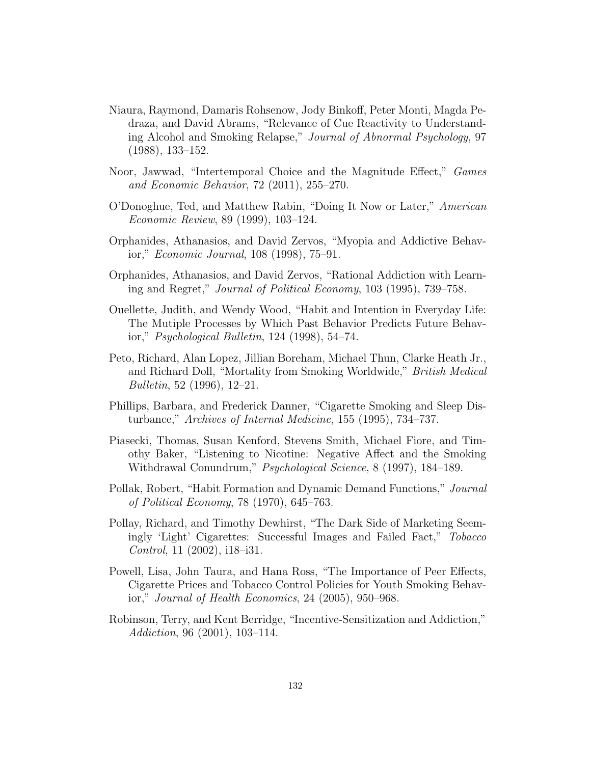- Niaura, Raymond, Damaris Rohsenow, Jody Binkoff, Peter Monti, Magda Pedraza, and David Abrams, "Relevance of Cue Reactivity to Understanding Alcohol and Smoking Relapse," Journal of Abnormal Psychology, 97 (1988), 133–152.
- Noor, Jawwad, "Intertemporal Choice and the Magnitude Effect," Games and Economic Behavior, 72 (2011), 255–270.
- O'Donoghue, Ted, and Matthew Rabin, "Doing It Now or Later," American Economic Review, 89 (1999), 103–124.
- Orphanides, Athanasios, and David Zervos, "Myopia and Addictive Behavior," Economic Journal, 108 (1998), 75–91.
- Orphanides, Athanasios, and David Zervos, "Rational Addiction with Learning and Regret," Journal of Political Economy, 103 (1995), 739–758.
- Ouellette, Judith, and Wendy Wood, "Habit and Intention in Everyday Life: The Mutiple Processes by Which Past Behavior Predicts Future Behavior," Psychological Bulletin, 124 (1998), 54–74.
- Peto, Richard, Alan Lopez, Jillian Boreham, Michael Thun, Clarke Heath Jr., and Richard Doll, "Mortality from Smoking Worldwide," British Medical Bulletin, 52 (1996), 12–21.
- Phillips, Barbara, and Frederick Danner, "Cigarette Smoking and Sleep Disturbance," Archives of Internal Medicine, 155 (1995), 734–737.
- Piasecki, Thomas, Susan Kenford, Stevens Smith, Michael Fiore, and Timothy Baker, "Listening to Nicotine: Negative Affect and the Smoking Withdrawal Conundrum," Psychological Science, 8 (1997), 184–189.
- Pollak, Robert, "Habit Formation and Dynamic Demand Functions," Journal of Political Economy, 78 (1970), 645–763.
- Pollay, Richard, and Timothy Dewhirst, "The Dark Side of Marketing Seemingly 'Light' Cigarettes: Successful Images and Failed Fact," Tobacco Control, 11 (2002), i18–i31.
- Powell, Lisa, John Taura, and Hana Ross, "The Importance of Peer Effects, Cigarette Prices and Tobacco Control Policies for Youth Smoking Behavior," Journal of Health Economics, 24 (2005), 950–968.
- Robinson, Terry, and Kent Berridge, "Incentive-Sensitization and Addiction," Addiction, 96 (2001), 103–114.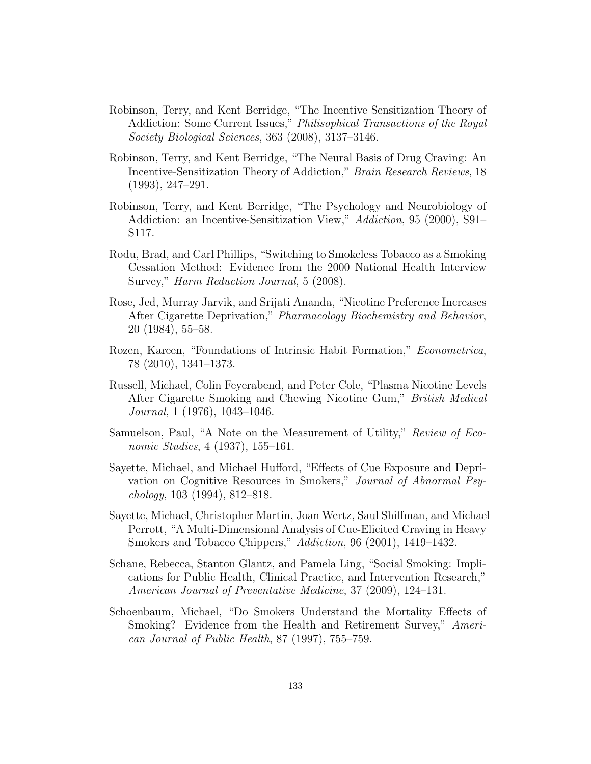- Robinson, Terry, and Kent Berridge, "The Incentive Sensitization Theory of Addiction: Some Current Issues," Philisophical Transactions of the Royal Society Biological Sciences, 363 (2008), 3137–3146.
- Robinson, Terry, and Kent Berridge, "The Neural Basis of Drug Craving: An Incentive-Sensitization Theory of Addiction," Brain Research Reviews, 18 (1993), 247–291.
- Robinson, Terry, and Kent Berridge, "The Psychology and Neurobiology of Addiction: an Incentive-Sensitization View," Addiction, 95 (2000), S91– S117.
- Rodu, Brad, and Carl Phillips, "Switching to Smokeless Tobacco as a Smoking Cessation Method: Evidence from the 2000 National Health Interview Survey," Harm Reduction Journal, 5 (2008).
- Rose, Jed, Murray Jarvik, and Srijati Ananda, "Nicotine Preference Increases After Cigarette Deprivation," Pharmacology Biochemistry and Behavior, 20 (1984), 55–58.
- Rozen, Kareen, "Foundations of Intrinsic Habit Formation," Econometrica, 78 (2010), 1341–1373.
- Russell, Michael, Colin Feyerabend, and Peter Cole, "Plasma Nicotine Levels After Cigarette Smoking and Chewing Nicotine Gum," British Medical Journal, 1 (1976), 1043–1046.
- Samuelson, Paul, "A Note on the Measurement of Utility," Review of Economic Studies, 4 (1937), 155–161.
- Sayette, Michael, and Michael Hufford, "Effects of Cue Exposure and Deprivation on Cognitive Resources in Smokers," Journal of Abnormal Psychology, 103 (1994), 812–818.
- Sayette, Michael, Christopher Martin, Joan Wertz, Saul Shiffman, and Michael Perrott, "A Multi-Dimensional Analysis of Cue-Elicited Craving in Heavy Smokers and Tobacco Chippers," Addiction, 96 (2001), 1419–1432.
- Schane, Rebecca, Stanton Glantz, and Pamela Ling, "Social Smoking: Implications for Public Health, Clinical Practice, and Intervention Research," American Journal of Preventative Medicine, 37 (2009), 124–131.
- Schoenbaum, Michael, "Do Smokers Understand the Mortality Effects of Smoking? Evidence from the Health and Retirement Survey," American Journal of Public Health, 87 (1997), 755–759.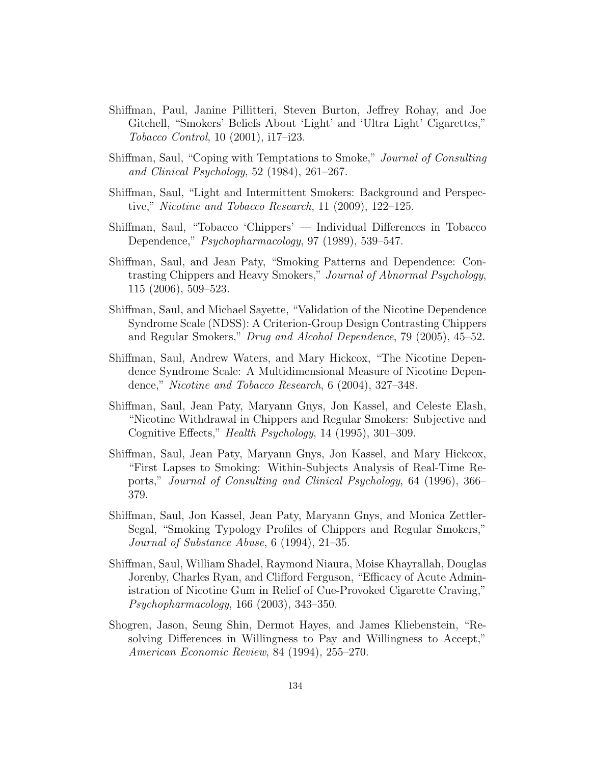- Shiffman, Paul, Janine Pillitteri, Steven Burton, Jeffrey Rohay, and Joe Gitchell, "Smokers' Beliefs About 'Light' and 'Ultra Light' Cigarettes," Tobacco Control, 10 (2001), i17–i23.
- Shiffman, Saul, "Coping with Temptations to Smoke," Journal of Consulting and Clinical Psychology, 52 (1984), 261–267.
- Shiffman, Saul, "Light and Intermittent Smokers: Background and Perspective," Nicotine and Tobacco Research, 11 (2009), 122–125.
- Shiffman, Saul, "Tobacco 'Chippers' Individual Differences in Tobacco Dependence," Psychopharmacology, 97 (1989), 539–547.
- Shiffman, Saul, and Jean Paty, "Smoking Patterns and Dependence: Contrasting Chippers and Heavy Smokers," Journal of Abnormal Psychology, 115 (2006), 509–523.
- Shiffman, Saul, and Michael Sayette, "Validation of the Nicotine Dependence Syndrome Scale (NDSS): A Criterion-Group Design Contrasting Chippers and Regular Smokers," Drug and Alcohol Dependence, 79 (2005), 45–52.
- Shiffman, Saul, Andrew Waters, and Mary Hickcox, "The Nicotine Dependence Syndrome Scale: A Multidimensional Measure of Nicotine Dependence," Nicotine and Tobacco Research, 6 (2004), 327–348.
- Shiffman, Saul, Jean Paty, Maryann Gnys, Jon Kassel, and Celeste Elash, "Nicotine Withdrawal in Chippers and Regular Smokers: Subjective and Cognitive Effects," Health Psychology, 14 (1995), 301–309.
- Shiffman, Saul, Jean Paty, Maryann Gnys, Jon Kassel, and Mary Hickcox, "First Lapses to Smoking: Within-Subjects Analysis of Real-Time Reports," Journal of Consulting and Clinical Psychology, 64 (1996), 366– 379.
- Shiffman, Saul, Jon Kassel, Jean Paty, Maryann Gnys, and Monica Zettler-Segal, "Smoking Typology Profiles of Chippers and Regular Smokers," Journal of Substance Abuse, 6 (1994), 21–35.
- Shiffman, Saul, William Shadel, Raymond Niaura, Moise Khayrallah, Douglas Jorenby, Charles Ryan, and Clifford Ferguson, "Efficacy of Acute Administration of Nicotine Gum in Relief of Cue-Provoked Cigarette Craving," Psychopharmacology, 166 (2003), 343–350.
- Shogren, Jason, Seung Shin, Dermot Hayes, and James Kliebenstein, "Resolving Differences in Willingness to Pay and Willingness to Accept," American Economic Review, 84 (1994), 255–270.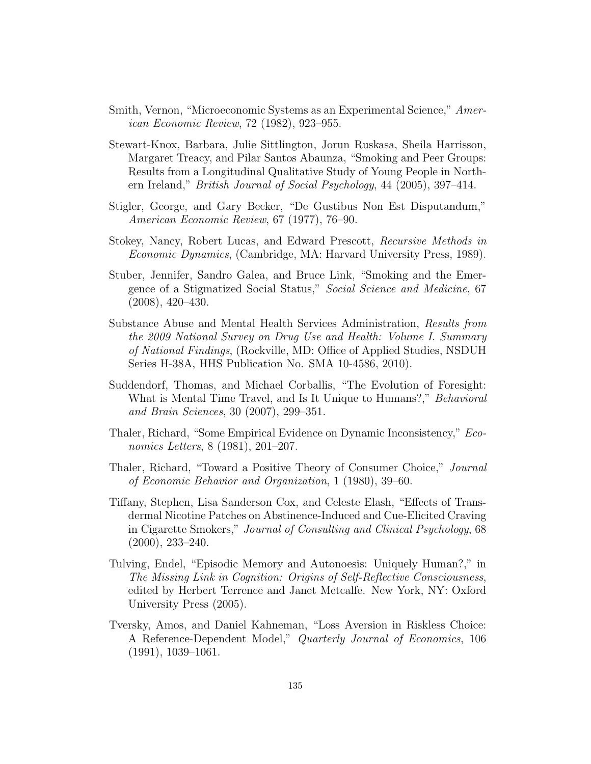- Smith, Vernon, "Microeconomic Systems as an Experimental Science," American Economic Review, 72 (1982), 923–955.
- Stewart-Knox, Barbara, Julie Sittlington, Jorun Ruskasa, Sheila Harrisson, Margaret Treacy, and Pilar Santos Abaunza, "Smoking and Peer Groups: Results from a Longitudinal Qualitative Study of Young People in Northern Ireland," British Journal of Social Psychology, 44 (2005), 397–414.
- Stigler, George, and Gary Becker, "De Gustibus Non Est Disputandum," American Economic Review, 67 (1977), 76–90.
- Stokey, Nancy, Robert Lucas, and Edward Prescott, Recursive Methods in Economic Dynamics, (Cambridge, MA: Harvard University Press, 1989).
- Stuber, Jennifer, Sandro Galea, and Bruce Link, "Smoking and the Emergence of a Stigmatized Social Status," Social Science and Medicine, 67 (2008), 420–430.
- Substance Abuse and Mental Health Services Administration, Results from the 2009 National Survey on Drug Use and Health: Volume I. Summary of National Findings, (Rockville, MD: Office of Applied Studies, NSDUH Series H-38A, HHS Publication No. SMA 10-4586, 2010).
- Suddendorf, Thomas, and Michael Corballis, "The Evolution of Foresight: What is Mental Time Travel, and Is It Unique to Humans?," Behavioral and Brain Sciences, 30 (2007), 299–351.
- Thaler, Richard, "Some Empirical Evidence on Dynamic Inconsistency," Economics Letters, 8 (1981), 201–207.
- Thaler, Richard, "Toward a Positive Theory of Consumer Choice," Journal of Economic Behavior and Organization, 1 (1980), 39–60.
- Tiffany, Stephen, Lisa Sanderson Cox, and Celeste Elash, "Effects of Transdermal Nicotine Patches on Abstinence-Induced and Cue-Elicited Craving in Cigarette Smokers," Journal of Consulting and Clinical Psychology, 68 (2000), 233–240.
- Tulving, Endel, "Episodic Memory and Autonoesis: Uniquely Human?," in The Missing Link in Cognition: Origins of Self-Reflective Consciousness, edited by Herbert Terrence and Janet Metcalfe. New York, NY: Oxford University Press (2005).
- Tversky, Amos, and Daniel Kahneman, "Loss Aversion in Riskless Choice: A Reference-Dependent Model," Quarterly Journal of Economics, 106 (1991), 1039–1061.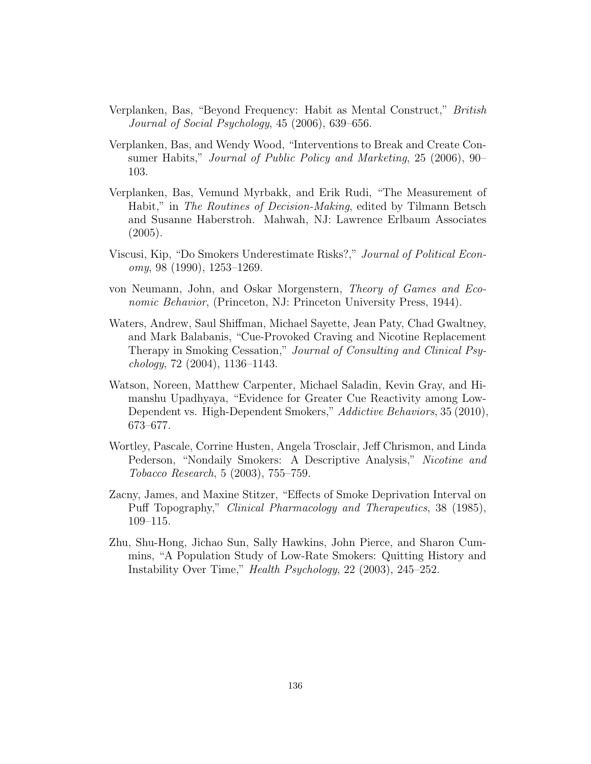- Verplanken, Bas, "Beyond Frequency: Habit as Mental Construct," British Journal of Social Psychology, 45 (2006), 639–656.
- Verplanken, Bas, and Wendy Wood, "Interventions to Break and Create Consumer Habits," Journal of Public Policy and Marketing, 25 (2006), 90– 103.
- Verplanken, Bas, Vemund Myrbakk, and Erik Rudi, "The Measurement of Habit," in The Routines of Decision-Making, edited by Tilmann Betsch and Susanne Haberstroh. Mahwah, NJ: Lawrence Erlbaum Associates (2005).
- Viscusi, Kip, "Do Smokers Underestimate Risks?," Journal of Political Economy, 98 (1990), 1253–1269.
- von Neumann, John, and Oskar Morgenstern, Theory of Games and Economic Behavior, (Princeton, NJ: Princeton University Press, 1944).
- Waters, Andrew, Saul Shiffman, Michael Sayette, Jean Paty, Chad Gwaltney, and Mark Balabanis, "Cue-Provoked Craving and Nicotine Replacement Therapy in Smoking Cessation," Journal of Consulting and Clinical Psychology, 72 (2004), 1136–1143.
- Watson, Noreen, Matthew Carpenter, Michael Saladin, Kevin Gray, and Himanshu Upadhyaya, "Evidence for Greater Cue Reactivity among Low-Dependent vs. High-Dependent Smokers," Addictive Behaviors, 35 (2010), 673–677.
- Wortley, Pascale, Corrine Husten, Angela Trosclair, Jeff Chrismon, and Linda Pederson, "Nondaily Smokers: A Descriptive Analysis," Nicotine and Tobacco Research, 5 (2003), 755–759.
- Zacny, James, and Maxine Stitzer, "Effects of Smoke Deprivation Interval on Puff Topography," Clinical Pharmacology and Therapeutics, 38 (1985), 109–115.
- Zhu, Shu-Hong, Jichao Sun, Sally Hawkins, John Pierce, and Sharon Cummins, "A Population Study of Low-Rate Smokers: Quitting History and Instability Over Time," Health Psychology, 22 (2003), 245–252.